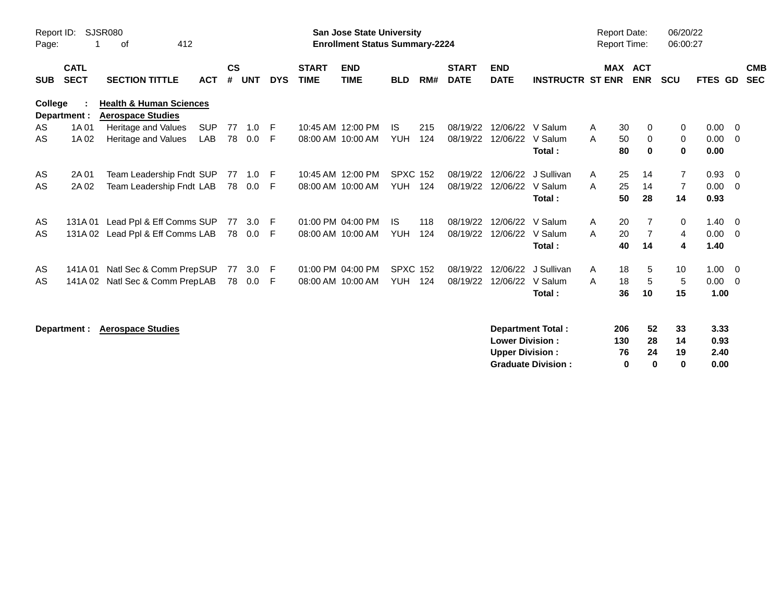| Report ID:<br>Page: |                            | <b>SJSR080</b><br>412<br>0f                                    |            |                    |            |            |                             | <b>San Jose State University</b><br><b>Enrollment Status Summary-2224</b> |                 |     |                             |                           |                          | <b>Report Date:</b><br><b>Report Time:</b> |            |                | 06/20/22<br>06:00:27 |             |                |                          |
|---------------------|----------------------------|----------------------------------------------------------------|------------|--------------------|------------|------------|-----------------------------|---------------------------------------------------------------------------|-----------------|-----|-----------------------------|---------------------------|--------------------------|--------------------------------------------|------------|----------------|----------------------|-------------|----------------|--------------------------|
| <b>SUB</b>          | <b>CATL</b><br><b>SECT</b> | <b>SECTION TITTLE</b>                                          | <b>ACT</b> | $\mathsf{cs}$<br># | <b>UNT</b> | <b>DYS</b> | <b>START</b><br><b>TIME</b> | <b>END</b><br><b>TIME</b>                                                 | <b>BLD</b>      | RM# | <b>START</b><br><b>DATE</b> | <b>END</b><br><b>DATE</b> | <b>INSTRUCTR ST ENR</b>  | MAX                                        | <b>ACT</b> | <b>ENR</b>     | <b>SCU</b>           | FTES GD     |                | <b>CMB</b><br><b>SEC</b> |
| College             | Department :               | <b>Health &amp; Human Sciences</b><br><b>Aerospace Studies</b> |            |                    |            |            |                             |                                                                           |                 |     |                             |                           |                          |                                            |            |                |                      |             |                |                          |
| AS                  | 1A 01                      | Heritage and Values                                            | <b>SUP</b> | 77                 | 1.0        | -F         |                             | 10:45 AM 12:00 PM                                                         | IS.             | 215 | 08/19/22                    | 12/06/22                  | V Salum                  | A                                          | 30         | 0              | 0                    | 0.00        | - 0            |                          |
| AS                  | 1A 02                      | Heritage and Values                                            | LAB        | 78                 | 0.0        | -F         | 08:00 AM 10:00 AM           |                                                                           | <b>YUH</b>      | 124 | 08/19/22                    | 12/06/22                  | V Salum                  | A                                          | 50         | 0              | 0                    | 0.00        | - 0            |                          |
|                     |                            |                                                                |            |                    |            |            |                             |                                                                           |                 |     |                             |                           | Total:                   |                                            | 80         | 0              | 0                    | 0.00        |                |                          |
| AS                  | 2A 01                      | Team Leadership Fndt SUP                                       |            | 77                 | 1.0        | -F         |                             | 10:45 AM 12:00 PM                                                         | <b>SPXC 152</b> |     | 08/19/22                    | 12/06/22                  | J Sullivan               | A                                          | 25         | 14             | $\overline{7}$       | 0.93        | $\overline{0}$ |                          |
| AS                  | 2A 02                      | Team Leadership Fndt LAB                                       |            |                    | 78  0.0    | -F         | 08:00 AM 10:00 AM           |                                                                           | <b>YUH</b>      | 124 | 08/19/22                    | 12/06/22                  | V Salum                  | A                                          | 25         | 14             | $\overline{7}$       | 0.00        | - 0            |                          |
|                     |                            |                                                                |            |                    |            |            |                             |                                                                           |                 |     |                             |                           | Total:                   |                                            | 50         | 28             | 14                   | 0.93        |                |                          |
| AS                  | 131A 01                    | Lead Ppl & Eff Comms SUP                                       |            | 77                 | 3.0        | -F         |                             | 01:00 PM 04:00 PM                                                         | IS.             | 118 | 08/19/22                    | 12/06/22                  | V Salum                  | A                                          | 20         | $\overline{7}$ | 0                    | $1.40 \ 0$  |                |                          |
| AS                  | 131A 02                    | Lead Ppl & Eff Comms LAB                                       |            |                    | 78  0.0    | -F         | 08:00 AM 10:00 AM           |                                                                           | <b>YUH</b>      | 124 | 08/19/22                    | 12/06/22                  | V Salum                  | A                                          | 20         | $\overline{7}$ | 4                    | $0.00 \t 0$ |                |                          |
|                     |                            |                                                                |            |                    |            |            |                             |                                                                           |                 |     |                             |                           | Total:                   |                                            | 40         | 14             | 4                    | 1.40        |                |                          |
| AS                  | 141A 01                    | Natl Sec & Comm PrepSUP                                        |            | 77                 | 3.0        | -F         |                             | 01:00 PM 04:00 PM                                                         | <b>SPXC 152</b> |     | 08/19/22                    | 12/06/22                  | J Sullivan               | A                                          | 18         | 5              | 10                   | $1.00 \t 0$ |                |                          |
| AS                  | 141A 02                    | Natl Sec & Comm PrepLAB                                        |            | 78                 | 0.0        | -F         | 08:00 AM 10:00 AM           |                                                                           | YUH             | 124 | 08/19/22                    | 12/06/22                  | V Salum                  | A                                          | 18         | 5              | 5                    | 0.00        | - 0            |                          |
|                     |                            |                                                                |            |                    |            |            |                             |                                                                           |                 |     |                             |                           | Total:                   |                                            | 36         | 10             | 15                   | 1.00        |                |                          |
|                     | Department :               | <b>Aerospace Studies</b>                                       |            |                    |            |            |                             |                                                                           |                 |     |                             |                           | <b>Department Total:</b> |                                            | 206        | 52             | 33                   | 3.33        |                |                          |
|                     |                            |                                                                |            |                    |            |            |                             |                                                                           |                 |     |                             | <b>Lower Division:</b>    |                          |                                            | 130        | 28             | 14                   | 0.93        |                |                          |
|                     |                            |                                                                |            |                    |            |            |                             |                                                                           |                 |     |                             | <b>Upper Division:</b>    |                          |                                            | 76         | 24             | 19                   | 2.40        |                |                          |

**Graduate Division : 0 0 0 0.00**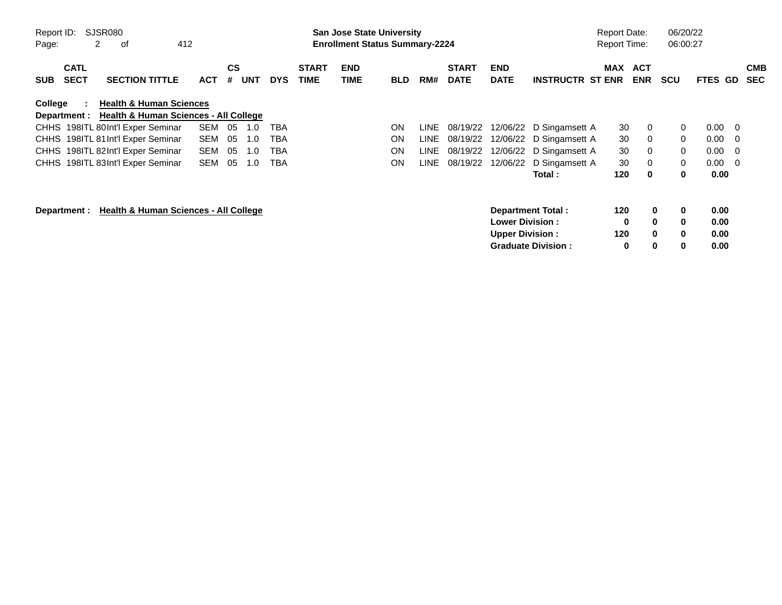| Report ID:<br>Page: |                            | SJSR080<br>2<br>412<br>οf                        |            |                |            |            |                             | <b>San Jose State University</b><br><b>Enrollment Status Summary-2224</b> |            |      |                             |                           |                           | <b>Report Date:</b><br><b>Report Time:</b> |                          | 06/20/22<br>06:00:27 |             |                          |                          |
|---------------------|----------------------------|--------------------------------------------------|------------|----------------|------------|------------|-----------------------------|---------------------------------------------------------------------------|------------|------|-----------------------------|---------------------------|---------------------------|--------------------------------------------|--------------------------|----------------------|-------------|--------------------------|--------------------------|
| <b>SUB</b>          | <b>CATL</b><br><b>SECT</b> | <b>SECTION TITTLE</b>                            | <b>ACT</b> | <b>CS</b><br># | <b>UNT</b> | <b>DYS</b> | <b>START</b><br><b>TIME</b> | <b>END</b><br>TIME                                                        | <b>BLD</b> | RM#  | <b>START</b><br><b>DATE</b> | <b>END</b><br><b>DATE</b> | <b>INSTRUCTR ST ENR</b>   | MAX                                        | <b>ACT</b><br><b>ENR</b> | <b>SCU</b>           | <b>FTES</b> | GD.                      | <b>CMB</b><br><b>SEC</b> |
| College             |                            | <b>Health &amp; Human Sciences</b>               |            |                |            |            |                             |                                                                           |            |      |                             |                           |                           |                                            |                          |                      |             |                          |                          |
|                     | Department :               | <b>Health &amp; Human Sciences - All College</b> |            |                |            |            |                             |                                                                           |            |      |                             |                           |                           |                                            |                          |                      |             |                          |                          |
|                     |                            | CHHS 198ITL 80Int'l Exper Seminar                | <b>SEM</b> | 05             | 1.0        | TBA        |                             |                                                                           | <b>ON</b>  | LINE | 08/19/22                    | 12/06/22                  | D Singamsett A            | 30                                         | 0                        | 0                    | 0.00        | $\overline{\phantom{0}}$ |                          |
|                     |                            | CHHS 198ITL 81 Int'l Exper Seminar               | <b>SEM</b> | 05             | 1.0        | TBA        |                             |                                                                           | ON         | LINE | 08/19/22                    | 12/06/22                  | D Singamsett A            | 30                                         | 0                        | $\mathbf{0}$         | 0.00        | $\overline{\mathbf{0}}$  |                          |
|                     |                            | CHHS 198ITL 82Int'l Exper Seminar                | <b>SEM</b> | 05             | 1.0        | TBA        |                             |                                                                           | <b>ON</b>  | LINE | 08/19/22                    | 12/06/22                  | D Singamsett A            | 30                                         | 0                        | $\mathbf{0}$         | 0.00        | $\overline{\mathbf{0}}$  |                          |
|                     |                            | CHHS 198ITL 83Int'l Exper Seminar                | <b>SEM</b> | 05             | 1.0        | TBA        |                             |                                                                           | ON         | LINE | 08/19/22                    | 12/06/22                  | D Singamsett A            | 30                                         | 0                        | 0                    | 0.00        | $\overline{\phantom{0}}$ |                          |
|                     |                            |                                                  |            |                |            |            |                             |                                                                           |            |      |                             |                           | Total :                   | 120                                        | 0                        | 0                    | 0.00        |                          |                          |
|                     | Department :               | Health & Human Sciences - All College            |            |                |            |            |                             |                                                                           |            |      |                             |                           | Department Total:         | 120                                        | 0                        | 0                    | 0.00        |                          |                          |
|                     |                            |                                                  |            |                |            |            |                             |                                                                           |            |      |                             | <b>Lower Division:</b>    |                           | 0                                          | $\bf{0}$                 | 0                    | 0.00        |                          |                          |
|                     |                            |                                                  |            |                |            |            |                             |                                                                           |            |      |                             | <b>Upper Division:</b>    |                           | 120                                        | $\bf{0}$                 | $\bf{0}$             | 0.00        |                          |                          |
|                     |                            |                                                  |            |                |            |            |                             |                                                                           |            |      |                             |                           | <b>Graduate Division:</b> | 0                                          | 0                        | 0                    | 0.00        |                          |                          |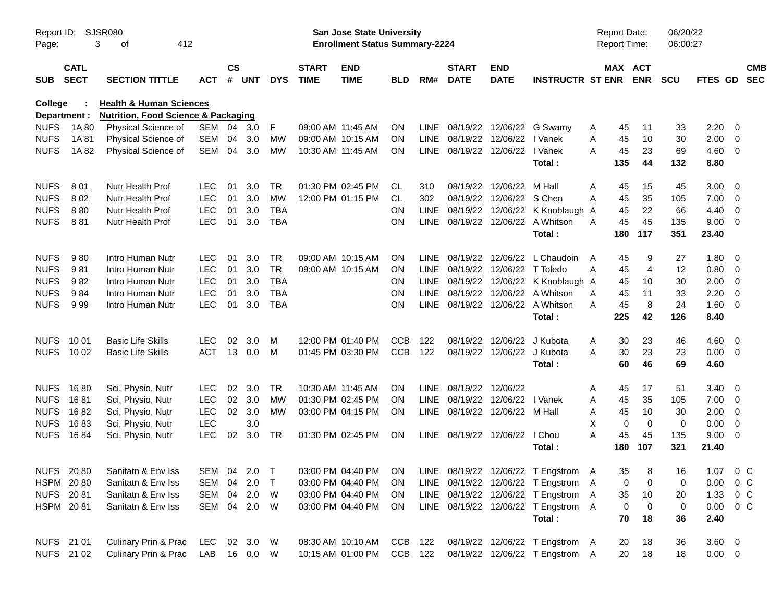| Report ID:<br>Page: |                            | <b>SJSR080</b><br>412<br>3<br>of               |              |                |            |            |                             | San Jose State University<br><b>Enrollment Status Summary-2224</b> |            |             |                             |                                |                                                                             | <b>Report Date:</b><br><b>Report Time:</b> |                       | 06/20/22<br>06:00:27 |                |                          |  |
|---------------------|----------------------------|------------------------------------------------|--------------|----------------|------------|------------|-----------------------------|--------------------------------------------------------------------|------------|-------------|-----------------------------|--------------------------------|-----------------------------------------------------------------------------|--------------------------------------------|-----------------------|----------------------|----------------|--------------------------|--|
| <b>SUB</b>          | <b>CATL</b><br><b>SECT</b> | <b>SECTION TITTLE</b>                          | <b>ACT</b>   | <b>CS</b><br># | <b>UNT</b> | <b>DYS</b> | <b>START</b><br><b>TIME</b> | <b>END</b><br><b>TIME</b>                                          | <b>BLD</b> | RM#         | <b>START</b><br><b>DATE</b> | <b>END</b><br><b>DATE</b>      | <b>INSTRUCTR ST ENR</b>                                                     |                                            | MAX ACT<br><b>ENR</b> | <b>SCU</b>           | FTES GD        | <b>CMB</b><br><b>SEC</b> |  |
| <b>College</b>      |                            | <b>Health &amp; Human Sciences</b>             |              |                |            |            |                             |                                                                    |            |             |                             |                                |                                                                             |                                            |                       |                      |                |                          |  |
|                     | Department :               | <b>Nutrition, Food Science &amp; Packaging</b> |              |                |            |            |                             |                                                                    |            |             |                             |                                |                                                                             |                                            |                       |                      |                |                          |  |
| <b>NUFS</b>         | 1A 80                      | Physical Science of                            | SEM          |                | 04 3.0     | F          | 09:00 AM 11:45 AM           |                                                                    | <b>ON</b>  | LINE        | 08/19/22 12/06/22           |                                | G Swamy                                                                     | A                                          | 45<br>11              | 33                   | 2.20           | - 0                      |  |
| <b>NUFS</b>         | 1A81                       | Physical Science of                            | <b>SEM</b>   | 04             | 3.0        | МW         |                             | 09:00 AM 10:15 AM                                                  | <b>ON</b>  |             | LINE 08/19/22 12/06/22      | LINE 08/19/22 12/06/22 I Vanek | I Vanek                                                                     | A                                          | 10<br>45<br>23        | 30                   | 2.00           | $\mathbf 0$              |  |
| <b>NUFS</b>         | 1A82                       | Physical Science of                            | <b>SEM</b>   | 04             | 3.0        | MW         | 10:30 AM 11:45 AM           |                                                                    | <b>ON</b>  |             |                             |                                | Total:                                                                      | A<br>135                                   | 45<br>44              | 69<br>132            | 4.60<br>8.80   | $\overline{0}$           |  |
| <b>NUFS</b>         | 801                        | Nutr Health Prof                               | <b>LEC</b>   | 01             | 3.0        | TR         |                             | 01:30 PM 02:45 PM                                                  | CL         | 310         |                             | 08/19/22 12/06/22              | M Hall                                                                      | A                                          | 15<br>45              | 45                   | 3.00           | - 0                      |  |
| <b>NUFS</b>         | 802                        | Nutr Health Prof                               | LEC          | 01             | 3.0        | <b>MW</b>  |                             | 12:00 PM 01:15 PM                                                  | CL         | 302         | 08/19/22                    | 12/06/22                       | S Chen                                                                      | A                                          | 45<br>35              | 105                  | 7.00           | $\overline{0}$           |  |
| <b>NUFS</b>         | 880                        | Nutr Health Prof                               | LEC          | 01             | 3.0        | <b>TBA</b> |                             |                                                                    | ΟN         | LINE        |                             | 08/19/22 12/06/22              | K Knoblaugh A                                                               |                                            | 22<br>45              | 66                   | 4.40           | 0                        |  |
| <b>NUFS</b>         | 881                        | Nutr Health Prof                               | <b>LEC</b>   | 01             | 3.0        | <b>TBA</b> |                             |                                                                    | ΟN         |             |                             |                                | LINE 08/19/22 12/06/22 A Whitson                                            | A                                          | 45<br>45              | 135                  | 9.00           | - 0                      |  |
|                     |                            |                                                |              |                |            |            |                             |                                                                    |            |             |                             |                                | Total:                                                                      | 180                                        | 117                   | 351                  | 23.40          |                          |  |
| <b>NUFS</b>         | 980                        | Intro Human Nutr                               | <b>LEC</b>   | 01             | 3.0        | <b>TR</b>  |                             | 09:00 AM 10:15 AM                                                  | ON.        | LINE        |                             | 08/19/22 12/06/22              | L Chaudoin                                                                  | $\mathsf{A}$                               | 45<br>9               | 27                   | 1.80           | - 0                      |  |
| <b>NUFS</b>         | 981                        | Intro Human Nutr                               | LEC          | 01             | 3.0        | <b>TR</b>  |                             | 09:00 AM 10:15 AM                                                  | ON         | <b>LINE</b> | 08/19/22                    | 12/06/22                       | T Toledo                                                                    | A                                          | $\overline{4}$<br>45  | 12                   | 0.80           | 0                        |  |
| <b>NUFS</b>         | 982                        | Intro Human Nutr                               | LEC          | 01             | 3.0        | <b>TBA</b> |                             |                                                                    | <b>ON</b>  | <b>LINE</b> | 08/19/22 12/06/22           |                                | K Knoblaugh A                                                               |                                            | 10<br>45              | 30                   | 2.00           | 0                        |  |
| <b>NUFS</b>         | 984                        | Intro Human Nutr                               | LEC          | 01             | 3.0        | <b>TBA</b> |                             |                                                                    | ΟN         | <b>LINE</b> | 08/19/22 12/06/22           |                                | A Whitson                                                                   | A                                          | 11<br>45              | 33                   | 2.20           | 0                        |  |
| <b>NUFS</b>         | 999                        | Intro Human Nutr                               | <b>LEC</b>   | 01             | 3.0        | <b>TBA</b> |                             |                                                                    | ΟN         |             |                             |                                | LINE 08/19/22 12/06/22 A Whitson                                            | A                                          | $\, 8$<br>45          | 24                   | 1.60           | - 0                      |  |
|                     |                            |                                                |              |                |            |            |                             |                                                                    |            |             |                             |                                | Total:                                                                      | 225                                        | 42                    | 126                  | 8.40           |                          |  |
| <b>NUFS</b>         | 10 01                      | <b>Basic Life Skills</b>                       | <b>LEC</b>   | 02             | 3.0        | м          |                             | 12:00 PM 01:40 PM                                                  | <b>CCB</b> | 122         | 08/19/22                    | 12/06/22                       | J Kubota                                                                    | A                                          | 30<br>23              | 46                   | 4.60           | 0                        |  |
|                     | NUFS 1002                  | <b>Basic Life Skills</b>                       | <b>ACT</b>   | 13             | 0.0        | M          |                             | 01:45 PM 03:30 PM                                                  | <b>CCB</b> | 122         |                             | 08/19/22 12/06/22              | J Kubota                                                                    | Α                                          | 23<br>30              | 23                   | 0.00           | $\overline{0}$           |  |
|                     |                            |                                                |              |                |            |            |                             |                                                                    |            |             |                             |                                | Total:                                                                      |                                            | 46<br>60              | 69                   | 4.60           |                          |  |
| <b>NUFS</b>         | 1680                       | Sci, Physio, Nutr                              | <b>LEC</b>   | 02             | 3.0        | TR         |                             | 10:30 AM 11:45 AM                                                  | ON.        | LINE        | 08/19/22                    | 12/06/22                       |                                                                             | A                                          | 17<br>45              | 51                   | 3.40           | - 0                      |  |
| <b>NUFS</b>         | 1681                       | Sci, Physio, Nutr                              | <b>LEC</b>   | 02             | 3.0        | <b>MW</b>  |                             | 01:30 PM 02:45 PM                                                  | <b>ON</b>  | <b>LINE</b> | 08/19/22                    | 12/06/22                       | I Vanek                                                                     | A                                          | 45<br>35              | 105                  | 7.00           | 0                        |  |
| <b>NUFS</b>         | 1682                       | Sci, Physio, Nutr                              | <b>LEC</b>   | 02             | 3.0        | MW         |                             | 03:00 PM 04:15 PM                                                  | <b>ON</b>  |             |                             | LINE 08/19/22 12/06/22 M Hall  |                                                                             | Α                                          | 45<br>10              | 30                   | 2.00           | 0                        |  |
| <b>NUFS</b>         | 1683                       | Sci, Physio, Nutr                              | LEC          |                | 3.0        |            |                             |                                                                    |            |             |                             |                                |                                                                             | Χ                                          | $\mathbf 0$<br>0      | $\mathbf 0$          | 0.00           | 0                        |  |
| <b>NUFS</b>         | 1684                       | Sci, Physio, Nutr                              | <b>LEC</b>   | 02             | 3.0        | TR         |                             | 01:30 PM 02:45 PM                                                  | <b>ON</b>  |             | LINE 08/19/22 12/06/22      |                                | I Chou<br>Total:                                                            | A<br>180                                   | 45<br>45<br>107       | 135<br>321           | 9.00<br>21.40  | $\overline{0}$           |  |
|                     |                            | NUFS 20 80 Sanitatn & Env Iss                  |              |                |            |            |                             |                                                                    |            |             |                             |                                | SEM 04 2.0 T  03:00 PM 04:40 PM  ON  LINE  08/19/22 12/06/22 T  Engstrom  A |                                            | 35<br>8               | 16                   | 1.07 0 C       |                          |  |
|                     | HSPM 2080                  | Sanitatn & Env Iss                             | SEM 04 2.0   |                |            | $\top$     |                             | 03:00 PM 04:40 PM                                                  | <b>ON</b>  |             |                             |                                | LINE 08/19/22 12/06/22 T Engstrom A                                         |                                            | 0<br>0                | 0                    | 0.00           | 0 <sup>o</sup>           |  |
|                     | NUFS 2081                  | Sanitatn & Env Iss                             | SEM 04 2.0   |                |            | W          |                             | 03:00 PM 04:40 PM                                                  | ON.        |             |                             |                                | LINE 08/19/22 12/06/22 T Engstrom                                           | $\mathsf{A}$                               | 35<br>10              | 20                   | 1.33           | $0\,C$                   |  |
|                     | HSPM 2081                  | Sanitatn & Env Iss                             | SEM 04 2.0   |                |            | W          |                             | 03:00 PM 04:40 PM                                                  | ON         |             |                             |                                | LINE 08/19/22 12/06/22 T Engstrom A                                         |                                            | 0<br>0                | 0                    | 0.00           | 0 C                      |  |
|                     |                            |                                                |              |                |            |            |                             |                                                                    |            |             |                             |                                | Total:                                                                      |                                            | 70<br>18              | 36                   | 2.40           |                          |  |
|                     | NUFS 21 01                 | Culinary Prin & Prac                           | LEC 02 3.0   |                |            | W          |                             | 08:30 AM 10:10 AM                                                  | CCB 122    |             |                             |                                | 08/19/22 12/06/22 T Engstrom A                                              |                                            | 20<br>18              | 36                   | $3.60 \quad 0$ |                          |  |
|                     | NUFS 21 02                 | Culinary Prin & Prac                           | LAB 16 0.0 W |                |            |            |                             | 10:15 AM 01:00 PM                                                  | CCB 122    |             |                             |                                | 08/19/22 12/06/22 T Engstrom A                                              |                                            | 20<br>18              | 18                   | $0.00 \t 0$    |                          |  |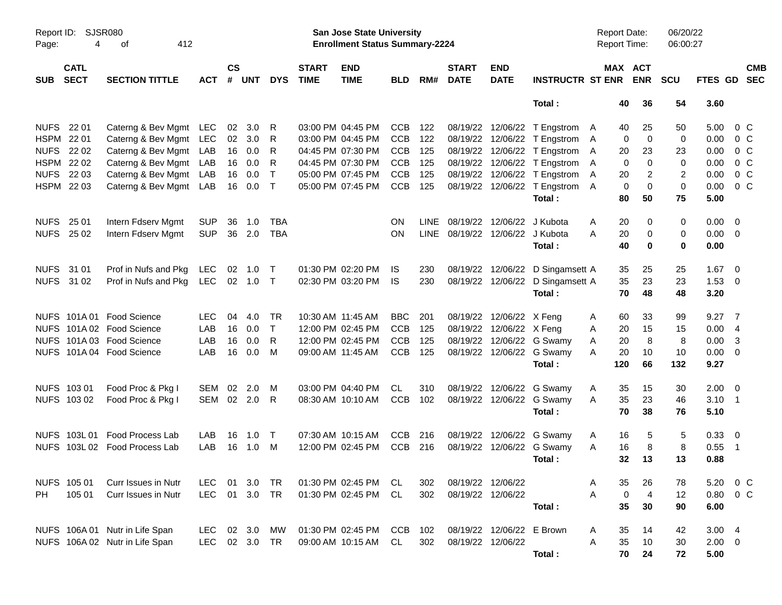| Report ID:<br>Page: | 4                          | SJSR080<br>412<br>οf           |            |                    |           |              |                             | <b>San Jose State University</b><br><b>Enrollment Status Summary-2224</b> |            |      |                                 |                           |                                  | <b>Report Date:</b><br><b>Report Time:</b> |                       | 06/20/22<br>06:00:27 |                |                           |
|---------------------|----------------------------|--------------------------------|------------|--------------------|-----------|--------------|-----------------------------|---------------------------------------------------------------------------|------------|------|---------------------------------|---------------------------|----------------------------------|--------------------------------------------|-----------------------|----------------------|----------------|---------------------------|
| <b>SUB</b>          | <b>CATL</b><br><b>SECT</b> | <b>SECTION TITTLE</b>          | ACT        | $\mathsf{cs}$<br># | UNT       | <b>DYS</b>   | <b>START</b><br><b>TIME</b> | <b>END</b><br><b>TIME</b>                                                 | <b>BLD</b> | RM#  | <b>START</b><br><b>DATE</b>     | <b>END</b><br><b>DATE</b> | <b>INSTRUCTR ST ENR</b>          |                                            | MAX ACT<br><b>ENR</b> | <b>SCU</b>           |                | <b>CMB</b><br>FTES GD SEC |
|                     |                            |                                |            |                    |           |              |                             |                                                                           |            |      |                                 |                           | Total:                           | 40                                         | 36                    | 54                   | 3.60           |                           |
| <b>NUFS</b>         | 22 01                      | Caterng & Bev Mgmt LEC         |            | 02                 | 3.0       | R            |                             | 03:00 PM 04:45 PM                                                         | <b>CCB</b> | 122  |                                 |                           | 08/19/22 12/06/22 T Engstrom     | 40<br>A                                    | 25                    | 50                   | 5.00           | 0 <sup>C</sup>            |
| HSPM 22 01          |                            | Caterng & Bev Mgmt             | LEC        | 02                 | 3.0       | R            |                             | 03:00 PM 04:45 PM                                                         | <b>CCB</b> | 122  |                                 |                           | 08/19/22 12/06/22 T Engstrom     | 0<br>A                                     | $\mathbf 0$           | 0                    | 0.00           | 0 <sup>C</sup>            |
|                     | NUFS 22 02                 | Caterng & Bev Mgmt             | LAB        | 16                 | 0.0       | R            |                             | 04:45 PM 07:30 PM                                                         | <b>CCB</b> | 125  |                                 |                           | 08/19/22 12/06/22 T Engstrom     | 20<br>A                                    | 23                    | 23                   | 0.00           | 0 <sup>C</sup>            |
|                     | HSPM 22 02                 | Caterng & Bev Mgmt             | LAB        | 16                 | 0.0       | R            |                             | 04:45 PM 07:30 PM                                                         | <b>CCB</b> | 125  |                                 |                           | 08/19/22 12/06/22 T Engstrom     | 0<br>Α                                     | $\mathbf 0$           | 0                    | 0.00           | 0 <sup>C</sup>            |
|                     | NUFS 22 03                 | Caterng & Bev Mgmt             | LAB        | 16                 | 0.0       | $\top$       |                             | 05:00 PM 07:45 PM                                                         | <b>CCB</b> | 125  |                                 |                           | 08/19/22 12/06/22 T Engstrom     | 20<br>Α                                    | 2                     | $\overline{2}$       | 0.00           | $0\,C$                    |
|                     | HSPM 22 03                 | Caterng & Bev Mgmt LAB         |            | 16                 | 0.0       | $\mathsf{T}$ |                             | 05:00 PM 07:45 PM                                                         | <b>CCB</b> | 125  |                                 |                           | 08/19/22 12/06/22 T Engstrom     | $\mathbf 0$<br>A                           | $\mathbf 0$           | $\pmb{0}$            | 0.00           | 0 <sup>C</sup>            |
|                     |                            |                                |            |                    |           |              |                             |                                                                           |            |      |                                 |                           | Total:                           | 80                                         | 50                    | 75                   | 5.00           |                           |
| <b>NUFS</b>         | 25 01                      | Intern Fdserv Mgmt             | <b>SUP</b> | 36                 | 1.0       | <b>TBA</b>   |                             |                                                                           | ΟN         | LINE |                                 | 08/19/22 12/06/22         | J Kubota                         | A<br>20                                    | 0                     | 0                    | 0.00           | $\overline{\mathbf{0}}$   |
|                     | NUFS 25 02                 | Intern Fdserv Mgmt             | <b>SUP</b> | 36                 | 2.0       | <b>TBA</b>   |                             |                                                                           | ΟN         |      | LINE 08/19/22 12/06/22 J Kubota |                           |                                  | A<br>20                                    | 0                     | 0                    | $0.00 \t 0$    |                           |
|                     |                            |                                |            |                    |           |              |                             |                                                                           |            |      |                                 |                           | Total:                           | 40                                         | $\bf{0}$              | 0                    | 0.00           |                           |
| NUFS 31 01          |                            | Prof in Nufs and Pkg           | <b>LEC</b> | 02                 | 1.0       | $\top$       |                             | 01:30 PM 02:20 PM                                                         | IS         | 230  |                                 | 08/19/22 12/06/22         | D Singamsett A                   | 35                                         | 25                    | 25                   | 1.67           | $\overline{\mathbf{0}}$   |
|                     | NUFS 31 02                 | Prof in Nufs and Pkg           | <b>LEC</b> |                    | 02 1.0    | $\top$       |                             | 02:30 PM 03:20 PM                                                         | IS         | 230  |                                 |                           | 08/19/22 12/06/22 D Singamsett A | 35                                         | 23                    | 23                   | 1.53           | $\overline{\mathbf{0}}$   |
|                     |                            |                                |            |                    |           |              |                             |                                                                           |            |      |                                 |                           | Total:                           | 70                                         | 48                    | 48                   | 3.20           |                           |
|                     |                            | NUFS 101A 01 Food Science      | <b>LEC</b> | 04                 | 4.0       | TR           |                             | 10:30 AM 11:45 AM                                                         | <b>BBC</b> | 201  |                                 | 08/19/22 12/06/22 X Feng  |                                  | 60<br>A                                    | 33                    | 99                   | 9.27           | $\overline{7}$            |
|                     |                            | NUFS 101A 02 Food Science      | LAB        | 16                 | 0.0       | $\top$       |                             | 12:00 PM 02:45 PM                                                         | <b>CCB</b> | 125  |                                 | 08/19/22 12/06/22 X Feng  |                                  | Α<br>20                                    | 15                    | 15                   | 0.00           | $\overline{4}$            |
|                     |                            | NUFS 101A 03 Food Science      | LAB        | 16                 | 0.0       | R            |                             | 12:00 PM 02:45 PM                                                         | <b>CCB</b> | 125  |                                 |                           | 08/19/22 12/06/22 G Swamy        | Α<br>20                                    | 8                     | 8                    | $0.00 \quad 3$ |                           |
|                     |                            | NUFS 101A 04 Food Science      | LAB        | 16                 | 0.0       | M            |                             | 09:00 AM 11:45 AM                                                         | <b>CCB</b> | 125  |                                 |                           | 08/19/22 12/06/22 G Swamy        | A<br>20                                    | 10                    | 10                   | $0.00 \t 0$    |                           |
|                     |                            |                                |            |                    |           |              |                             |                                                                           |            |      |                                 |                           | Total:                           | 120                                        | 66                    | 132                  | 9.27           |                           |
|                     | NUFS 103 01                | Food Proc & Pkg I              | SEM        | 02                 | 2.0       | M            |                             | 03:00 PM 04:40 PM                                                         | CL         | 310  |                                 | 08/19/22 12/06/22         | G Swamy                          | 35<br>A                                    | 15                    | 30                   | $2.00 \t 0$    |                           |
|                     | NUFS 103 02                | Food Proc & Pkg I              | SEM        |                    | 02 2.0    | R            |                             | 08:30 AM 10:10 AM                                                         | <b>CCB</b> | 102  |                                 |                           | 08/19/22 12/06/22 G Swamy        | A<br>35                                    | 23                    | 46                   | $3.10 \quad 1$ |                           |
|                     |                            |                                |            |                    |           |              |                             |                                                                           |            |      |                                 |                           | Total:                           | 70                                         | 38                    | 76                   | 5.10           |                           |
|                     | NUFS 103L01                | <b>Food Process Lab</b>        | LAB        | 16                 | 1.0       | $\top$       |                             | 07:30 AM 10:15 AM                                                         | CCB        | 216  |                                 | 08/19/22 12/06/22         | G Swamy                          | 16<br>A                                    | 5                     | 5                    | 0.33 0         |                           |
|                     |                            | NUFS 103L 02 Food Process Lab  | LAB        | 16                 | 1.0       | M            |                             | 12:00 PM 02:45 PM                                                         | <b>CCB</b> | 216  |                                 |                           | 08/19/22 12/06/22 G Swamy        | A<br>16                                    | 8                     | 8                    | 0.55           | - 1                       |
|                     |                            |                                |            |                    |           |              |                             |                                                                           |            |      |                                 |                           | Total:                           | 32                                         | 13                    | 13                   | 0.88           |                           |
|                     | NUFS 105 01                | Curr Issues in Nutr            | LEC.       | 01                 | 3.0       | TR           |                             | 01:30 PM 02:45 PM                                                         | CL.        | 302  |                                 | 08/19/22 12/06/22         |                                  | 35<br>A                                    | 26                    | 78                   | 5.20           | $0\,C$                    |
| PH.                 | 105 01                     | Curr Issues in Nutr            | <b>LEC</b> |                    | 01 3.0    | TR           |                             | 01:30 PM 02:45 PM                                                         | CL         | 302  |                                 | 08/19/22 12/06/22         |                                  | Α<br>$\pmb{0}$                             | $\overline{a}$        | 12                   | 0.80           | $0\,C$                    |
|                     |                            |                                |            |                    |           |              |                             |                                                                           |            |      |                                 |                           | Total:                           | 35                                         | 30                    | 90                   | 6.00           |                           |
|                     |                            | NUFS 106A 01 Nutr in Life Span | <b>LEC</b> |                    | 02 3.0    | МW           |                             | 01:30 PM 02:45 PM                                                         | CCB        | 102  |                                 | 08/19/22 12/06/22 E Brown |                                  | 35<br>A                                    | 14                    | 42                   | 3.004          |                           |
|                     |                            | NUFS 106A 02 Nutr in Life Span | <b>LEC</b> |                    | 02 3.0 TR |              |                             | 09:00 AM 10:15 AM                                                         | CL         | 302  | 08/19/22 12/06/22               |                           |                                  | Α<br>35                                    | 10                    | 30                   | $2.00 \t 0$    |                           |
|                     |                            |                                |            |                    |           |              |                             |                                                                           |            |      |                                 |                           | Total:                           | 70                                         | 24                    | 72                   | 5.00           |                           |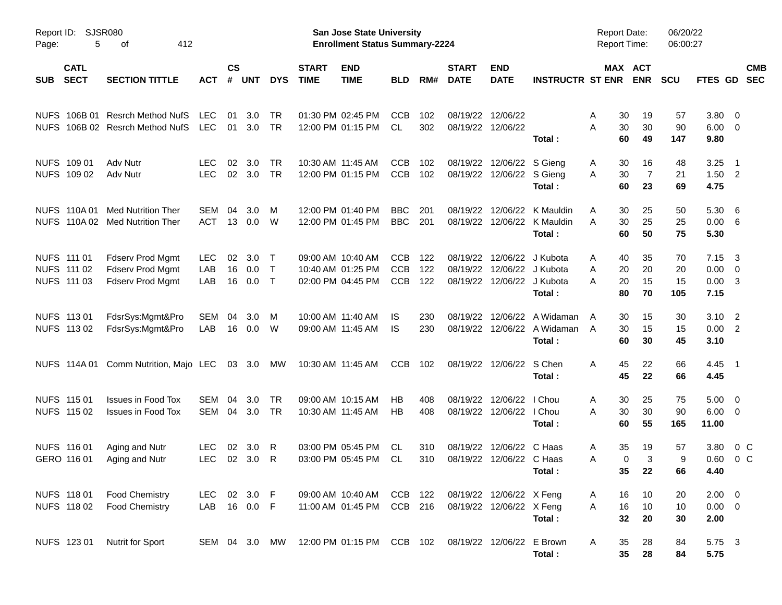| Page:      | Report ID: SJSR080<br>5                   | 412<br>οf                                                              |                          |                |                   |                            |                             | San Jose State University<br><b>Enrollment Status Summary-2224</b> |                                        |                   |                             |                                                      |                                                    | Report Date:<br><b>Report Time:</b>   |                            | 06/20/22<br>06:00:27  |                                    |                                                                               |  |
|------------|-------------------------------------------|------------------------------------------------------------------------|--------------------------|----------------|-------------------|----------------------------|-----------------------------|--------------------------------------------------------------------|----------------------------------------|-------------------|-----------------------------|------------------------------------------------------|----------------------------------------------------|---------------------------------------|----------------------------|-----------------------|------------------------------------|-------------------------------------------------------------------------------|--|
| <b>SUB</b> | <b>CATL</b><br><b>SECT</b>                | <b>SECTION TITTLE</b>                                                  | <b>ACT</b>               | <b>CS</b><br># | <b>UNT</b>        | <b>DYS</b>                 | <b>START</b><br><b>TIME</b> | <b>END</b><br><b>TIME</b>                                          | <b>BLD</b>                             | RM#               | <b>START</b><br><b>DATE</b> | <b>END</b><br><b>DATE</b>                            | <b>INSTRUCTR ST ENR ENR</b>                        |                                       | MAX ACT                    | <b>SCU</b>            | FTES GD                            | <b>CMB</b><br><b>SEC</b>                                                      |  |
|            |                                           | NUFS 106B 01 Resrch Method NufS<br>NUFS 106B 02 Resrch Method NufS     | <b>LEC</b><br>LEC        | 01<br>01       | 3.0<br>3.0        | TR<br><b>TR</b>            |                             | 01:30 PM 02:45 PM<br>12:00 PM 01:15 PM                             | <b>CCB</b><br>CL                       | 102<br>302        | 08/19/22                    | 12/06/22<br>08/19/22 12/06/22                        | Total:                                             | 30<br>A<br>30<br>Α<br>60              | 19<br>30<br>49             | 57<br>90<br>147       | 3.80<br>6.00<br>9.80               | $\overline{\mathbf{0}}$<br>$\overline{\mathbf{0}}$                            |  |
|            | NUFS 109 01<br>NUFS 109 02                | Adv Nutr<br>Adv Nutr                                                   | <b>LEC</b><br><b>LEC</b> | 02<br>02       | 3.0<br>3.0        | <b>TR</b><br>TR            |                             | 10:30 AM 11:45 AM<br>12:00 PM 01:15 PM                             | <b>CCB</b><br><b>CCB</b>               | 102<br>102        | 08/19/22<br>08/19/22        | 12/06/22 S Gieng<br>12/06/22 S Gieng                 | Total:                                             | 30<br>A<br>30<br>A<br>60              | 16<br>$\overline{7}$<br>23 | 48<br>21<br>69        | 3.25<br>1.50<br>4.75               | $\overline{\phantom{1}}$<br>$\overline{\phantom{0}}^2$                        |  |
|            | <b>NUFS 110A01</b>                        | <b>Med Nutrition Ther</b><br>NUFS 110A 02 Med Nutrition Ther           | SEM<br>ACT               | 04<br>13       | 3.0<br>0.0        | M<br>W                     |                             | 12:00 PM 01:40 PM<br>12:00 PM 01:45 PM                             | <b>BBC</b><br><b>BBC</b>               | 201<br>201        | 08/19/22<br>08/19/22        |                                                      | 12/06/22 K Mauldin<br>12/06/22 K Mauldin<br>Total: | Α<br>30<br>30<br>Α<br>60              | 25<br>25<br>50             | 50<br>25<br>75        | 5.30<br>0.00<br>5.30               | - 6<br>- 6                                                                    |  |
|            | NUFS 111 01<br>NUFS 111 02<br>NUFS 111 03 | <b>Fdserv Prod Mgmt</b><br>Fdserv Prod Mgmt<br><b>Fdserv Prod Mgmt</b> | <b>LEC</b><br>LAB<br>LAB | 02<br>16<br>16 | 3.0<br>0.0<br>0.0 | $\top$<br>$\top$<br>$\top$ |                             | 09:00 AM 10:40 AM<br>10:40 AM 01:25 PM<br>02:00 PM 04:45 PM        | <b>CCB</b><br><b>CCB</b><br><b>CCB</b> | 122<br>122<br>122 | 08/19/22<br>08/19/22        | 08/19/22 12/06/22 J Kubota                           | 12/06/22 J Kubota<br>12/06/22 J Kubota<br>Total:   | 40<br>Α<br>20<br>A<br>20<br>A<br>80   | 35<br>20<br>15<br>70       | 70<br>20<br>15<br>105 | 7.15<br>0.00<br>0.00<br>7.15       | $\overline{\mathbf{3}}$<br>$\overline{\mathbf{0}}$<br>$\overline{\mathbf{3}}$ |  |
|            | NUFS 113 01<br>NUFS 113 02                | FdsrSys:Mgmt&Pro<br>FdsrSys:Mgmt&Pro                                   | SEM<br>LAB               | 04<br>16       | 3.0<br>0.0        | M<br>W                     |                             | 10:00 AM 11:40 AM<br>09:00 AM 11:45 AM                             | IS<br>IS                               | 230<br>230        | 08/19/22                    | 12/06/22                                             | A Widaman<br>08/19/22 12/06/22 A Widaman<br>Total: | 30<br>$\overline{A}$<br>30<br>A<br>60 | 15<br>15<br>30             | 30<br>15<br>45        | 3.10<br>0.00<br>3.10               | $\overline{\phantom{0}}^2$<br>$\overline{\phantom{0}}^2$                      |  |
|            |                                           | NUFS 114A 01 Comm Nutrition, Majo LEC 03 3.0                           |                          |                |                   | МW                         |                             | 10:30 AM 11:45 AM                                                  | <b>CCB</b>                             | 102               |                             | 08/19/22 12/06/22 S Chen                             | Total:                                             | 45<br>A<br>45                         | 22<br>22                   | 66<br>66              | 4.45 1<br>4.45                     |                                                                               |  |
|            | NUFS 115 01<br>NUFS 115 02                | <b>Issues in Food Tox</b><br><b>Issues in Food Tox</b>                 | SEM<br>SEM 04            | 04             | 3.0<br>3.0        | TR<br>TR                   |                             | 09:00 AM 10:15 AM<br>10:30 AM 11:45 AM                             | HВ<br>НB                               | 408<br>408        | 08/19/22                    | 12/06/22<br>08/19/22 12/06/22 I Chou                 | I Chou<br>Total:                                   | A<br>30<br>30<br>Α<br>60              | 25<br>30<br>55             | 75<br>90<br>165       | 5.00<br>6.00<br>11.00              | $\overline{\phantom{0}}$<br>$\overline{\phantom{0}}$                          |  |
|            | NUFS 116 01<br>GERO 116 01                | Aging and Nutr<br>Aging and Nutr                                       | <b>LEC</b><br>LEC        | 02<br>02       | 3.0<br>3.0        | R<br>R                     |                             | 03:00 PM 05:45 PM<br>03:00 PM 05:45 PM                             | CL.<br>CL                              | 310<br>310        | 08/19/22                    | 12/06/22 C Haas<br>08/19/22 12/06/22 C Haas          | Total:                                             | 35<br>A<br>Α                          | 19<br>3<br>0<br>35 22      | 57<br>9<br>66         | 3.80<br>0.60<br>4.40               | $0\,$ C<br>0 <sup>o</sup>                                                     |  |
|            | NUFS 118 01<br>NUFS 11802                 | <b>Food Chemistry</b><br><b>Food Chemistry</b>                         | LEC 02 3.0 F<br>LAB      |                | 16  0.0  F        |                            |                             | 09:00 AM 10:40 AM<br>11:00 AM 01:45 PM                             | CCB 122<br>CCB 216                     |                   |                             | 08/19/22 12/06/22 X Feng<br>08/19/22 12/06/22 X Feng | Total:                                             | 16<br>A<br>16<br>A<br>32              | 10<br>10<br>20             | 20<br>10<br>30        | $2.00 \t 0$<br>$0.00 \t 0$<br>2.00 |                                                                               |  |
|            | NUFS 123 01                               | Nutrit for Sport                                                       | SEM 04 3.0 MW            |                |                   |                            |                             | 12:00 PM 01:15 PM CCB 102                                          |                                        |                   |                             | 08/19/22 12/06/22 E Brown                            | Total:                                             | 35<br>A<br>35                         | 28<br>28                   | 84<br>84              | 5.75 3<br>5.75                     |                                                                               |  |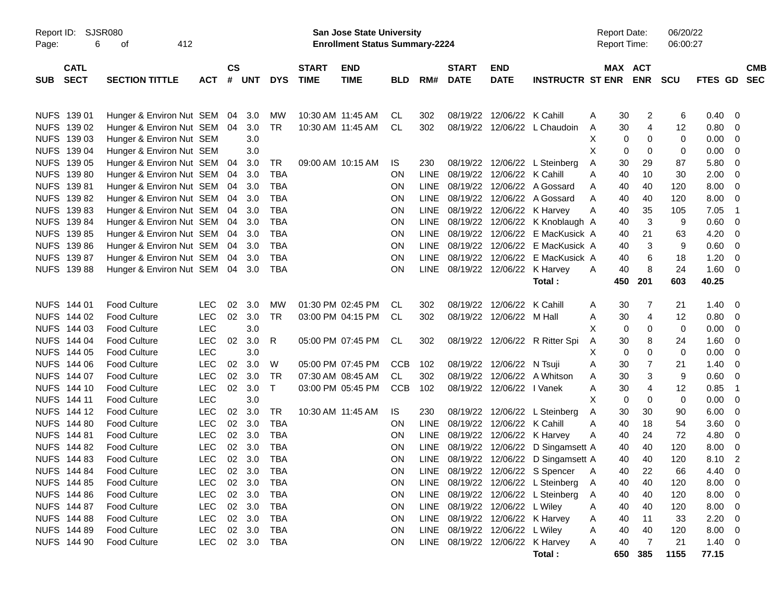| Report ID:<br>Page: | 6                          | <b>SJSR080</b><br>412<br>οf |            |                |        |              |                             | <b>San Jose State University</b><br><b>Enrollment Status Summary-2224</b> |                |             |                             |                            |                                  |   | <b>Report Date:</b><br><b>Report Time:</b> |                       | 06/20/22<br>06:00:27 |                |                          |                          |
|---------------------|----------------------------|-----------------------------|------------|----------------|--------|--------------|-----------------------------|---------------------------------------------------------------------------|----------------|-------------|-----------------------------|----------------------------|----------------------------------|---|--------------------------------------------|-----------------------|----------------------|----------------|--------------------------|--------------------------|
| <b>SUB</b>          | <b>CATL</b><br><b>SECT</b> | <b>SECTION TITTLE</b>       | <b>ACT</b> | <b>CS</b><br># | UNT    | <b>DYS</b>   | <b>START</b><br><b>TIME</b> | <b>END</b><br><b>TIME</b>                                                 | <b>BLD</b>     | RM#         | <b>START</b><br><b>DATE</b> | <b>END</b><br><b>DATE</b>  | <b>INSTRUCTR ST ENR</b>          |   |                                            | MAX ACT<br><b>ENR</b> | <b>SCU</b>           | <b>FTES GD</b> |                          | <b>CMB</b><br><b>SEC</b> |
|                     | NUFS 139 01                | Hunger & Environ Nut SEM    |            | 04             | 3.0    | MW           | 10:30 AM 11:45 AM           |                                                                           | CL             | 302         |                             | 08/19/22 12/06/22 K Cahill |                                  | A | 30                                         | 2                     | 6                    | 0.40           | - 0                      |                          |
|                     | NUFS 139 02                | Hunger & Environ Nut SEM    |            | 04             | 3.0    | <b>TR</b>    |                             | 10:30 AM 11:45 AM                                                         | CL             | 302         |                             |                            | 08/19/22 12/06/22 L Chaudoin     | A | 30                                         | 4                     | 12                   | 0.80           | 0                        |                          |
|                     | NUFS 139 03                | Hunger & Environ Nut SEM    |            |                | 3.0    |              |                             |                                                                           |                |             |                             |                            |                                  | X | 0                                          | 0                     | 0                    | 0.00           | 0                        |                          |
|                     | NUFS 139 04                | Hunger & Environ Nut SEM    |            |                | 3.0    |              |                             |                                                                           |                |             |                             |                            |                                  | X | 0                                          | $\Omega$              | 0                    | 0.00           | 0                        |                          |
|                     | NUFS 139 05                | Hunger & Environ Nut SEM    |            | 04             | 3.0    | TR           |                             | 09:00 AM 10:15 AM                                                         | IS             | 230         |                             |                            | 08/19/22 12/06/22 L Steinberg    | Α | 30                                         | 29                    | 87                   | 5.80           | 0                        |                          |
|                     | NUFS 139 80                | Hunger & Environ Nut SEM    |            | 04             | 3.0    | <b>TBA</b>   |                             |                                                                           | <b>ON</b>      | <b>LINE</b> |                             | 08/19/22 12/06/22 K Cahill |                                  | A | 40                                         | 10                    | 30                   | 2.00           | 0                        |                          |
|                     | NUFS 139 81                | Hunger & Environ Nut SEM    |            | 04             | 3.0    | TBA          |                             |                                                                           | <b>ON</b>      | <b>LINE</b> |                             |                            | 08/19/22 12/06/22 A Gossard      | A | 40                                         | 40                    | 120                  | 8.00           | 0                        |                          |
|                     | NUFS 139 82                | Hunger & Environ Nut SEM    |            | 04             | 3.0    | <b>TBA</b>   |                             |                                                                           | <b>ON</b>      | <b>LINE</b> |                             |                            | 08/19/22 12/06/22 A Gossard      | A | 40                                         | 40                    | 120                  | 8.00           | 0                        |                          |
|                     | NUFS 139 83                | Hunger & Environ Nut SEM    |            | 04             | 3.0    | <b>TBA</b>   |                             |                                                                           | <b>ON</b>      | <b>LINE</b> |                             | 08/19/22 12/06/22 K Harvey |                                  | A | 40                                         | 35                    | 105                  | 7.05           | $\overline{1}$           |                          |
|                     | NUFS 139 84                | Hunger & Environ Nut SEM    |            | 04             | 3.0    | <b>TBA</b>   |                             |                                                                           | <b>ON</b>      | <b>LINE</b> |                             |                            | 08/19/22 12/06/22 K Knoblaugh A  |   | 40                                         | 3                     | 9                    | 0.60           | - 0                      |                          |
|                     | NUFS 139 85                | Hunger & Environ Nut SEM    |            | 04             | 3.0    | TBA          |                             |                                                                           | <b>ON</b>      | <b>LINE</b> |                             | 08/19/22 12/06/22          | E MacKusick A                    |   | 40                                         | 21                    | 63                   | 4.20           | 0                        |                          |
|                     | NUFS 139 86                | Hunger & Environ Nut SEM    |            | 04             | 3.0    | <b>TBA</b>   |                             |                                                                           | <b>ON</b>      | <b>LINE</b> |                             | 08/19/22 12/06/22          | E MacKusick A                    |   | 40                                         | 3                     | 9                    | 0.60           | 0                        |                          |
|                     | NUFS 139 87                | Hunger & Environ Nut SEM    |            | 04             | 3.0    | <b>TBA</b>   |                             |                                                                           | <b>ON</b>      | <b>LINE</b> |                             | 08/19/22 12/06/22          | E MacKusick A                    |   | 40                                         | 6                     | 18                   | 1.20           | 0                        |                          |
|                     | <b>NUFS 139 88</b>         | Hunger & Environ Nut SEM    |            | 04             | 3.0    | TBA          |                             |                                                                           | <b>ON</b>      | <b>LINE</b> |                             | 08/19/22 12/06/22          | K Harvey                         | A | 40                                         | 8                     | 24                   | 1.60           | - 0                      |                          |
|                     |                            |                             |            |                |        |              |                             |                                                                           |                |             |                             |                            | Total:                           |   | 450                                        | 201                   | 603                  | 40.25          |                          |                          |
|                     |                            |                             |            |                |        |              |                             |                                                                           |                |             |                             |                            |                                  |   |                                            |                       |                      |                |                          |                          |
|                     | NUFS 144 01                | <b>Food Culture</b>         | LEC        | 02             | 3.0    | MW           |                             | 01:30 PM 02:45 PM                                                         | CL             | 302         |                             | 08/19/22 12/06/22 K Cahill |                                  | A | 30                                         | 7                     | 21                   | 1.40           | - 0                      |                          |
|                     | NUFS 144 02                | Food Culture                | <b>LEC</b> | 02             | 3.0    | <b>TR</b>    |                             | 03:00 PM 04:15 PM                                                         | CL             | 302         |                             | 08/19/22 12/06/22 M Hall   |                                  | Α | 30                                         | 4                     | 12                   | 0.80           | 0                        |                          |
|                     | NUFS 144 03                | Food Culture                | <b>LEC</b> |                | 3.0    |              |                             |                                                                           |                |             |                             |                            |                                  | X | 0                                          | 0                     | 0                    | 0.00           | 0                        |                          |
|                     | NUFS 144 04                | Food Culture                | <b>LEC</b> | 02             | 3.0    | R            |                             | 05:00 PM 07:45 PM                                                         | CL             | 302         |                             |                            | 08/19/22 12/06/22 R Ritter Spi   | A | 30                                         | 8                     | 24                   | 1.60           | 0                        |                          |
|                     | NUFS 144 05                | Food Culture                | LEC        |                | 3.0    |              |                             |                                                                           |                |             |                             |                            |                                  | X | 0                                          | $\Omega$              | 0                    | 0.00           | 0                        |                          |
|                     | NUFS 144 06                | Food Culture                | <b>LEC</b> | 02             | 3.0    | W            |                             | 05:00 PM 07:45 PM                                                         | <b>CCB</b>     | 102         |                             | 08/19/22 12/06/22 N Tsuji  |                                  | A | 30                                         | $\overline{7}$        | 21                   | 1.40           | 0                        |                          |
|                     | NUFS 144 07                | Food Culture                | <b>LEC</b> | 02             | 3.0    | <b>TR</b>    |                             | 07:30 AM 08:45 AM                                                         | CL.            | 302         |                             |                            | 08/19/22 12/06/22 A Whitson      | A | 30                                         | 3                     | 9                    | 0.60           | 0                        |                          |
|                     | NUFS 144 10                | Food Culture                | <b>LEC</b> | 02             | 3.0    | $\mathsf{T}$ |                             | 03:00 PM 05:45 PM                                                         | <b>CCB</b>     | 102         |                             | 08/19/22 12/06/22 I Vanek  |                                  | A | 30                                         | 4                     | 12                   | 0.85           | $\overline{1}$           |                          |
|                     | <b>NUFS 14411</b>          | Food Culture                | LEC        |                | 3.0    |              |                             |                                                                           |                |             |                             |                            |                                  | X | $\mathbf 0$                                | $\Omega$              | 0                    | 0.00           | 0                        |                          |
|                     | NUFS 144 12                | <b>Food Culture</b>         | <b>LEC</b> | 02             | 3.0    | TR.          |                             | 10:30 AM 11:45 AM                                                         | IS.            | 230         |                             |                            | 08/19/22 12/06/22 L Steinberg    | Α | 30                                         | 30                    | 90                   | 6.00           | 0                        |                          |
|                     | NUFS 144 80                | <b>Food Culture</b>         | <b>LEC</b> | 02             | 3.0    | <b>TBA</b>   |                             |                                                                           | <b>ON</b>      | <b>LINE</b> |                             | 08/19/22 12/06/22 K Cahill |                                  | A | 40                                         | 18                    | 54                   | 3.60           | 0                        |                          |
|                     | <b>NUFS 144 81</b>         | <b>Food Culture</b>         | <b>LEC</b> | 02             | 3.0    | TBA          |                             |                                                                           | <b>ON</b>      | <b>LINE</b> |                             | 08/19/22 12/06/22 K Harvey |                                  | A | 40                                         | 24                    | 72                   | 4.80           | 0                        |                          |
|                     | NUFS 144 82                | <b>Food Culture</b>         | <b>LEC</b> | 02             | 3.0    | <b>TBA</b>   |                             |                                                                           | <b>ON</b>      | <b>LINE</b> |                             | 08/19/22 12/06/22          | D Singamsett A                   |   | 40                                         | 40                    | 120                  | 8.00           | 0                        |                          |
|                     | NUFS 144 83                | <b>Food Culture</b>         | <b>LEC</b> | 02             | 3.0    | <b>TBA</b>   |                             |                                                                           | <b>ON</b>      | LINE        |                             |                            | 08/19/22 12/06/22 D Singamsett A |   | 40                                         | 40                    | 120                  | 8.10           | $\overline{2}$           |                          |
|                     | NUFS 144 84                | <b>Food Culture</b>         | LEC        |                | 02 3.0 | TBA          |                             |                                                                           | 0 <sub>N</sub> |             |                             |                            | LINE 08/19/22 12/06/22 S Spencer | A | 40                                         | 22                    | 66                   | 4.40           | - 0                      |                          |
|                     | NUFS 144 85                | <b>Food Culture</b>         | <b>LEC</b> |                | 02 3.0 | TBA          |                             |                                                                           | <b>ON</b>      | LINE        |                             |                            | 08/19/22 12/06/22 L Steinberg    | A | 40                                         | 40                    | 120                  | 8.00           | - 0                      |                          |
|                     | NUFS 144 86                | <b>Food Culture</b>         | <b>LEC</b> |                | 02 3.0 | TBA          |                             |                                                                           | ON             | LINE        |                             |                            | 08/19/22 12/06/22 L Steinberg    | A | 40                                         | 40                    | 120                  | 8.00           | $\overline{\phantom{0}}$ |                          |
|                     | NUFS 144 87                | <b>Food Culture</b>         | <b>LEC</b> |                | 02 3.0 | TBA          |                             |                                                                           | ON             | LINE        |                             | 08/19/22 12/06/22 L Wiley  |                                  | A | 40                                         | 40                    | 120                  | 8.00           | $\overline{\phantom{0}}$ |                          |
|                     | <b>NUFS 144 88</b>         | <b>Food Culture</b>         | <b>LEC</b> |                | 02 3.0 | TBA          |                             |                                                                           | ON             | LINE        |                             | 08/19/22 12/06/22 K Harvey |                                  | A | 40                                         | 11                    | 33                   | 2.20           | - 0                      |                          |
|                     | NUFS 144 89                | <b>Food Culture</b>         | <b>LEC</b> |                | 02 3.0 | TBA          |                             |                                                                           | ON             | LINE        |                             | 08/19/22 12/06/22 L Wiley  |                                  | Α | 40                                         | 40                    | 120                  | 8.00 0         |                          |                          |
|                     | NUFS 144 90                | <b>Food Culture</b>         | <b>LEC</b> |                |        | 02 3.0 TBA   |                             |                                                                           | ON             | LINE        |                             |                            | 08/19/22 12/06/22 K Harvey       | A | 40                                         | 7                     | 21                   | $1.40 \ 0$     |                          |                          |
|                     |                            |                             |            |                |        |              |                             |                                                                           |                |             |                             |                            | Total:                           |   | 650                                        | 385                   | 1155                 | 77.15          |                          |                          |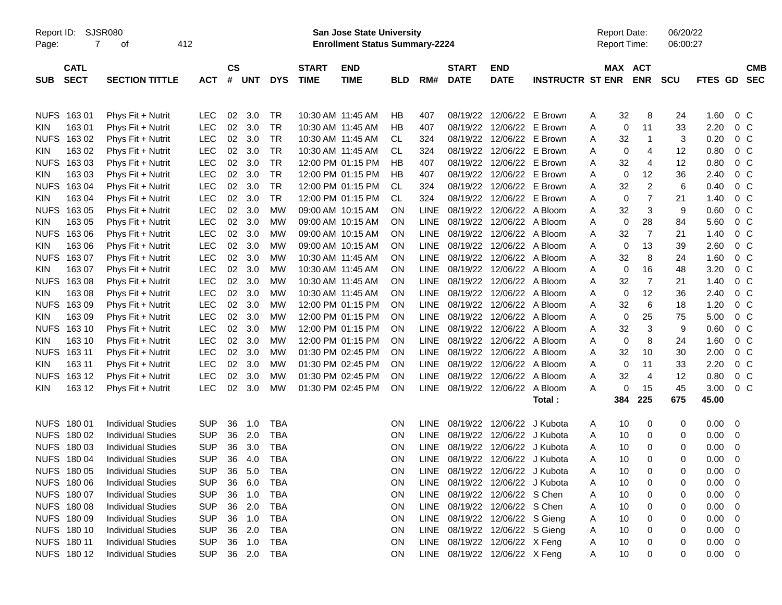| Report ID:  |                      | SJSR080                                |                          |               |            |                        |                   | San Jose State University              |            |             |                               |                              |                         | <b>Report Date:</b> |             |                | 06/20/22                 |                          |                          |
|-------------|----------------------|----------------------------------------|--------------------------|---------------|------------|------------------------|-------------------|----------------------------------------|------------|-------------|-------------------------------|------------------------------|-------------------------|---------------------|-------------|----------------|--------------------------|--------------------------|--------------------------|
| Page:       | $\overline{7}$       | 412<br>оf                              |                          |               |            |                        |                   | <b>Enrollment Status Summary-2224</b>  |            |             |                               |                              |                         | <b>Report Time:</b> |             |                | 06:00:27                 |                          |                          |
|             | <b>CATL</b>          |                                        |                          | $\mathsf{cs}$ |            |                        | <b>START</b>      | <b>END</b>                             |            |             | <b>START</b>                  | <b>END</b>                   |                         |                     | MAX ACT     |                |                          |                          | <b>CMB</b>               |
| <b>SUB</b>  | <b>SECT</b>          | <b>SECTION TITTLE</b>                  | <b>ACT</b>               | #             | UNT        | <b>DYS</b>             | <b>TIME</b>       | <b>TIME</b>                            | <b>BLD</b> | RM#         | <b>DATE</b>                   | <b>DATE</b>                  | <b>INSTRUCTR ST ENR</b> |                     | <b>ENR</b>  | <b>SCU</b>     | FTES GD                  |                          | <b>SEC</b>               |
|             |                      |                                        |                          |               |            |                        |                   |                                        |            |             |                               |                              |                         |                     |             |                |                          |                          |                          |
|             |                      |                                        |                          |               |            |                        |                   |                                        |            |             | 08/19/22                      |                              | E Brown                 |                     | 32          |                |                          |                          |                          |
| <b>KIN</b>  | NUFS 163 01<br>16301 | Phys Fit + Nutrit<br>Phys Fit + Nutrit | <b>LEC</b><br><b>LEC</b> | 02<br>02      | 3.0<br>3.0 | <b>TR</b><br><b>TR</b> |                   | 10:30 AM 11:45 AM<br>10:30 AM 11:45 AM | HB<br>HB   | 407<br>407  | 08/19/22                      | 12/06/22<br>12/06/22 E Brown |                         | A<br>Α              | $\mathbf 0$ | 8<br>11        | 24<br>1.60<br>33<br>2.20 |                          | 0 <sup>o</sup><br>$0\,C$ |
| <b>NUFS</b> | 16302                | Phys Fit + Nutrit                      | <b>LEC</b>               | 02            | 3.0        | <b>TR</b>              |                   | 10:30 AM 11:45 AM                      | CL         | 324         | 08/19/22                      | 12/06/22 E Brown             |                         |                     | 32          | $\mathbf{1}$   | 3<br>0.20                |                          | 0 <sup>o</sup>           |
| <b>KIN</b>  | 163 02               |                                        | <b>LEC</b>               | 02            | 3.0        | <b>TR</b>              |                   | 10:30 AM 11:45 AM                      | СL         | 324         | 08/19/22                      | 12/06/22 E Brown             |                         | A                   | 0           | 4              | 12<br>0.80               |                          | $0\,C$                   |
| <b>NUFS</b> | 16303                | Phys Fit + Nutrit                      | <b>LEC</b>               | 02            | 3.0        | <b>TR</b>              |                   | 12:00 PM 01:15 PM                      | НB         | 407         | 08/19/22                      |                              | 12/06/22 E Brown        | A<br>Α              | 32          | $\overline{4}$ | 12<br>0.80               |                          | $0\,C$                   |
| <b>KIN</b>  | 163 03               | Phys Fit + Nutrit                      | <b>LEC</b>               | 02            | 3.0        | <b>TR</b>              |                   | 12:00 PM 01:15 PM                      | НB         | 407         | 08/19/22                      | 12/06/22 E Brown             |                         |                     | $\mathbf 0$ | 12             | 36<br>2.40               |                          | $0\,C$                   |
| <b>NUFS</b> | 16304                | Phys Fit + Nutrit                      | <b>LEC</b>               | 02            | 3.0        | <b>TR</b>              |                   | 12:00 PM 01:15 PM                      | <b>CL</b>  |             | 08/19/22                      | 12/06/22 E Brown             |                         | A                   | 32          | $\overline{c}$ | 6<br>0.40                |                          | 0 <sup>o</sup>           |
| <b>KIN</b>  | 163 04               | Phys Fit + Nutrit                      | LEC                      | 02            | 3.0        | <b>TR</b>              |                   | 12:00 PM 01:15 PM                      | <b>CL</b>  | 324<br>324  | 08/19/22                      | 12/06/22 E Brown             |                         | A                   | 0           | $\overline{7}$ | 21<br>1.40               |                          | 0 <sup>o</sup>           |
| <b>NUFS</b> | 16305                | Phys Fit + Nutrit                      | LEC                      | 02            | 3.0        | <b>MW</b>              |                   | 09:00 AM 10:15 AM                      | <b>ON</b>  | <b>LINE</b> | 08/19/22                      | 12/06/22 A Bloom             |                         | A<br>Α              | 32          | 3              | 9<br>0.60                |                          | 0 <sup>o</sup>           |
| <b>KIN</b>  | 163 05               | Phys Fit + Nutrit<br>Phys Fit + Nutrit | <b>LEC</b>               | 02            | 3.0        | <b>MW</b>              |                   | 09:00 AM 10:15 AM                      | <b>ON</b>  | <b>LINE</b> | 08/19/22                      | 12/06/22 A Bloom             |                         | A                   | $\mathbf 0$ | 28             | 84<br>5.60               |                          | 0 <sup>o</sup>           |
| <b>NUFS</b> | 16306                | Phys Fit + Nutrit                      | <b>LEC</b>               | 02            | 3.0        | <b>MW</b>              |                   | 09:00 AM 10:15 AM                      | <b>ON</b>  | <b>LINE</b> | 08/19/22                      | 12/06/22 A Bloom             |                         | Α                   | 32          | $\overline{7}$ | 21<br>1.40               |                          | 0 <sup>o</sup>           |
| <b>KIN</b>  | 163 06               | Phys Fit + Nutrit                      | <b>LEC</b>               | 02            | 3.0        | <b>MW</b>              |                   | 09:00 AM 10:15 AM                      | <b>ON</b>  | <b>LINE</b> | 08/19/22                      | 12/06/22 A Bloom             |                         | A                   | $\mathbf 0$ | 13             | 39<br>2.60               |                          | $0\,C$                   |
| <b>NUFS</b> | 16307                | Phys Fit + Nutrit                      | LEC                      | 02            | 3.0        | <b>MW</b>              |                   | 10:30 AM 11:45 AM                      | <b>ON</b>  | <b>LINE</b> | 08/19/22                      | 12/06/22 A Bloom             |                         | Α                   | 32          | 8              | 24<br>1.60               |                          | $0\,C$                   |
| <b>KIN</b>  | 163 07               | Phys Fit + Nutrit                      | <b>LEC</b>               | 02            | 3.0        | <b>MW</b>              | 10:30 AM 11:45 AM |                                        | <b>ON</b>  | <b>LINE</b> | 08/19/22                      | 12/06/22 A Bloom             |                         | A                   | $\mathbf 0$ | 16             | 48<br>3.20               |                          | $0\,C$                   |
| <b>NUFS</b> | 16308                | Phys Fit + Nutrit                      | <b>LEC</b>               | 02            | 3.0        | <b>MW</b>              |                   | 10:30 AM 11:45 AM                      | <b>ON</b>  | <b>LINE</b> | 08/19/22                      | 12/06/22 A Bloom             |                         | Α                   | 32          | $\overline{7}$ | 1.40<br>21               |                          | 0 <sup>o</sup>           |
| KIN         | 163 08               | Phys Fit + Nutrit                      | <b>LEC</b>               | 02            | 3.0        | <b>MW</b>              | 10:30 AM 11:45 AM |                                        | <b>ON</b>  | <b>LINE</b> | 08/19/22                      | 12/06/22 A Bloom             |                         | A                   | $\mathbf 0$ | 12             | 36<br>2.40               |                          | 0 <sup>o</sup>           |
| <b>NUFS</b> | 16309                | Phys Fit + Nutrit                      | <b>LEC</b>               | 02            | 3.0        | <b>MW</b>              |                   | 12:00 PM 01:15 PM                      | <b>ON</b>  | <b>LINE</b> | 08/19/22                      | 12/06/22 A Bloom             |                         | Α                   | 32          | 6              | 18<br>1.20               |                          | $0\,C$                   |
| <b>KIN</b>  | 163 09               | Phys Fit + Nutrit                      | LEC                      | 02            | 3.0        | <b>MW</b>              |                   | 12:00 PM 01:15 PM                      | <b>ON</b>  | <b>LINE</b> | 08/19/22                      | 12/06/22 A Bloom             |                         | Α                   | $\mathbf 0$ | 25             | 75<br>5.00               |                          | 0 <sup>o</sup>           |
| <b>NUFS</b> | 163 10               | Phys Fit + Nutrit                      | <b>LEC</b>               | 02            | 3.0        | <b>MW</b>              |                   | 12:00 PM 01:15 PM                      | <b>ON</b>  | <b>LINE</b> | 08/19/22                      | 12/06/22 A Bloom             |                         | Α                   | 32          | 3              | 9<br>0.60                |                          | $0\,C$                   |
| KIN         | 163 10               | Phys Fit + Nutrit                      | <b>LEC</b>               | 02            | 3.0        | <b>MW</b>              |                   | 12:00 PM 01:15 PM                      | <b>ON</b>  | <b>LINE</b> | 08/19/22                      | 12/06/22                     | A Bloom                 | A                   | 0           | 8              | 24<br>1.60               |                          | $0\,C$                   |
| <b>NUFS</b> | 163 11               | Phys Fit + Nutrit                      | <b>LEC</b>               | 02            | 3.0        | <b>MW</b>              |                   | 01:30 PM 02:45 PM                      | <b>ON</b>  | <b>LINE</b> | 08/19/22                      | 12/06/22                     | A Bloom                 | A                   | 32          | 10             | 30<br>2.00               |                          | $0\,C$                   |
| KIN         | 163 11               | Phys Fit + Nutrit                      | <b>LEC</b>               | 02            | 3.0        | <b>MW</b>              |                   | 01:30 PM 02:45 PM                      | <b>ON</b>  | <b>LINE</b> | 08/19/22                      | 12/06/22                     | A Bloom                 | A                   | $\mathbf 0$ | 11             | 2.20<br>33               |                          | $0\,C$                   |
| <b>NUFS</b> | 163 12               | Phys Fit + Nutrit                      | <b>LEC</b>               | 02            | 3.0        | <b>MW</b>              |                   | 01:30 PM 02:45 PM                      | <b>ON</b>  | <b>LINE</b> | 08/19/22                      | 12/06/22                     | A Bloom                 | Α                   | 32          | $\overline{4}$ | 12<br>0.80               |                          | $0\,C$                   |
| KIN         | 163 12               | Phys Fit + Nutrit                      | <b>LEC</b>               | 02            | 3.0        | <b>MW</b>              |                   | 01:30 PM 02:45 PM                      | <b>ON</b>  | <b>LINE</b> | 08/19/22                      | 12/06/22                     | A Bloom                 | A                   | 0           | 15             | 45<br>3.00               |                          | 0 <sup>o</sup>           |
|             |                      |                                        |                          |               |            |                        |                   |                                        |            |             |                               |                              | Total:                  |                     | 384         | 225            | 675<br>45.00             |                          |                          |
|             |                      |                                        |                          |               |            |                        |                   |                                        |            |             |                               |                              |                         |                     |             |                |                          |                          |                          |
|             | NUFS 180 01          | <b>Individual Studies</b>              | <b>SUP</b>               | 36            | 1.0        | <b>TBA</b>             |                   |                                        | ON         | <b>LINE</b> | 08/19/22                      | 12/06/22                     | J Kubota                | A                   | 10          | 0              | 0.00<br>0                | - 0                      |                          |
|             | NUFS 180 02          | <b>Individual Studies</b>              | <b>SUP</b>               | 36            | 2.0        | <b>TBA</b>             |                   |                                        | ON         | <b>LINE</b> | 08/19/22                      |                              | 12/06/22 J Kubota       | A                   | 10          | 0              | 0.00<br>0                | - 0                      |                          |
| <b>NUFS</b> | 180 03               | <b>Individual Studies</b>              | <b>SUP</b>               | 36            | 3.0        | <b>TBA</b>             |                   |                                        | ON         | <b>LINE</b> | 08/19/22                      | 12/06/22                     | J Kubota                | A                   | 10          | 0              | 0.00<br>0                | - 0                      |                          |
|             | NUFS 180 04          | <b>Individual Studies</b>              | <b>SUP</b>               | 36            | 4.0        | <b>TBA</b>             |                   |                                        | <b>ON</b>  | <b>LINE</b> | 08/19/22                      | 12/06/22 J Kubota            |                         | A                   | 10          | $\Omega$       | $\Omega$<br>0.00         | - 0                      |                          |
|             | NUFS 180 05          | <b>Individual Studies</b>              | <b>SUP</b>               | 36            | 5.0        | TBA                    |                   |                                        | <b>ON</b>  | <b>LINE</b> |                               | 08/19/22 12/06/22 J Kubota   |                         | A                   | 10          | 0              | 0<br>0.00                | - 0                      |                          |
|             | NUFS 180 06          | <b>Individual Studies</b>              | <b>SUP</b>               | 36            | 6.0        | <b>TBA</b>             |                   |                                        | ON         | LINE        |                               | 08/19/22 12/06/22 J Kubota   |                         | Α                   | 10          | 0              | 0.00<br>0                | - 0                      |                          |
|             | NUFS 180 07          | <b>Individual Studies</b>              | <b>SUP</b>               | 36            | 1.0        | <b>TBA</b>             |                   |                                        | ON         | LINE        |                               | 08/19/22 12/06/22 S Chen     |                         | A                   | 10          | 0              | 0.00<br>0                | - 0                      |                          |
|             | NUFS 180 08          | <b>Individual Studies</b>              | <b>SUP</b>               | 36            | 2.0        | <b>TBA</b>             |                   |                                        | ON         | LINE        |                               | 08/19/22 12/06/22 S Chen     |                         | A                   | 10          | 0              | 0.00<br>0                | - 0                      |                          |
|             | NUFS 180 09          | <b>Individual Studies</b>              | <b>SUP</b>               | 36            | 1.0        | <b>TBA</b>             |                   |                                        | ON         | LINE        |                               | 08/19/22 12/06/22 S Gieng    |                         | A                   | 10          | 0              | 0.00<br>0                | - 0                      |                          |
|             | NUFS 180 10          | <b>Individual Studies</b>              | <b>SUP</b>               | 36            | 2.0        | <b>TBA</b>             |                   |                                        | ON         | LINE        | 08/19/22                      | 12/06/22 S Gieng             |                         | A                   | 10          | 0              | 0.00<br>0                | - 0                      |                          |
|             | NUFS 180 11          | <b>Individual Studies</b>              | <b>SUP</b>               | 36            | 1.0        | TBA                    |                   |                                        | ON         | LINE        |                               | 08/19/22 12/06/22 X Feng     |                         | A                   | 10          | 0              | 0.00<br>0                | $\overline{\phantom{0}}$ |                          |
|             | NUFS 180 12          | <b>Individual Studies</b>              | <b>SUP</b>               |               | 36 2.0     | <b>TBA</b>             |                   |                                        | ON         |             | LINE 08/19/22 12/06/22 X Feng |                              |                         | A                   | 10          | 0              | 0                        | $0.00 \t 0$              |                          |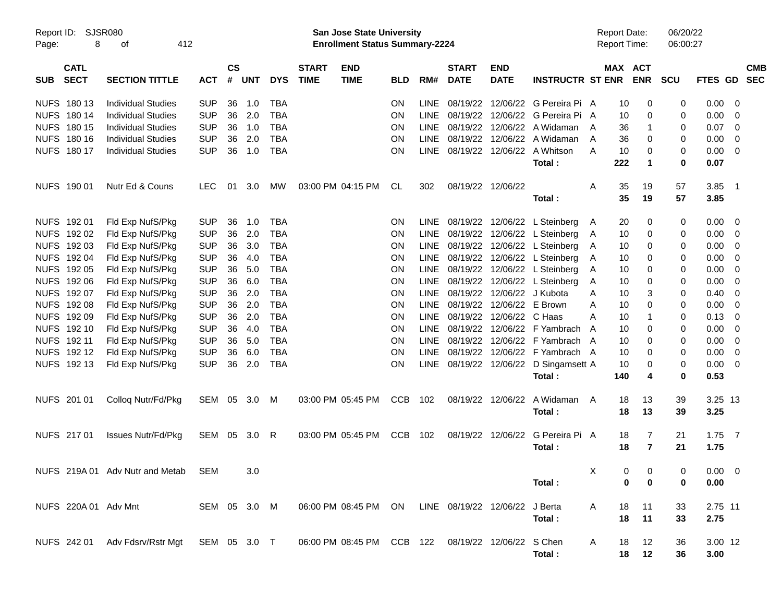| Report ID:<br>Page: | 8                          | <b>SJSR080</b><br>οf                                                                          | 412          |               |       |            |                             | <b>San Jose State University</b><br><b>Enrollment Status Summary-2224</b> |            |             |                             |                            |                                       | <b>Report Date:</b><br><b>Report Time:</b> |                                  | 06/20/22<br>06:00:27 |                |                            |                          |
|---------------------|----------------------------|-----------------------------------------------------------------------------------------------|--------------|---------------|-------|------------|-----------------------------|---------------------------------------------------------------------------|------------|-------------|-----------------------------|----------------------------|---------------------------------------|--------------------------------------------|----------------------------------|----------------------|----------------|----------------------------|--------------------------|
| <b>SUB</b>          | <b>CATL</b><br><b>SECT</b> | <b>SECTION TITTLE</b>                                                                         | <b>ACT</b>   | $\mathsf{cs}$ | # UNT | <b>DYS</b> | <b>START</b><br><b>TIME</b> | <b>END</b><br><b>TIME</b>                                                 | <b>BLD</b> | RM#         | <b>START</b><br><b>DATE</b> | <b>END</b><br><b>DATE</b>  | <b>INSTRUCTR ST ENR</b>               |                                            | MAX ACT<br><b>ENR</b>            | <b>SCU</b>           | <b>FTES GD</b> |                            | <b>CMB</b><br><b>SEC</b> |
|                     |                            |                                                                                               |              |               |       |            |                             |                                                                           |            |             |                             |                            |                                       |                                            |                                  |                      |                |                            |                          |
|                     | NUFS 180 13                | <b>Individual Studies</b>                                                                     | <b>SUP</b>   | 36            | 1.0   | <b>TBA</b> |                             |                                                                           | <b>ON</b>  | <b>LINE</b> |                             |                            | 08/19/22 12/06/22 G Pereira Pi A      |                                            | 10<br>0                          | 0                    | 0.00           | $\overline{0}$             |                          |
|                     | NUFS 180 14                | <b>Individual Studies</b>                                                                     | <b>SUP</b>   | 36            | 2.0   | <b>TBA</b> |                             |                                                                           | ON         | LINE        |                             |                            | 08/19/22 12/06/22 G Pereira Pi A      |                                            | 10<br>0                          | 0                    | 0.00           | 0                          |                          |
|                     | NUFS 180 15                | <b>Individual Studies</b>                                                                     | <b>SUP</b>   | 36            | 1.0   | <b>TBA</b> |                             |                                                                           | ON         | LINE        |                             |                            | 08/19/22 12/06/22 A Widaman           | A                                          | 36                               | 0                    | 0.07           | $\overline{0}$             |                          |
|                     | NUFS 180 16                | <b>Individual Studies</b>                                                                     | <b>SUP</b>   | 36            | 2.0   | <b>TBA</b> |                             |                                                                           | ON         | LINE        |                             |                            | 08/19/22 12/06/22 A Widaman           | A                                          | 36<br>0                          | 0                    | 0.00           | 0                          |                          |
|                     | NUFS 180 17                | <b>Individual Studies</b>                                                                     | <b>SUP</b>   | 36            | 1.0   | <b>TBA</b> |                             |                                                                           | <b>ON</b>  | <b>LINE</b> |                             |                            | 08/19/22 12/06/22 A Whitson           | A                                          | 10<br>0                          | 0                    | 0.00           | 0                          |                          |
|                     |                            |                                                                                               |              |               |       |            |                             |                                                                           |            |             |                             |                            | Total:                                | 222                                        | $\mathbf 1$                      | $\mathbf 0$          | 0.07           |                            |                          |
|                     | NUFS 190 01                | Nutr Ed & Couns                                                                               | <b>LEC</b>   | 01            | 3.0   | МW         |                             | 03:00 PM 04:15 PM                                                         | CL         | 302         |                             | 08/19/22 12/06/22          |                                       | A                                          | 35<br>19                         | 57                   | 3.85           | $\overline{\phantom{0}}$ 1 |                          |
|                     |                            |                                                                                               |              |               |       |            |                             |                                                                           |            |             |                             |                            | Total:                                |                                            | 35<br>19                         | 57                   | 3.85           |                            |                          |
|                     | NUFS 192 01                | Fld Exp NufS/Pkg                                                                              | <b>SUP</b>   | 36            | 1.0   | <b>TBA</b> |                             |                                                                           | <b>ON</b>  | LINE        |                             |                            | 08/19/22 12/06/22 L Steinberg         | A                                          | 20<br>0                          | 0                    | 0.00           | $\overline{0}$             |                          |
|                     | NUFS 192 02                | Fld Exp NufS/Pkg                                                                              | <b>SUP</b>   | 36            | 2.0   | <b>TBA</b> |                             |                                                                           | <b>ON</b>  | <b>LINE</b> |                             |                            | 08/19/22 12/06/22 L Steinberg         | A                                          | 10<br>0                          | 0                    | 0.00           | $\mathbf 0$                |                          |
|                     | NUFS 192 03                | Fld Exp NufS/Pkg                                                                              | <b>SUP</b>   | 36            | 3.0   | <b>TBA</b> |                             |                                                                           | <b>ON</b>  | LINE        |                             |                            | 08/19/22 12/06/22 L Steinberg         | A                                          | 10<br>0                          | 0                    | 0.00           | 0                          |                          |
|                     | NUFS 192 04                | Fld Exp NufS/Pkg                                                                              | <b>SUP</b>   | 36            | 4.0   | <b>TBA</b> |                             |                                                                           | ON         | LINE        |                             |                            | 08/19/22 12/06/22 L Steinberg         | A                                          | 10<br>0                          | 0                    | 0.00           | 0                          |                          |
|                     | NUFS 192 05                | Fld Exp NufS/Pkg                                                                              | <b>SUP</b>   | 36            | 5.0   | <b>TBA</b> |                             |                                                                           | ON         | LINE        |                             |                            | 08/19/22 12/06/22 L Steinberg         | A                                          | 10<br>0                          | 0                    | 0.00           | 0                          |                          |
|                     | NUFS 192 06                | Fld Exp NufS/Pkg                                                                              | <b>SUP</b>   | 36            | 6.0   | <b>TBA</b> |                             |                                                                           | ON         | <b>LINE</b> |                             |                            | 08/19/22 12/06/22 L Steinberg         | A                                          | 10<br>0                          | 0                    | 0.00           | 0                          |                          |
|                     | NUFS 192 07                | Fld Exp NufS/Pkg                                                                              | <b>SUP</b>   | 36            | 2.0   | <b>TBA</b> |                             |                                                                           | ON         | <b>LINE</b> |                             | 08/19/22 12/06/22 J Kubota |                                       | A                                          | 10<br>3                          | 0                    | 0.40           | 0                          |                          |
|                     | NUFS 192 08                | Fld Exp NufS/Pkg                                                                              | <b>SUP</b>   | 36            | 2.0   | <b>TBA</b> |                             |                                                                           | ON         | LINE        |                             | 08/19/22 12/06/22 E Brown  |                                       | Α                                          | 10<br>0                          | 0                    | 0.00           | 0                          |                          |
|                     | NUFS 192 09                | Fld Exp NufS/Pkg                                                                              | <b>SUP</b>   | 36            | 2.0   | <b>TBA</b> |                             |                                                                           | ON         | LINE        |                             | 08/19/22 12/06/22 C Haas   |                                       | Α                                          | 10                               | 0                    | 0.13           | 0                          |                          |
|                     | NUFS 192 10                | Fld Exp NufS/Pkg                                                                              | <b>SUP</b>   | 36            | 4.0   | <b>TBA</b> |                             |                                                                           | ON         | LINE        |                             |                            | 08/19/22 12/06/22 F Yambrach          | A                                          | 10<br>0                          | 0                    | 0.00           | 0                          |                          |
|                     | NUFS 192 11                | Fld Exp NufS/Pkg                                                                              | <b>SUP</b>   | 36            | 5.0   | <b>TBA</b> |                             |                                                                           | ON         | LINE        |                             |                            | 08/19/22 12/06/22 F Yambrach A        |                                            | 10<br>0                          | 0                    | 0.00           | 0                          |                          |
|                     | NUFS 192 12                | Fld Exp NufS/Pkg                                                                              | <b>SUP</b>   | 36            | 6.0   | <b>TBA</b> |                             |                                                                           | ON         | LINE        |                             |                            | 08/19/22 12/06/22 F Yambrach A        |                                            | 10<br>0                          | 0                    | 0.00           | 0                          |                          |
|                     | NUFS 192 13                | Fld Exp NufS/Pkg                                                                              | <b>SUP</b>   | 36            | 2.0   | <b>TBA</b> |                             |                                                                           | <b>ON</b>  |             |                             |                            | LINE 08/19/22 12/06/22 D Singamsett A |                                            | 10<br>0                          | 0                    | 0.00           | $\overline{0}$             |                          |
|                     |                            |                                                                                               |              |               |       |            |                             |                                                                           |            |             |                             |                            | Total:                                | 140                                        | 4                                | $\mathbf 0$          | 0.53           |                            |                          |
|                     | NUFS 201 01                | Collog Nutr/Fd/Pkg                                                                            | SEM 05       |               | 3.0   | M          |                             | 03:00 PM 05:45 PM                                                         | <b>CCB</b> | 102         |                             | 08/19/22 12/06/22          | A Widaman                             | A                                          | 13<br>18                         | 39                   | 3.25 13        |                            |                          |
|                     |                            |                                                                                               |              |               |       |            |                             |                                                                           |            |             |                             |                            | Total:                                |                                            | 18<br>13                         | 39                   | 3.25           |                            |                          |
|                     | NUFS 217 01                | <b>Issues Nutr/Fd/Pkg</b>                                                                     | SEM 05       |               | 3.0   | R          |                             | 03:00 PM 05:45 PM                                                         | CCB        | 102         |                             | 08/19/22 12/06/22          | G Pereira Pi A                        |                                            | 18<br>7                          | 21                   | $1.75$ 7       |                            |                          |
|                     |                            |                                                                                               |              |               |       |            |                             |                                                                           |            |             |                             |                            | Total:                                |                                            | $\overline{7}$<br>18             | 21                   | 1.75           |                            |                          |
|                     |                            | NUFS 219A 01 Adv Nutr and Metab                                                               | <b>SEM</b>   |               | 3.0   |            |                             |                                                                           |            |             |                             |                            |                                       | X                                          | $\overline{0}$<br>$\overline{0}$ | $\overline{0}$       | $0.00 \t 0$    |                            |                          |
|                     |                            |                                                                                               |              |               |       |            |                             |                                                                           |            |             |                             |                            | Total:                                |                                            | 0<br>0                           | 0                    | 0.00           |                            |                          |
|                     | NUFS 220A 01 Adv Mnt       |                                                                                               | SEM 05 3.0 M |               |       |            |                             | 06:00 PM 08:45 PM ON LINE 08/19/22 12/06/22 J Berta                       |            |             |                             |                            |                                       | A                                          | 18<br>11                         | 33                   | 2.75 11        |                            |                          |
|                     |                            |                                                                                               |              |               |       |            |                             |                                                                           |            |             |                             |                            | Total:                                |                                            | 18<br>11                         | 33                   | 2.75           |                            |                          |
|                     |                            | NUFS 242 01 Adv Fdsrv/Rstr Mgt SEM 05 3.0 T 06:00 PM 08:45 PM CCB 122 08/19/22 12/06/22 SChen |              |               |       |            |                             |                                                                           |            |             |                             |                            |                                       | A                                          | 18<br>12                         | 36                   | 3.00 12        |                            |                          |
|                     |                            |                                                                                               |              |               |       |            |                             |                                                                           |            |             |                             |                            | Total:                                |                                            | 18 12                            | 36                   | 3.00           |                            |                          |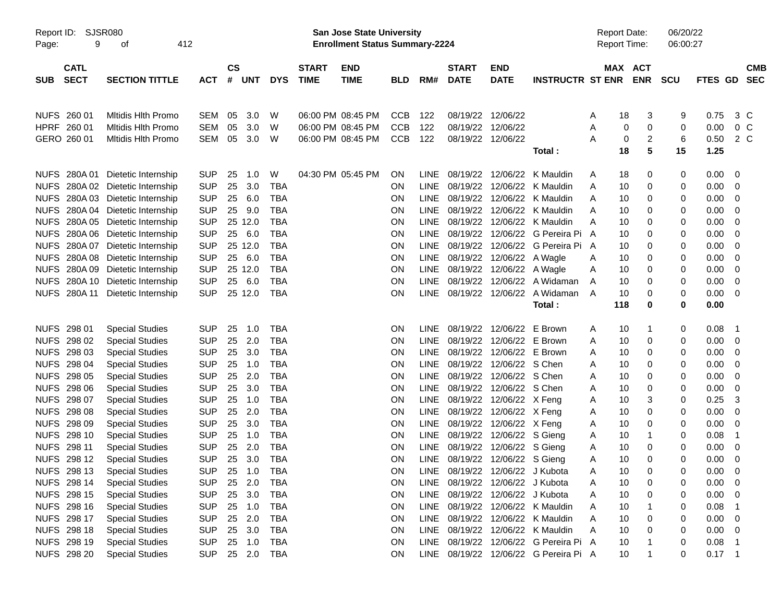| <b>CS</b><br><b>CATL</b><br><b>END</b><br><b>START</b><br><b>END</b><br>MAX ACT<br><b>START</b><br><b>CMB</b><br>#<br><b>ENR</b><br><b>SECT</b><br><b>SECTION TITTLE</b><br><b>UNT</b><br><b>DYS</b><br><b>TIME</b><br><b>TIME</b><br>RM#<br><b>DATE</b><br><b>DATE</b><br><b>INSTRUCTR ST ENR</b><br><b>SCU</b><br>FTES GD<br><b>SEC</b><br><b>SUB</b><br><b>ACT</b><br><b>BLD</b><br>Mitidis Hith Promo<br>3.0<br><b>CCB</b><br>12/06/22<br>3<br>0.75<br>3 C<br>NUFS 260 01<br><b>SEM</b><br>05<br>W<br>06:00 PM 08:45 PM<br>122<br>08/19/22<br>18<br>9<br>Α<br>HPRF 260 01<br><b>SEM</b><br>05<br>3.0<br>06:00 PM 08:45 PM<br><b>CCB</b><br>122<br>08/19/22<br>12/06/22<br>0.00<br>0 <sup>C</sup><br><b>Mitidis Hith Promo</b><br>W<br>0<br>0<br>0<br>Α<br>$\boldsymbol{2}$<br><b>SEM</b><br>3.0<br><b>CCB</b><br>122<br>08/19/22<br>12/06/22<br>0<br>6<br>0.50<br>2 C<br>GERO 260 01<br><b>Mitidis Hith Promo</b><br>05<br>W<br>06:00 PM 08:45 PM<br>Α<br>5<br>15<br>18<br>1.25<br>Total:<br>W<br>04:30 PM 05:45 PM<br>0.00<br>NUFS 280A 01<br>Dietetic Internship<br><b>SUP</b><br>25<br>1.0<br>ON<br><b>LINE</b><br>08/19/22<br>12/06/22<br>K Mauldin<br>0<br>18<br>0<br>0<br>Α<br><b>SUP</b><br>25<br>3.0<br><b>TBA</b><br>08/19/22<br>12/06/22<br>0.00<br>NUFS 280A 02 Dietetic Internship<br>ON<br><b>LINE</b><br>K Mauldin<br>10<br>0<br>0<br>0<br>Α<br><b>SUP</b><br>25<br>6.0<br><b>TBA</b><br>08/19/22<br>12/06/22<br>0.00<br>NUFS 280A 03 Dietetic Internship<br>ON<br><b>LINE</b><br>K Mauldin<br>10<br>0<br>0<br>Α<br>0<br>NUFS 280A 04 Dietetic Internship<br><b>SUP</b><br>25<br>9.0<br><b>TBA</b><br><b>LINE</b><br>08/19/22<br>12/06/22<br>0.00<br>ON<br>K Mauldin<br>10<br>0<br>0<br>A<br>0<br>NUFS 280A 05 Dietetic Internship<br><b>SUP</b><br>25 12.0<br><b>TBA</b><br><b>LINE</b><br>08/19/22<br>12/06/22<br>0.00<br>ON<br>K Mauldin<br>10<br>0<br>0<br>A<br>0<br>NUFS 280A 06 Dietetic Internship<br><b>SUP</b><br>25<br>6.0<br><b>TBA</b><br>08/19/22<br>12/06/22<br>G Pereira Pi A<br>0.00<br>ON<br><b>LINE</b><br>10<br>0<br>0<br>0<br>NUFS 280A 07 Dietetic Internship<br><b>SUP</b><br>25 12.0<br><b>TBA</b><br>08/19/22<br>12/06/22<br>0.00<br><b>ON</b><br><b>LINE</b><br>G Pereira Pi A<br>10<br>0<br>0<br>0<br>NUFS 280A 08 Dietetic Internship<br><b>SUP</b><br>25<br>6.0<br><b>TBA</b><br>LINE<br>08/19/22<br>12/06/22<br>0.00<br><b>ON</b><br>A Wagle<br>10<br>0<br>0<br>Α<br>0<br>NUFS 280A 09 Dietetic Internship<br><b>SUP</b><br>25 12.0<br><b>TBA</b><br>08/19/22<br>12/06/22<br>0.00<br><b>ON</b><br><b>LINE</b><br>10<br>0<br>0<br>A Wagle<br>Α<br>0<br>NUFS 280A 10 Dietetic Internship<br><b>SUP</b><br>6.0<br><b>TBA</b><br><b>LINE</b><br>08/19/22<br>12/06/22<br>0.00<br>25<br>ON<br>A Widaman<br>10<br>0<br>0<br>A<br>0 |
|----------------------------------------------------------------------------------------------------------------------------------------------------------------------------------------------------------------------------------------------------------------------------------------------------------------------------------------------------------------------------------------------------------------------------------------------------------------------------------------------------------------------------------------------------------------------------------------------------------------------------------------------------------------------------------------------------------------------------------------------------------------------------------------------------------------------------------------------------------------------------------------------------------------------------------------------------------------------------------------------------------------------------------------------------------------------------------------------------------------------------------------------------------------------------------------------------------------------------------------------------------------------------------------------------------------------------------------------------------------------------------------------------------------------------------------------------------------------------------------------------------------------------------------------------------------------------------------------------------------------------------------------------------------------------------------------------------------------------------------------------------------------------------------------------------------------------------------------------------------------------------------------------------------------------------------------------------------------------------------------------------------------------------------------------------------------------------------------------------------------------------------------------------------------------------------------------------------------------------------------------------------------------------------------------------------------------------------------------------------------------------------------------------------------------------------------------------------------------------------------------------------------------------------------------------------------------------------------------------------------------------------------------------------------------------------------------------------------------------------------------------------------------|
|                                                                                                                                                                                                                                                                                                                                                                                                                                                                                                                                                                                                                                                                                                                                                                                                                                                                                                                                                                                                                                                                                                                                                                                                                                                                                                                                                                                                                                                                                                                                                                                                                                                                                                                                                                                                                                                                                                                                                                                                                                                                                                                                                                                                                                                                                                                                                                                                                                                                                                                                                                                                                                                                                                                                                                            |
|                                                                                                                                                                                                                                                                                                                                                                                                                                                                                                                                                                                                                                                                                                                                                                                                                                                                                                                                                                                                                                                                                                                                                                                                                                                                                                                                                                                                                                                                                                                                                                                                                                                                                                                                                                                                                                                                                                                                                                                                                                                                                                                                                                                                                                                                                                                                                                                                                                                                                                                                                                                                                                                                                                                                                                            |
|                                                                                                                                                                                                                                                                                                                                                                                                                                                                                                                                                                                                                                                                                                                                                                                                                                                                                                                                                                                                                                                                                                                                                                                                                                                                                                                                                                                                                                                                                                                                                                                                                                                                                                                                                                                                                                                                                                                                                                                                                                                                                                                                                                                                                                                                                                                                                                                                                                                                                                                                                                                                                                                                                                                                                                            |
|                                                                                                                                                                                                                                                                                                                                                                                                                                                                                                                                                                                                                                                                                                                                                                                                                                                                                                                                                                                                                                                                                                                                                                                                                                                                                                                                                                                                                                                                                                                                                                                                                                                                                                                                                                                                                                                                                                                                                                                                                                                                                                                                                                                                                                                                                                                                                                                                                                                                                                                                                                                                                                                                                                                                                                            |
|                                                                                                                                                                                                                                                                                                                                                                                                                                                                                                                                                                                                                                                                                                                                                                                                                                                                                                                                                                                                                                                                                                                                                                                                                                                                                                                                                                                                                                                                                                                                                                                                                                                                                                                                                                                                                                                                                                                                                                                                                                                                                                                                                                                                                                                                                                                                                                                                                                                                                                                                                                                                                                                                                                                                                                            |
|                                                                                                                                                                                                                                                                                                                                                                                                                                                                                                                                                                                                                                                                                                                                                                                                                                                                                                                                                                                                                                                                                                                                                                                                                                                                                                                                                                                                                                                                                                                                                                                                                                                                                                                                                                                                                                                                                                                                                                                                                                                                                                                                                                                                                                                                                                                                                                                                                                                                                                                                                                                                                                                                                                                                                                            |
|                                                                                                                                                                                                                                                                                                                                                                                                                                                                                                                                                                                                                                                                                                                                                                                                                                                                                                                                                                                                                                                                                                                                                                                                                                                                                                                                                                                                                                                                                                                                                                                                                                                                                                                                                                                                                                                                                                                                                                                                                                                                                                                                                                                                                                                                                                                                                                                                                                                                                                                                                                                                                                                                                                                                                                            |
|                                                                                                                                                                                                                                                                                                                                                                                                                                                                                                                                                                                                                                                                                                                                                                                                                                                                                                                                                                                                                                                                                                                                                                                                                                                                                                                                                                                                                                                                                                                                                                                                                                                                                                                                                                                                                                                                                                                                                                                                                                                                                                                                                                                                                                                                                                                                                                                                                                                                                                                                                                                                                                                                                                                                                                            |
|                                                                                                                                                                                                                                                                                                                                                                                                                                                                                                                                                                                                                                                                                                                                                                                                                                                                                                                                                                                                                                                                                                                                                                                                                                                                                                                                                                                                                                                                                                                                                                                                                                                                                                                                                                                                                                                                                                                                                                                                                                                                                                                                                                                                                                                                                                                                                                                                                                                                                                                                                                                                                                                                                                                                                                            |
|                                                                                                                                                                                                                                                                                                                                                                                                                                                                                                                                                                                                                                                                                                                                                                                                                                                                                                                                                                                                                                                                                                                                                                                                                                                                                                                                                                                                                                                                                                                                                                                                                                                                                                                                                                                                                                                                                                                                                                                                                                                                                                                                                                                                                                                                                                                                                                                                                                                                                                                                                                                                                                                                                                                                                                            |
|                                                                                                                                                                                                                                                                                                                                                                                                                                                                                                                                                                                                                                                                                                                                                                                                                                                                                                                                                                                                                                                                                                                                                                                                                                                                                                                                                                                                                                                                                                                                                                                                                                                                                                                                                                                                                                                                                                                                                                                                                                                                                                                                                                                                                                                                                                                                                                                                                                                                                                                                                                                                                                                                                                                                                                            |
|                                                                                                                                                                                                                                                                                                                                                                                                                                                                                                                                                                                                                                                                                                                                                                                                                                                                                                                                                                                                                                                                                                                                                                                                                                                                                                                                                                                                                                                                                                                                                                                                                                                                                                                                                                                                                                                                                                                                                                                                                                                                                                                                                                                                                                                                                                                                                                                                                                                                                                                                                                                                                                                                                                                                                                            |
|                                                                                                                                                                                                                                                                                                                                                                                                                                                                                                                                                                                                                                                                                                                                                                                                                                                                                                                                                                                                                                                                                                                                                                                                                                                                                                                                                                                                                                                                                                                                                                                                                                                                                                                                                                                                                                                                                                                                                                                                                                                                                                                                                                                                                                                                                                                                                                                                                                                                                                                                                                                                                                                                                                                                                                            |
|                                                                                                                                                                                                                                                                                                                                                                                                                                                                                                                                                                                                                                                                                                                                                                                                                                                                                                                                                                                                                                                                                                                                                                                                                                                                                                                                                                                                                                                                                                                                                                                                                                                                                                                                                                                                                                                                                                                                                                                                                                                                                                                                                                                                                                                                                                                                                                                                                                                                                                                                                                                                                                                                                                                                                                            |
|                                                                                                                                                                                                                                                                                                                                                                                                                                                                                                                                                                                                                                                                                                                                                                                                                                                                                                                                                                                                                                                                                                                                                                                                                                                                                                                                                                                                                                                                                                                                                                                                                                                                                                                                                                                                                                                                                                                                                                                                                                                                                                                                                                                                                                                                                                                                                                                                                                                                                                                                                                                                                                                                                                                                                                            |
| NUFS 280A 11<br><b>SUP</b><br>25 12.0<br><b>TBA</b><br>LINE<br>08/19/22<br>12/06/22<br>A Widaman<br>0<br>0.00<br><b>ON</b><br>A<br>10<br>0<br>0<br>Dietetic Internship                                                                                                                                                                                                                                                                                                                                                                                                                                                                                                                                                                                                                                                                                                                                                                                                                                                                                                                                                                                                                                                                                                                                                                                                                                                                                                                                                                                                                                                                                                                                                                                                                                                                                                                                                                                                                                                                                                                                                                                                                                                                                                                                                                                                                                                                                                                                                                                                                                                                                                                                                                                                     |
| 118<br>0<br>0<br>0.00<br>Total:                                                                                                                                                                                                                                                                                                                                                                                                                                                                                                                                                                                                                                                                                                                                                                                                                                                                                                                                                                                                                                                                                                                                                                                                                                                                                                                                                                                                                                                                                                                                                                                                                                                                                                                                                                                                                                                                                                                                                                                                                                                                                                                                                                                                                                                                                                                                                                                                                                                                                                                                                                                                                                                                                                                                            |
|                                                                                                                                                                                                                                                                                                                                                                                                                                                                                                                                                                                                                                                                                                                                                                                                                                                                                                                                                                                                                                                                                                                                                                                                                                                                                                                                                                                                                                                                                                                                                                                                                                                                                                                                                                                                                                                                                                                                                                                                                                                                                                                                                                                                                                                                                                                                                                                                                                                                                                                                                                                                                                                                                                                                                                            |
| NUFS 298 01<br><b>TBA</b><br><b>Special Studies</b><br><b>SUP</b><br>25<br>1.0<br>ON<br>LINE<br>08/19/22<br>12/06/22<br>E Brown<br>0<br>0.08<br>10<br>-1<br>$\overline{1}$<br>Α                                                                                                                                                                                                                                                                                                                                                                                                                                                                                                                                                                                                                                                                                                                                                                                                                                                                                                                                                                                                                                                                                                                                                                                                                                                                                                                                                                                                                                                                                                                                                                                                                                                                                                                                                                                                                                                                                                                                                                                                                                                                                                                                                                                                                                                                                                                                                                                                                                                                                                                                                                                            |
| NUFS 298 02<br><b>SUP</b><br>25<br>2.0<br><b>TBA</b><br>08/19/22<br>12/06/22<br>0.00<br><b>Special Studies</b><br>ON<br><b>LINE</b><br>E Brown<br>10<br>0<br>0<br>Α<br>0                                                                                                                                                                                                                                                                                                                                                                                                                                                                                                                                                                                                                                                                                                                                                                                                                                                                                                                                                                                                                                                                                                                                                                                                                                                                                                                                                                                                                                                                                                                                                                                                                                                                                                                                                                                                                                                                                                                                                                                                                                                                                                                                                                                                                                                                                                                                                                                                                                                                                                                                                                                                   |
| NUFS 298 03<br><b>SUP</b><br>25<br>3.0<br><b>TBA</b><br>08/19/22<br>12/06/22<br>0.00<br><b>Special Studies</b><br>ON<br><b>LINE</b><br>E Brown<br>10<br>0<br>0<br>Α<br>0                                                                                                                                                                                                                                                                                                                                                                                                                                                                                                                                                                                                                                                                                                                                                                                                                                                                                                                                                                                                                                                                                                                                                                                                                                                                                                                                                                                                                                                                                                                                                                                                                                                                                                                                                                                                                                                                                                                                                                                                                                                                                                                                                                                                                                                                                                                                                                                                                                                                                                                                                                                                   |
| NUFS 298 04<br><b>SUP</b><br>25<br><b>TBA</b><br><b>LINE</b><br>08/19/22<br>12/06/22 S Chen<br>0.00<br><b>Special Studies</b><br>1.0<br>ON<br>10<br>0<br>0<br>Α<br>0                                                                                                                                                                                                                                                                                                                                                                                                                                                                                                                                                                                                                                                                                                                                                                                                                                                                                                                                                                                                                                                                                                                                                                                                                                                                                                                                                                                                                                                                                                                                                                                                                                                                                                                                                                                                                                                                                                                                                                                                                                                                                                                                                                                                                                                                                                                                                                                                                                                                                                                                                                                                       |
| NUFS 298 05<br><b>SUP</b><br>25<br>2.0<br><b>TBA</b><br><b>LINE</b><br>08/19/22<br>12/06/22 S Chen<br>0.00<br><b>Special Studies</b><br>ON<br>10<br>0<br>0<br>Α<br>0                                                                                                                                                                                                                                                                                                                                                                                                                                                                                                                                                                                                                                                                                                                                                                                                                                                                                                                                                                                                                                                                                                                                                                                                                                                                                                                                                                                                                                                                                                                                                                                                                                                                                                                                                                                                                                                                                                                                                                                                                                                                                                                                                                                                                                                                                                                                                                                                                                                                                                                                                                                                       |
| NUFS 298 06<br><b>SUP</b><br>25<br>3.0<br><b>TBA</b><br>08/19/22<br>12/06/22 S Chen<br>0.00<br><b>Special Studies</b><br>ON<br><b>LINE</b><br>10<br>0<br>0<br>Α<br>0                                                                                                                                                                                                                                                                                                                                                                                                                                                                                                                                                                                                                                                                                                                                                                                                                                                                                                                                                                                                                                                                                                                                                                                                                                                                                                                                                                                                                                                                                                                                                                                                                                                                                                                                                                                                                                                                                                                                                                                                                                                                                                                                                                                                                                                                                                                                                                                                                                                                                                                                                                                                       |
| NUFS 298 07<br><b>SUP</b><br>25<br><b>TBA</b><br>08/19/22<br>12/06/22 X Feng<br>3<br>0.25<br>3<br><b>Special Studies</b><br>1.0<br><b>ON</b><br>LINE<br>10<br>0<br>Α                                                                                                                                                                                                                                                                                                                                                                                                                                                                                                                                                                                                                                                                                                                                                                                                                                                                                                                                                                                                                                                                                                                                                                                                                                                                                                                                                                                                                                                                                                                                                                                                                                                                                                                                                                                                                                                                                                                                                                                                                                                                                                                                                                                                                                                                                                                                                                                                                                                                                                                                                                                                       |
| NUFS 298 08<br><b>SUP</b><br>25<br>2.0<br><b>TBA</b><br>08/19/22<br>0.00<br><b>Special Studies</b><br><b>ON</b><br>LINE<br>12/06/22 X Feng<br>10<br>0<br>0<br>0<br>Α                                                                                                                                                                                                                                                                                                                                                                                                                                                                                                                                                                                                                                                                                                                                                                                                                                                                                                                                                                                                                                                                                                                                                                                                                                                                                                                                                                                                                                                                                                                                                                                                                                                                                                                                                                                                                                                                                                                                                                                                                                                                                                                                                                                                                                                                                                                                                                                                                                                                                                                                                                                                       |
| NUFS 298 09<br><b>SUP</b><br>25<br>3.0<br><b>TBA</b><br>08/19/22<br>0.00<br><b>Special Studies</b><br><b>ON</b><br>LINE<br>12/06/22 X Feng<br>10<br>0<br>0<br>0<br>Α                                                                                                                                                                                                                                                                                                                                                                                                                                                                                                                                                                                                                                                                                                                                                                                                                                                                                                                                                                                                                                                                                                                                                                                                                                                                                                                                                                                                                                                                                                                                                                                                                                                                                                                                                                                                                                                                                                                                                                                                                                                                                                                                                                                                                                                                                                                                                                                                                                                                                                                                                                                                       |
| NUFS 298 10<br><b>SUP</b><br><b>TBA</b><br>08/19/22<br><b>Special Studies</b><br>25<br>1.0<br><b>ON</b><br>LINE<br>12/06/22 S Gieng<br>10<br>0<br>0.08<br>-1<br>-1<br>Α                                                                                                                                                                                                                                                                                                                                                                                                                                                                                                                                                                                                                                                                                                                                                                                                                                                                                                                                                                                                                                                                                                                                                                                                                                                                                                                                                                                                                                                                                                                                                                                                                                                                                                                                                                                                                                                                                                                                                                                                                                                                                                                                                                                                                                                                                                                                                                                                                                                                                                                                                                                                    |
| NUFS 298 11<br><b>SUP</b><br>25<br>2.0<br><b>TBA</b><br>08/19/22<br>0.00<br><b>Special Studies</b><br><b>ON</b><br>LINE<br>12/06/22 S Gieng<br>10<br>0<br>0<br>0<br>Α                                                                                                                                                                                                                                                                                                                                                                                                                                                                                                                                                                                                                                                                                                                                                                                                                                                                                                                                                                                                                                                                                                                                                                                                                                                                                                                                                                                                                                                                                                                                                                                                                                                                                                                                                                                                                                                                                                                                                                                                                                                                                                                                                                                                                                                                                                                                                                                                                                                                                                                                                                                                      |
| NUFS 298 12<br><b>SUP</b><br>25<br>3.0<br><b>TBA</b><br>LINE<br>08/19/22 12/06/22 S Gieng<br>10<br>$\mathbf 0$<br>0<br>0.00<br><b>Special Studies</b><br>ON<br>0<br>Α                                                                                                                                                                                                                                                                                                                                                                                                                                                                                                                                                                                                                                                                                                                                                                                                                                                                                                                                                                                                                                                                                                                                                                                                                                                                                                                                                                                                                                                                                                                                                                                                                                                                                                                                                                                                                                                                                                                                                                                                                                                                                                                                                                                                                                                                                                                                                                                                                                                                                                                                                                                                      |
| <b>SUP</b><br><b>TBA</b><br>ON<br>LINE<br>NUFS 298 13<br><b>Special Studies</b><br>25<br>1.0<br>08/19/22 12/06/22 J Kubota<br>10<br>0<br>0.00<br>$\mathbf 0$<br>Α<br>0                                                                                                                                                                                                                                                                                                                                                                                                                                                                                                                                                                                                                                                                                                                                                                                                                                                                                                                                                                                                                                                                                                                                                                                                                                                                                                                                                                                                                                                                                                                                                                                                                                                                                                                                                                                                                                                                                                                                                                                                                                                                                                                                                                                                                                                                                                                                                                                                                                                                                                                                                                                                     |
| NUFS 298 14<br><b>SUP</b><br>2.0<br><b>TBA</b><br>08/19/22 12/06/22 J Kubota<br>0.00<br><b>Special Studies</b><br>25<br>LINE<br><b>ON</b><br>10<br>0<br>0<br>Α<br>0                                                                                                                                                                                                                                                                                                                                                                                                                                                                                                                                                                                                                                                                                                                                                                                                                                                                                                                                                                                                                                                                                                                                                                                                                                                                                                                                                                                                                                                                                                                                                                                                                                                                                                                                                                                                                                                                                                                                                                                                                                                                                                                                                                                                                                                                                                                                                                                                                                                                                                                                                                                                        |
| 3.0<br>NUFS 298 15<br><b>SUP</b><br>25<br><b>TBA</b><br>08/19/22 12/06/22 J Kubota<br>0.00<br><b>Special Studies</b><br>ON<br>LINE<br>10<br>0<br>Α<br>0<br>0<br>12/06/22 K Mauldin                                                                                                                                                                                                                                                                                                                                                                                                                                                                                                                                                                                                                                                                                                                                                                                                                                                                                                                                                                                                                                                                                                                                                                                                                                                                                                                                                                                                                                                                                                                                                                                                                                                                                                                                                                                                                                                                                                                                                                                                                                                                                                                                                                                                                                                                                                                                                                                                                                                                                                                                                                                         |
| NUFS 298 16<br><b>SUP</b><br><b>TBA</b><br><b>LINE</b><br>08/19/22<br>0.08<br><b>Special Studies</b><br>25<br>1.0<br>ON<br>10<br>Α<br>0<br>-1<br>NUFS 298 17<br><b>SUP</b><br>2.0<br><b>TBA</b><br>LINE<br>08/19/22<br>12/06/22 K Mauldin<br>0.00<br>Α<br>0<br>0<br>0                                                                                                                                                                                                                                                                                                                                                                                                                                                                                                                                                                                                                                                                                                                                                                                                                                                                                                                                                                                                                                                                                                                                                                                                                                                                                                                                                                                                                                                                                                                                                                                                                                                                                                                                                                                                                                                                                                                                                                                                                                                                                                                                                                                                                                                                                                                                                                                                                                                                                                      |
| <b>Special Studies</b><br>25<br>ON<br>10<br>NUFS 298 18<br><b>SUP</b><br>3.0<br><b>TBA</b><br>LINE<br>08/19/22<br>12/06/22 K Mauldin<br>0.00<br><b>Special Studies</b><br>25<br>ON<br>Α<br>10<br>0<br>0<br>0                                                                                                                                                                                                                                                                                                                                                                                                                                                                                                                                                                                                                                                                                                                                                                                                                                                                                                                                                                                                                                                                                                                                                                                                                                                                                                                                                                                                                                                                                                                                                                                                                                                                                                                                                                                                                                                                                                                                                                                                                                                                                                                                                                                                                                                                                                                                                                                                                                                                                                                                                               |
| NUFS 298 19<br><b>SUP</b><br><b>TBA</b><br>LINE<br>08/19/22<br>12/06/22 G Pereira Pi A<br>0.08<br><b>Special Studies</b><br>25<br>1.0<br>ON<br>10<br>0<br>-1                                                                                                                                                                                                                                                                                                                                                                                                                                                                                                                                                                                                                                                                                                                                                                                                                                                                                                                                                                                                                                                                                                                                                                                                                                                                                                                                                                                                                                                                                                                                                                                                                                                                                                                                                                                                                                                                                                                                                                                                                                                                                                                                                                                                                                                                                                                                                                                                                                                                                                                                                                                                               |
| NUFS 298 20<br><b>SUP</b><br>25 2.0 TBA<br>LINE<br>08/19/22<br>12/06/22 G Pereira Pi A<br>10<br>$0.17$ 1<br><b>Special Studies</b><br>ON<br>0                                                                                                                                                                                                                                                                                                                                                                                                                                                                                                                                                                                                                                                                                                                                                                                                                                                                                                                                                                                                                                                                                                                                                                                                                                                                                                                                                                                                                                                                                                                                                                                                                                                                                                                                                                                                                                                                                                                                                                                                                                                                                                                                                                                                                                                                                                                                                                                                                                                                                                                                                                                                                              |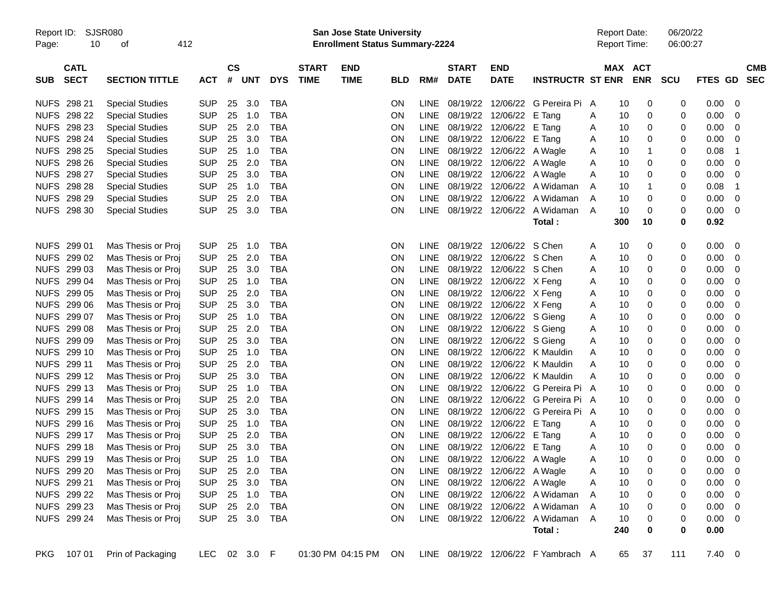| Report ID:<br>Page: | 10                         | SJSR080<br>οf          | 412        |            |           |              |            |                             | <b>San Jose State University</b><br><b>Enrollment Status Summary-2224</b> |            |             |                             |                                |                                     |   | <b>Report Date:</b><br>Report Time: |            | 06/20/22<br>06:00:27 |             |                         |                          |
|---------------------|----------------------------|------------------------|------------|------------|-----------|--------------|------------|-----------------------------|---------------------------------------------------------------------------|------------|-------------|-----------------------------|--------------------------------|-------------------------------------|---|-------------------------------------|------------|----------------------|-------------|-------------------------|--------------------------|
| <b>SUB</b>          | <b>CATL</b><br><b>SECT</b> | <b>SECTION TITTLE</b>  | <b>ACT</b> |            | <b>CS</b> | # UNT        | <b>DYS</b> | <b>START</b><br><b>TIME</b> | <b>END</b><br><b>TIME</b>                                                 | <b>BLD</b> | RM#         | <b>START</b><br><b>DATE</b> | <b>END</b><br><b>DATE</b>      | <b>INSTRUCTR ST ENR</b>             |   | MAX ACT                             | <b>ENR</b> | <b>SCU</b>           | FTES GD     |                         | <b>CMB</b><br><b>SEC</b> |
|                     | NUFS 298 21                | <b>Special Studies</b> | <b>SUP</b> |            | 25        | 3.0          | TBA        |                             |                                                                           | ΟN         | LINE.       |                             |                                | 08/19/22 12/06/22 G Pereira Pi      | A | 10                                  | 0          | 0                    | 0.00        | - 0                     |                          |
|                     | NUFS 298 22                | <b>Special Studies</b> | <b>SUP</b> |            | 25        | 1.0          | <b>TBA</b> |                             |                                                                           | ON         | <b>LINE</b> |                             | 08/19/22 12/06/22 E Tang       |                                     | A | 10                                  | 0          | 0                    | 0.00        | 0                       |                          |
|                     | NUFS 298 23                | <b>Special Studies</b> | <b>SUP</b> |            | 25        | 2.0          | <b>TBA</b> |                             |                                                                           | ΟN         | <b>LINE</b> |                             | 08/19/22 12/06/22 E Tang       |                                     | A | 10                                  | 0          | 0                    | 0.00        | 0                       |                          |
|                     | <b>NUFS 298 24</b>         | <b>Special Studies</b> | <b>SUP</b> |            | 25        | 3.0          | <b>TBA</b> |                             |                                                                           | ΟN         | <b>LINE</b> |                             | 08/19/22 12/06/22 E Tang       |                                     | A | 10                                  | 0          | 0                    | 0.00        | 0                       |                          |
|                     | <b>NUFS 298 25</b>         | <b>Special Studies</b> | <b>SUP</b> |            | 25        | 1.0          | <b>TBA</b> |                             |                                                                           | ON         | <b>LINE</b> |                             | 08/19/22 12/06/22 A Wagle      |                                     | A | 10                                  | -1         | 0                    | 0.08        | -1                      |                          |
|                     | NUFS 298 26                | <b>Special Studies</b> | <b>SUP</b> |            | 25        | 2.0          | <b>TBA</b> |                             |                                                                           | ON         | <b>LINE</b> |                             | 08/19/22 12/06/22 A Wagle      |                                     | A | 10                                  | 0          | 0                    | 0.00        | 0                       |                          |
|                     | NUFS 298 27                | <b>Special Studies</b> | <b>SUP</b> |            | 25        | 3.0          | <b>TBA</b> |                             |                                                                           | ON         | <b>LINE</b> |                             | 08/19/22 12/06/22 A Wagle      |                                     | A | 10                                  | 0          | 0                    | 0.00        | 0                       |                          |
|                     | <b>NUFS 298 28</b>         | <b>Special Studies</b> | <b>SUP</b> |            | 25        | 1.0          | <b>TBA</b> |                             |                                                                           | ON         | <b>LINE</b> |                             |                                | 08/19/22 12/06/22 A Widaman         | A | 10                                  | -1         | 0                    | 0.08        | $\mathbf 1$             |                          |
|                     | NUFS 298 29                | <b>Special Studies</b> | <b>SUP</b> |            | 25        | 2.0          | <b>TBA</b> |                             |                                                                           | ON         | <b>LINE</b> |                             |                                | 08/19/22 12/06/22 A Widaman         | A | 10                                  | 0          | 0                    | 0.00        | 0                       |                          |
|                     | NUFS 298 30                | <b>Special Studies</b> | <b>SUP</b> |            | 25        | 3.0          | TBA        |                             |                                                                           | ON         | <b>LINE</b> |                             |                                | 08/19/22 12/06/22 A Widaman         | A | 10                                  | 0          | 0                    | 0.00        | - 0                     |                          |
|                     |                            |                        |            |            |           |              |            |                             |                                                                           |            |             |                             |                                | Total:                              |   | 300                                 | 10         | 0                    | 0.92        |                         |                          |
|                     | NUFS 299 01                | Mas Thesis or Proj     | <b>SUP</b> |            | 25        | 1.0          | <b>TBA</b> |                             |                                                                           | <b>ON</b>  | LINE        |                             | 08/19/22 12/06/22 S Chen       |                                     | A | 10                                  | 0          | 0                    | 0.00        | $\overline{0}$          |                          |
|                     | NUFS 299 02                | Mas Thesis or Proj     | <b>SUP</b> |            | 25        | 2.0          | <b>TBA</b> |                             |                                                                           | ON         | <b>LINE</b> |                             | 08/19/22 12/06/22 S Chen       |                                     | A | 10                                  | 0          | 0                    | 0.00        | 0                       |                          |
|                     | NUFS 299 03                | Mas Thesis or Proj     | <b>SUP</b> |            | 25        | 3.0          | <b>TBA</b> |                             |                                                                           | ΟN         | <b>LINE</b> |                             | 08/19/22 12/06/22 S Chen       |                                     | A | 10                                  | 0          | 0                    | 0.00        | 0                       |                          |
|                     | NUFS 299 04                | Mas Thesis or Proj     | <b>SUP</b> |            | 25        | 1.0          | <b>TBA</b> |                             |                                                                           | ΟN         | <b>LINE</b> |                             | 08/19/22 12/06/22 X Feng       |                                     | A | 10                                  | 0          | 0                    | 0.00        | 0                       |                          |
|                     | NUFS 299 05                | Mas Thesis or Proj     | <b>SUP</b> |            | 25        | 2.0          | <b>TBA</b> |                             |                                                                           | ON         | <b>LINE</b> |                             | 08/19/22 12/06/22 X Feng       |                                     | A | 10                                  | 0          | 0                    | 0.00        | 0                       |                          |
|                     | NUFS 299 06                | Mas Thesis or Proj     | <b>SUP</b> |            | 25        | 3.0          | <b>TBA</b> |                             |                                                                           | ON         | <b>LINE</b> |                             | 08/19/22 12/06/22 X Feng       |                                     | A | 10                                  | 0          | 0                    | 0.00        | 0                       |                          |
|                     | NUFS 299 07                | Mas Thesis or Proj     | <b>SUP</b> |            | 25        | 1.0          | <b>TBA</b> |                             |                                                                           | ON         | <b>LINE</b> |                             | 08/19/22 12/06/22 S Gieng      |                                     | A | 10                                  | 0          | 0                    | 0.00        | 0                       |                          |
|                     | NUFS 299 08                | Mas Thesis or Proj     | <b>SUP</b> |            | 25        | 2.0          | <b>TBA</b> |                             |                                                                           | ON         | <b>LINE</b> |                             | 08/19/22 12/06/22 S Gieng      |                                     | A | 10                                  | 0          | 0                    | 0.00        | 0                       |                          |
|                     | NUFS 299 09                | Mas Thesis or Proj     | <b>SUP</b> |            | 25        | 3.0          | <b>TBA</b> |                             |                                                                           | ON         | <b>LINE</b> |                             | 08/19/22 12/06/22 S Gieng      |                                     | A | 10                                  | 0          | 0                    | 0.00        | 0                       |                          |
|                     | NUFS 299 10                | Mas Thesis or Proj     | <b>SUP</b> |            | 25        | 1.0          | <b>TBA</b> |                             |                                                                           | ON         | <b>LINE</b> |                             |                                | 08/19/22 12/06/22 K Mauldin         | A | 10                                  | 0          | 0                    | 0.00        | 0                       |                          |
|                     | NUFS 299 11                | Mas Thesis or Proj     | <b>SUP</b> |            | 25        | 2.0          | <b>TBA</b> |                             |                                                                           | ON         | <b>LINE</b> |                             |                                | 08/19/22 12/06/22 K Mauldin         | A | 10                                  | 0          | 0                    | 0.00        | 0                       |                          |
|                     | NUFS 299 12                | Mas Thesis or Proj     | <b>SUP</b> |            | 25        | 3.0          | <b>TBA</b> |                             |                                                                           | ON         | <b>LINE</b> |                             |                                | 08/19/22 12/06/22 K Mauldin         | A | 10                                  | 0          | 0                    | 0.00        | 0                       |                          |
|                     | NUFS 299 13                | Mas Thesis or Proj     | <b>SUP</b> |            | 25        | 1.0          | <b>TBA</b> |                             |                                                                           | ON         | <b>LINE</b> |                             |                                | 08/19/22 12/06/22 G Pereira Pi      | A | 10                                  | 0          | 0                    | 0.00        | 0                       |                          |
|                     | NUFS 299 14                | Mas Thesis or Proj     | <b>SUP</b> |            | 25        | 2.0          | <b>TBA</b> |                             |                                                                           | ON         | <b>LINE</b> |                             |                                | 08/19/22 12/06/22 G Pereira Pi A    |   | 10                                  | 0          | 0                    | 0.00        | 0                       |                          |
|                     | NUFS 299 15                | Mas Thesis or Proj     | <b>SUP</b> |            | 25        | 3.0          | <b>TBA</b> |                             |                                                                           | ON         | <b>LINE</b> |                             |                                | 08/19/22 12/06/22 G Pereira Pi      | A | 10                                  | 0          | 0                    | 0.00        | 0                       |                          |
|                     | NUFS 299 16                | Mas Thesis or Proj     | <b>SUP</b> |            | 25        | 1.0          | <b>TBA</b> |                             |                                                                           | ON         | LINE        |                             | 08/19/22 12/06/22 E Tang       |                                     | A | 10                                  | 0          | 0                    | 0.00        | 0                       |                          |
|                     | NUFS 299 17                | Mas Thesis or Proj     | <b>SUP</b> |            | 25        | 2.0          | <b>TBA</b> |                             |                                                                           | ON         | LINE        |                             | 08/19/22 12/06/22 E Tang       |                                     | A | 10                                  | 0          | 0                    | 0.00        | 0                       |                          |
|                     | NUFS 299 18                | Mas Thesis or Proj     | <b>SUP</b> |            | 25        | 3.0          | <b>TBA</b> |                             |                                                                           | ΟN         | <b>LINE</b> |                             | 08/19/22 12/06/22 E Tang       |                                     | A | 10                                  | 0          | 0                    | 0.00        | 0                       |                          |
|                     | NUFS 299 19                | Mas Thesis or Proj     | <b>SUP</b> |            | 25        | 1.0          | TBA        |                             |                                                                           | ON         |             |                             | LINE 08/19/22 12/06/22 A Wagle |                                     | A | 10                                  | 0          | 0                    | 0.00        | 0                       |                          |
|                     | NUFS 299 20                | Mas Thesis or Proj     | <b>SUP</b> |            |           | 25 2.0       | TBA        |                             |                                                                           | ON         |             |                             | LINE 08/19/22 12/06/22 A Wagle |                                     | A | 10                                  | 0          | 0                    | 0.00        | $\overline{\mathbf{0}}$ |                          |
|                     | NUFS 299 21                | Mas Thesis or Proj     | <b>SUP</b> |            | 25 3.0    |              | TBA        |                             |                                                                           | <b>ON</b>  |             |                             | LINE 08/19/22 12/06/22 A Wagle |                                     | A | 10                                  | 0          | 0                    | $0.00 \t 0$ |                         |                          |
|                     | NUFS 299 22                | Mas Thesis or Proj     | <b>SUP</b> |            |           | 25 1.0       | TBA        |                             |                                                                           | ON         |             |                             |                                | LINE 08/19/22 12/06/22 A Widaman    | A | 10                                  | 0          | 0                    | $0.00 \t 0$ |                         |                          |
|                     | NUFS 299 23                | Mas Thesis or Proj     | <b>SUP</b> |            |           | 25 2.0       | <b>TBA</b> |                             |                                                                           | ON         |             |                             |                                | LINE 08/19/22 12/06/22 A Widaman    | Α | 10                                  | 0          | 0                    | $0.00 \t 0$ |                         |                          |
|                     | NUFS 299 24                | Mas Thesis or Proj     |            | SUP 25 3.0 |           |              | TBA        |                             |                                                                           | <b>ON</b>  |             |                             |                                | LINE 08/19/22 12/06/22 A Widaman    | A | 10                                  | 0          | 0                    | $0.00 \t 0$ |                         |                          |
|                     |                            |                        |            |            |           |              |            |                             |                                                                           |            |             |                             |                                | Total:                              |   | 240                                 | 0          | 0                    | 0.00        |                         |                          |
| PKG                 | 107 01                     | Prin of Packaging      |            |            |           | LEC 02 3.0 F |            |                             | 01:30 PM 04:15 PM ON                                                      |            |             |                             |                                | LINE 08/19/22 12/06/22 F Yambrach A |   | 65                                  | 37         | 111                  | $7.40 \ 0$  |                         |                          |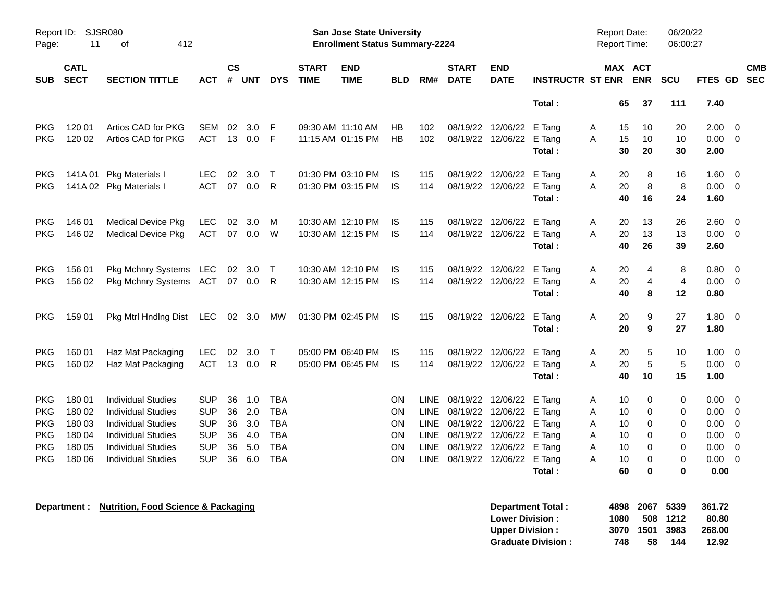| Report ID:<br>Page: | 11                         | SJSR080<br>412<br>οf      |            |           |          |              |                             | <b>San Jose State University</b><br><b>Enrollment Status Summary-2224</b> |            |             |                             |                           |                         |   | <b>Report Date:</b><br>Report Time: |            | 06/20/22<br>06:00:27 |                |                          |
|---------------------|----------------------------|---------------------------|------------|-----------|----------|--------------|-----------------------------|---------------------------------------------------------------------------|------------|-------------|-----------------------------|---------------------------|-------------------------|---|-------------------------------------|------------|----------------------|----------------|--------------------------|
| <b>SUB</b>          | <b>CATL</b><br><b>SECT</b> | <b>SECTION TITTLE</b>     | ACT        | <b>CS</b> | # UNT    | <b>DYS</b>   | <b>START</b><br><b>TIME</b> | <b>END</b><br><b>TIME</b>                                                 | <b>BLD</b> | RM#         | <b>START</b><br><b>DATE</b> | <b>END</b><br><b>DATE</b> | <b>INSTRUCTR ST ENR</b> |   | MAX ACT                             | <b>ENR</b> | SCU                  | <b>FTES GD</b> | <b>CMB</b><br><b>SEC</b> |
|                     |                            |                           |            |           |          |              |                             |                                                                           |            |             |                             |                           | Total:                  |   | 65                                  | 37         | 111                  | 7.40           |                          |
| <b>PKG</b>          | 120 01                     | Artios CAD for PKG        | SEM        | 02        | 3.0      | F            |                             | 09:30 AM 11:10 AM                                                         | HB         | 102         |                             | 08/19/22 12/06/22 E Tang  |                         | A | 15                                  | 10         | 20                   | 2.00           | 0                        |
| <b>PKG</b>          | 120 02                     | Artios CAD for PKG        | <b>ACT</b> |           | 13 0.0   | F            |                             | 11:15 AM 01:15 PM                                                         | HB         | 102         |                             | 08/19/22 12/06/22         | E Tang                  | A | 15                                  | 10         | 10                   | 0.00           | $\mathbf 0$              |
|                     |                            |                           |            |           |          |              |                             |                                                                           |            |             |                             |                           | Total:                  |   | 30                                  | 20         | 30                   | 2.00           |                          |
| <b>PKG</b>          | 141A 01                    | <b>Pkg Materials I</b>    | <b>LEC</b> | 02        | 3.0      | $\top$       |                             | 01:30 PM 03:10 PM                                                         | IS         | 115         |                             | 08/19/22 12/06/22         | E Tang                  | A | 20                                  | 8          | 16                   | 1.60           | 0                        |
| PKG                 |                            | 141A 02 Pkg Materials I   | <b>ACT</b> | 07        | 0.0      | R            |                             | 01:30 PM 03:15 PM                                                         | <b>IS</b>  | 114         |                             | 08/19/22 12/06/22 E Tang  |                         | A | 20                                  | 8          | 8                    | 0.00           | $\mathbf 0$              |
|                     |                            |                           |            |           |          |              |                             |                                                                           |            |             |                             |                           | Total:                  |   | 40                                  | 16         | 24                   | 1.60           |                          |
| <b>PKG</b>          | 146 01                     | <b>Medical Device Pkg</b> | <b>LEC</b> | 02        | 3.0      | M            |                             | 10:30 AM 12:10 PM                                                         | IS         | 115         |                             | 08/19/22 12/06/22         | E Tang                  | A | 20                                  | 13         | 26                   | 2.60           | 0                        |
| <b>PKG</b>          | 146 02                     | <b>Medical Device Pkg</b> | <b>ACT</b> | 07        | 0.0      | W            |                             | 10:30 AM 12:15 PM                                                         | <b>IS</b>  | 114         |                             | 08/19/22 12/06/22         | E Tang                  | A | 20                                  | 13         | 13                   | 0.00           | $\mathbf 0$              |
|                     |                            |                           |            |           |          |              |                             |                                                                           |            |             |                             |                           | Total:                  |   | 40                                  | 26         | 39                   | 2.60           |                          |
| <b>PKG</b>          | 156 01                     | Pkg Mchnry Systems LEC    |            |           | 02 3.0   | Т            |                             | 10:30 AM 12:10 PM                                                         | IS         | 115         |                             | 08/19/22 12/06/22         | E Tang                  | A | 20                                  | 4          | 8                    | 0.80           | 0                        |
| <b>PKG</b>          | 156 02                     | Pkg Mchnry Systems ACT    |            |           | 07 0.0 R |              |                             | 10:30 AM 12:15 PM                                                         | <b>IS</b>  | 114         |                             | 08/19/22 12/06/22         | E Tang                  | A | 20                                  | 4          | 4                    | 0.00           | $\mathbf 0$              |
|                     |                            |                           |            |           |          |              |                             |                                                                           |            |             |                             |                           | Total :                 |   | 40                                  | 8          | 12                   | 0.80           |                          |
| <b>PKG</b>          | 159 01                     | Pkg Mtrl Hndlng Dist      | LEC 02 3.0 |           |          | MW           |                             | 01:30 PM 02:45 PM                                                         | IS         | 115         |                             | 08/19/22 12/06/22         | E Tang                  | A | 20                                  | 9          | 27                   | 1.80           | $\overline{0}$           |
|                     |                            |                           |            |           |          |              |                             |                                                                           |            |             |                             |                           | Total:                  |   | 20                                  | 9          | 27                   | 1.80           |                          |
| <b>PKG</b>          | 160 01                     | Haz Mat Packaging         | <b>LEC</b> | 02        | 3.0      | $\mathsf{T}$ |                             | 05:00 PM 06:40 PM                                                         | <b>IS</b>  | 115         |                             | 08/19/22 12/06/22         | E Tang                  | Α | 20                                  | 5          | 10                   | 1.00           | $\mathbf 0$              |
| <b>PKG</b>          | 160 02                     | Haz Mat Packaging         | <b>ACT</b> | 13        | 0.0      | R.           |                             | 05:00 PM 06:45 PM                                                         | -IS        | 114         |                             | 08/19/22 12/06/22         | E Tang                  | A | 20                                  | 5          | 5                    | 0.00           | $\mathbf 0$              |
|                     |                            |                           |            |           |          |              |                             |                                                                           |            |             |                             |                           | Total:                  |   | 40                                  | 10         | 15                   | 1.00           |                          |
| <b>PKG</b>          | 180 01                     | <b>Individual Studies</b> | SUP        | 36        | 1.0      | <b>TBA</b>   |                             |                                                                           | ΟN         | LINE.       |                             | 08/19/22 12/06/22         | E Tang                  | Α | 10                                  | 0          | 0                    | 0.00           | 0                        |
| <b>PKG</b>          | 180 02                     | Individual Studies        | <b>SUP</b> | 36        | 2.0      | <b>TBA</b>   |                             |                                                                           | ON         | <b>LINE</b> |                             | 08/19/22 12/06/22         | E Tang                  | A | 10                                  | 0          | 0                    | 0.00           | 0                        |
| <b>PKG</b>          | 180 03                     | <b>Individual Studies</b> | <b>SUP</b> | 36        | 3.0      | <b>TBA</b>   |                             |                                                                           | ON         | <b>LINE</b> |                             | 08/19/22 12/06/22         | E Tang                  | Α | 10                                  | 0          | 0                    | 0.00           | $\mathbf 0$              |
| <b>PKG</b>          | 180 04                     | <b>Individual Studies</b> | <b>SUP</b> | 36        | 4.0      | <b>TBA</b>   |                             |                                                                           | ON         | LINE        |                             | 08/19/22 12/06/22 E Tang  |                         | A | 10                                  | 0          | 0                    | 0.00           | $\mathbf 0$              |
| <b>PKG</b>          | 180 05                     | <b>Individual Studies</b> | <b>SUP</b> | 36        | 5.0      | <b>TBA</b>   |                             |                                                                           | ON         | LINE        |                             | 08/19/22 12/06/22 E Tang  |                         | Α | 10                                  | 0          | 0                    | 0.00           | 0                        |
| <b>PKG</b>          | 180 06                     | <b>Individual Studies</b> | <b>SUP</b> | 36        | 6.0      | <b>TBA</b>   |                             |                                                                           | ΟN         | <b>LINE</b> |                             | 08/19/22 12/06/22 E Tang  |                         | A | 10                                  | 0          | $\mathbf 0$          | 0.00           | $\mathbf 0$              |
|                     |                            |                           |            |           |          |              |                             |                                                                           |            |             |                             |                           | Total:                  |   | 60                                  | 0          | 0                    | 0.00           |                          |

**Department : Nutrition, Food Science & Packaging** 

| Department Total:         |      | 4898 2067 5339 |          | 361.72 |
|---------------------------|------|----------------|----------|--------|
| <b>Lower Division :</b>   | 1080 |                | 508 1212 | 80.80  |
| <b>Upper Division:</b>    |      | 3070 1501 3983 |          | 268.00 |
| <b>Graduate Division:</b> | 748  | 58             | 144      | 12.92  |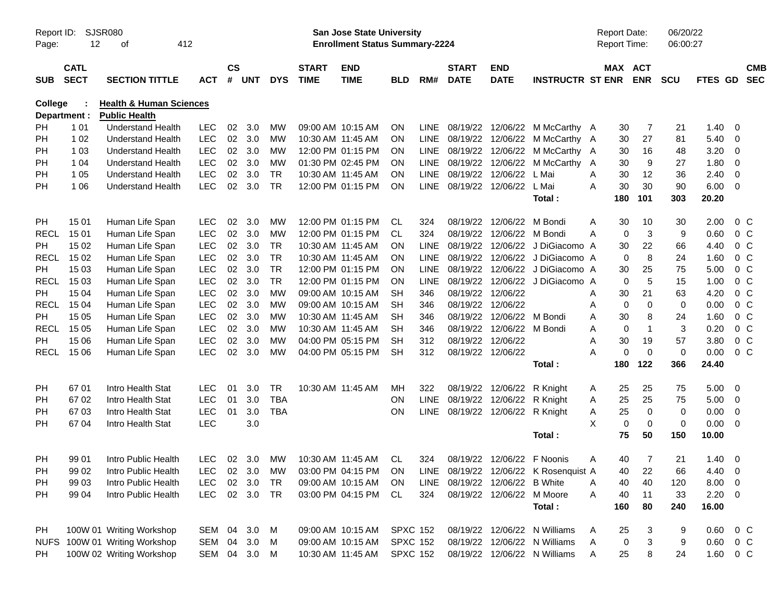| Report ID:<br>Page: | 12                         | <b>SJSR080</b><br>412<br>οf                      |                          |               |                |            |                             | <b>San Jose State University</b><br><b>Enrollment Status Summary-2224</b> |                 |             |                             |                            |                                       | <b>Report Date:</b><br><b>Report Time:</b> |          |                       | 06/20/22<br>06:00:27 |         |                         |                          |
|---------------------|----------------------------|--------------------------------------------------|--------------------------|---------------|----------------|------------|-----------------------------|---------------------------------------------------------------------------|-----------------|-------------|-----------------------------|----------------------------|---------------------------------------|--------------------------------------------|----------|-----------------------|----------------------|---------|-------------------------|--------------------------|
| <b>SUB</b>          | <b>CATL</b><br><b>SECT</b> | <b>SECTION TITTLE</b>                            | <b>ACT</b>               | $\mathsf{cs}$ | # UNT          | <b>DYS</b> | <b>START</b><br><b>TIME</b> | <b>END</b><br><b>TIME</b>                                                 | <b>BLD</b>      | RM#         | <b>START</b><br><b>DATE</b> | <b>END</b><br><b>DATE</b>  | <b>INSTRUCTR ST ENR</b>               |                                            |          | MAX ACT<br><b>ENR</b> | <b>SCU</b>           | FTES GD |                         | <b>CMB</b><br><b>SEC</b> |
| <b>College</b>      |                            | <b>Health &amp; Human Sciences</b>               |                          |               |                |            |                             |                                                                           |                 |             |                             |                            |                                       |                                            |          |                       |                      |         |                         |                          |
|                     | Department :               | <b>Public Health</b><br><b>Understand Health</b> |                          | 02            | 3.0            | МW         |                             | 09:00 AM 10:15 AM                                                         | ON              | <b>LINE</b> | 08/19/22                    |                            |                                       |                                            |          | 7                     | 21                   | 1.40    | -0                      |                          |
| PH<br>PH            | 1 0 1<br>1 0 2             | <b>Understand Health</b>                         | <b>LEC</b><br><b>LEC</b> | 02            | 3.0            | <b>MW</b>  |                             | 10:30 AM 11:45 AM                                                         | <b>ON</b>       | <b>LINE</b> | 08/19/22                    | 12/06/22<br>12/06/22       | M McCarthy A<br>M McCarthy A          |                                            | 30<br>30 | 27                    | 81                   | 5.40    | $\overline{0}$          |                          |
| PH                  | 1 0 3                      | <b>Understand Health</b>                         | <b>LEC</b>               | 02            | 3.0            | <b>MW</b>  |                             | 12:00 PM 01:15 PM                                                         | <b>ON</b>       | <b>LINE</b> | 08/19/22                    | 12/06/22                   | M McCarthy A                          |                                            | 30       | 16                    | 48                   | 3.20    | 0                       |                          |
| PH                  | 1 0 4                      | <b>Understand Health</b>                         | <b>LEC</b>               | 02            | 3.0            | <b>MW</b>  |                             | 01:30 PM 02:45 PM                                                         | <b>ON</b>       | <b>LINE</b> | 08/19/22                    | 12/06/22                   | M McCarthy A                          |                                            | 30       | 9                     | 27                   | 1.80    | 0                       |                          |
| PH                  | 1 0 5                      | <b>Understand Health</b>                         | <b>LEC</b>               | 02            | 3.0            | <b>TR</b>  | 10:30 AM 11:45 AM           |                                                                           | <b>ON</b>       | <b>LINE</b> | 08/19/22                    | 12/06/22                   | L Mai                                 | A                                          | 30       | 12                    | 36                   | 2.40    | 0                       |                          |
| PH                  | 1 0 6                      | <b>Understand Health</b>                         | <b>LEC</b>               | 02            | 3.0            | <b>TR</b>  |                             | 12:00 PM 01:15 PM                                                         | <b>ON</b>       | <b>LINE</b> | 08/19/22                    | 12/06/22                   | L Mai                                 | A                                          | 30       | 30                    | 90                   | 6.00    | - 0                     |                          |
|                     |                            |                                                  |                          |               |                |            |                             |                                                                           |                 |             |                             |                            | Total:                                |                                            | 180      | 101                   | 303                  | 20.20   |                         |                          |
| PH                  | 15 01                      | Human Life Span                                  | <b>LEC</b>               | 02            | 3.0            | <b>MW</b>  |                             | 12:00 PM 01:15 PM                                                         | CL              | 324         | 08/19/22                    | 12/06/22                   | M Bondi                               | A                                          | 30       | 10                    | 30                   | 2.00    | $0\,C$                  |                          |
| <b>RECL</b>         | 15 01                      | Human Life Span                                  | LEC                      | 02            | 3.0            | MW         |                             | 12:00 PM 01:15 PM                                                         | CL.             | 324         | 08/19/22                    | 12/06/22                   | M Bondi                               | Α                                          | 0        | 3                     | 9                    | 0.60    | 0 <sup>C</sup>          |                          |
| PH                  | 15 02                      | Human Life Span                                  | <b>LEC</b>               | 02            | 3.0            | <b>TR</b>  |                             | 10:30 AM 11:45 AM                                                         | <b>ON</b>       | <b>LINE</b> | 08/19/22                    | 12/06/22                   | J DiGiacomo A                         |                                            | 30       | 22                    | 66                   | 4.40    | 0 <sup>C</sup>          |                          |
| <b>RECL</b>         | 15 02                      | Human Life Span                                  | <b>LEC</b>               | 02            | 3.0            | <b>TR</b>  |                             | 10:30 AM 11:45 AM                                                         | <b>ON</b>       | LINE        | 08/19/22                    | 12/06/22                   | J DiGiacomo A                         |                                            | 0        | 8                     | 24                   | 1.60    | 0 <sup>C</sup>          |                          |
| PH                  | 15 03                      | Human Life Span                                  | <b>LEC</b>               | 02            | 3.0            | <b>TR</b>  |                             | 12:00 PM 01:15 PM                                                         | <b>ON</b>       | LINE        | 08/19/22                    | 12/06/22                   | J DiGiacomo A                         |                                            | 30       | 25                    | 75                   | 5.00    | 0 <sup>C</sup>          |                          |
| <b>RECL</b>         | 15 03                      | Human Life Span                                  | <b>LEC</b>               | 02            | 3.0            | <b>TR</b>  |                             | 12:00 PM 01:15 PM                                                         | <b>ON</b>       | LINE        | 08/19/22                    | 12/06/22                   | J DiGiacomo A                         |                                            | 0        | 5                     | 15                   | 1.00    | 0 <sup>C</sup>          |                          |
| <b>PH</b>           | 15 04                      | Human Life Span                                  | <b>LEC</b>               | 02            | 3.0            | <b>MW</b>  |                             | 09:00 AM 10:15 AM                                                         | <b>SH</b>       | 346         | 08/19/22                    | 12/06/22                   |                                       | Α                                          | 30       | 21                    | 63                   | 4.20    | 0 <sup>C</sup>          |                          |
| <b>RECL</b>         | 15 04                      | Human Life Span                                  | <b>LEC</b>               | 02            | 3.0            | <b>MW</b>  |                             | 09:00 AM 10:15 AM                                                         | <b>SH</b>       | 346         | 08/19/22                    | 12/06/22                   |                                       | Α                                          | 0        | 0                     | $\mathbf 0$          | 0.00    | 0 <sup>C</sup>          |                          |
| <b>PH</b>           | 15 05                      | Human Life Span                                  | <b>LEC</b>               | 02            | 3.0            | <b>MW</b>  |                             | 10:30 AM 11:45 AM                                                         | <b>SH</b>       | 346         | 08/19/22                    | 12/06/22                   | M Bondi                               | Α                                          | 30       | 8                     | 24                   | 1.60    | 0 <sup>C</sup>          |                          |
| <b>RECL</b>         | 15 05                      | Human Life Span                                  | <b>LEC</b>               | 02            | 3.0            | <b>MW</b>  |                             | 10:30 AM 11:45 AM                                                         | <b>SH</b>       | 346         | 08/19/22                    | 12/06/22                   | M Bondi                               | Α                                          | 0        | $\overline{1}$        | 3                    | 0.20    | $0\,C$                  |                          |
| PН                  | 15 06                      | Human Life Span                                  | LEC                      | 02            | 3.0            | <b>MW</b>  |                             | 04:00 PM 05:15 PM                                                         | <b>SH</b>       | 312         | 08/19/22                    | 12/06/22                   |                                       | A                                          | 30       | 19                    | 57                   | 3.80    | 0 <sup>C</sup>          |                          |
| RECL                | 15 06                      | Human Life Span                                  | <b>LEC</b>               | 02            | 3.0            | <b>MW</b>  |                             | 04:00 PM 05:15 PM                                                         | <b>SH</b>       | 312         | 08/19/22                    | 12/06/22                   |                                       | Α                                          | 0        | $\mathbf 0$           | $\mathbf 0$          | 0.00    | 0 <sup>o</sup>          |                          |
|                     |                            |                                                  |                          |               |                |            |                             |                                                                           |                 |             |                             |                            | Total:                                |                                            | 180      | 122                   | 366                  | 24.40   |                         |                          |
| PH                  | 67 01                      | Intro Health Stat                                | <b>LEC</b>               | 01            | 3.0            | <b>TR</b>  |                             | 10:30 AM 11:45 AM                                                         | МH              | 322         | 08/19/22                    | 12/06/22                   | R Knight                              | A                                          | 25       | 25                    | 75                   | 5.00    | - 0                     |                          |
| PH                  | 67 02                      | Intro Health Stat                                | <b>LEC</b>               | 01            | 3.0            | <b>TBA</b> |                             |                                                                           | ON              | <b>LINE</b> | 08/19/22                    | 12/06/22                   | R Knight                              | A                                          | 25       | 25                    | 75                   | 5.00    | 0                       |                          |
| PH                  | 6703                       | Intro Health Stat                                | <b>LEC</b>               | 01            | 3.0            | <b>TBA</b> |                             |                                                                           | ON              | <b>LINE</b> | 08/19/22                    | 12/06/22                   | R Knight                              | Α                                          | 25       | 0                     | $\mathbf 0$          | 0.00    | 0                       |                          |
| PH                  | 67 04                      | Intro Health Stat                                | LEC                      |               | 3.0            |            |                             |                                                                           |                 |             |                             |                            |                                       | X                                          | 0        | $\mathbf 0$           | $\mathbf 0$          | 0.00    | - 0                     |                          |
|                     |                            |                                                  |                          |               |                |            |                             |                                                                           |                 |             |                             |                            | Total:                                |                                            | 75       | 50                    | 150                  | 10.00   |                         |                          |
| PH                  | 99 01                      | Intro Public Health                              | LEC.                     |               | $02 \quad 3.0$ | МW         | 10:30 AM 11:45 AM           |                                                                           | CL              | 324         |                             | 08/19/22 12/06/22 F Noonis |                                       | A                                          | 40       | 7                     | 21                   | 1.40    | - 0                     |                          |
| PH                  | 99 02                      | Intro Public Health                              | LEC                      |               |                | 02 3.0 MW  |                             | 03:00 PM 04:15 PM ON                                                      |                 |             |                             |                            | LINE 08/19/22 12/06/22 K Rosenquist A |                                            | 40       | 22                    | 66                   | 4.40    | $\overline{0}$          |                          |
| PН                  | 99 03                      | Intro Public Health                              | <b>LEC</b>               | 02            | 3.0            | TR         |                             | 09:00 AM 10:15 AM                                                         | <b>ON</b>       | LINE        | 08/19/22 12/06/22 B White   |                            |                                       | Α                                          | 40       | 40                    | 120                  | 8.00    | 0                       |                          |
| PH                  | 99 04                      | Intro Public Health                              | <b>LEC</b>               |               | 02 3.0         | <b>TR</b>  |                             | 03:00 PM 04:15 PM                                                         | CL              | 324         |                             | 08/19/22 12/06/22 M Moore  |                                       | Α                                          | 40       | 11                    | 33                   | 2.20    | $\overline{\mathbf{0}}$ |                          |
|                     |                            |                                                  |                          |               |                |            |                             |                                                                           |                 |             |                             |                            | Total:                                |                                            | 160      | 80                    | 240                  | 16.00   |                         |                          |
| PH                  |                            | 100W 01 Writing Workshop                         | SEM                      | 04            | 3.0            | M          |                             | 09:00 AM 10:15 AM                                                         | <b>SPXC 152</b> |             |                             | 08/19/22 12/06/22          | N Williams                            | A                                          | 25       | 3                     | 9                    | 0.60    | $0\,$ C                 |                          |
|                     |                            | NUFS 100W 01 Writing Workshop                    | SEM                      | 04            | 3.0            | M          |                             | 09:00 AM 10:15 AM                                                         | <b>SPXC 152</b> |             | 08/19/22                    |                            | 12/06/22 N Williams                   | Α                                          | 0        | 3                     | 9                    | 0.60    | 0 C                     |                          |
| PH                  |                            | 100W 02 Writing Workshop                         | SEM 04 3.0               |               |                | M          | 10:30 AM 11:45 AM           |                                                                           | <b>SPXC 152</b> |             |                             |                            | 08/19/22 12/06/22 N Williams          | A                                          | 25       | 8                     | 24                   | 1.60    | $0\,C$                  |                          |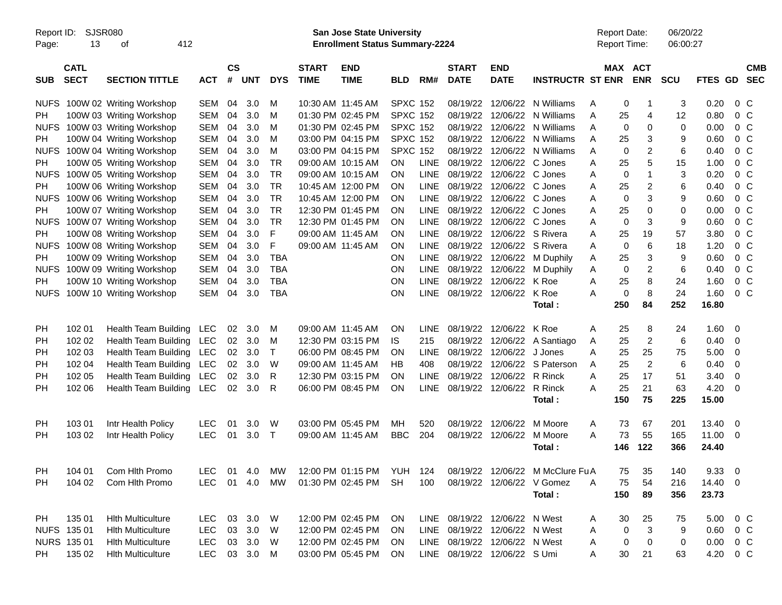| Report ID:<br>Page: | SJSR080<br>13              | 412<br>οf                   |              |                    |            |            |                             | <b>San Jose State University</b><br><b>Enrollment Status Summary-2224</b> |                 |             |                               |                           |                                  |   | <b>Report Date:</b><br><b>Report Time:</b> |                | 06/20/22<br>06:00:27 |                 |                         |                          |
|---------------------|----------------------------|-----------------------------|--------------|--------------------|------------|------------|-----------------------------|---------------------------------------------------------------------------|-----------------|-------------|-------------------------------|---------------------------|----------------------------------|---|--------------------------------------------|----------------|----------------------|-----------------|-------------------------|--------------------------|
| <b>SUB</b>          | <b>CATL</b><br><b>SECT</b> | <b>SECTION TITTLE</b>       | <b>ACT</b>   | $\mathsf{cs}$<br># | <b>UNT</b> | <b>DYS</b> | <b>START</b><br><b>TIME</b> | <b>END</b><br><b>TIME</b>                                                 | <b>BLD</b>      | RM#         | <b>START</b><br><b>DATE</b>   | <b>END</b><br><b>DATE</b> | <b>INSTRUCTR ST ENR</b>          |   | MAX ACT                                    | <b>ENR</b>     | <b>SCU</b>           | FTES GD         |                         | <b>CMB</b><br><b>SEC</b> |
| <b>NUFS</b>         |                            | 100W 02 Writing Workshop    | <b>SEM</b>   | 04                 | 3.0        | м          |                             | 10:30 AM 11:45 AM                                                         | <b>SPXC 152</b> |             | 08/19/22                      |                           | 12/06/22 N Williams              | A | 0                                          | -1             | 3                    | 0.20            | $0\,$ C                 |                          |
| <b>PH</b>           |                            | 100W 03 Writing Workshop    | <b>SEM</b>   | 04                 | 3.0        | M          |                             | 01:30 PM 02:45 PM                                                         | <b>SPXC 152</b> |             | 08/19/22                      | 12/06/22                  | N Williams                       | Α | 25                                         | $\overline{4}$ | 12                   | 0.80            | 0 <sup>o</sup>          |                          |
| <b>NUFS</b>         |                            | 100W 03 Writing Workshop    | <b>SEM</b>   | 04                 | 3.0        | м          |                             | 01:30 PM 02:45 PM                                                         | <b>SPXC 152</b> |             | 08/19/22                      | 12/06/22                  | N Williams                       | Α | $\mathbf 0$                                | $\Omega$       | 0                    | 0.00            | 0 <sup>o</sup>          |                          |
| PH.                 |                            | 100W 04 Writing Workshop    | <b>SEM</b>   | 04                 | 3.0        | м          |                             | 03:00 PM 04:15 PM                                                         | <b>SPXC 152</b> |             | 08/19/22                      | 12/06/22                  | N Williams                       | A | 25                                         | 3              | 9                    | 0.60            | 0 <sup>o</sup>          |                          |
| <b>NUFS</b>         |                            | 100W 04 Writing Workshop    | <b>SEM</b>   | 04                 | 3.0        | M          |                             | 03:00 PM 04:15 PM                                                         | <b>SPXC 152</b> |             | 08/19/22                      | 12/06/22                  | N Williams                       | A | $\mathbf 0$                                | 2              | 6                    | 0.40            | 0 <sup>o</sup>          |                          |
| PH.                 |                            | 100W 05 Writing Workshop    | <b>SEM</b>   | 04                 | 3.0        | <b>TR</b>  |                             | 09:00 AM 10:15 AM                                                         | OΝ              | <b>LINE</b> | 08/19/22                      | 12/06/22 C Jones          |                                  | A | 25                                         | 5              | 15                   | 1.00            | 0 <sup>o</sup>          |                          |
| <b>NUFS</b>         |                            | 100W 05 Writing Workshop    | <b>SEM</b>   | 04                 | 3.0        | <b>TR</b>  |                             | 09:00 AM 10:15 AM                                                         | ΟN              | <b>LINE</b> | 08/19/22                      | 12/06/22 C Jones          |                                  | A | 0                                          | $\mathbf 1$    | 3                    | 0.20            | 0 <sup>o</sup>          |                          |
| <b>PH</b>           |                            | 100W 06 Writing Workshop    | <b>SEM</b>   | 04                 | 3.0        | <b>TR</b>  |                             | 10:45 AM 12:00 PM                                                         | ΟN              | <b>LINE</b> | 08/19/22                      | 12/06/22 C Jones          |                                  | A | 25                                         | 2              | 6                    | 0.40            | 0 <sup>o</sup>          |                          |
| <b>NUFS</b>         |                            | 100W 06 Writing Workshop    | <b>SEM</b>   | 04                 | 3.0        | <b>TR</b>  |                             | 10:45 AM 12:00 PM                                                         | ΟN              | <b>LINE</b> | 08/19/22                      | 12/06/22 C Jones          |                                  | A | $\mathbf 0$                                | 3              | 9                    | 0.60            | 0 <sup>o</sup>          |                          |
| PH.                 |                            | 100W 07 Writing Workshop    | <b>SEM</b>   | 04                 | 3.0        | <b>TR</b>  |                             | 12:30 PM 01:45 PM                                                         | ΟN              | <b>LINE</b> | 08/19/22                      | 12/06/22 C Jones          |                                  | A | 25                                         | 0              | 0                    | 0.00            | 0 <sup>o</sup>          |                          |
| <b>NUFS</b>         |                            | 100W 07 Writing Workshop    | <b>SEM</b>   | 04                 | 3.0        | <b>TR</b>  |                             | 12:30 PM 01:45 PM                                                         | ΟN              | <b>LINE</b> | 08/19/22                      | 12/06/22 C Jones          |                                  | A | 0                                          | 3              | 9                    | 0.60            | 0 <sup>o</sup>          |                          |
| <b>PH</b>           |                            | 100W 08 Writing Workshop    | <b>SEM</b>   | 04                 | 3.0        | F          |                             | 09:00 AM 11:45 AM                                                         | ΟN              | <b>LINE</b> | 08/19/22                      | 12/06/22 S Rivera         |                                  | A | 25                                         | 19             | 57                   | 3.80            | 0 <sup>o</sup>          |                          |
| <b>NUFS</b>         |                            | 100W 08 Writing Workshop    | <b>SEM</b>   | 04                 | 3.0        | F          |                             | 09:00 AM 11:45 AM                                                         | ΟN              | <b>LINE</b> | 08/19/22                      | 12/06/22 S Rivera         |                                  | Α | 0                                          | 6              | 18                   | 1.20            | 0 <sup>o</sup>          |                          |
| <b>PH</b>           |                            | 100W 09 Writing Workshop    | <b>SEM</b>   | 04                 | 3.0        | <b>TBA</b> |                             |                                                                           | ΟN              | <b>LINE</b> | 08/19/22                      | 12/06/22                  | M Duphily                        | A | 25                                         | 3              | 9                    | 0.60            | 0 <sup>o</sup>          |                          |
| <b>NUFS</b>         |                            | 100W 09 Writing Workshop    | <b>SEM</b>   | 04                 | 3.0        | <b>TBA</b> |                             |                                                                           | ON              | <b>LINE</b> | 08/19/22                      | 12/06/22                  | M Duphily                        | Α | $\mathbf 0$                                | $\overline{c}$ | 6                    | 0.40            | 0 <sup>o</sup>          |                          |
| PH.                 |                            | 100W 10 Writing Workshop    | <b>SEM</b>   | 04                 | 3.0        | <b>TBA</b> |                             |                                                                           | ON              | <b>LINE</b> | 08/19/22                      | 12/06/22                  | K Roe                            | Α | 25                                         | 8              | 24                   | 1.60            | $0\,$ C                 |                          |
| <b>NUFS</b>         |                            | 100W 10 Writing Workshop    | <b>SEM</b>   | 04                 | 3.0        | <b>TBA</b> |                             |                                                                           | ON              | <b>LINE</b> |                               | 08/19/22 12/06/22         | K Roe                            | Α | $\pmb{0}$                                  | 8              | 24                   | 1.60            | $0\,C$                  |                          |
|                     |                            |                             |              |                    |            |            |                             |                                                                           |                 |             |                               |                           | Total:                           |   | 250                                        | 84             | 252                  | 16.80           |                         |                          |
|                     |                            |                             |              |                    |            |            |                             |                                                                           |                 |             |                               |                           |                                  |   |                                            |                |                      |                 |                         |                          |
| PH                  | 102 01                     | <b>Health Team Building</b> | <b>LEC</b>   | 02                 | 3.0        | M          |                             | 09:00 AM 11:45 AM                                                         | ΟN              | <b>LINE</b> | 08/19/22                      | 12/06/22                  | K Roe                            | A | 25                                         | 8              | 24                   | $1.60 \t 0$     |                         |                          |
| PH                  | 102 02                     | Health Team Building        | <b>LEC</b>   | 02                 | 3.0        | M          |                             | 12:30 PM 03:15 PM                                                         | IS.             | 215         | 08/19/22                      | 12/06/22                  | A Santiago                       | A | 25                                         | $\overline{c}$ | 6                    | 0.40            | $\overline{\mathbf{0}}$ |                          |
| PH                  | 102 03                     | Health Team Building        | <b>LEC</b>   | 02                 | 3.0        | Т          |                             | 06:00 PM 08:45 PM                                                         | ΟN              | <b>LINE</b> | 08/19/22                      | 12/06/22                  | J Jones                          | Α | 25                                         | 25             | 75                   | 5.00            | 0                       |                          |
| PH                  | 102 04                     | Health Team Building        | <b>LEC</b>   | 02                 | 3.0        | W          |                             | 09:00 AM 11:45 AM                                                         | НB              | 408         | 08/19/22                      | 12/06/22                  | S Paterson                       | A | 25                                         | 2              | 6                    | 0.40            | 0                       |                          |
| PH                  | 102 05                     | Health Team Building        | <b>LEC</b>   | 02                 | 3.0        | R          |                             | 12:30 PM 03:15 PM                                                         | ΟN              | <b>LINE</b> | 08/19/22                      | 12/06/22                  | R Rinck                          | A | 25                                         | 17             | 51                   | 3.40            | 0                       |                          |
| PH                  | 102 06                     | Health Team Building        | LEC          | 02                 | 3.0        | R          |                             | 06:00 PM 08:45 PM                                                         | ON              | <b>LINE</b> |                               | 08/19/22 12/06/22         | R Rinck                          | A | 25                                         | 21             | 63                   | 4.20            | 0                       |                          |
|                     |                            |                             |              |                    |            |            |                             |                                                                           |                 |             |                               |                           | Total:                           |   | 150                                        | 75             | 225                  | 15.00           |                         |                          |
|                     |                            |                             |              |                    |            |            |                             |                                                                           |                 |             |                               |                           |                                  |   |                                            |                |                      |                 |                         |                          |
| PH                  | 103 01                     | Intr Health Policy          | <b>LEC</b>   | 01                 | 3.0        | W          |                             | 03:00 PM 05:45 PM                                                         | MН              | 520         | 08/19/22                      | 12/06/22                  | M Moore                          | A | 73                                         | 67             | 201                  | $13.40 \quad 0$ |                         |                          |
| PH                  | 103 02                     | Intr Health Policy          | <b>LEC</b>   | 01                 | 3.0        | T          | 09:00 AM 11:45 AM           |                                                                           | <b>BBC</b>      | 204         | 08/19/22                      | 12/06/22                  | M Moore                          | A | 73                                         | 55             | 165                  | 11.00 0         |                         |                          |
|                     |                            |                             |              |                    |            |            |                             |                                                                           |                 |             |                               |                           | Total:                           |   | 146                                        | 122            | 366                  | 24.40           |                         |                          |
|                     |                            |                             |              |                    |            |            |                             |                                                                           |                 |             |                               |                           |                                  |   |                                            |                |                      |                 |                         |                          |
| PH                  | 104 01                     | Com Hlth Promo              | LEC.         | - 01               | 4.0        | МW         |                             | 12:00 PM 01:15 PM                                                         | YUH             | 124         |                               |                           | 08/19/22 12/06/22 M McClure Fu A |   | 75                                         | 35             | 140                  | 9.3300          |                         |                          |
| <b>PH</b>           | 104 02                     | Com Hith Promo              | LEC.         |                    | 01 4.0     | MW         |                             | 01:30 PM 02:45 PM                                                         | SH.             | 100         |                               |                           | 08/19/22 12/06/22 V Gomez        | A | 75                                         | 54             | 216                  | 14.40 0         |                         |                          |
|                     |                            |                             |              |                    |            |            |                             |                                                                           |                 |             |                               |                           | Total:                           |   | 150                                        | 89             | 356                  | 23.73           |                         |                          |
|                     |                            |                             |              |                    |            |            |                             |                                                                           |                 |             |                               |                           |                                  |   |                                            |                |                      |                 |                         |                          |
| PH                  | 135 01                     | <b>Hith Multiculture</b>    | <b>LEC</b>   |                    | 03 3.0 W   |            |                             | 12:00 PM 02:45 PM                                                         | <b>ON</b>       |             | LINE 08/19/22 12/06/22 N West |                           |                                  | A | 30                                         | 25             | 75                   | 5.00 0 C        |                         |                          |
|                     | NUFS 135 01                | <b>Hith Multiculture</b>    | <b>LEC</b>   |                    | 03 3.0     | W          |                             | 12:00 PM 02:45 PM                                                         | <b>ON</b>       |             | LINE 08/19/22 12/06/22 N West |                           |                                  | A | 0                                          | 3              | 9                    | $0.60 \t 0 C$   |                         |                          |
|                     | NURS 135 01                | <b>Hith Multiculture</b>    | <b>LEC</b>   |                    | 03 3.0 W   |            |                             | 12:00 PM 02:45 PM                                                         | <b>ON</b>       |             | LINE 08/19/22 12/06/22 N West |                           |                                  | A | 0                                          | 0              | 0                    | $0.00 \t 0 C$   |                         |                          |
| PH                  | 135 02                     | <b>Hith Multiculture</b>    | LEC 03 3.0 M |                    |            |            |                             | 03:00 PM 05:45 PM                                                         | ON              |             | LINE 08/19/22 12/06/22 S Umi  |                           |                                  | A | 30                                         | 21             | 63                   | 4.20 0 C        |                         |                          |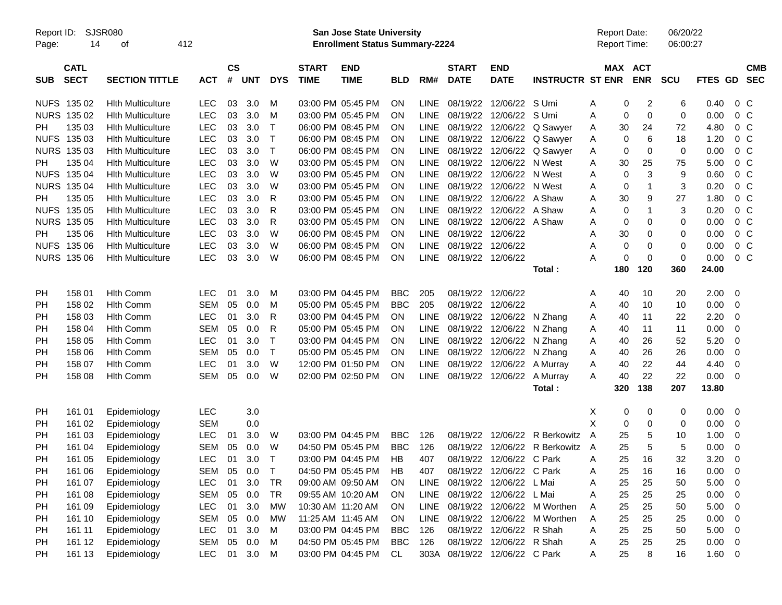| Report ID:<br>Page: | SJSR080<br>14              | 412<br>οf                |            |                    |            |            |                             | <b>San Jose State University</b><br><b>Enrollment Status Summary-2224</b> |            |             |                             |                               |                             |   | <b>Report Date:</b><br>Report Time: |            | 06/20/22<br>06:00:27 |         |                |                          |
|---------------------|----------------------------|--------------------------|------------|--------------------|------------|------------|-----------------------------|---------------------------------------------------------------------------|------------|-------------|-----------------------------|-------------------------------|-----------------------------|---|-------------------------------------|------------|----------------------|---------|----------------|--------------------------|
| <b>SUB</b>          | <b>CATL</b><br><b>SECT</b> | <b>SECTION TITTLE</b>    | <b>ACT</b> | $\mathsf{cs}$<br># | <b>UNT</b> | <b>DYS</b> | <b>START</b><br><b>TIME</b> | <b>END</b><br><b>TIME</b>                                                 | <b>BLD</b> | RM#         | <b>START</b><br><b>DATE</b> | <b>END</b><br><b>DATE</b>     | <b>INSTRUCTR ST ENR</b>     |   | MAX ACT                             | <b>ENR</b> | <b>SCU</b>           | FTES GD |                | <b>CMB</b><br><b>SEC</b> |
|                     | NUFS 135 02                | <b>Hith Multiculture</b> | <b>LEC</b> | 03                 | 3.0        | M          |                             | 03:00 PM 05:45 PM                                                         | <b>ON</b>  | <b>LINE</b> |                             | 08/19/22 12/06/22 S Umi       |                             | A | 0                                   | 2          | 6                    | 0.40    | $0\,C$         |                          |
| <b>NURS</b>         | 135 02                     | <b>Hith Multiculture</b> | <b>LEC</b> | 03                 | 3.0        | M          |                             | 03:00 PM 05:45 PM                                                         | <b>ON</b>  | <b>LINE</b> |                             | 08/19/22 12/06/22             | S Umi                       | Α | 0                                   | 0          | $\mathbf 0$          | 0.00    | $0\,C$         |                          |
| PН                  | 135 03                     | <b>Hith Multiculture</b> | <b>LEC</b> | 03                 | 3.0        | т          |                             | 06:00 PM 08:45 PM                                                         | <b>ON</b>  | <b>LINE</b> |                             | 08/19/22 12/06/22             | Q Sawyer                    | A | 30                                  | 24         | 72                   | 4.80    | $0\,C$         |                          |
| <b>NUFS</b>         | 135 03                     | Hith Multiculture        | <b>LEC</b> | 03                 | 3.0        | т          |                             | 06:00 PM 08:45 PM                                                         | ON         | <b>LINE</b> |                             | 08/19/22 12/06/22             | Q Sawyer                    | A | 0                                   | 6          | 18                   | 1.20    | $0\,C$         |                          |
| <b>NURS</b>         | 135 03                     | Hith Multiculture        | <b>LEC</b> | 03                 | 3.0        | Τ          |                             | 06:00 PM 08:45 PM                                                         | <b>ON</b>  | <b>LINE</b> |                             | 08/19/22 12/06/22             | Q Sawyer                    | Α | 0                                   | 0          | 0                    | 0.00    | $0\,C$         |                          |
| РH                  | 135 04                     | Hith Multiculture        | <b>LEC</b> | 03                 | 3.0        | W          |                             | 03:00 PM 05:45 PM                                                         | <b>ON</b>  | <b>LINE</b> |                             | 08/19/22 12/06/22             | N West                      | Α | 30                                  | 25         | 75                   | 5.00    | $0\,C$         |                          |
| <b>NUFS</b>         | 135 04                     | Hith Multiculture        | <b>LEC</b> | 03                 | 3.0        | W          |                             | 03:00 PM 05:45 PM                                                         | <b>ON</b>  | <b>LINE</b> |                             | 08/19/22 12/06/22 N West      |                             | A | 0                                   | 3          | 9                    | 0.60    | $0\,C$         |                          |
|                     | <b>NURS 135 04</b>         | Hith Multiculture        | <b>LEC</b> | 03                 | 3.0        | W          |                             | 03:00 PM 05:45 PM                                                         | <b>ON</b>  | <b>LINE</b> |                             | 08/19/22 12/06/22 N West      |                             | A | 0                                   | -1         | 3                    | 0.20    | $0\,C$         |                          |
| РH                  | 135 05                     | <b>Hith Multiculture</b> | <b>LEC</b> | 03                 | 3.0        | R          |                             | 03:00 PM 05:45 PM                                                         | <b>ON</b>  | <b>LINE</b> |                             | 08/19/22 12/06/22 A Shaw      |                             | Α | 30                                  | 9          | 27                   | 1.80    | $0\,C$         |                          |
| <b>NUFS</b>         | 135 05                     | Hith Multiculture        | <b>LEC</b> | 03                 | 3.0        | R          |                             | 03:00 PM 05:45 PM                                                         | <b>ON</b>  | <b>LINE</b> |                             | 08/19/22 12/06/22 A Shaw      |                             | A | 0                                   | -1         | 3                    | 0.20    | 0 <sup>C</sup> |                          |
| <b>NURS</b>         | 135 05                     | Hith Multiculture        | <b>LEC</b> | 03                 | 3.0        | R          |                             | 03:00 PM 05:45 PM                                                         | <b>ON</b>  | <b>LINE</b> |                             | 08/19/22 12/06/22 A Shaw      |                             | A | 0                                   | 0          | 0                    | 0.00    | $0\,C$         |                          |
| PН                  | 135 06                     | <b>Hith Multiculture</b> | <b>LEC</b> | 03                 | 3.0        | W          |                             | 06:00 PM 08:45 PM                                                         | <b>ON</b>  | <b>LINE</b> | 08/19/22 12/06/22           |                               |                             | Α | 30                                  | 0          | 0                    | 0.00    | 0 <sup>C</sup> |                          |
| <b>NUFS</b>         | 135 06                     | Hith Multiculture        | <b>LEC</b> | 03                 | 3.0        | W          |                             | 06:00 PM 08:45 PM                                                         | <b>ON</b>  | <b>LINE</b> | 08/19/22 12/06/22           |                               |                             | Α | 0                                   | 0          | 0                    | 0.00    | 0 <sup>C</sup> |                          |
|                     | <b>NURS 135 06</b>         | <b>Hith Multiculture</b> | <b>LEC</b> | 03                 | 3.0        | W          |                             | 06:00 PM 08:45 PM                                                         | <b>ON</b>  | <b>LINE</b> | 08/19/22 12/06/22           |                               |                             | А | 0                                   | 0          | $\mathbf 0$          | 0.00    | 0 <sup>o</sup> |                          |
|                     |                            |                          |            |                    |            |            |                             |                                                                           |            |             |                             |                               | Total:                      |   | 180                                 | 120        | 360                  | 24.00   |                |                          |
|                     |                            |                          |            |                    |            |            |                             |                                                                           |            |             |                             |                               |                             |   |                                     |            |                      |         |                |                          |
| PH                  | 158 01                     | <b>Hith Comm</b>         | <b>LEC</b> | 01                 | 3.0        | M          |                             | 03:00 PM 04:45 PM                                                         | <b>BBC</b> | 205         | 08/19/22 12/06/22           |                               |                             | A | 40                                  | 10         | 20                   | 2.00    | 0              |                          |
| PH                  | 158 02                     | <b>Hith Comm</b>         | <b>SEM</b> | 05                 | 0.0        | M          |                             | 05:00 PM 05:45 PM                                                         | <b>BBC</b> | 205         | 08/19/22 12/06/22           |                               |                             | Α | 40                                  | 10         | 10                   | 0.00    | 0              |                          |
| PH                  | 158 03                     | <b>Hith Comm</b>         | <b>LEC</b> | 01                 | 3.0        | R          |                             | 03:00 PM 04:45 PM                                                         | <b>ON</b>  | <b>LINE</b> |                             | 08/19/22 12/06/22             | N Zhang                     | A | 40                                  | 11         | 22                   | 2.20    | 0              |                          |
| PH                  | 158 04                     | <b>Hith Comm</b>         | <b>SEM</b> | 05                 | 0.0        | R          |                             | 05:00 PM 05:45 PM                                                         | <b>ON</b>  | <b>LINE</b> |                             | 08/19/22 12/06/22             | N Zhang                     | A | 40                                  | 11         | 11                   | 0.00    | 0              |                          |
| PH                  | 158 05                     | <b>Hith Comm</b>         | <b>LEC</b> | 01                 | 3.0        | т          |                             | 03:00 PM 04:45 PM                                                         | <b>ON</b>  | <b>LINE</b> |                             | 08/19/22 12/06/22             | N Zhang                     | A | 40                                  | 26         | 52                   | 5.20    | 0              |                          |
| PH                  | 158 06                     | <b>Hith Comm</b>         | <b>SEM</b> | 05                 | 0.0        | Τ          |                             | 05:00 PM 05:45 PM                                                         | <b>ON</b>  | <b>LINE</b> |                             | 08/19/22 12/06/22             | N Zhang                     | A | 40                                  | 26         | 26                   | 0.00    | 0              |                          |
| PH                  | 158 07                     | <b>Hith Comm</b>         | <b>LEC</b> | 01                 | 3.0        | W          |                             | 12:00 PM 01:50 PM                                                         | <b>ON</b>  | <b>LINE</b> |                             | 08/19/22 12/06/22             | A Murray                    | A | 40                                  | 22         | 44                   | 4.40    | 0              |                          |
| PH                  | 158 08                     | <b>Hlth Comm</b>         | <b>SEM</b> | 05                 | 0.0        | W          |                             | 02:00 PM 02:50 PM                                                         | ON         | LINE        | 08/19/22 12/06/22           |                               | A Murray                    | A | 40                                  | 22         | 22                   | 0.00    | 0              |                          |
|                     |                            |                          |            |                    |            |            |                             |                                                                           |            |             |                             |                               | Total:                      |   | 320                                 | 138        | 207                  | 13.80   |                |                          |
|                     |                            |                          |            |                    |            |            |                             |                                                                           |            |             |                             |                               |                             |   |                                     |            |                      |         |                |                          |
| PH                  | 161 01                     | Epidemiology             | LEC        |                    | 3.0        |            |                             |                                                                           |            |             |                             |                               |                             | Х | 0                                   | 0          | 0                    | 0.00    | 0              |                          |
| PH                  | 161 02                     | Epidemiology             | <b>SEM</b> |                    | 0.0        |            |                             |                                                                           |            |             |                             |                               |                             | X | 0                                   | 0          | 0                    | 0.00    | 0              |                          |
| PH                  | 161 03                     | Epidemiology             | <b>LEC</b> | 01                 | 3.0        | W          |                             | 03:00 PM 04:45 PM                                                         | <b>BBC</b> | 126         |                             | 08/19/22 12/06/22             | R Berkowitz                 | A | 25                                  | 5          | 10                   | 1.00    | 0              |                          |
| PH                  | 161 04                     | Epidemiology             | <b>SEM</b> | 05                 | 0.0        | W          |                             | 04:50 PM 05:45 PM                                                         | <b>BBC</b> | 126         | 08/19/22                    | 12/06/22                      | R Berkowitz                 | A | 25                                  | 5          | 5                    | 0.00    | 0              |                          |
| PH                  | 161 05                     | Epidemiology             | <b>LEC</b> | 01                 | 3.0        | Т          |                             | 03:00 PM 04:45 PM                                                         | HB         | 407         |                             | 08/19/22 12/06/22             | C Park                      | Α | 25                                  | 16         | 32                   | 3.20    | 0              |                          |
| PH                  | 161 06                     | Epidemiology             | SEM        | 05                 | 0.0        | Т          |                             | 04:50 PM 05:45 PM                                                         | HB         | 407         |                             | 08/19/22 12/06/22 C Park      |                             | A | 25                                  | 16         | 16                   | 0.00    | 0              |                          |
| PH                  | 161 07                     | Epidemiology             | <b>LEC</b> | 01                 | 3.0        | <b>TR</b>  |                             | 09:00 AM 09:50 AM                                                         | <b>ON</b>  | LINE        |                             | 08/19/22 12/06/22 L Mai       |                             | Α | 25                                  | 25         | 50                   | 5.00    | - 0            |                          |
| PH                  | 161 08                     | Epidemiology             | <b>SEM</b> |                    | 05 0.0     | <b>TR</b>  |                             | 09:55 AM 10:20 AM                                                         | <b>ON</b>  | LINE        |                             | 08/19/22 12/06/22 L Mai       |                             | Α | 25                                  | 25         | 25                   | 0.00    | 0              |                          |
| PH                  | 161 09                     | Epidemiology             | <b>LEC</b> | 01                 | 3.0        | <b>MW</b>  |                             | 10:30 AM 11:20 AM                                                         | ON         | <b>LINE</b> |                             |                               | 08/19/22 12/06/22 M Worthen | A | 25                                  | 25         | 50                   | 5.00    | 0              |                          |
| <b>PH</b>           | 161 10                     | Epidemiology             | <b>SEM</b> |                    | 05 0.0     | <b>MW</b>  |                             | 11:25 AM 11:45 AM                                                         | ON         | <b>LINE</b> |                             |                               | 08/19/22 12/06/22 M Worthen | Α | 25                                  | 25         | 25                   | 0.00    | 0              |                          |
| PH                  | 161 11                     | Epidemiology             | <b>LEC</b> | 01                 | 3.0        | M          |                             | 03:00 PM 04:45 PM                                                         | <b>BBC</b> | 126         |                             | 08/19/22 12/06/22 R Shah      |                             | Α | 25                                  | 25         | 50                   | 5.00    | $\overline{0}$ |                          |
| PH                  | 161 12                     | Epidemiology             | <b>SEM</b> | 05                 | 0.0        | M          |                             | 04:50 PM 05:45 PM                                                         | <b>BBC</b> | 126         |                             | 08/19/22 12/06/22 R Shah      |                             | Α | 25                                  | 25         | 25                   | 0.00    | $\overline{0}$ |                          |
| PH                  | 161 13                     | Epidemiology             | <b>LEC</b> |                    | 01 3.0     | M          |                             | 03:00 PM 04:45 PM                                                         | CL         |             |                             | 303A 08/19/22 12/06/22 C Park |                             | A | 25                                  | 8          | 16                   | 1.60 0  |                |                          |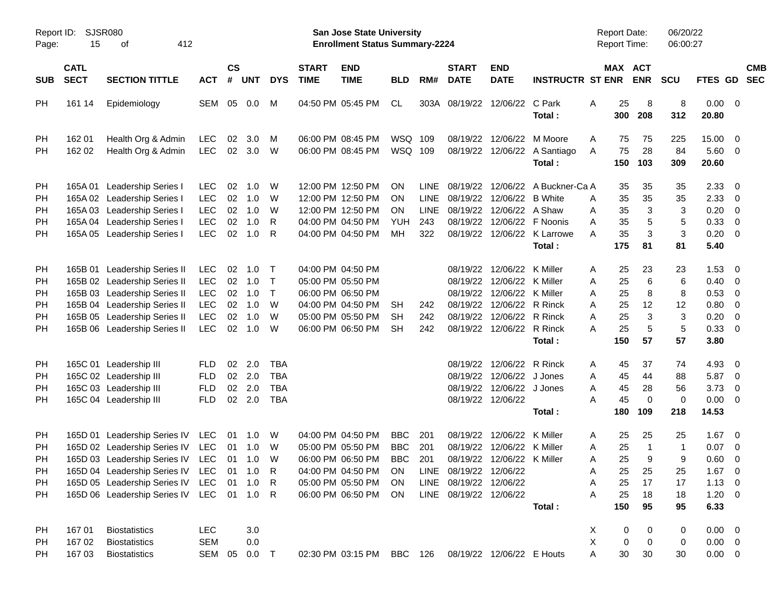| Report ID:<br>Page: | 15                         | <b>SJSR080</b><br>412<br>οf             |            |               |                |              |                             | San Jose State University<br><b>Enrollment Status Summary-2224</b> |            |      |                             |                            |                                        |   |           | <b>Report Date:</b><br><b>Report Time:</b> | 06/20/22<br>06:00:27 |                 |                         |            |
|---------------------|----------------------------|-----------------------------------------|------------|---------------|----------------|--------------|-----------------------------|--------------------------------------------------------------------|------------|------|-----------------------------|----------------------------|----------------------------------------|---|-----------|--------------------------------------------|----------------------|-----------------|-------------------------|------------|
| <b>SUB</b>          | <b>CATL</b><br><b>SECT</b> | <b>SECTION TITTLE</b>                   | <b>ACT</b> | $\mathsf{cs}$ | # UNT          | <b>DYS</b>   | <b>START</b><br><b>TIME</b> | <b>END</b><br><b>TIME</b>                                          | <b>BLD</b> | RM#  | <b>START</b><br><b>DATE</b> | <b>END</b><br><b>DATE</b>  | <b>INSTRUCTR ST ENR</b>                |   |           | MAX ACT<br><b>ENR</b>                      | <b>SCU</b>           | FTES GD SEC     |                         | <b>CMB</b> |
| PH                  | 161 14                     | Epidemiology                            | SEM        |               | 05 0.0         | M            |                             | 04:50 PM 05:45 PM                                                  | CL         |      |                             | 303A 08/19/22 12/06/22     | C Park                                 | A | 25        | 8                                          | 8                    | $0.00 \t 0$     |                         |            |
|                     |                            |                                         |            |               |                |              |                             |                                                                    |            |      |                             |                            | Total:                                 |   | 300       | 208                                        | 312                  | 20.80           |                         |            |
| PH                  | 162 01                     | Health Org & Admin                      | <b>LEC</b> | 02            | 3.0            | M            |                             | 06:00 PM 08:45 PM                                                  | WSQ 109    |      |                             | 08/19/22 12/06/22          | M Moore                                | A | 75        | 75                                         | 225                  | 15.00           | $\overline{\mathbf{0}}$ |            |
| <b>PH</b>           | 162 02                     | Health Org & Admin                      | <b>LEC</b> |               | 02 3.0         | W            |                             | 06:00 PM 08:45 PM                                                  | WSQ 109    |      |                             |                            | 08/19/22 12/06/22 A Santiago<br>Total: | A | 75<br>150 | 28<br>103                                  | 84<br>309            | 5.60 0<br>20.60 |                         |            |
| PH                  | 165A 01                    | <b>Leadership Series I</b>              | <b>LEC</b> | 02            | 1.0            | W            |                             | 12:00 PM 12:50 PM                                                  | ON         | LINE |                             |                            | 08/19/22 12/06/22 A Buckner-Ca A       |   | 35        | 35                                         | 35                   | 2.33            | $\overline{\mathbf{0}}$ |            |
| <b>PH</b>           |                            | 165A 02 Leadership Series I             | <b>LEC</b> | 02            | 1.0            | W            |                             | 12:00 PM 12:50 PM                                                  | ON         | LINE |                             | 08/19/22 12/06/22 B White  |                                        | A | 35        | 35                                         | 35                   | 2.33            | - 0                     |            |
| <b>PH</b>           |                            | 165A 03 Leadership Series I             | <b>LEC</b> | 02            | 1.0            | W            |                             | 12:00 PM 12:50 PM                                                  | <b>ON</b>  | LINE |                             | 08/19/22 12/06/22 A Shaw   |                                        | Α | 35        | 3                                          | 3                    | 0.20            | $\overline{\mathbf{0}}$ |            |
| <b>PH</b>           |                            | 165A 04 Leadership Series I             | <b>LEC</b> | 02            | 1.0            | R            |                             | 04:00 PM 04:50 PM                                                  | YUH        | 243  |                             | 08/19/22 12/06/22 F Noonis |                                        | A | 35        | 5                                          | 5                    | 0.33            | $\overline{\mathbf{0}}$ |            |
| <b>PH</b>           |                            | 165A 05 Leadership Series I             | <b>LEC</b> | 02            | 1.0            | R            |                             | 04:00 PM 04:50 PM                                                  | МH         | 322  |                             |                            | 08/19/22 12/06/22 K Larrowe            | A | 35        | 3                                          | 3                    | 0.20            | $\overline{\mathbf{0}}$ |            |
|                     |                            |                                         |            |               |                |              |                             |                                                                    |            |      |                             |                            | Total:                                 |   | 175       | 81                                         | 81                   | 5.40            |                         |            |
| PH                  |                            | 165B 01 Leadership Series II            | <b>LEC</b> | 02            | 1.0            | $\top$       |                             | 04:00 PM 04:50 PM                                                  |            |      |                             | 08/19/22 12/06/22 K Miller |                                        | A | 25        | 23                                         | 23                   | 1.53            | $\overline{\mathbf{0}}$ |            |
| PH                  |                            | 165B 02 Leadership Series II            | <b>LEC</b> | 02            | 1.0            | $\top$       |                             | 05:00 PM 05:50 PM                                                  |            |      |                             | 08/19/22 12/06/22 K Miller |                                        | Α | 25        | 6                                          | 6                    | 0.40            | $\overline{\mathbf{0}}$ |            |
| <b>PH</b>           |                            | 165B 03 Leadership Series II            | <b>LEC</b> | 02            | 1.0            | $\top$       |                             | 06:00 PM 06:50 PM                                                  |            |      |                             | 08/19/22 12/06/22 K Miller |                                        | Α | 25        | 8                                          | 8                    | 0.53            | $\mathbf 0$             |            |
| <b>PH</b>           |                            | 165B 04 Leadership Series II            | <b>LEC</b> | 02            | 1.0            | W            |                             | 04:00 PM 04:50 PM                                                  | SH         | 242  |                             | 08/19/22 12/06/22 R Rinck  |                                        | Α | 25        | 12                                         | 12                   | 0.80            | $\overline{\mathbf{0}}$ |            |
| PH                  |                            | 165B 05 Leadership Series II            | <b>LEC</b> | 02            | 1.0            | W            |                             | 05:00 PM 05:50 PM                                                  | <b>SH</b>  | 242  |                             | 08/19/22 12/06/22 R Rinck  |                                        | A | 25        | 3                                          | 3                    | 0.20            | $\overline{0}$          |            |
| PH                  |                            | 165B 06 Leadership Series II            | <b>LEC</b> | 02            | 1.0            | W            |                             | 06:00 PM 06:50 PM                                                  | <b>SH</b>  | 242  |                             | 08/19/22 12/06/22 R Rinck  |                                        | A | 25        | 5                                          | 5                    | 0.33            | $\overline{\mathbf{0}}$ |            |
|                     |                            |                                         |            |               |                |              |                             |                                                                    |            |      |                             |                            | Total:                                 |   | 150       | 57                                         | 57                   | 3.80            |                         |            |
| PH                  |                            | 165C 01 Leadership III                  | <b>FLD</b> | 02            | 2.0            | <b>TBA</b>   |                             |                                                                    |            |      |                             | 08/19/22 12/06/22 R Rinck  |                                        | A | 45        | 37                                         | 74                   | 4.93            | $\overline{\mathbf{0}}$ |            |
| <b>PH</b>           |                            | 165C 02 Leadership III                  | <b>FLD</b> | 02            | 2.0            | <b>TBA</b>   |                             |                                                                    |            |      |                             | 08/19/22 12/06/22          | J Jones                                | Α | 45        | 44                                         | 88                   | 5.87            | $\overline{\mathbf{0}}$ |            |
| <b>PH</b>           |                            | 165C 03 Leadership III                  | <b>FLD</b> | 02            | 2.0            | <b>TBA</b>   |                             |                                                                    |            |      |                             | 08/19/22 12/06/22 J Jones  |                                        | Α | 45        | 28                                         | 56                   | 3.73            | $\overline{\mathbf{0}}$ |            |
| PH                  |                            | 165C 04 Leadership III                  | <b>FLD</b> |               | 02 2.0         | <b>TBA</b>   |                             |                                                                    |            |      |                             | 08/19/22 12/06/22          |                                        | A | 45        | $\mathbf 0$                                | 0                    | 0.00            | $\overline{\mathbf{0}}$ |            |
|                     |                            |                                         |            |               |                |              |                             |                                                                    |            |      |                             |                            | Total:                                 |   | 180       | 109                                        | 218                  | 14.53           |                         |            |
| PH                  |                            | 165D 01 Leadership Series IV            | LEC        |               | $01 \quad 1.0$ | W            |                             | 04:00 PM 04:50 PM                                                  | <b>BBC</b> | 201  |                             | 08/19/22 12/06/22 K Miller |                                        | A | 25        | 25                                         | 25                   | 1.67            | $\overline{\mathbf{0}}$ |            |
| <b>PH</b>           |                            | 165D 02 Leadership Series IV            | <b>LEC</b> | 01            | 1.0            | W            |                             | 05:00 PM 05:50 PM                                                  | <b>BBC</b> | 201  |                             | 08/19/22 12/06/22 K Miller |                                        | A | 25        | $\overline{1}$                             | $\mathbf{1}$         | 0.07            | $\overline{\mathbf{0}}$ |            |
| <b>PH</b>           |                            | 165D 03 Leadership Series IV LEC        |            |               | 01 1.0         | W            |                             | 06:00 PM 06:50 PM                                                  | <b>BBC</b> | 201  |                             | 08/19/22 12/06/22 K Miller |                                        | Α | 25        | 9                                          | 9                    | 0.60            | 0                       |            |
| PH                  |                            | 165D 04 Leadership Series IV LEC 01 1.0 |            |               |                | $\mathsf{R}$ |                             | 04:00 PM 04:50 PM                                                  | ON         |      | LINE 08/19/22 12/06/22      |                            |                                        | Α |           | 25 25                                      | 25                   | 1.67            | $\overline{\mathbf{0}}$ |            |
| PH                  |                            | 165D 05 Leadership Series IV            | LEC        | 01            | 1.0            | R.           |                             | 05:00 PM 05:50 PM                                                  | <b>ON</b>  |      | LINE 08/19/22 12/06/22      |                            |                                        | Α | 25        | 17                                         | 17                   | $1.13 \ 0$      |                         |            |
| PH                  |                            | 165D 06 Leadership Series IV            | LEC 01 1.0 |               |                | - R          |                             | 06:00 PM 06:50 PM                                                  | ON         |      | LINE 08/19/22 12/06/22      |                            |                                        | Α | 25        | 18                                         | 18                   | $1.20 \t 0$     |                         |            |
|                     |                            |                                         |            |               |                |              |                             |                                                                    |            |      |                             |                            | Total:                                 |   | 150       | 95                                         | 95                   | 6.33            |                         |            |
| <b>PH</b>           | 167 01                     | <b>Biostatistics</b>                    | <b>LEC</b> |               | 3.0            |              |                             |                                                                    |            |      |                             |                            |                                        | X | 0         | 0                                          | 0                    | $0.00 \t 0$     |                         |            |
| <b>PH</b>           | 167 02                     | <b>Biostatistics</b>                    | <b>SEM</b> |               | 0.0            |              |                             |                                                                    |            |      |                             |                            |                                        | X | 0         | 0                                          | 0                    | $0.00 \t 0$     |                         |            |
| PH                  | 167 03                     | <b>Biostatistics</b>                    | SEM        | 05            | $0.0$ T        |              |                             | 02:30 PM 03:15 PM BBC 126                                          |            |      |                             | 08/19/22 12/06/22 E Houts  |                                        | Α | 30        | 30                                         | 30                   | $0.00 \t 0$     |                         |            |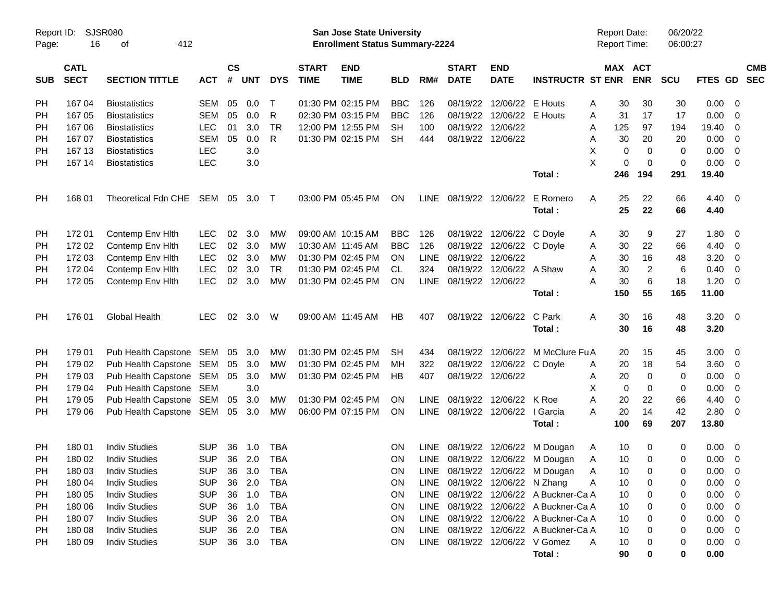| Report ID:<br>Page: | 16          | <b>SJSR080</b><br>412<br>οf |            |               |            |            |              | San Jose State University<br><b>Enrollment Status Summary-2224</b> |            |             |                        |                                 |                                       | <b>Report Date:</b><br>Report Time: |                  | 06/20/22<br>06:00:27 |             |                          |            |
|---------------------|-------------|-----------------------------|------------|---------------|------------|------------|--------------|--------------------------------------------------------------------|------------|-------------|------------------------|---------------------------------|---------------------------------------|-------------------------------------|------------------|----------------------|-------------|--------------------------|------------|
|                     | <b>CATL</b> |                             |            | $\mathsf{cs}$ |            |            | <b>START</b> | <b>END</b>                                                         |            |             | <b>START</b>           | <b>END</b>                      |                                       |                                     | MAX ACT          |                      |             |                          | <b>CMB</b> |
| <b>SUB</b>          | <b>SECT</b> | <b>SECTION TITTLE</b>       | <b>ACT</b> | #             | <b>UNT</b> | <b>DYS</b> | <b>TIME</b>  | <b>TIME</b>                                                        | <b>BLD</b> | RM#         | <b>DATE</b>            | <b>DATE</b>                     | <b>INSTRUCTR ST ENR</b>               |                                     | <b>ENR</b>       | <b>SCU</b>           | FTES GD     | <b>SEC</b>               |            |
| <b>PH</b>           | 167 04      | <b>Biostatistics</b>        | <b>SEM</b> | 05            | 0.0        | T          |              | 01:30 PM 02:15 PM                                                  | <b>BBC</b> | 126         | 08/19/22               | 12/06/22 E Houts                |                                       | A<br>30                             | 30               | 30                   | 0.00        | - 0                      |            |
| PH                  | 167 05      | <b>Biostatistics</b>        | <b>SEM</b> | 05            | 0.0        | R          |              | 02:30 PM 03:15 PM                                                  | <b>BBC</b> | 126         | 08/19/22               | 12/06/22 E Houts                |                                       | 31<br>A                             | 17               | 17                   | 0.00        | - 0                      |            |
| PH                  | 167 06      | <b>Biostatistics</b>        | <b>LEC</b> | 01            | 3.0        | <b>TR</b>  |              | 12:00 PM 12:55 PM                                                  | SH         | 100         | 08/19/22               | 12/06/22                        |                                       | 125<br>Α                            | 97               | 194                  | 19.40       | 0                        |            |
| PH                  | 167 07      | <b>Biostatistics</b>        | <b>SEM</b> | 05            | 0.0        | R          |              | 01:30 PM 02:15 PM                                                  | <b>SH</b>  | 444         |                        | 08/19/22 12/06/22               |                                       | 30<br>A                             | 20               | 20                   | 0.00        | - 0                      |            |
| PH                  | 167 13      | <b>Biostatistics</b>        | <b>LEC</b> |               | 3.0        |            |              |                                                                    |            |             |                        |                                 |                                       | X                                   | $\mathbf 0$<br>0 | 0                    | 0.00        | $\overline{0}$           |            |
| PH                  | 167 14      | <b>Biostatistics</b>        | <b>LEC</b> |               | 3.0        |            |              |                                                                    |            |             |                        |                                 |                                       | X                                   | 0<br>$\mathbf 0$ | 0                    | 0.00        | $\overline{0}$           |            |
|                     |             |                             |            |               |            |            |              |                                                                    |            |             |                        |                                 | Total:                                | 246                                 | 194              | 291                  | 19.40       |                          |            |
| PH                  | 168 01      | Theoretical Fdn CHE         | SEM 05     |               | 3.0        | $\top$     |              | 03:00 PM 05:45 PM                                                  | <b>ON</b>  |             | LINE 08/19/22 12/06/22 |                                 | E Romero                              | 25<br>A                             | 22               | 66                   | 4.40        | $\overline{0}$           |            |
|                     |             |                             |            |               |            |            |              |                                                                    |            |             |                        |                                 | Total:                                | 25                                  | 22               | 66                   | 4.40        |                          |            |
| <b>PH</b>           | 172 01      | Contemp Env Hith            | <b>LEC</b> | 02            | 3.0        | MW         |              | 09:00 AM 10:15 AM                                                  | <b>BBC</b> | 126         | 08/19/22               | 12/06/22 C Doyle                |                                       | 30<br>A                             | 9                | 27                   | 1.80        | - 0                      |            |
| <b>PH</b>           | 172 02      | Contemp Env Hith            | <b>LEC</b> | 02            | 3.0        | МW         |              | 10:30 AM 11:45 AM                                                  | <b>BBC</b> | 126         | 08/19/22               | 12/06/22 C Doyle                |                                       | 30<br>Α                             | 22               | 66                   | 4.40        | - 0                      |            |
| PH                  | 172 03      | Contemp Env Hith            | <b>LEC</b> | 02            | 3.0        | <b>MW</b>  |              | 01:30 PM 02:45 PM                                                  | <b>ON</b>  | <b>LINE</b> | 08/19/22               | 12/06/22                        |                                       | 30<br>Α                             | 16               | 48                   | 3.20        | 0                        |            |
| PH                  | 172 04      | Contemp Env Hith            | <b>LEC</b> | 02            | 3.0        | <b>TR</b>  |              | 01:30 PM 02:45 PM                                                  | <b>CL</b>  | 324         |                        | 08/19/22 12/06/22 A Shaw        |                                       | 30<br>A                             | $\overline{2}$   | 6                    | 0.40        | - 0                      |            |
| PH                  | 172 05      | Contemp Env Hith            | <b>LEC</b> | 02            | 3.0        | <b>MW</b>  |              | 01:30 PM 02:45 PM                                                  | ON         | LINE        | 08/19/22 12/06/22      |                                 |                                       | 30<br>А                             | 6                | 18                   | 1.20        | - 0                      |            |
|                     |             |                             |            |               |            |            |              |                                                                    |            |             |                        |                                 | Total:                                | 150                                 | 55               | 165                  | 11.00       |                          |            |
| <b>PH</b>           | 176 01      | <b>Global Health</b>        | <b>LEC</b> |               | 02 3.0     | W          |              | 09:00 AM 11:45 AM                                                  | <b>HB</b>  | 407         |                        | 08/19/22 12/06/22               | C Park                                | 30<br>A                             | 16               | 48                   | 3.20        | $\overline{\mathbf{0}}$  |            |
|                     |             |                             |            |               |            |            |              |                                                                    |            |             |                        |                                 | Total:                                | 30                                  | 16               | 48                   | 3.20        |                          |            |
| <b>PH</b>           | 179 01      | Pub Health Capstone SEM     |            | 05            | 3.0        | МW         |              | 01:30 PM 02:45 PM                                                  | <b>SH</b>  | 434         | 08/19/22               | 12/06/22                        | M McClure Fu A                        | 20                                  | 15               | 45                   | 3.00        | - 0                      |            |
| <b>PH</b>           | 179 02      | Pub Health Capstone SEM     |            | 05            | 3.0        | МW         |              | 01:30 PM 02:45 PM                                                  | MН         | 322         | 08/19/22               | 12/06/22 C Doyle                |                                       | 20<br>A                             | 18               | 54                   | 3.60        | 0                        |            |
| PH                  | 179 03      | Pub Health Capstone SEM     |            | 05            | 3.0        | МW         |              | 01:30 PM 02:45 PM                                                  | HB         | 407         |                        | 08/19/22 12/06/22               |                                       | 20<br>A                             | $\mathbf 0$      | 0                    | 0.00        | - 0                      |            |
| PH                  | 179 04      | Pub Health Capstone SEM     |            |               | 3.0        |            |              |                                                                    |            |             |                        |                                 |                                       | X<br>$\mathbf 0$                    | $\mathbf 0$      | 0                    | 0.00        | - 0                      |            |
| PH                  | 179 05      | Pub Health Capstone SEM     |            | 05            | 3.0        | МW         |              | 01:30 PM 02:45 PM                                                  | <b>ON</b>  | <b>LINE</b> |                        | 08/19/22 12/06/22 K Roe         |                                       | A<br>20                             | 22               | 66                   | 4.40        | 0                        |            |
| PH                  | 179 06      | Pub Health Capstone SEM     |            | 05            | 3.0        | МW         |              | 06:00 PM 07:15 PM                                                  | <b>ON</b>  |             |                        | LINE 08/19/22 12/06/22 I Garcia |                                       | 20<br>A                             | 14               | 42                   | 2.80        | $\overline{0}$           |            |
|                     |             |                             |            |               |            |            |              |                                                                    |            |             |                        |                                 | Total:                                | 100                                 | 69               | 207                  | 13.80       |                          |            |
| <b>PH</b>           | 180 01      | <b>Indiv Studies</b>        | <b>SUP</b> | 36            | 1.0        | <b>TBA</b> |              |                                                                    | ON         | <b>LINE</b> |                        |                                 | 08/19/22 12/06/22 M Dougan            | 10<br>A                             | 0                | 0                    | 0.00        | - 0                      |            |
| PH                  | 180 02      | <b>Indiv Studies</b>        | <b>SUP</b> |               | 36 2.0     | <b>TBA</b> |              |                                                                    | <b>ON</b>  |             |                        |                                 | LINE 08/19/22 12/06/22 M Dougan       | 10<br>Α                             | $\mathbf 0$      | 0                    | 0.00        | - 0                      |            |
| PH                  | 180 03      | <b>Indiv Studies</b>        | <b>SUP</b> |               |            | 36 3.0 TBA |              |                                                                    | ON         |             |                        |                                 | LINE 08/19/22 12/06/22 M Dougan       | $\overline{A}$<br>10                | 0                | 0                    | $0.00 \t 0$ |                          |            |
| PH                  | 180 04      | <b>Indiv Studies</b>        | <b>SUP</b> |               | 36 2.0     | TBA        |              |                                                                    | <b>ON</b>  |             |                        | LINE 08/19/22 12/06/22 N Zhang  |                                       | 10<br>A                             | 0                | 0                    | 0.00        | - 0                      |            |
| PH                  | 180 05      | <b>Indiv Studies</b>        | <b>SUP</b> |               | 36 1.0     | <b>TBA</b> |              |                                                                    | ON         |             |                        |                                 | LINE 08/19/22 12/06/22 A Buckner-Ca A | 10                                  | 0                | 0                    | 0.00        | - 0                      |            |
| PH                  | 180 06      | <b>Indiv Studies</b>        | <b>SUP</b> |               | 36 1.0     | <b>TBA</b> |              |                                                                    | <b>ON</b>  |             |                        |                                 | LINE 08/19/22 12/06/22 A Buckner-Ca A | 10                                  |                  | 0                    | 0.00        | - 0                      |            |
| PH                  | 180 07      | <b>Indiv Studies</b>        | <b>SUP</b> |               | 36 2.0     | <b>TBA</b> |              |                                                                    | <b>ON</b>  |             |                        |                                 | LINE 08/19/22 12/06/22 A Buckner-Ca A | 10                                  |                  | 0                    | 0.00        | - 0                      |            |
| PH                  | 180 08      | <b>Indiv Studies</b>        | <b>SUP</b> |               | 36 2.0     | <b>TBA</b> |              |                                                                    | <b>ON</b>  |             |                        |                                 | LINE 08/19/22 12/06/22 A Buckner-Ca A | 10                                  |                  | 0                    | 0.00        | $\overline{\phantom{0}}$ |            |
| PH                  | 180 09      | <b>Indiv Studies</b>        | <b>SUP</b> |               | 36 3.0     | TBA        |              |                                                                    | <b>ON</b>  |             |                        |                                 | LINE 08/19/22 12/06/22 V Gomez        | 10<br>A                             |                  | 0                    | $0.00 \t 0$ |                          |            |
|                     |             |                             |            |               |            |            |              |                                                                    |            |             |                        |                                 | Total:                                | 90                                  | 0                | 0                    | 0.00        |                          |            |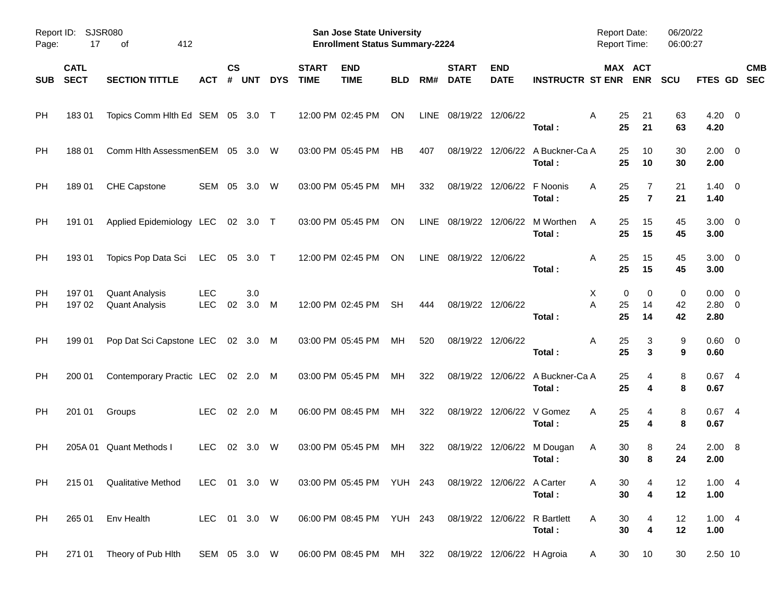| Report ID:<br>Page: | 17                         | <b>SJSR080</b><br>412<br>οf                    |                          |                    |            |            |                             | San Jose State University<br><b>Enrollment Status Summary-2224</b> |            |             |                             |                            |                                            | Report Date:<br><b>Report Time:</b> |                       | 06/20/22<br>06:00:27 |                                  |                           |
|---------------------|----------------------------|------------------------------------------------|--------------------------|--------------------|------------|------------|-----------------------------|--------------------------------------------------------------------|------------|-------------|-----------------------------|----------------------------|--------------------------------------------|-------------------------------------|-----------------------|----------------------|----------------------------------|---------------------------|
| <b>SUB</b>          | <b>CATL</b><br><b>SECT</b> | <b>SECTION TITTLE</b>                          | ACT                      | $\mathsf{cs}$<br># | <b>UNT</b> | <b>DYS</b> | <b>START</b><br><b>TIME</b> | <b>END</b><br><b>TIME</b>                                          | <b>BLD</b> | RM#         | <b>START</b><br><b>DATE</b> | <b>END</b><br><b>DATE</b>  | <b>INSTRUCTR ST ENR</b>                    | MAX ACT                             | <b>ENR</b>            | <b>SCU</b>           |                                  | <b>CMB</b><br>FTES GD SEC |
| PH                  | 18301                      | Topics Comm Hlth Ed SEM 05 3.0 T               |                          |                    |            |            |                             | 12:00 PM 02:45 PM                                                  | ON         | <b>LINE</b> | 08/19/22 12/06/22           |                            | Total:                                     | A<br>25<br>25                       | 21<br>21              | 63<br>63             | $4.20 \ 0$<br>4.20               |                           |
| <b>PH</b>           | 188 01                     | Comm Hlth AssessmenSEM 05 3.0                  |                          |                    |            | W          |                             | 03:00 PM 05:45 PM                                                  | <b>HB</b>  | 407         |                             |                            | 08/19/22 12/06/22 A Buckner-Ca A<br>Total: | 25<br>25                            | 10<br>10              | 30<br>30             | $2.00 \t 0$<br>2.00              |                           |
| <b>PH</b>           | 18901                      | CHE Capstone                                   | SEM                      | 05                 | 3.0        | W          |                             | 03:00 PM 05:45 PM                                                  | MH         | 332         |                             | 08/19/22 12/06/22 F Noonis | Total:                                     | 25<br>A<br>25                       | 7<br>$\overline{7}$   | 21<br>21             | $1.40 \quad 0$<br>1.40           |                           |
| <b>PH</b>           | 191 01                     | Applied Epidemiology LEC                       |                          |                    | 02 3.0 T   |            |                             | 03:00 PM 05:45 PM                                                  | ON         | <b>LINE</b> |                             |                            | 08/19/22 12/06/22 M Worthen<br>Total:      | 25<br>A<br>25                       | 15<br>15              | 45<br>45             | $3.00 \ 0$<br>3.00               |                           |
| <b>PH</b>           | 193 01                     | Topics Pop Data Sci                            | LEC                      | 05                 | 3.0 T      |            |                             | 12:00 PM 02:45 PM                                                  | ON         | LINE        | 08/19/22 12/06/22           |                            | Total:                                     | 25<br>A<br>25                       | 15<br>15              | 45<br>45             | $3.00 \ 0$<br>3.00               |                           |
| <b>PH</b><br>РH     | 197 01<br>197 02           | <b>Quant Analysis</b><br><b>Quant Analysis</b> | <b>LEC</b><br><b>LEC</b> | 02                 | 3.0<br>3.0 | M          |                             | 12:00 PM 02:45 PM                                                  | <b>SH</b>  | 444         |                             | 08/19/22 12/06/22          | Total:                                     | 0<br>X<br>A<br>25<br>25             | 0<br>14<br>14         | 0<br>42<br>42        | $0.00 \ 0$<br>$2.80 \ 0$<br>2.80 |                           |
| <b>PH</b>           | 199 01                     | Pop Dat Sci Capstone LEC 02 3.0 M              |                          |                    |            |            |                             | 03:00 PM 05:45 PM                                                  | МH         | 520         |                             | 08/19/22 12/06/22          | Total:                                     | A<br>25<br>25                       | 3<br>3                | 9<br>9               | $0.60 \quad 0$<br>0.60           |                           |
| <b>PH</b>           | 200 01                     | Contemporary Practic LEC 02 2.0                |                          |                    |            | M          |                             | 03:00 PM 05:45 PM                                                  | МH         | 322         |                             |                            | 08/19/22 12/06/22 A Buckner-Ca A<br>Total: | 25<br>25                            | 4<br>4                | 8<br>8               | 0.674<br>0.67                    |                           |
| <b>PH</b>           | 201 01                     | Groups                                         | <b>LEC</b>               | 02                 | 2.0        | M          |                             | 06:00 PM 08:45 PM                                                  | МH         | 322         |                             | 08/19/22 12/06/22 V Gomez  | Total:                                     | 25<br>A<br>25                       | 4<br>4                | 8<br>8               | 0.674<br>0.67                    |                           |
| РH                  |                            | 205A 01 Quant Methods I                        | <b>LEC</b>               | 02                 | 3.0        | W          |                             | 03:00 PM 05:45 PM                                                  | МH         | 322         |                             |                            | 08/19/22 12/06/22 M Dougan<br>Total:       | 30<br>A<br>30                       | 8<br>8                | 24<br>24             | 2.00 8<br>2.00                   |                           |
| PH.                 |                            | 215 01 Qualitative Method                      | LEC 01 3.0 W             |                    |            |            |                             | 03:00 PM 05:45 PM YUH 243 08/19/22 12/06/22 A Carter               |            |             |                             |                            | Total:                                     | A<br>30<br>30                       | 4<br>4                | 12<br>12             | 1.004<br>1.00                    |                           |
| PH                  | 265 01                     | Env Health                                     | LEC 01 3.0 W             |                    |            |            |                             | 06:00 PM 08:45 PM YUH 243 08/19/22 12/06/22 R Bartlett             |            |             |                             |                            | Total:                                     | Α<br>30<br>30                       | 4<br>$\boldsymbol{4}$ | 12<br>12             | 1.004<br>1.00                    |                           |
| <b>PH</b>           |                            | 271 01 Theory of Pub Hith                      | SEM 05 3.0 W             |                    |            |            |                             | 06:00 PM 08:45 PM MH                                               |            | 322         |                             | 08/19/22 12/06/22 H Agroia |                                            | 30<br>A                             | 10                    | 30                   | 2.50 10                          |                           |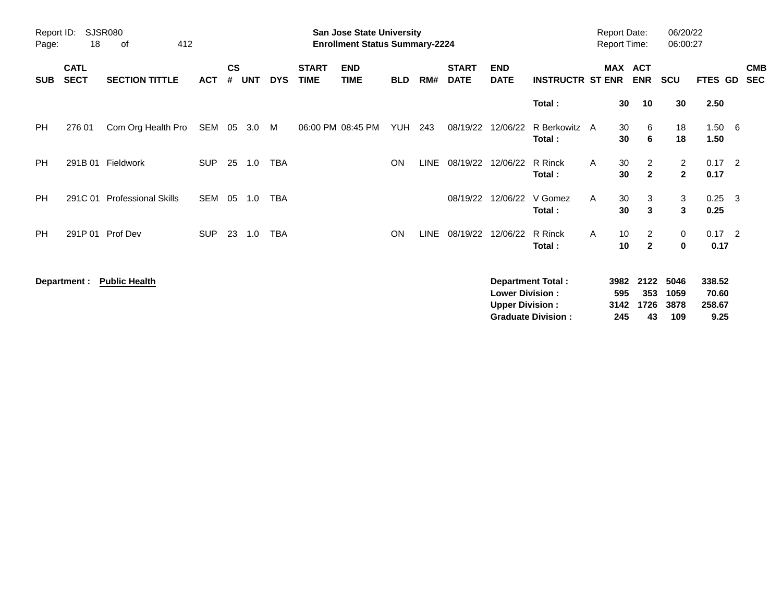| Report ID:<br>Page: | 18                         | <b>SJSR080</b><br>412<br>оf |            |                |            |            |                             | San Jose State University<br><b>Enrollment Status Summary-2224</b> |            |             |                             |                                                  |                                                       |   | <b>Report Date:</b><br><b>Report Time:</b> |                                  | 06/20/22<br>06:00:27           |                                   |                          |
|---------------------|----------------------------|-----------------------------|------------|----------------|------------|------------|-----------------------------|--------------------------------------------------------------------|------------|-------------|-----------------------------|--------------------------------------------------|-------------------------------------------------------|---|--------------------------------------------|----------------------------------|--------------------------------|-----------------------------------|--------------------------|
| <b>SUB</b>          | <b>CATL</b><br><b>SECT</b> | <b>SECTION TITTLE</b>       | <b>ACT</b> | <b>CS</b><br># | <b>UNT</b> | <b>DYS</b> | <b>START</b><br><b>TIME</b> | <b>END</b><br><b>TIME</b>                                          | <b>BLD</b> | RM#         | <b>START</b><br><b>DATE</b> | <b>END</b><br><b>DATE</b>                        | <b>INSTRUCTR ST ENR</b>                               |   | <b>MAX</b>                                 | <b>ACT</b><br><b>ENR</b>         | SCU                            | FTES GD                           | <b>CMB</b><br><b>SEC</b> |
|                     |                            |                             |            |                |            |            |                             |                                                                    |            |             |                             |                                                  | Total:                                                |   | 30                                         | 10                               | 30                             | 2.50                              |                          |
| PH.                 | 276 01                     | Com Org Health Pro          | SEM 05     |                | 3.0        | M          |                             | 06:00 PM 08:45 PM                                                  | YUH        | 243         |                             | 08/19/22 12/06/22                                | R Berkowitz A<br>Total:                               |   | 30<br>30                                   | 6<br>6                           | 18<br>18                       | $1.50\quad 6$<br>1.50             |                          |
| <b>PH</b>           |                            | 291B 01 Fieldwork           | <b>SUP</b> | 25             | 1.0        | TBA        |                             |                                                                    | ON         | <b>LINE</b> |                             | 08/19/22 12/06/22                                | R Rinck<br>Total:                                     | A | 30<br>30                                   | $\overline{2}$<br>$\mathbf{2}$   | $\overline{2}$<br>$\mathbf{2}$ | $0.17$ 2<br>0.17                  |                          |
| <b>PH</b>           | 291C 01                    | <b>Professional Skills</b>  | SEM        | 05             | 1.0        | <b>TBA</b> |                             |                                                                    |            |             | 08/19/22                    | 12/06/22                                         | V Gomez<br>Total:                                     | A | 30<br>30                                   | 3<br>3                           | 3<br>3                         | $0.25$ 3<br>0.25                  |                          |
| <b>PH</b>           |                            | 291P 01 Prof Dev            | <b>SUP</b> | 23             | 1.0        | TBA        |                             |                                                                    | ON         | <b>LINE</b> | 08/19/22                    | 12/06/22                                         | R Rinck<br>Total:                                     | A | 10<br>10                                   | $\overline{2}$<br>$\overline{2}$ | 0<br>0                         | $0.17$ 2<br>0.17                  |                          |
|                     | Department :               | <b>Public Health</b>        |            |                |            |            |                             |                                                                    |            |             |                             | <b>Lower Division:</b><br><b>Upper Division:</b> | <b>Department Total:</b><br><b>Graduate Division:</b> |   | 3982<br>595<br>3142<br>245                 | 2122<br>353<br>1726<br>43        | 5046<br>1059<br>3878<br>109    | 338.52<br>70.60<br>258.67<br>9.25 |                          |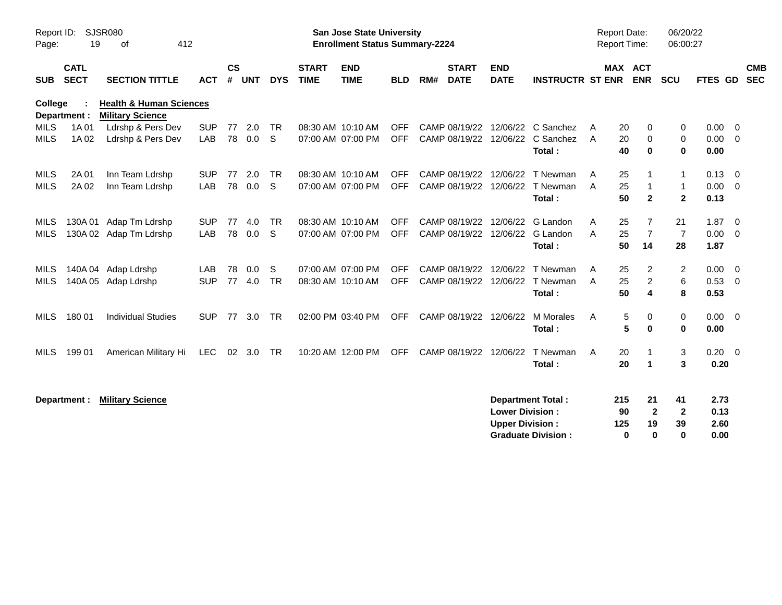| Report ID:<br>Page:        | 19                         | SJSR080<br>412<br>of                                          |                   |                |            |                           |                             | <b>San Jose State University</b><br><b>Enrollment Status Summary-2224</b> |                          |     |                                                  |                                                  |                                                                                |        | <b>Report Date:</b><br><b>Report Time:</b> |                                      | 06/20/22<br>06:00:27                         |                                       |                                                     |
|----------------------------|----------------------------|---------------------------------------------------------------|-------------------|----------------|------------|---------------------------|-----------------------------|---------------------------------------------------------------------------|--------------------------|-----|--------------------------------------------------|--------------------------------------------------|--------------------------------------------------------------------------------|--------|--------------------------------------------|--------------------------------------|----------------------------------------------|---------------------------------------|-----------------------------------------------------|
| <b>SUB</b>                 | <b>CATL</b><br><b>SECT</b> | <b>SECTION TITTLE</b>                                         | <b>ACT</b>        | <b>CS</b><br># | <b>UNT</b> | <b>DYS</b>                | <b>START</b><br><b>TIME</b> | <b>END</b><br><b>TIME</b>                                                 | <b>BLD</b>               | RM# | <b>START</b><br><b>DATE</b>                      | <b>END</b><br><b>DATE</b>                        | <b>INSTRUCTR ST ENR</b>                                                        |        | MAX ACT<br><b>ENR</b>                      |                                      | <b>SCU</b>                                   | FTES GD                               | <b>CMB</b><br><b>SEC</b>                            |
| College                    | Department :               | <b>Health &amp; Human Sciences</b><br><b>Military Science</b> |                   |                |            |                           |                             |                                                                           |                          |     |                                                  |                                                  |                                                                                |        |                                            |                                      |                                              |                                       |                                                     |
| <b>MILS</b><br><b>MILS</b> | 1A 01<br>1A 02             | Ldrshp & Pers Dev<br>Ldrshp & Pers Dev                        | <b>SUP</b><br>LAB | 77<br>78       | 2.0<br>0.0 | <b>TR</b><br>S            |                             | 08:30 AM 10:10 AM<br>07:00 AM 07:00 PM                                    | <b>OFF</b><br><b>OFF</b> |     |                                                  |                                                  | CAMP 08/19/22 12/06/22 C Sanchez<br>CAMP 08/19/22 12/06/22 C Sanchez<br>Total: | A<br>A | 20<br>20<br>40                             | 0<br>0<br>$\bf{0}$                   | 0<br>0<br>0                                  | $0.00 \quad 0$<br>$0.00 \t 0$<br>0.00 |                                                     |
| <b>MILS</b><br><b>MILS</b> | 2A 01<br>2A 02             | Inn Team Ldrshp<br>Inn Team Ldrshp                            | <b>SUP</b><br>LAB | 77<br>78       | 2.0<br>0.0 | <b>TR</b><br><sub>S</sub> |                             | 08:30 AM 10:10 AM<br>07:00 AM 07:00 PM                                    | <b>OFF</b><br><b>OFF</b> |     | CAMP 08/19/22 12/06/22                           | CAMP 08/19/22 12/06/22                           | T Newman<br>T Newman<br>Total:                                                 | A<br>A | 25<br>25<br>50                             | $\mathbf{1}$<br>$\mathbf{2}$         | $\mathbf{1}$<br>$\mathbf{1}$<br>$\mathbf{2}$ | 0.13<br>0.00<br>0.13                  | $\overline{\phantom{0}}$<br>$\overline{\mathbf{0}}$ |
| MILS<br><b>MILS</b>        |                            | 130A 01 Adap Tm Ldrshp<br>130A 02 Adap Tm Ldrshp              | <b>SUP</b><br>LAB | 77<br>78       | 4.0<br>0.0 | <b>TR</b><br><sub>S</sub> |                             | 08:30 AM 10:10 AM<br>07:00 AM 07:00 PM                                    | <b>OFF</b><br><b>OFF</b> |     |                                                  | CAMP 08/19/22 12/06/22<br>CAMP 08/19/22 12/06/22 | G Landon<br>G Landon<br>Total:                                                 | A<br>A | 25<br>25<br>50                             | 7<br>$\overline{7}$<br>14            | 21<br>$\overline{7}$<br>28                   | $1.87 \ 0$<br>0.00<br>1.87            | $\overline{\phantom{0}}$                            |
| MILS<br>MILS               |                            | 140A 04 Adap Ldrshp<br>140A 05 Adap Ldrshp                    | LAB<br><b>SUP</b> | 78<br>77       | 0.0<br>4.0 | S<br><b>TR</b>            |                             | 07:00 AM 07:00 PM<br>08:30 AM 10:10 AM                                    | <b>OFF</b><br><b>OFF</b> |     | CAMP 08/19/22 12/06/22<br>CAMP 08/19/22 12/06/22 |                                                  | T Newman<br>T Newman<br>Total:                                                 | A<br>A | 25<br>25<br>50                             | 2<br>2<br>4                          | $\overline{2}$<br>6<br>8                     | $0.00 \t 0$<br>0.53<br>0.53           | $\overline{\mathbf{0}}$                             |
| <b>MILS</b>                | 180 01                     | <b>Individual Studies</b>                                     | <b>SUP</b>        | 77             | 3.0        | <b>TR</b>                 |                             | 02:00 PM 03:40 PM                                                         | <b>OFF</b>               |     | CAMP 08/19/22 12/06/22                           |                                                  | M Morales<br>Total:                                                            | A      | 5<br>5                                     | 0<br>$\bf{0}$                        | 0<br>$\bf{0}$                                | $0.00 \t 0$<br>0.00                   |                                                     |
| <b>MILS</b>                | 199 01                     | American Military Hi                                          | <b>LEC</b>        |                | 02 3.0     | <b>TR</b>                 |                             | 10:20 AM 12:00 PM                                                         | <b>OFF</b>               |     | CAMP 08/19/22 12/06/22                           |                                                  | T Newman<br>Total:                                                             | A      | 20<br>20                                   | $\blacktriangleleft$                 | 3<br>3                                       | $0.20 \ 0$<br>0.20                    |                                                     |
|                            | Department :               | <b>Military Science</b>                                       |                   |                |            |                           |                             |                                                                           |                          |     |                                                  | <b>Lower Division:</b><br><b>Upper Division:</b> | <b>Department Total:</b><br><b>Graduate Division:</b>                          | 215    | 90<br>125<br>$\bf{0}$                      | 21<br>$\mathbf{2}$<br>19<br>$\bf{0}$ | 41<br>$\mathbf{2}$<br>39<br>$\bf{0}$         | 2.73<br>0.13<br>2.60<br>0.00          |                                                     |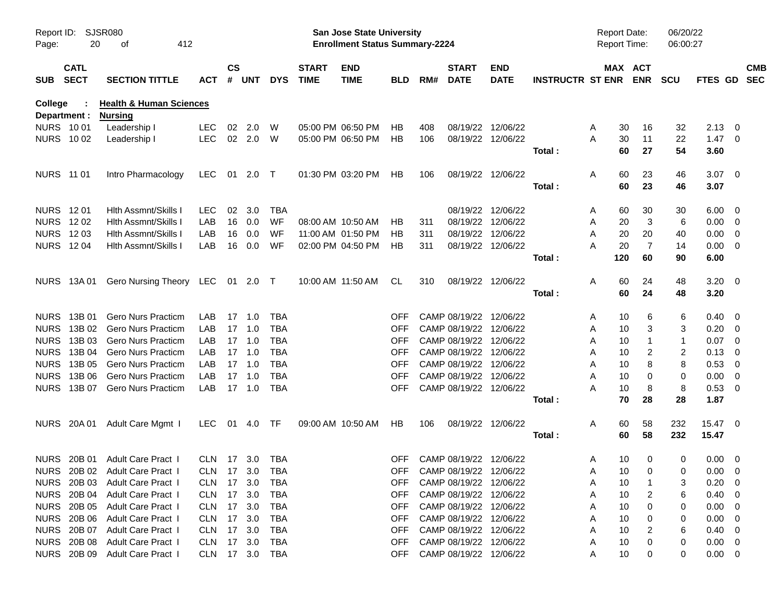| Report ID:<br>Page: | 20           | SJSR080<br>412<br>οf               |            |                    |            |            |                             | <b>San Jose State University</b><br><b>Enrollment Status Summary-2224</b> |            |     |                             |                           |                         | <b>Report Date:</b><br><b>Report Time:</b> |                       | 06/20/22<br>06:00:27 |                |                          |            |
|---------------------|--------------|------------------------------------|------------|--------------------|------------|------------|-----------------------------|---------------------------------------------------------------------------|------------|-----|-----------------------------|---------------------------|-------------------------|--------------------------------------------|-----------------------|----------------------|----------------|--------------------------|------------|
| SUB SECT            | <b>CATL</b>  | <b>SECTION TITTLE</b>              | ACT        | $\mathsf{cs}$<br># | <b>UNT</b> | <b>DYS</b> | <b>START</b><br><b>TIME</b> | <b>END</b><br><b>TIME</b>                                                 | <b>BLD</b> | RM# | <b>START</b><br><b>DATE</b> | <b>END</b><br><b>DATE</b> | <b>INSTRUCTR ST ENR</b> |                                            | MAX ACT<br><b>ENR</b> | <b>SCU</b>           | FTES GD SEC    |                          | <b>CMB</b> |
| College             |              | <b>Health &amp; Human Sciences</b> |            |                    |            |            |                             |                                                                           |            |     |                             |                           |                         |                                            |                       |                      |                |                          |            |
|                     | Department : | <b>Nursing</b>                     |            |                    |            |            |                             |                                                                           |            |     |                             |                           |                         |                                            |                       |                      |                |                          |            |
| <b>NURS 1001</b>    |              | Leadership I                       | <b>LEC</b> | 02                 | 2.0        | W          |                             | 05:00 PM 06:50 PM                                                         | HВ         | 408 | 08/19/22 12/06/22           |                           |                         | 30<br>A                                    | 16                    | 32                   | 2.13           | - 0                      |            |
|                     | NURS 1002    | Leadership I                       | <b>LEC</b> |                    | 02 2.0     | W          |                             | 05:00 PM 06:50 PM                                                         | HВ         | 106 | 08/19/22 12/06/22           |                           |                         | A<br>30                                    | 11                    | 22                   | $1.47 \quad 0$ |                          |            |
|                     |              |                                    |            |                    |            |            |                             |                                                                           |            |     |                             |                           | Total :                 | 60                                         | 27                    | 54                   | 3.60           |                          |            |
| NURS 11 01          |              | Intro Pharmacology                 | LEC        |                    | 01 2.0 T   |            |                             | 01:30 PM 03:20 PM                                                         | HB         | 106 | 08/19/22 12/06/22           |                           |                         | A<br>60                                    | 23                    | 46                   | $3.07 \quad 0$ |                          |            |
|                     |              |                                    |            |                    |            |            |                             |                                                                           |            |     |                             |                           | Total:                  | 60                                         | 23                    | 46                   | 3.07           |                          |            |
|                     |              |                                    |            |                    |            |            |                             |                                                                           |            |     |                             |                           |                         |                                            |                       |                      |                |                          |            |
| NURS 1201           |              | Hith Assmnt/Skills                 | <b>LEC</b> | 02                 | 3.0        | TBA        |                             |                                                                           |            |     |                             | 08/19/22 12/06/22         |                         | A<br>60                                    | 30                    | 30                   | 6.00           | - 0                      |            |
| NURS 1202           |              | <b>Hith Assmnt/Skills I</b>        | LAB        | 16                 | 0.0        | WF         |                             | 08:00 AM 10:50 AM                                                         | HB         | 311 | 08/19/22 12/06/22           |                           |                         | A<br>20                                    | 3                     | 6                    | 0.00           | $\overline{\mathbf{0}}$  |            |
| NURS 1203           |              | <b>Hith Assmnt/Skills I</b>        | LAB        | 16                 | 0.0        | WF         |                             | 11:00 AM 01:50 PM                                                         | HВ         | 311 | 08/19/22                    | 12/06/22                  |                         | Α<br>20                                    | 20                    | 40                   | 0.00           | $\overline{0}$           |            |
| <b>NURS 1204</b>    |              | <b>Hith Assmnt/Skills I</b>        | LAB        | 16                 | 0.0        | WF         |                             | 02:00 PM 04:50 PM                                                         | HВ         | 311 | 08/19/22 12/06/22           |                           |                         | А<br>20                                    | 7                     | 14                   | $0.00 \t 0$    |                          |            |
|                     |              |                                    |            |                    |            |            |                             |                                                                           |            |     |                             |                           | Total :                 | 120                                        | 60                    | 90                   | 6.00           |                          |            |
|                     |              |                                    |            |                    |            |            |                             |                                                                           |            |     |                             |                           |                         |                                            |                       |                      |                |                          |            |
|                     | NURS 13A01   | Gero Nursing Theory LEC 01 2.0 T   |            |                    |            |            |                             | 10:00 AM 11:50 AM                                                         | CL.        | 310 | 08/19/22 12/06/22           |                           |                         | 60<br>A                                    | 24                    | 48                   | $3.20 \ 0$     |                          |            |
|                     |              |                                    |            |                    |            |            |                             |                                                                           |            |     |                             |                           | Total:                  | 60                                         | 24                    | 48                   | 3.20           |                          |            |
|                     |              |                                    |            |                    |            |            |                             |                                                                           |            |     |                             |                           |                         |                                            |                       |                      |                |                          |            |
| <b>NURS</b>         | 13B 01       | <b>Gero Nurs Practicm</b>          | LAB        | 17                 | 1.0        | <b>TBA</b> |                             |                                                                           | <b>OFF</b> |     | CAMP 08/19/22               | 12/06/22                  |                         | 10<br>A                                    | 6                     | 6                    | $0.40 \quad 0$ |                          |            |
| <b>NURS</b>         | 13B 02       | <b>Gero Nurs Practicm</b>          | LAB        | 17                 | 1.0        | TBA        |                             |                                                                           | <b>OFF</b> |     | CAMP 08/19/22               | 12/06/22                  |                         | A<br>10                                    | 3                     | 3                    | 0.20           | - 0                      |            |
| <b>NURS</b>         | 13B 03       | <b>Gero Nurs Practicm</b>          | LAB        | 17                 | 1.0        | TBA        |                             |                                                                           | <b>OFF</b> |     | CAMP 08/19/22               | 12/06/22                  |                         | A<br>10                                    | -1                    | 1                    | 0.07           | - 0                      |            |
| <b>NURS</b>         | 13B 04       | <b>Gero Nurs Practicm</b>          | LAB        | 17                 | 1.0        | <b>TBA</b> |                             |                                                                           | <b>OFF</b> |     | CAMP 08/19/22               | 12/06/22                  |                         | 10<br>A                                    | 2                     | 2                    | 0.13           | - 0                      |            |
| <b>NURS</b>         | 13B 05       | <b>Gero Nurs Practicm</b>          | LAB        | 17                 | 1.0        | <b>TBA</b> |                             |                                                                           | <b>OFF</b> |     | CAMP 08/19/22               | 12/06/22                  |                         | 10<br>A                                    | 8                     | 8                    | 0.53           | - 0                      |            |
| <b>NURS</b>         | 13B 06       | <b>Gero Nurs Practicm</b>          | LAB        | 17                 | 1.0        | <b>TBA</b> |                             |                                                                           | <b>OFF</b> |     | CAMP 08/19/22 12/06/22      |                           |                         | 10<br>A                                    | 0                     | 0                    | 0.00           | $\overline{0}$           |            |
| <b>NURS</b>         | 13B 07       | <b>Gero Nurs Practicm</b>          | LAB        | 17                 | 1.0        | <b>TBA</b> |                             |                                                                           | <b>OFF</b> |     | CAMP 08/19/22 12/06/22      |                           |                         | А<br>10                                    | 8                     | 8                    | 0.53           | $\overline{\phantom{0}}$ |            |
|                     |              |                                    |            |                    |            |            |                             |                                                                           |            |     |                             |                           | Total :                 | 70                                         | 28                    | 28                   | 1.87           |                          |            |
|                     | NURS 20A 01  | Adult Care Mgmt I                  | LEC        | 01                 | 4.0        | TF         |                             | 09:00 AM 10:50 AM                                                         | HB         | 106 | 08/19/22 12/06/22           |                           |                         | A<br>60                                    | 58                    | 232                  | 15.47 0        |                          |            |
|                     |              |                                    |            |                    |            |            |                             |                                                                           |            |     |                             |                           | Total:                  | 60                                         | 58                    | 232                  | 15.47          |                          |            |
|                     |              |                                    |            |                    |            |            |                             |                                                                           |            |     |                             |                           |                         |                                            |                       |                      |                |                          |            |
|                     |              | NURS 20B 01 Adult Care Pract 1     | CLN 17 3.0 |                    |            | TBA        |                             |                                                                           | <b>OFF</b> |     | CAMP 08/19/22 12/06/22      |                           |                         | 10<br>A                                    | 0                     | 0                    | $0.00 \t 0$    |                          |            |
|                     |              | NURS 20B 02 Adult Care Pract I     | CLN 17 3.0 |                    |            | <b>TBA</b> |                             |                                                                           |            |     | OFF CAMP 08/19/22 12/06/22  |                           |                         | 10 <sup>°</sup><br>Α                       | $\mathbf 0$           | 0                    | $0.00 \t 0$    |                          |            |
|                     | NURS 20B 03  | Adult Care Pract I                 | <b>CLN</b> | 17 3.0             |            | <b>TBA</b> |                             |                                                                           | <b>OFF</b> |     | CAMP 08/19/22 12/06/22      |                           |                         | A<br>10                                    |                       | 3                    | 0.20           | - 0                      |            |
|                     |              | NURS 20B 04 Adult Care Pract I     | CLN        | 17 3.0             |            | TBA        |                             |                                                                           | <b>OFF</b> |     | CAMP 08/19/22 12/06/22      |                           |                         | 10<br>Α                                    | 2                     | 6                    | 0.40           | $\overline{\mathbf{0}}$  |            |
|                     |              | NURS 20B 05 Adult Care Pract I     | CLN 17 3.0 |                    |            | TBA        |                             |                                                                           | <b>OFF</b> |     | CAMP 08/19/22 12/06/22      |                           |                         | 10<br>Α                                    | 0                     | 0                    | 0.00           | $\overline{0}$           |            |
|                     |              | NURS 20B 06 Adult Care Pract I     | CLN        | 17 3.0             |            | TBA        |                             |                                                                           | <b>OFF</b> |     | CAMP 08/19/22 12/06/22      |                           |                         | 10<br>Α                                    | 0                     | 0                    | 0.00           | - 0                      |            |
|                     |              | NURS 20B 07 Adult Care Pract I     | CLN        | 17 3.0             |            | TBA        |                             |                                                                           | <b>OFF</b> |     | CAMP 08/19/22 12/06/22      |                           |                         | 10<br>Α                                    | 2                     | 6                    | 0.40           | - 0                      |            |
|                     |              | NURS 20B 08 Adult Care Pract I     | CLN 17 3.0 |                    |            | TBA        |                             |                                                                           | <b>OFF</b> |     | CAMP 08/19/22 12/06/22      |                           |                         | 10<br>Α                                    | 0                     | 0                    | $0.00 \t 0$    |                          |            |
|                     |              | NURS 20B 09 Adult Care Pract I     | CLN 17 3.0 |                    |            | TBA        |                             |                                                                           | <b>OFF</b> |     | CAMP 08/19/22 12/06/22      |                           |                         | 10<br>Α                                    | 0                     | 0                    | $0.00 \t 0$    |                          |            |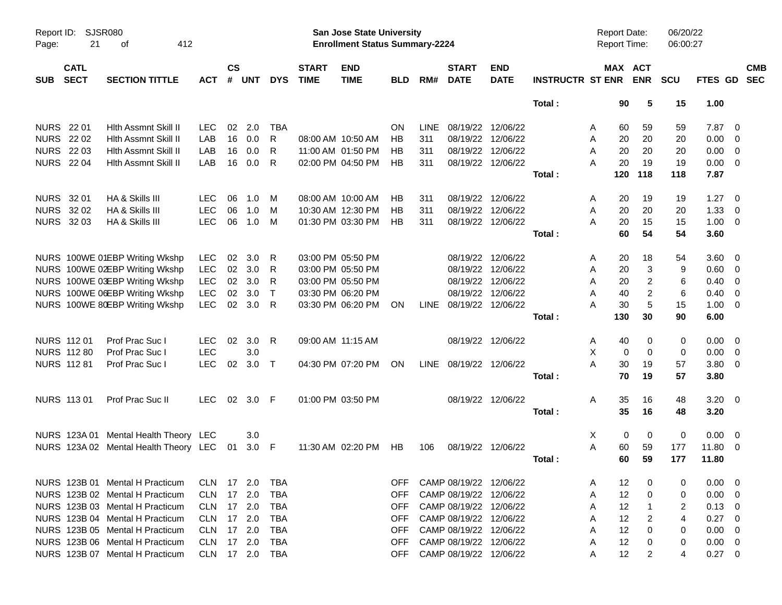| Report ID:<br>Page: | 21                         | <b>SJSR080</b><br>412<br>οf           |            |                    |            |              |                             | <b>San Jose State University</b><br><b>Enrollment Status Summary-2224</b> |            |             |                             |                           |                         | <b>Report Date:</b><br>Report Time: |                       | 06/20/22<br>06:00:27 |                |                         |                          |
|---------------------|----------------------------|---------------------------------------|------------|--------------------|------------|--------------|-----------------------------|---------------------------------------------------------------------------|------------|-------------|-----------------------------|---------------------------|-------------------------|-------------------------------------|-----------------------|----------------------|----------------|-------------------------|--------------------------|
| <b>SUB</b>          | <b>CATL</b><br><b>SECT</b> | <b>SECTION TITTLE</b>                 | <b>ACT</b> | $\mathsf{cs}$<br># | <b>UNT</b> | <b>DYS</b>   | <b>START</b><br><b>TIME</b> | <b>END</b><br><b>TIME</b>                                                 | <b>BLD</b> | RM#         | <b>START</b><br><b>DATE</b> | <b>END</b><br><b>DATE</b> | <b>INSTRUCTR ST ENR</b> |                                     | MAX ACT<br><b>ENR</b> | <b>SCU</b>           | <b>FTES GD</b> |                         | <b>CMB</b><br><b>SEC</b> |
|                     |                            |                                       |            |                    |            |              |                             |                                                                           |            |             |                             |                           | Total:                  | 90                                  | 5                     | 15                   | 1.00           |                         |                          |
| <b>NURS</b> 22 01   |                            | <b>Hith Assmnt Skill II</b>           | <b>LEC</b> | 02                 | 2.0        | <b>TBA</b>   |                             |                                                                           | ON         | <b>LINE</b> | 08/19/22                    | 12/06/22                  |                         | 60<br>A                             | 59                    | 59                   | 7.87           | - 0                     |                          |
| <b>NURS 2202</b>    |                            | <b>Hith Assmnt Skill II</b>           | LAB        | 16                 | 0.0        | R            |                             | 08:00 AM 10:50 AM                                                         | НB         | 311         | 08/19/22                    | 12/06/22                  |                         | 20<br>A                             | 20                    | 20                   | 0.00           | - 0                     |                          |
| <b>NURS 2203</b>    |                            | Hith Assmnt Skill II                  | LAB        | 16                 | 0.0        | R            |                             | 11:00 AM 01:50 PM                                                         | HB         | 311         | 08/19/22                    | 12/06/22                  |                         | A<br>20                             | 20                    | 20                   | 0.00           | $\overline{0}$          |                          |
|                     | <b>NURS 2204</b>           | <b>Hith Assmnt Skill II</b>           | LAB        | 16                 | 0.0        | R            |                             | 02:00 PM 04:50 PM                                                         | НB         | 311         |                             | 08/19/22 12/06/22         |                         | 20<br>A                             | 19                    | 19                   | 0.00           | - 0                     |                          |
|                     |                            |                                       |            |                    |            |              |                             |                                                                           |            |             |                             |                           | Total:                  | 120                                 | 118                   | 118                  | 7.87           |                         |                          |
| <b>NURS</b>         | 32 01                      | HA & Skills III                       | <b>LEC</b> | 06                 | 1.0        | M            |                             | 08:00 AM 10:00 AM                                                         | HB         | 311         | 08/19/22                    | 12/06/22                  |                         | 20<br>A                             | 19                    | 19                   | 1.27           | - 0                     |                          |
|                     | NURS 32 02                 | HA & Skills III                       | <b>LEC</b> | 06                 | 1.0        | M            |                             | 10:30 AM 12:30 PM                                                         | HB         | 311         | 08/19/22                    | 12/06/22                  |                         | 20<br>Α                             | 20                    | 20                   | 1.33           | - 0                     |                          |
|                     | NURS 32 03                 | HA & Skills III                       | <b>LEC</b> | 06                 | 1.0        | M            |                             | 01:30 PM 03:30 PM                                                         | HB         | 311         |                             | 08/19/22 12/06/22         |                         | A<br>20                             | 15                    | 15                   | 1.00           | $\overline{0}$          |                          |
|                     |                            |                                       |            |                    |            |              |                             |                                                                           |            |             |                             |                           | Total:                  | 60                                  | 54                    | 54                   | 3.60           |                         |                          |
|                     |                            | NURS 100WE 01EBP Writing Wkshp        | <b>LEC</b> | 02                 | 3.0        | R            |                             | 03:00 PM 05:50 PM                                                         |            |             | 08/19/22                    | 12/06/22                  |                         | A<br>20                             | 18                    | 54                   | 3.60           | - 0                     |                          |
|                     |                            | NURS 100WE 02EBP Writing Wkshp        | <b>LEC</b> | 02                 | 3.0        | R            |                             | 03:00 PM 05:50 PM                                                         |            |             | 08/19/22                    | 12/06/22                  |                         | 20<br>A                             | 3                     | 9                    | 0.60           | - 0                     |                          |
|                     |                            | NURS 100WE 03EBP Writing Wkshp        | <b>LEC</b> | 02                 | 3.0        | R            |                             | 03:00 PM 05:50 PM                                                         |            |             | 08/19/22                    | 12/06/22                  |                         | Α<br>20                             | $\overline{c}$        | 6                    | 0.40           | - 0                     |                          |
|                     |                            | NURS 100WE 06EBP Writing Wkshp        | <b>LEC</b> | 02                 | 3.0        | $\mathsf{T}$ |                             | 03:30 PM 06:20 PM                                                         |            |             | 08/19/22                    | 12/06/22                  |                         | A<br>40                             | $\boldsymbol{2}$      | 6                    | 0.40           | 0                       |                          |
|                     |                            | NURS 100WE 80EBP Writing Wkshp        | <b>LEC</b> | 02                 | 3.0        | R            |                             | 03:30 PM 06:20 PM                                                         | ON         |             | LINE 08/19/22               | 12/06/22                  |                         | 30<br>А                             | $\sqrt{5}$            | 15                   | 1.00           | - 0                     |                          |
|                     |                            |                                       |            |                    |            |              |                             |                                                                           |            |             |                             |                           | Total:                  | 130                                 | 30                    | 90                   | 6.00           |                         |                          |
|                     | NURS 112 01                | Prof Prac Suc I                       | <b>LEC</b> | 02                 | 3.0        | R            | 09:00 AM 11:15 AM           |                                                                           |            |             | 08/19/22                    | 12/06/22                  |                         | 40<br>A                             | 0                     | 0                    | 0.00           | $\overline{\mathbf{0}}$ |                          |
|                     | <b>NURS 112 80</b>         | Prof Prac Suc I                       | <b>LEC</b> |                    | 3.0        |              |                             |                                                                           |            |             |                             |                           |                         | X<br>0                              | 0                     | 0                    | 0.00           | $\overline{0}$          |                          |
|                     | <b>NURS 112 81</b>         | Prof Prac Suc I                       | <b>LEC</b> | 02                 | 3.0        | $\top$       |                             | 04:30 PM 07:20 PM                                                         | ON         |             | LINE 08/19/22 12/06/22      |                           |                         | A<br>30                             | 19                    | 57                   | 3.80           | - 0                     |                          |
|                     |                            |                                       |            |                    |            |              |                             |                                                                           |            |             |                             |                           | Total:                  | 70                                  | 19                    | 57                   | 3.80           |                         |                          |
|                     | <b>NURS 11301</b>          | Prof Prac Suc II                      | <b>LEC</b> |                    | 02 3.0 F   |              |                             | 01:00 PM 03:50 PM                                                         |            |             |                             | 08/19/22 12/06/22         |                         | Α<br>35                             | 16                    | 48                   | $3.20 \ 0$     |                         |                          |
|                     |                            |                                       |            |                    |            |              |                             |                                                                           |            |             |                             |                           | Total:                  | 35                                  | 16                    | 48                   | 3.20           |                         |                          |
|                     |                            | NURS 123A 01 Mental Health Theory LEC |            |                    | 3.0        |              |                             |                                                                           |            |             |                             |                           |                         | X<br>0                              | 0                     | 0                    | 0.00           | - 0                     |                          |
|                     |                            | NURS 123A 02 Mental Health Theory LEC |            | 01                 | 3.0        | -F           |                             | 11:30 AM 02:20 PM                                                         | HB         | 106         |                             | 08/19/22 12/06/22         |                         | A<br>60                             | 59                    | 177                  | 11.80          | - 0                     |                          |
|                     |                            |                                       |            |                    |            |              |                             |                                                                           |            |             |                             |                           | Total:                  | 60                                  | 59                    | 177                  | 11.80          |                         |                          |
|                     |                            | NURS 123B 01 Mental H Practicum       | CLN.       |                    | 17 2.0     | TBA          |                             |                                                                           | <b>OFF</b> |             | CAMP 08/19/22 12/06/22      |                           |                         | 12<br>A                             | 0                     | 0                    | 0.00           | - 0                     |                          |
|                     |                            | NURS 123B 02 Mental H Practicum       | <b>CLN</b> | 17                 | 2.0        | <b>TBA</b>   |                             |                                                                           | <b>OFF</b> |             | CAMP 08/19/22 12/06/22      |                           |                         | 12<br>A                             | 0                     | 0                    | 0.00           | 0                       |                          |
|                     |                            | NURS 123B 03 Mental H Practicum       | <b>CLN</b> |                    | 17 2.0     | <b>TBA</b>   |                             |                                                                           | <b>OFF</b> |             | CAMP 08/19/22 12/06/22      |                           |                         | 12<br>A                             | -1                    | 2                    | 0.13           | - 0                     |                          |
|                     |                            | NURS 123B 04 Mental H Practicum       | <b>CLN</b> |                    | 17 2.0     | TBA          |                             |                                                                           | <b>OFF</b> |             | CAMP 08/19/22 12/06/22      |                           |                         | 12<br>Α                             | $\overline{c}$        | 4                    | 0.27           | - 0                     |                          |
|                     |                            | NURS 123B 05 Mental H Practicum       | <b>CLN</b> |                    | 17 2.0     | TBA          |                             |                                                                           | <b>OFF</b> |             | CAMP 08/19/22 12/06/22      |                           |                         | 12<br>Α                             | 0                     | 0                    | 0.00           | - 0                     |                          |
|                     |                            | NURS 123B 06 Mental H Practicum       | <b>CLN</b> | 17                 | 2.0        | TBA          |                             |                                                                           | <b>OFF</b> |             | CAMP 08/19/22               | 12/06/22                  |                         | 12<br>Α                             | 0                     | 0                    | 0.00           | - 0                     |                          |
|                     |                            | NURS 123B 07 Mental H Practicum       | <b>CLN</b> |                    | 17 2.0     | TBA          |                             |                                                                           | <b>OFF</b> |             | CAMP 08/19/22               | 12/06/22                  |                         | 12<br>A                             | 2                     | 4                    | $0.27 \t 0$    |                         |                          |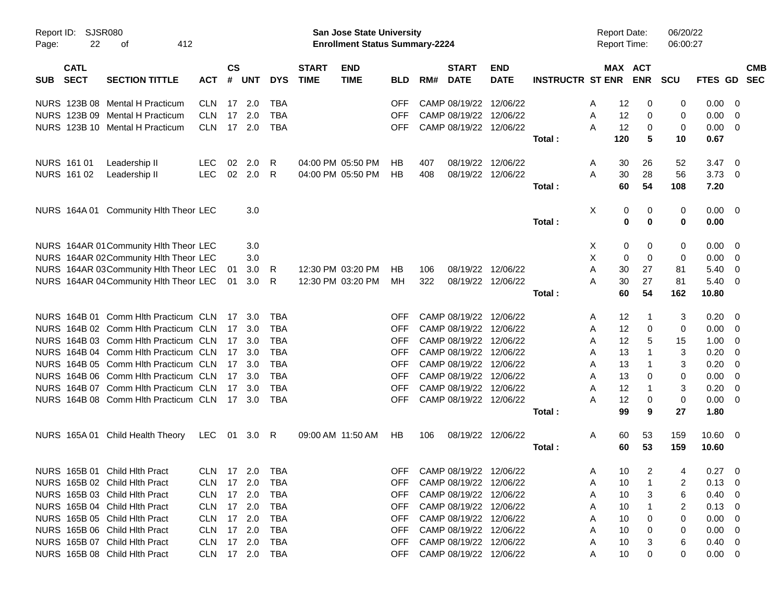| Report ID:<br>Page: | 22                         | SJSR080<br>412<br>оf                        |                |                    |            |            |                             | <b>San Jose State University</b><br><b>Enrollment Status Summary-2224</b> |            |     |                             |                           |                         | <b>Report Date:</b><br>Report Time: |     |                          | 06/20/22<br>06:00:27 |                |                          |
|---------------------|----------------------------|---------------------------------------------|----------------|--------------------|------------|------------|-----------------------------|---------------------------------------------------------------------------|------------|-----|-----------------------------|---------------------------|-------------------------|-------------------------------------|-----|--------------------------|----------------------|----------------|--------------------------|
| <b>SUB</b>          | <b>CATL</b><br><b>SECT</b> | <b>SECTION TITTLE</b>                       | <b>ACT</b>     | $\mathsf{cs}$<br># | <b>UNT</b> | <b>DYS</b> | <b>START</b><br><b>TIME</b> | <b>END</b><br><b>TIME</b>                                                 | <b>BLD</b> | RM# | <b>START</b><br><b>DATE</b> | <b>END</b><br><b>DATE</b> | <b>INSTRUCTR ST ENR</b> | MAX                                 |     | <b>ACT</b><br><b>ENR</b> | <b>SCU</b>           | <b>FTES GD</b> | <b>CMB</b><br><b>SEC</b> |
|                     |                            | NURS 123B 08 Mental H Practicum             | <b>CLN</b>     | 17                 | 2.0        | <b>TBA</b> |                             |                                                                           | <b>OFF</b> |     | CAMP 08/19/22               | 12/06/22                  |                         | A                                   | 12  | 0                        | 0                    | 0.00           | 0                        |
|                     |                            | NURS 123B 09 Mental H Practicum             | <b>CLN</b>     | 17                 | 2.0        | <b>TBA</b> |                             |                                                                           | <b>OFF</b> |     | CAMP 08/19/22               | 12/06/22                  |                         | Α                                   | 12  | 0                        | 0                    | 0.00           | 0                        |
|                     |                            | NURS 123B 10 Mental H Practicum             | <b>CLN</b>     | 17                 | 2.0        | <b>TBA</b> |                             |                                                                           | <b>OFF</b> |     | CAMP 08/19/22 12/06/22      |                           |                         | Α                                   | 12  | 0                        | 0                    | 0.00           | 0                        |
|                     |                            |                                             |                |                    |            |            |                             |                                                                           |            |     |                             |                           | Total:                  |                                     | 120 | 5                        | 10                   | 0.67           |                          |
|                     | NURS 161 01                | Leadership II                               | LEC            | 02                 | 2.0        | R.         |                             | 04:00 PM 05:50 PM                                                         | HB         | 407 | 08/19/22                    | 12/06/22                  |                         | A                                   | 30  | 26                       | 52                   | 3.47           | 0                        |
|                     | NURS 161 02                | Leadership II                               | <b>LEC</b>     | 02                 | 2.0        | R          |                             | 04:00 PM 05:50 PM                                                         | HB         | 408 |                             | 08/19/22 12/06/22         |                         | A                                   | 30  | 28                       | 56                   | 3.73           | 0                        |
|                     |                            |                                             |                |                    |            |            |                             |                                                                           |            |     |                             |                           | Total:                  |                                     | 60  | 54                       | 108                  | 7.20           |                          |
|                     |                            | NURS 164A 01 Community HIth Theor LEC       |                |                    | 3.0        |            |                             |                                                                           |            |     |                             |                           |                         | Χ                                   | 0   | 0                        | 0                    | 0.00           | $\overline{\mathbf{0}}$  |
|                     |                            |                                             |                |                    |            |            |                             |                                                                           |            |     |                             |                           | Total:                  |                                     | 0   | 0                        | 0                    | 0.00           |                          |
|                     |                            | NURS 164AR 01 Community HIth Theor LEC      |                |                    | 3.0        |            |                             |                                                                           |            |     |                             |                           |                         | X                                   | 0   | 0                        | 0                    | 0.00           | 0                        |
|                     |                            | NURS 164AR 02Community HIth Theor LEC       |                |                    | 3.0        |            |                             |                                                                           |            |     |                             |                           |                         | Х                                   | 0   | 0                        | 0                    | 0.00           | 0                        |
|                     |                            | NURS 164AR 03Community Hlth Theor LEC       |                | 01                 | 3.0        | R.         |                             | 12:30 PM 03:20 PM                                                         | HB         | 106 | 08/19/22                    | 12/06/22                  |                         | Α                                   | 30  | 27                       | 81                   | 5.40           | 0                        |
|                     |                            | NURS 164AR 04 Community HIth Theor LEC      |                | 01                 | 3.0        | R          |                             | 12:30 PM 03:20 PM                                                         | МH         | 322 |                             | 08/19/22 12/06/22         |                         | A                                   | 30  | 27                       | 81                   | 5.40           | 0                        |
|                     |                            |                                             |                |                    |            |            |                             |                                                                           |            |     |                             |                           | Total:                  |                                     | 60  | 54                       | 162                  | 10.80          |                          |
|                     |                            | NURS 164B 01 Comm Hith Practicum CLN        |                | 17                 | - 3.0      | TBA        |                             |                                                                           | <b>OFF</b> |     | CAMP 08/19/22               | 12/06/22                  |                         | A                                   | 12  | 1                        | 3                    | 0.20           | 0                        |
|                     |                            | NURS 164B 02 Comm Hith Practicum CLN        |                | 17                 | -3.0       | TBA        |                             |                                                                           | <b>OFF</b> |     | CAMP 08/19/22               | 12/06/22                  |                         | A                                   | 12  | 0                        | 0                    | 0.00           | 0                        |
| <b>NURS</b>         |                            | 164B 03 Comm Hith Practicum CLN             |                | 17                 | -3.0       | TBA        |                             |                                                                           | <b>OFF</b> |     | CAMP 08/19/22               | 12/06/22                  |                         | A                                   | 12  | 5                        | 15                   | 1.00           | 0                        |
| <b>NURS</b>         |                            | 164B 04 Comm Hith Practicum CLN             |                | 17                 | -3.0       | <b>TBA</b> |                             |                                                                           | <b>OFF</b> |     | CAMP 08/19/22               | 12/06/22                  |                         | A                                   | 13  | 1                        | 3                    | 0.20           | 0                        |
| <b>NURS</b>         |                            | 164B 05 Comm Hith Practicum CLN             |                | 17                 | -3.0       | TBA        |                             |                                                                           | <b>OFF</b> |     | CAMP 08/19/22               | 12/06/22                  |                         | A                                   | 13  | 1                        | 3                    | 0.20           | 0                        |
| <b>NURS</b>         |                            | 164B 06 Comm Hith Practicum CLN             |                | 17                 | -3.0       | TBA        |                             |                                                                           | <b>OFF</b> |     | CAMP 08/19/22               | 12/06/22                  |                         | A                                   | 13  | 0                        | 0                    | 0.00           | 0                        |
| <b>NURS</b>         |                            | 164B 07 Comm Hith Practicum CLN             |                | 17                 | 3.0        | <b>TBA</b> |                             |                                                                           | <b>OFF</b> |     | CAMP 08/19/22               | 12/06/22                  |                         | A                                   | 12  | 1                        | 3                    | 0.20           | 0                        |
|                     |                            | NURS 164B 08 Comm Hith Practicum CLN 17 3.0 |                |                    |            | <b>TBA</b> |                             |                                                                           | <b>OFF</b> |     | CAMP 08/19/22 12/06/22      |                           |                         | A                                   | 12  | 0                        | 0                    | 0.00           | 0                        |
|                     |                            |                                             |                |                    |            |            |                             |                                                                           |            |     |                             |                           | Total:                  |                                     | 99  | 9                        | 27                   | 1.80           |                          |
|                     |                            | NURS 165A 01 Child Health Theory            | LEC            | 01                 | 3.0        | R          |                             | 09:00 AM 11:50 AM                                                         | HB         | 106 | 08/19/22                    | 12/06/22                  |                         | Α                                   | 60  | 53                       | 159                  | 10.60          | $\overline{\mathbf{0}}$  |
|                     |                            |                                             |                |                    |            |            |                             |                                                                           |            |     |                             |                           | Total:                  |                                     | 60  | 53                       | 159                  | 10.60          |                          |
|                     |                            | NURS 165B 01 Child Hlth Pract               | CLN 17 2.0 TBA |                    |            |            |                             |                                                                           |            |     | OFF CAMP 08/19/22 12/06/22  |                           |                         | Α                                   | 10  | $\overline{2}$           | 4                    | $0.27 \ 0$     |                          |
|                     |                            | NURS 165B 02 Child Hith Pract               | CLN 17 2.0     |                    |            | TBA        |                             |                                                                           | OFF        |     | CAMP 08/19/22 12/06/22      |                           |                         | Α                                   | 10  |                          | 2                    | 0.13           | 0                        |
|                     |                            | NURS 165B 03 Child Hith Pract               | CLN 17 2.0     |                    |            | TBA        |                             |                                                                           | <b>OFF</b> |     | CAMP 08/19/22 12/06/22      |                           |                         | Α                                   | 10  | 3                        | 6                    | 0.40           | 0                        |
|                     |                            | NURS 165B 04 Child Hith Pract               | CLN 17 2.0     |                    |            | TBA        |                             |                                                                           | <b>OFF</b> |     | CAMP 08/19/22 12/06/22      |                           |                         | Α                                   | 10  |                          | 2                    | 0.13           | 0                        |
|                     |                            | NURS 165B 05 Child Hlth Pract               | CLN 17 2.0     |                    |            | TBA        |                             |                                                                           | <b>OFF</b> |     | CAMP 08/19/22 12/06/22      |                           |                         | Α                                   | 10  | 0                        | 0                    | 0.00           | 0                        |
|                     |                            | NURS 165B 06 Child Hlth Pract               | CLN 17 2.0     |                    |            | TBA        |                             |                                                                           | <b>OFF</b> |     | CAMP 08/19/22 12/06/22      |                           |                         | Α                                   | 10  |                          | 0                    | 0.00           | 0                        |
|                     |                            | NURS 165B 07 Child Hlth Pract               | CLN 17 2.0     |                    |            | TBA        |                             |                                                                           | <b>OFF</b> |     | CAMP 08/19/22 12/06/22      |                           |                         | Α                                   | 10  | 3                        | 6                    | 0.40           | 0                        |
|                     |                            | NURS 165B 08 Child Hlth Pract               | CLN 17 2.0     |                    |            | TBA        |                             |                                                                           | <b>OFF</b> |     | CAMP 08/19/22 12/06/22      |                           |                         | Α                                   | 10  | 0                        | 0                    | $0.00 \t 0$    |                          |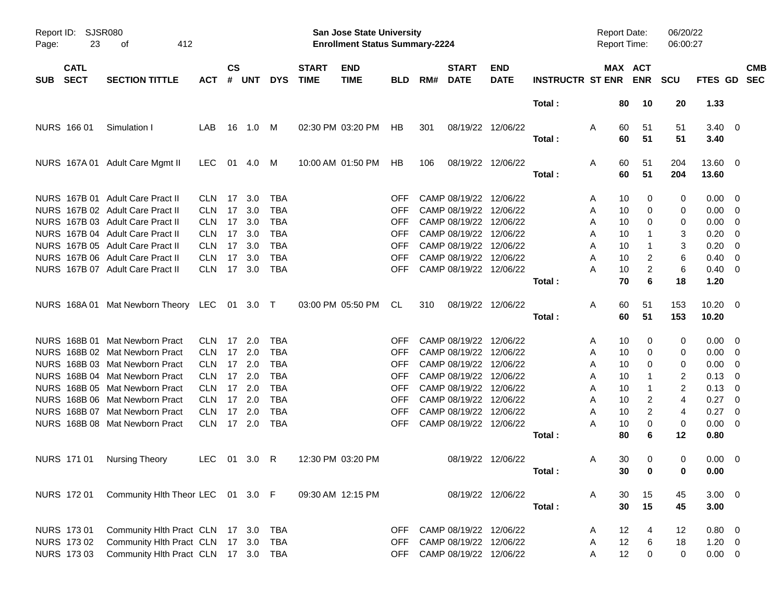| Report ID:<br>Page:                      | <b>SJSR080</b><br>23 | 412<br>οf                                                                                                |                                        |                 |                      |                                 |                             | <b>San Jose State University</b><br><b>Enrollment Status Summary-2224</b> |                          |     |                                                                   |                           |                         | <b>Report Date:</b><br><b>Report Time:</b> |                                            | 06/20/22<br>06:00:27 |                                              |            |
|------------------------------------------|----------------------|----------------------------------------------------------------------------------------------------------|----------------------------------------|-----------------|----------------------|---------------------------------|-----------------------------|---------------------------------------------------------------------------|--------------------------|-----|-------------------------------------------------------------------|---------------------------|-------------------------|--------------------------------------------|--------------------------------------------|----------------------|----------------------------------------------|------------|
| <b>CATL</b><br><b>SECT</b><br><b>SUB</b> |                      | <b>SECTION TITTLE</b>                                                                                    | ACT                                    | <b>CS</b><br>#  | UNT                  | <b>DYS</b>                      | <b>START</b><br><b>TIME</b> | <b>END</b><br><b>TIME</b>                                                 | <b>BLD</b>               | RM# | <b>START</b><br><b>DATE</b>                                       | <b>END</b><br><b>DATE</b> | <b>INSTRUCTR ST ENR</b> |                                            | MAX ACT<br><b>ENR</b>                      | <b>SCU</b>           | FTES GD SEC                                  | <b>CMB</b> |
|                                          |                      |                                                                                                          |                                        |                 |                      |                                 |                             |                                                                           |                          |     |                                                                   |                           | Total:                  |                                            | 80<br>10                                   | 20                   | 1.33                                         |            |
| NURS 166 01                              |                      | Simulation I                                                                                             | LAB                                    | 16              | 1.0 M                |                                 |                             | 02:30 PM 03:20 PM                                                         | HB                       | 301 |                                                                   | 08/19/22 12/06/22         | Total:                  | A                                          | 60<br>51<br>60<br>51                       | 51<br>51             | $3.40 \ 0$<br>3.40                           |            |
|                                          |                      | NURS 167A 01 Adult Care Mgmt II                                                                          | LEC.                                   |                 | 01  4.0  M           |                                 |                             | 10:00 AM 01:50 PM                                                         | HB                       | 106 |                                                                   | 08/19/22 12/06/22         | Total:                  | A                                          | 60<br>51<br>60<br>51                       | 204<br>204           | 13.60 0<br>13.60                             |            |
|                                          |                      | NURS 167B 01 Adult Care Pract II<br>NURS 167B 02 Adult Care Pract II<br>NURS 167B 03 Adult Care Pract II | <b>CLN</b><br><b>CLN</b><br><b>CLN</b> | 17<br>17        | 3.0<br>3.0<br>17 3.0 | TBA<br><b>TBA</b><br><b>TBA</b> |                             |                                                                           | OFF<br>OFF<br><b>OFF</b> |     | CAMP 08/19/22 12/06/22<br>CAMP 08/19/22<br>CAMP 08/19/22 12/06/22 | 12/06/22                  |                         | A<br>A                                     | 10<br>0<br>10<br>0<br>10<br>0              | 0<br>0               | $0.00 \quad 0$<br>$0.00 \t 0$<br>$0.00 \t 0$ |            |
|                                          |                      | NURS 167B 04 Adult Care Pract II<br>NURS 167B 05 Adult Care Pract II                                     | <b>CLN</b><br><b>CLN</b>               | 17<br>17        | 3.0<br>3.0           | <b>TBA</b><br><b>TBA</b>        |                             |                                                                           | <b>OFF</b><br><b>OFF</b> |     | CAMP 08/19/22 12/06/22<br>CAMP 08/19/22 12/06/22                  |                           |                         | A<br>A<br>A                                | 10<br>10                                   | 0<br>3<br>3          | $0.20 \ 0$<br>$0.20 \ 0$                     |            |
|                                          |                      | NURS 167B 06 Adult Care Pract II<br>NURS 167B 07 Adult Care Pract II                                     | <b>CLN</b><br><b>CLN</b>               | 17              | 3.0<br>17 3.0        | <b>TBA</b><br><b>TBA</b>        |                             |                                                                           | <b>OFF</b><br><b>OFF</b> |     | CAMP 08/19/22 12/06/22<br>CAMP 08/19/22 12/06/22                  |                           | Total:                  | Α<br>Α                                     | 2<br>10<br>10<br>$\overline{2}$<br>70<br>6 | 6<br>6<br>18         | $0.40 \quad 0$<br>$0.40 \quad 0$<br>1.20     |            |
|                                          |                      | NURS 168A 01 Mat Newborn Theory LEC 01 3.0 T                                                             |                                        |                 |                      |                                 |                             | 03:00 PM 05:50 PM                                                         | CL                       | 310 | 08/19/22 12/06/22                                                 |                           | Total:                  | A                                          | 60<br>51<br>60<br>51                       | 153<br>153           | $10.20 \t 0$<br>10.20                        |            |
|                                          |                      | NURS 168B 01 Mat Newborn Pract                                                                           | <b>CLN</b>                             |                 | $17$ 2.0             | TBA                             |                             |                                                                           | OFF                      |     | CAMP 08/19/22 12/06/22                                            |                           |                         | A                                          | 10<br>0                                    | 0                    | $0.00 \quad 0$                               |            |
|                                          |                      | NURS 168B 02 Mat Newborn Pract<br>NURS 168B 03 Mat Newborn Pract                                         | <b>CLN</b><br><b>CLN</b>               |                 | 17 2.0<br>17 2.0     | <b>TBA</b><br><b>TBA</b>        |                             |                                                                           | OFF<br><b>OFF</b>        |     | CAMP 08/19/22<br>CAMP 08/19/22 12/06/22                           | 12/06/22                  |                         | A<br>A                                     | 10<br>0<br>10<br>0                         | 0<br>0               | $0.00 \t 0$<br>$0.00 \t 0$                   |            |
|                                          |                      | NURS 168B 04 Mat Newborn Pract<br>NURS 168B 05 Mat Newborn Pract                                         | <b>CLN</b><br><b>CLN</b>               |                 | 17 2.0<br>17 2.0     | <b>TBA</b><br><b>TBA</b>        |                             |                                                                           | <b>OFF</b><br><b>OFF</b> |     | CAMP 08/19/22 12/06/22<br>CAMP 08/19/22 12/06/22                  |                           |                         | A<br>A                                     | 10<br>10<br>1                              | 2<br>2               | $0.13 \ 0$<br>$0.13 \ 0$                     |            |
|                                          |                      | NURS 168B 06 Mat Newborn Pract<br>NURS 168B 07 Mat Newborn Pract                                         | <b>CLN</b><br><b>CLN</b>               | 17 <sup>2</sup> | 17 2.0<br>2.0        | <b>TBA</b><br><b>TBA</b>        |                             |                                                                           | <b>OFF</b><br><b>OFF</b> |     | CAMP 08/19/22 12/06/22<br>CAMP 08/19/22 12/06/22                  |                           |                         | A<br>A                                     | 2<br>10<br>$\overline{2}$<br>10            | 4<br>4               | $0.27$ 0<br>$0.27 \t 0$                      |            |
|                                          |                      | NURS 168B 08 Mat Newborn Pract                                                                           | <b>CLN</b>                             |                 | 17 2.0               | <b>TBA</b>                      |                             |                                                                           | <b>OFF</b>               |     | CAMP 08/19/22 12/06/22                                            |                           | Total :                 | Α                                          | 10<br>0<br>80<br>6                         | 0<br>12              | $0.00 \t 0$<br>0.80                          |            |
| NURS 171 01                              |                      | Nursing Theory                                                                                           | LEC 01 3.0 R                           |                 |                      |                                 |                             | 12:30 PM 03:20 PM                                                         |                          |     |                                                                   | 08/19/22 12/06/22         | Total :                 | Α                                          | 30<br>0<br>30<br>$\mathbf 0$               | 0<br>$\mathbf 0$     | $0.00 \quad 0$<br>0.00                       |            |
| NURS 172 01                              |                      | Community Hlth Theor LEC 01 3.0 F                                                                        |                                        |                 |                      |                                 |                             | 09:30 AM 12:15 PM                                                         |                          |     |                                                                   | 08/19/22 12/06/22         | Total:                  | A                                          | 30<br>15<br>30<br>15                       | 45<br>45             | $3.00 \ 0$<br>3.00                           |            |
| <b>NURS 17301</b>                        |                      | Community Hlth Pract CLN 17 3.0                                                                          |                                        |                 |                      | TBA                             |                             |                                                                           | OFF.                     |     | CAMP 08/19/22 12/06/22                                            |                           |                         | A                                          | 12<br>4                                    | 12                   | $0.80 \ 0$                                   |            |
| NURS 173 02<br><b>NURS 17303</b>         |                      | Community Hlth Pract CLN 17 3.0<br>Community Hlth Pract CLN 17 3.0 TBA                                   |                                        |                 |                      | TBA                             |                             |                                                                           | <b>OFF</b><br>OFF.       |     | CAMP 08/19/22 12/06/22<br>CAMP 08/19/22 12/06/22                  |                           |                         | A<br>Α                                     | 12<br>6<br>12<br>$\pmb{0}$                 | 18<br>0              | $1.20 \t 0$<br>$0.00 \t 0$                   |            |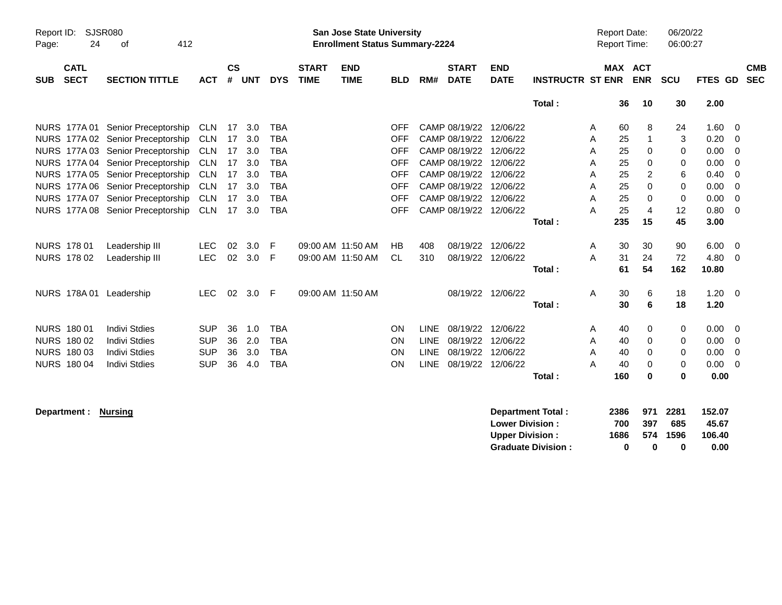| Report ID:<br>24<br>Page:                | <b>SJSR080</b><br>412<br>οf       |            |                    |            |            |                             | <b>San Jose State University</b><br><b>Enrollment Status Summary-2224</b> |            |             |                             |                                                  |                         |   | <b>Report Date:</b><br><b>Report Time:</b> |                       | 06/20/22<br>06:00:27 |                           |                          |
|------------------------------------------|-----------------------------------|------------|--------------------|------------|------------|-----------------------------|---------------------------------------------------------------------------|------------|-------------|-----------------------------|--------------------------------------------------|-------------------------|---|--------------------------------------------|-----------------------|----------------------|---------------------------|--------------------------|
| <b>CATL</b><br><b>SECT</b><br><b>SUB</b> | <b>SECTION TITTLE</b>             | <b>ACT</b> | $\mathsf{cs}$<br># | <b>UNT</b> | <b>DYS</b> | <b>START</b><br><b>TIME</b> | <b>END</b><br><b>TIME</b>                                                 | <b>BLD</b> | RM#         | <b>START</b><br><b>DATE</b> | <b>END</b><br><b>DATE</b>                        | <b>INSTRUCTR ST ENR</b> |   |                                            | MAX ACT<br><b>ENR</b> | <b>SCU</b>           | FTES GD                   | <b>CMB</b><br><b>SEC</b> |
|                                          |                                   |            |                    |            |            |                             |                                                                           |            |             |                             |                                                  | Total:                  |   | 36                                         | 10                    | 30                   | 2.00                      |                          |
|                                          | NURS 177A 01 Senior Preceptorship | <b>CLN</b> | 17                 | 3.0        | <b>TBA</b> |                             |                                                                           | <b>OFF</b> |             | CAMP 08/19/22               | 12/06/22                                         |                         | A | 60                                         | 8                     | 24                   | 1.60                      | 0                        |
|                                          | NURS 177A 02 Senior Preceptorship | <b>CLN</b> | 17                 | 3.0        | <b>TBA</b> |                             |                                                                           | <b>OFF</b> |             | CAMP 08/19/22               | 12/06/22                                         |                         | A | 25                                         | $\mathbf 1$           | 3                    | 0.20                      | 0                        |
|                                          | NURS 177A 03 Senior Preceptorship | <b>CLN</b> | 17                 | 3.0        | <b>TBA</b> |                             |                                                                           | <b>OFF</b> |             | CAMP 08/19/22               | 12/06/22                                         |                         | Α | 25                                         | 0                     | 0                    | 0.00                      | 0                        |
|                                          | NURS 177A 04 Senior Preceptorship | <b>CLN</b> | 17                 | 3.0        | <b>TBA</b> |                             |                                                                           | <b>OFF</b> |             | CAMP 08/19/22               | 12/06/22                                         |                         | A | 25                                         | 0                     | 0                    | 0.00                      | 0                        |
|                                          | NURS 177A 05 Senior Preceptorship | <b>CLN</b> | 17                 | 3.0        | <b>TBA</b> |                             |                                                                           | <b>OFF</b> |             | CAMP 08/19/22               | 12/06/22                                         |                         | A | 25                                         | $\overline{c}$        | 6                    | 0.40                      | 0                        |
|                                          | NURS 177A 06 Senior Preceptorship | <b>CLN</b> | 17                 | 3.0        | <b>TBA</b> |                             |                                                                           | <b>OFF</b> |             | CAMP 08/19/22               | 12/06/22                                         |                         | A | 25                                         | 0                     | $\Omega$             | 0.00                      | $\Omega$                 |
|                                          | NURS 177A 07 Senior Preceptorship | <b>CLN</b> | 17                 | 3.0        | <b>TBA</b> |                             |                                                                           | <b>OFF</b> |             | CAMP 08/19/22               | 12/06/22                                         |                         | A | 25                                         | 0                     | 0                    | 0.00                      | 0                        |
|                                          | NURS 177A 08 Senior Preceptorship | <b>CLN</b> | 17                 | 3.0        | <b>TBA</b> |                             |                                                                           | <b>OFF</b> |             | CAMP 08/19/22 12/06/22      |                                                  |                         | А | 25                                         | $\overline{4}$        | 12                   | 0.80                      | 0                        |
|                                          |                                   |            |                    |            |            |                             |                                                                           |            |             |                             |                                                  | Total:                  |   | 235                                        | 15                    | 45                   | 3.00                      |                          |
| <b>NURS 17801</b>                        | Leadership III                    | <b>LEC</b> | 02                 | 3.0        | F          |                             | 09:00 AM 11:50 AM                                                         | <b>HB</b>  | 408         |                             | 08/19/22 12/06/22                                |                         | A | 30                                         | 30                    | 90                   | 6.00                      | $\overline{0}$           |
| NURS 178 02                              | Leadership III                    | <b>LEC</b> | 02                 | 3.0        | F          |                             | 09:00 AM 11:50 AM                                                         | <b>CL</b>  | 310         |                             | 08/19/22 12/06/22                                |                         | A | 31                                         | 24                    | 72                   | 4.80                      | 0                        |
|                                          |                                   |            |                    |            |            |                             |                                                                           |            |             |                             |                                                  | Total:                  |   | 61                                         | 54                    | 162                  | 10.80                     |                          |
| NURS 178A 01 Leadership                  |                                   | <b>LEC</b> | 02                 | 3.0        | -F         |                             | 09:00 AM 11:50 AM                                                         |            |             |                             | 08/19/22 12/06/22                                |                         | Α | 30                                         | 6                     | 18                   | 1.20                      | $\overline{0}$           |
|                                          |                                   |            |                    |            |            |                             |                                                                           |            |             |                             |                                                  | Total:                  |   | 30                                         | 6                     | 18                   | 1.20                      |                          |
| NURS 180 01                              | <b>Indivi Stdies</b>              | <b>SUP</b> | 36                 | 1.0        | <b>TBA</b> |                             |                                                                           | <b>ON</b>  | <b>LINE</b> | 08/19/22                    | 12/06/22                                         |                         | A | 40                                         | 0                     | 0                    | 0.00                      | 0                        |
| NURS 180 02                              | <b>Indivi Stdies</b>              | <b>SUP</b> | 36                 | 2.0        | <b>TBA</b> |                             |                                                                           | ON         | <b>LINE</b> | 08/19/22                    | 12/06/22                                         |                         | Α | 40                                         | 0                     | 0                    | 0.00                      | 0                        |
| NURS 180 03                              | <b>Indivi Stdies</b>              | <b>SUP</b> | 36                 | 3.0        | <b>TBA</b> |                             |                                                                           | ON         | <b>LINE</b> | 08/19/22                    | 12/06/22                                         |                         | A | 40                                         | 0                     | 0                    | 0.00                      | 0                        |
| <b>NURS 180 04</b>                       | <b>Indivi Stdies</b>              | <b>SUP</b> | 36                 | 4.0        | <b>TBA</b> |                             |                                                                           | <b>ON</b>  | LINE        | 08/19/22 12/06/22           |                                                  |                         | Α | 40                                         | 0                     | 0                    | 0.00                      | $\overline{0}$           |
|                                          |                                   |            |                    |            |            |                             |                                                                           |            |             |                             |                                                  | Total:                  |   | 160                                        | $\bf{0}$              | 0                    | 0.00                      |                          |
| Department :                             | <b>Nursing</b>                    |            |                    |            |            |                             |                                                                           |            |             |                             | <b>Lower Division:</b><br><b>Upper Division:</b> | Department Total:       |   | 2386<br>700<br>1686                        | 971<br>397<br>574     | 2281<br>685<br>1596  | 152.07<br>45.67<br>106.40 |                          |

**Graduate Division : 0 0 0 0.00**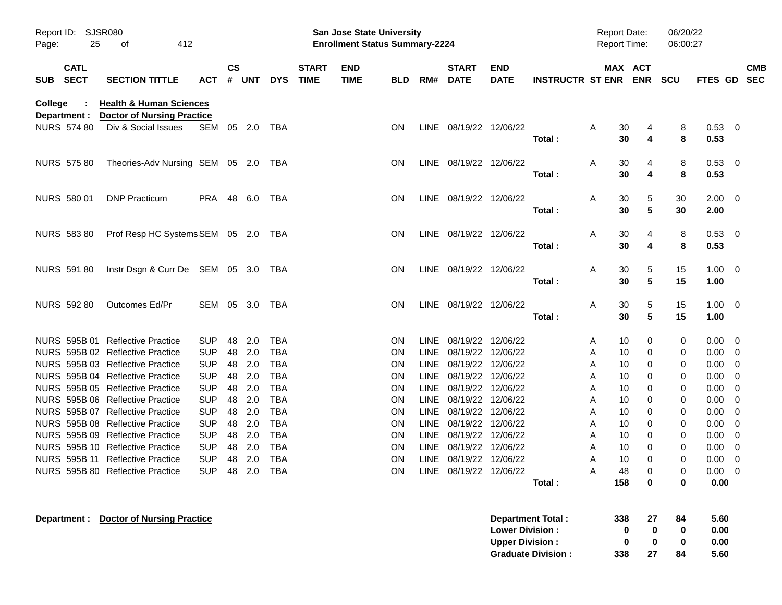| Report ID:<br>25<br>Page:                | SJSR080<br>412<br>οf                                                    |                          |                |            |                          |                             | <b>San Jose State University</b><br><b>Enrollment Status Summary-2224</b> |                        |                            |                             |                           |                           | <b>Report Date:</b><br>Report Time: |                                          | 06/20/22<br>06:00:27 |                     |                          |
|------------------------------------------|-------------------------------------------------------------------------|--------------------------|----------------|------------|--------------------------|-----------------------------|---------------------------------------------------------------------------|------------------------|----------------------------|-----------------------------|---------------------------|---------------------------|-------------------------------------|------------------------------------------|----------------------|---------------------|--------------------------|
| <b>CATL</b><br><b>SECT</b><br><b>SUB</b> | <b>SECTION TITTLE</b>                                                   | <b>ACT</b>               | <b>CS</b><br># | <b>UNT</b> | <b>DYS</b>               | <b>START</b><br><b>TIME</b> | <b>END</b><br><b>TIME</b>                                                 | <b>BLD</b>             | RM#                        | <b>START</b><br><b>DATE</b> | <b>END</b><br><b>DATE</b> | <b>INSTRUCTR ST ENR</b>   |                                     | MAX ACT                                  | ENR SCU              | <b>FTES GD</b>      | <b>CMB</b><br><b>SEC</b> |
| College<br>Department :                  | <b>Health &amp; Human Sciences</b><br><b>Doctor of Nursing Practice</b> |                          |                |            |                          |                             |                                                                           |                        |                            |                             |                           |                           |                                     |                                          |                      |                     |                          |
| <b>NURS 574 80</b>                       | Div & Social Issues                                                     | SEM                      |                | 05 2.0     | TBA                      |                             |                                                                           | <b>ON</b>              |                            | LINE 08/19/22 12/06/22      |                           | Total:                    | A                                   | 30<br>4<br>$\overline{\mathbf{4}}$<br>30 | 8<br>8               | 0.53 0<br>0.53      |                          |
| <b>NURS 575 80</b>                       | Theories-Adv Nursing SEM 05 2.0                                         |                          |                |            | TBA                      |                             |                                                                           | <b>ON</b>              |                            | LINE 08/19/22 12/06/22      |                           | Total:                    | A                                   | 30<br>4<br>30<br>4                       | 8<br>8               | 0.53 0<br>0.53      |                          |
| NURS 580 01                              | <b>DNP Practicum</b>                                                    | PRA 48 6.0               |                |            | TBA                      |                             |                                                                           | <b>ON</b>              |                            | LINE 08/19/22 12/06/22      |                           |                           | Α                                   | 30<br>5                                  | 30                   | $2.00 \t 0$         |                          |
| <b>NURS 583 80</b>                       | Prof Resp HC Systems SEM 05 2.0                                         |                          |                |            | TBA                      |                             |                                                                           | <b>ON</b>              |                            | LINE 08/19/22 12/06/22      |                           | Total:                    | A                                   | 30<br>5<br>30<br>4                       | 30<br>8              | 2.00<br>0.53 0      |                          |
|                                          |                                                                         |                          |                |            |                          |                             |                                                                           |                        |                            |                             |                           | Total:                    |                                     | 30<br>$\overline{\mathbf{4}}$            | 8                    | 0.53                |                          |
| NURS 591 80                              | Instr Dsgn & Curr De SEM 05 3.0                                         |                          |                |            | TBA                      |                             |                                                                           | <b>ON</b>              |                            | LINE 08/19/22 12/06/22      |                           | Total:                    | A                                   | 30<br>5<br>$5\phantom{1}$<br>30          | 15<br>15             | $1.00 \t 0$<br>1.00 |                          |
| NURS 592 80                              | Outcomes Ed/Pr                                                          | SEM 05 3.0               |                |            | TBA                      |                             |                                                                           | <b>ON</b>              |                            | LINE 08/19/22 12/06/22      |                           | Total:                    | A                                   | 30<br>5<br>$5\phantom{1}$<br>30          | 15<br>15             | $1.00 \t 0$<br>1.00 |                          |
|                                          | NURS 595B 01 Reflective Practice                                        | <b>SUP</b>               | 48             | 2.0        | <b>TBA</b>               |                             |                                                                           | <b>ON</b>              |                            | LINE 08/19/22               | 12/06/22                  |                           | A                                   | 10<br>0                                  | 0                    | 0.00                | $\overline{\phantom{0}}$ |
|                                          | NURS 595B 02 Reflective Practice<br>NURS 595B 03 Reflective Practice    | <b>SUP</b><br><b>SUP</b> | 48<br>48       | 2.0<br>2.0 | <b>TBA</b><br><b>TBA</b> |                             |                                                                           | <b>ON</b><br><b>ON</b> | <b>LINE</b><br><b>LINE</b> | 08/19/22<br>08/19/22        | 12/06/22<br>12/06/22      |                           | A<br>A                              | 10<br>0<br>10<br>0                       | 0<br>0               | 0.00<br>0.00        | - 0<br>0                 |
|                                          | NURS 595B 04 Reflective Practice                                        | <b>SUP</b>               | 48             | 2.0        | <b>TBA</b>               |                             |                                                                           | ON                     | <b>LINE</b>                | 08/19/22                    | 12/06/22                  |                           | A                                   | 10<br>0                                  | 0                    | 0.00                | 0                        |
|                                          | NURS 595B 05 Reflective Practice                                        | <b>SUP</b>               | 48             | 2.0        | <b>TBA</b>               |                             |                                                                           | ON                     | <b>LINE</b>                | 08/19/22                    | 12/06/22                  |                           | A                                   | 10<br>0                                  | 0                    | 0.00                | 0                        |
|                                          | NURS 595B 06 Reflective Practice                                        | <b>SUP</b>               | 48             | 2.0        | <b>TBA</b>               |                             |                                                                           | ON                     | <b>LINE</b>                | 08/19/22                    | 12/06/22                  |                           | A                                   | 10<br>0                                  | 0                    | 0.00                | -0                       |
|                                          | NURS 595B 07 Reflective Practice                                        | <b>SUP</b>               | 48             | 2.0        | <b>TBA</b>               |                             |                                                                           | ON                     | LINE                       | 08/19/22                    | 12/06/22                  |                           | A                                   | 10<br>0                                  | 0                    | 0.00                | -0                       |
|                                          | NURS 595B 08 Reflective Practice                                        | <b>SUP</b>               | 48             | 2.0        | <b>TBA</b>               |                             |                                                                           | ON                     | LINE                       | 08/19/22                    | 12/06/22                  |                           | A                                   | 10<br>0                                  | 0                    | 0.00                | -0                       |
|                                          | NURS 595B 09 Reflective Practice                                        | <b>SUP</b>               | 48             | 2.0        | <b>TBA</b>               |                             |                                                                           | ON                     | LINE                       | 08/19/22                    | 12/06/22                  |                           | A                                   | 10<br>0                                  | 0                    | 0.00                | 0                        |
|                                          | NURS 595B 10 Reflective Practice                                        | <b>SUP</b>               | 48             | 2.0        | <b>TBA</b>               |                             |                                                                           | ON                     | LINE                       | 08/19/22                    | 12/06/22                  |                           | A                                   | 10<br>0                                  | 0                    | 0.00                | 0                        |
|                                          | NURS 595B 11 Reflective Practice                                        | <b>SUP</b>               | 48             | 2.0        | <b>TBA</b>               |                             |                                                                           | <b>ON</b>              |                            | LINE 08/19/22 12/06/22      |                           |                           | A                                   | 10<br>$\Omega$                           | 0                    | 0.00                | - 0                      |
|                                          | NURS 595B 80 Reflective Practice                                        | SUP 48 2.0 TBA           |                |            |                          |                             |                                                                           | ON                     |                            | LINE 08/19/22 12/06/22      |                           | Total:                    | A<br>158                            | 48<br>0<br>0                             | 0<br>0               | $0.00 \t 0$<br>0.00 |                          |
|                                          |                                                                         |                          |                |            |                          |                             |                                                                           |                        |                            |                             |                           |                           |                                     |                                          |                      |                     |                          |
| Department :                             | <b>Doctor of Nursing Practice</b>                                       |                          |                |            |                          |                             |                                                                           |                        |                            |                             |                           | Department Total :        | 338                                 |                                          | 84<br>27             | 5.60                |                          |
|                                          |                                                                         |                          |                |            |                          |                             |                                                                           |                        |                            |                             | <b>Lower Division:</b>    |                           |                                     | 0                                        | 0<br>0               | 0.00                |                          |
|                                          |                                                                         |                          |                |            |                          |                             |                                                                           |                        |                            |                             | <b>Upper Division:</b>    |                           |                                     | 0                                        | 0<br>0               | 0.00                |                          |
|                                          |                                                                         |                          |                |            |                          |                             |                                                                           |                        |                            |                             |                           | <b>Graduate Division:</b> | 338                                 |                                          | 27<br>84             | 5.60                |                          |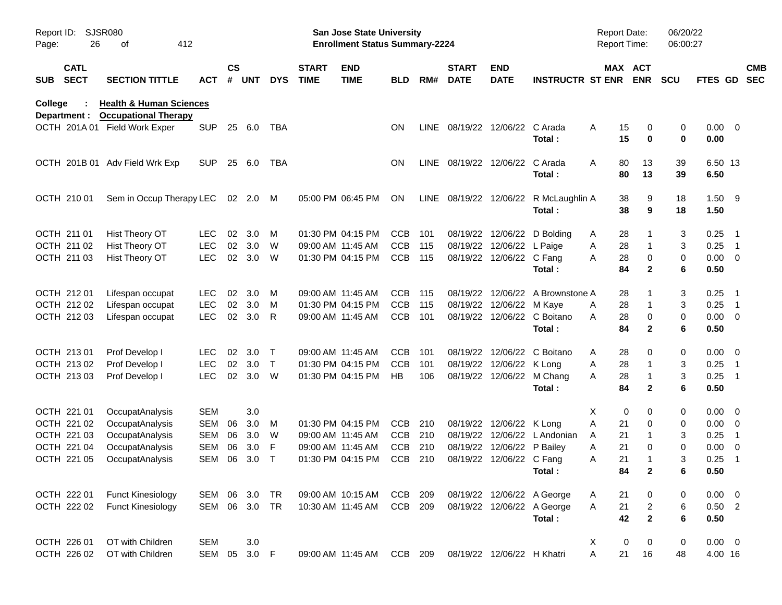| Report ID:<br>Page: | 26                         | <b>SJSR080</b><br>412<br>оf                                       |            |                    |            |              |                             | San Jose State University<br><b>Enrollment Status Summary-2224</b> |            |      |                             |                            |                                  | Report Date:<br><b>Report Time:</b> |                       |                         | 06/20/22<br>06:00:27 |                     |                          |                          |
|---------------------|----------------------------|-------------------------------------------------------------------|------------|--------------------|------------|--------------|-----------------------------|--------------------------------------------------------------------|------------|------|-----------------------------|----------------------------|----------------------------------|-------------------------------------|-----------------------|-------------------------|----------------------|---------------------|--------------------------|--------------------------|
| <b>SUB</b>          | <b>CATL</b><br><b>SECT</b> | <b>SECTION TITTLE</b>                                             | ACT        | $\mathsf{cs}$<br># | <b>UNT</b> | <b>DYS</b>   | <b>START</b><br><b>TIME</b> | <b>END</b><br><b>TIME</b>                                          | <b>BLD</b> | RM#  | <b>START</b><br><b>DATE</b> | <b>END</b><br><b>DATE</b>  | <b>INSTRUCTR ST ENR</b>          |                                     | MAX ACT<br><b>ENR</b> | <b>SCU</b>              |                      | <b>FTES GD</b>      |                          | <b>CMB</b><br><b>SEC</b> |
| College             | Department :               | <b>Health &amp; Human Sciences</b><br><b>Occupational Therapy</b> |            |                    |            |              |                             |                                                                    |            |      |                             |                            |                                  |                                     |                       |                         |                      |                     |                          |                          |
|                     |                            | OCTH 201A 01 Field Work Exper                                     | <b>SUP</b> |                    | 25 6.0     | TBA          |                             |                                                                    | ON         | LINE |                             | 08/19/22 12/06/22 C Arada  | Total:                           | Α                                   | 15<br>15              | 0<br>0                  | 0<br>0               | $0.00 \t 0$<br>0.00 |                          |                          |
|                     |                            | OCTH 201B 01 Adv Field Wrk Exp                                    | <b>SUP</b> | 25                 | 6.0        | TBA          |                             |                                                                    | <b>ON</b>  |      | LINE 08/19/22 12/06/22      |                            | C Arada<br>Total:                | Α                                   | 80<br>80              | 13<br>13                | 39<br>39             | 6.50 13<br>6.50     |                          |                          |
|                     | OCTH 210 01                | Sem in Occup Therapy LEC                                          |            |                    | 02 2.0     | M            |                             | 05:00 PM 06:45 PM                                                  | ON         | LINE | 08/19/22 12/06/22           |                            | R McLaughlin A<br>Total:         |                                     | 38<br>38              | 9<br>9                  | 18<br>18             | $1.50$ 9<br>1.50    |                          |                          |
|                     | OCTH 211 01                | Hist Theory OT                                                    | <b>LEC</b> | 02                 | 3.0        | М            |                             | 01:30 PM 04:15 PM                                                  | <b>CCB</b> | 101  |                             |                            | 08/19/22 12/06/22 D Bolding      | A                                   | 28                    |                         | 3                    | 0.25                | - 1                      |                          |
|                     | OCTH 211 02                | Hist Theory OT                                                    | <b>LEC</b> | 02                 | 3.0        | W            |                             | 09:00 AM 11:45 AM                                                  | <b>CCB</b> | 115  |                             | 08/19/22 12/06/22 L Paige  |                                  | Α                                   | 28                    | 1                       | 3                    | 0.25                | $\overline{\phantom{1}}$ |                          |
|                     | OCTH 211 03                | Hist Theory OT                                                    | <b>LEC</b> | 02                 | 3.0        | W            |                             | 01:30 PM 04:15 PM                                                  | <b>CCB</b> | 115  |                             | 08/19/22 12/06/22 C Fang   |                                  | A                                   | 28                    | 0                       | 0                    | $0.00 \t 0$         |                          |                          |
|                     |                            |                                                                   |            |                    |            |              |                             |                                                                    |            |      |                             |                            | Total:                           |                                     | 84                    | $\mathbf{2}$            | 6                    | 0.50                |                          |                          |
|                     | OCTH 212 01                | Lifespan occupat                                                  | <b>LEC</b> | 02                 | 3.0        | M            |                             | 09:00 AM 11:45 AM                                                  | <b>CCB</b> | 115  |                             |                            | 08/19/22 12/06/22 A Brownstone A |                                     | 28                    |                         | 3                    | 0.25                | $\overline{\phantom{1}}$ |                          |
|                     | OCTH 212 02                | Lifespan occupat                                                  | <b>LEC</b> | 02                 | 3.0        | M            |                             | 01:30 PM 04:15 PM                                                  | <b>CCB</b> | 115  |                             | 08/19/22 12/06/22 M Kaye   |                                  | A                                   | 28                    | 1                       | 3                    | 0.25                | $\overline{\phantom{1}}$ |                          |
|                     | OCTH 212 03                | Lifespan occupat                                                  | <b>LEC</b> | 02                 | 3.0        | R            |                             | 09:00 AM 11:45 AM                                                  | <b>CCB</b> | 101  |                             |                            | 08/19/22 12/06/22 C Boitano      | A                                   | 28                    | 0                       | 0                    | $0.00 \t 0$         |                          |                          |
|                     |                            |                                                                   |            |                    |            |              |                             |                                                                    |            |      |                             |                            | Total:                           |                                     | 84                    | $\mathbf{2}$            | 6                    | 0.50                |                          |                          |
|                     | OCTH 213 01                | Prof Develop I                                                    | <b>LEC</b> | 02                 | 3.0        | $\top$       | 09:00 AM 11:45 AM           |                                                                    | <b>CCB</b> | 101  |                             |                            | 08/19/22 12/06/22 C Boitano      | A                                   | 28                    | 0                       | 0                    | $0.00 \t 0$         |                          |                          |
|                     | OCTH 213 02                | Prof Develop I                                                    | <b>LEC</b> | 02                 | 3.0        | $\mathsf{T}$ |                             | 01:30 PM 04:15 PM                                                  | <b>CCB</b> | 101  |                             | 08/19/22 12/06/22 K Long   |                                  | Α                                   | 28                    | 1                       | 3                    | 0.25                | $\overline{1}$           |                          |
|                     | OCTH 213 03                | Prof Develop I                                                    | <b>LEC</b> | 02                 | 3.0        | W            |                             | 01:30 PM 04:15 PM                                                  | HB         | 106  |                             |                            | 08/19/22 12/06/22 M Chang        | A                                   | 28                    | 1                       | 3                    | 0.25                | - 1                      |                          |
|                     |                            |                                                                   |            |                    |            |              |                             |                                                                    |            |      |                             |                            | Total:                           |                                     | 84                    | $\mathbf{2}$            | 6                    | 0.50                |                          |                          |
|                     | OCTH 221 01                | OccupatAnalysis                                                   | <b>SEM</b> |                    | 3.0        |              |                             |                                                                    |            |      |                             |                            |                                  | X                                   | 0                     | 0                       | 0                    | $0.00 \t 0$         |                          |                          |
|                     | OCTH 221 02                | OccupatAnalysis                                                   | <b>SEM</b> | 06                 | 3.0        | M            |                             | 01:30 PM 04:15 PM                                                  | CCB        | 210  |                             | 08/19/22 12/06/22 K Long   |                                  | Α                                   | 21                    | 0                       | 0                    | $0.00 \t 0$         |                          |                          |
|                     | OCTH 221 03                | OccupatAnalysis                                                   | <b>SEM</b> | 06                 | 3.0        | W            |                             | 09:00 AM 11:45 AM                                                  | <b>CCB</b> | 210  |                             |                            | 08/19/22 12/06/22 L Andonian     | A                                   | 21                    |                         | 3                    | 0.25                | $\overline{1}$           |                          |
|                     | OCTH 221 04                | OccupatAnalysis                                                   | <b>SEM</b> | 06                 | 3.0        | F            |                             | 09:00 AM 11:45 AM                                                  | <b>CCB</b> | 210  |                             | 08/19/22 12/06/22 P Bailey |                                  | Α                                   | 21                    | 0                       | 0                    | 0.00                | $\overline{\phantom{0}}$ |                          |
|                     | OCTH 221 05                | OccupatAnalysis                                                   | <b>SEM</b> | 06                 | 3.0        | $\mathsf T$  |                             | 01:30 PM 04:15 PM                                                  | <b>CCB</b> | 210  |                             | 08/19/22 12/06/22 C Fang   |                                  | Α                                   | 21                    | 1                       | 3                    | 0.25                | $\overline{1}$           |                          |
|                     |                            |                                                                   |            |                    |            |              |                             |                                                                    |            |      |                             |                            | Total:                           |                                     | 84                    | $\mathbf 2$             | 6                    | 0.50                |                          |                          |
|                     | OCTH 222 01                | <b>Funct Kinesiology</b>                                          | SEM 06     |                    | 3.0        | TR           |                             | 09:00 AM 10:15 AM                                                  | CCB        | 209  |                             |                            | 08/19/22 12/06/22 A George       | A                                   | 21                    | 0                       | 0                    | $0.00 \t 0$         |                          |                          |
|                     | OCTH 222 02                | <b>Funct Kinesiology</b>                                          | SEM 06 3.0 |                    |            | TR           |                             | 10:30 AM 11:45 AM                                                  | CCB        | 209  |                             |                            | 08/19/22 12/06/22 A George       | Α                                   | 21                    | $\overline{\mathbf{c}}$ | 6                    | $0.50$ 2            |                          |                          |
|                     |                            |                                                                   |            |                    |            |              |                             |                                                                    |            |      |                             |                            | Total:                           |                                     | 42                    | $\mathbf{2}$            | 6                    | 0.50                |                          |                          |
|                     | OCTH 226 01                | OT with Children                                                  | <b>SEM</b> |                    | 3.0        |              |                             |                                                                    |            |      |                             |                            |                                  | X                                   | 0                     | 0                       | 0                    | $0.00 \t 0$         |                          |                          |
|                     | OCTH 226 02                | OT with Children                                                  | SEM        | 05                 | 3.0 F      |              |                             | 09:00 AM 11:45 AM                                                  | CCB 209    |      |                             | 08/19/22 12/06/22 H Khatri |                                  | A                                   | 21                    | 16                      | 48                   | 4.00 16             |                          |                          |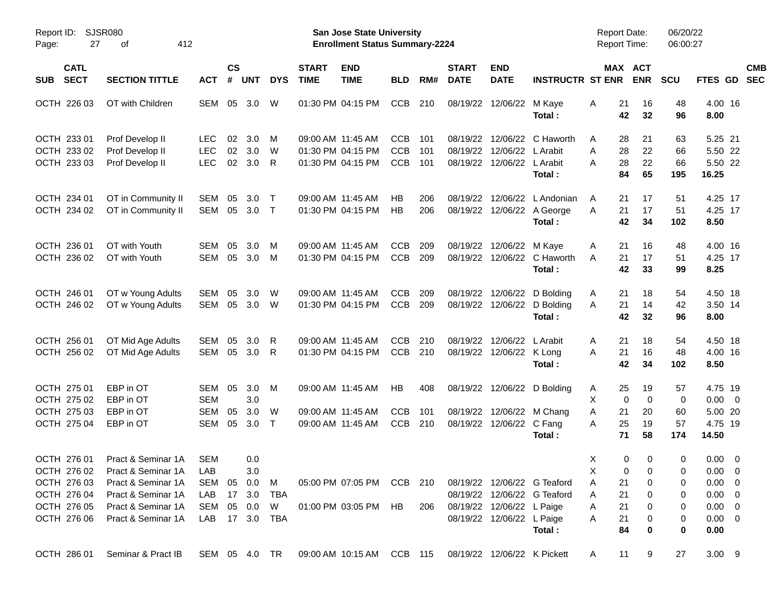| Report ID: SJSR080<br>27<br>Page:        | 412<br>οf                      |                |                       |            |            |                             | San Jose State University<br><b>Enrollment Status Summary-2224</b>          |            |     |                               |                            |                             | <b>Report Date:</b><br><b>Report Time:</b> |                            | 06/20/22<br>06:00:27 |                 |                          |
|------------------------------------------|--------------------------------|----------------|-----------------------|------------|------------|-----------------------------|-----------------------------------------------------------------------------|------------|-----|-------------------------------|----------------------------|-----------------------------|--------------------------------------------|----------------------------|----------------------|-----------------|--------------------------|
| <b>CATL</b><br><b>SECT</b><br><b>SUB</b> | <b>SECTION TITTLE</b>          | <b>ACT</b>     | $\mathsf{cs}$<br>$\#$ | <b>UNT</b> | <b>DYS</b> | <b>START</b><br><b>TIME</b> | <b>END</b><br><b>TIME</b>                                                   | <b>BLD</b> | RM# | <b>START</b><br><b>DATE</b>   | <b>END</b><br><b>DATE</b>  | <b>INSTRUCTR ST ENR</b>     |                                            | MAX ACT<br><b>ENR</b>      | <b>SCU</b>           | FTES GD         | <b>CMB</b><br><b>SEC</b> |
| OCTH 226 03                              | OT with Children               | SEM 05         |                       | 3.0        | W          |                             | 01:30 PM 04:15 PM                                                           | <b>CCB</b> | 210 |                               | 08/19/22 12/06/22          | M Kaye<br>Total :           | 21<br>Α                                    | 16<br>42<br>32             | 48<br>96             | 4.00 16<br>8.00 |                          |
| OCTH 233 01                              | Prof Develop II                | <b>LEC</b>     | 02                    | 3.0        | M          |                             | 09:00 AM 11:45 AM                                                           | <b>CCB</b> | 101 |                               | 08/19/22 12/06/22          | C Haworth                   | A                                          | 21<br>28                   | 63                   | 5.25 21         |                          |
| OCTH 233 02                              | Prof Develop II                | <b>LEC</b>     | 02                    | 3.0        | W          |                             | 01:30 PM 04:15 PM                                                           | CCB        | 101 | 08/19/22                      | 12/06/22                   | L Arabit                    | Α                                          | 28<br>22                   | 66                   | 5.50 22         |                          |
| OCTH 233 03                              | Prof Develop II                | <b>LEC</b>     | 02                    | 3.0        | R          |                             | 01:30 PM 04:15 PM                                                           | <b>CCB</b> | 101 |                               | 08/19/22 12/06/22 L Arabit |                             | А                                          | 28<br>22                   | 66                   | 5.50 22         |                          |
|                                          |                                |                |                       |            |            |                             |                                                                             |            |     |                               |                            | Total:                      |                                            | 84<br>65                   | 195                  | 16.25           |                          |
| OCTH 234 01                              | OT in Community II             | SEM            | 05                    | 3.0        | $\top$     |                             | 09:00 AM 11:45 AM                                                           | НB         | 206 | 08/19/22                      | 12/06/22                   | L Andonian                  | 21<br>A                                    | 17                         | 51                   | 4.25 17         |                          |
| OCTH 234 02                              | OT in Community II             | SEM            | 05                    | 3.0        | $\top$     |                             | 01:30 PM 04:15 PM                                                           | HB         | 206 |                               |                            | 08/19/22 12/06/22 A George  | 21<br>A                                    | 17                         | 51                   | 4.25 17         |                          |
|                                          |                                |                |                       |            |            |                             |                                                                             |            |     |                               |                            | Total:                      |                                            | 42<br>34                   | 102                  | 8.50            |                          |
| OCTH 236 01                              | OT with Youth                  | SEM            | 05                    | 3.0        | м          |                             | 09:00 AM 11:45 AM                                                           | <b>CCB</b> | 209 |                               | 08/19/22 12/06/22          | M Kaye                      | Α<br>21                                    | 16                         | 48                   | 4.00 16         |                          |
| OCTH 236 02                              | OT with Youth                  | SEM            | 05                    | 3.0        | M          |                             | 01:30 PM 04:15 PM                                                           | CCB        | 209 |                               | 08/19/22 12/06/22          | C Haworth                   | 21<br>A                                    | 17                         | 51                   | 4.25 17         |                          |
|                                          |                                |                |                       |            |            |                             |                                                                             |            |     |                               |                            | Total:                      |                                            | 42<br>33                   | 99                   | 8.25            |                          |
| OCTH 246 01                              | OT w Young Adults              | SEM            | 05                    | 3.0        | W          |                             | 09:00 AM 11:45 AM                                                           | <b>CCB</b> | 209 |                               | 08/19/22 12/06/22          | D Bolding                   | 21<br>A                                    | 18                         | 54                   | 4.50 18         |                          |
| OCTH 246 02                              | OT w Young Adults              | SEM            | 05                    | 3.0        | - W        |                             | 01:30 PM 04:15 PM                                                           | <b>CCB</b> | 209 |                               | 08/19/22 12/06/22          | D Bolding                   | 21<br>A                                    | 14                         | 42                   | 3.50 14         |                          |
|                                          |                                |                |                       |            |            |                             |                                                                             |            |     |                               |                            | Total:                      |                                            | 42<br>32                   | 96                   | 8.00            |                          |
| OCTH 256 01                              | OT Mid Age Adults              | SEM            | 05                    | 3.0        | R          |                             | 09:00 AM 11:45 AM                                                           | <b>CCB</b> | 210 |                               | 08/19/22 12/06/22          | L Arabit                    | 21<br>A                                    | 18                         | 54                   | 4.50 18         |                          |
| OCTH 256 02                              | OT Mid Age Adults              | SEM            | 05                    | 3.0        | R          |                             | 01:30 PM 04:15 PM                                                           | <b>CCB</b> | 210 |                               | 08/19/22 12/06/22 K Long   |                             | 21<br>Α                                    | 16                         | 48                   | 4.00 16         |                          |
|                                          |                                |                |                       |            |            |                             |                                                                             |            |     |                               |                            | Total:                      |                                            | 42<br>34                   | 102                  | 8.50            |                          |
| OCTH 275 01                              | EBP in OT                      | SEM 05         |                       | 3.0        | M          |                             | 09:00 AM 11:45 AM                                                           | HB         | 408 |                               | 08/19/22 12/06/22          | D Bolding                   | A                                          | 25<br>19                   | 57                   | 4.75 19         |                          |
| OCTH 275 02                              | EBP in OT                      | <b>SEM</b>     |                       | 3.0        |            |                             |                                                                             |            |     |                               |                            |                             | X                                          | $\mathbf 0$<br>$\mathbf 0$ | $\mathbf 0$          | $0.00 \t 0$     |                          |
| OCTH 275 03                              | EBP in OT                      | <b>SEM</b>     | 05                    | 3.0        | W          |                             | 09:00 AM 11:45 AM                                                           | <b>CCB</b> | 101 |                               | 08/19/22 12/06/22          | M Chang                     | 21<br>Α                                    | 20                         | 60                   | 5.00 20         |                          |
| OCTH 275 04                              | EBP in OT                      | SEM            | 05                    | 3.0        | $\top$     |                             | 09:00 AM 11:45 AM                                                           | <b>CCB</b> | 210 |                               | 08/19/22 12/06/22          | C Fang                      | A                                          | 25<br>19                   | 57                   | 4.75 19         |                          |
|                                          |                                |                |                       |            |            |                             |                                                                             |            |     |                               |                            | Total:                      | 71                                         | 58                         | 174                  | 14.50           |                          |
| OCTH 276 01                              | Pract & Seminar 1A             | <b>SEM</b>     |                       | 0.0        |            |                             |                                                                             |            |     |                               |                            |                             | Χ                                          | 0<br>0                     | 0                    | $0.00 \t 0$     |                          |
|                                          | OCTH 276 02 Pract & Seminar 1A | LAB            |                       | 3.0        |            |                             |                                                                             |            |     |                               |                            |                             | $\times$                                   | $0\qquad 0$                | $\Omega$             | $0.00 \t 0$     |                          |
|                                          | OCTH 276 03 Pract & Seminar 1A | SEM 05 0.0 M   |                       |            |            |                             | 05:00 PM 07:05 PM CCB 210 08/19/22 12/06/22 G Teaford                       |            |     |                               |                            |                             | 21<br>A                                    | 0                          | 0                    | $0.00 \quad 0$  |                          |
| OCTH 276 04                              | Pract & Seminar 1A             | LAB 17 3.0     |                       |            | TBA        |                             |                                                                             |            |     |                               |                            | 08/19/22 12/06/22 G Teaford | 21<br>A                                    | 0                          | 0                    | $0.00 \t 0$     |                          |
| OCTH 276 05                              | Pract & Seminar 1A             | SEM 05 0.0 W   |                       |            |            |                             | 01:00 PM 03:05 PM HB                                                        |            |     | 206 08/19/22 12/06/22 L Paige |                            |                             | 21<br>A                                    | 0                          | 0                    | $0.00 \t 0$     |                          |
|                                          | OCTH 276 06 Pract & Seminar 1A | LAB 17 3.0 TBA |                       |            |            |                             |                                                                             |            |     |                               | 08/19/22 12/06/22 L Paige  |                             | 21<br>Α                                    | 0                          | 0                    | $0.00 \t 0$     |                          |
|                                          |                                |                |                       |            |            |                             |                                                                             |            |     |                               |                            | Total:                      | 84                                         | 0                          | 0                    | 0.00            |                          |
|                                          | OCTH 286 01 Seminar & Pract IB |                |                       |            |            |                             | SEM 05 4.0 TR  09:00 AM  10:15 AM  CCB  115  08/19/22  12/06/22  K  Pickett |            |     |                               |                            |                             | A                                          | 11<br>9                    | 27                   | $3.00$ 9        |                          |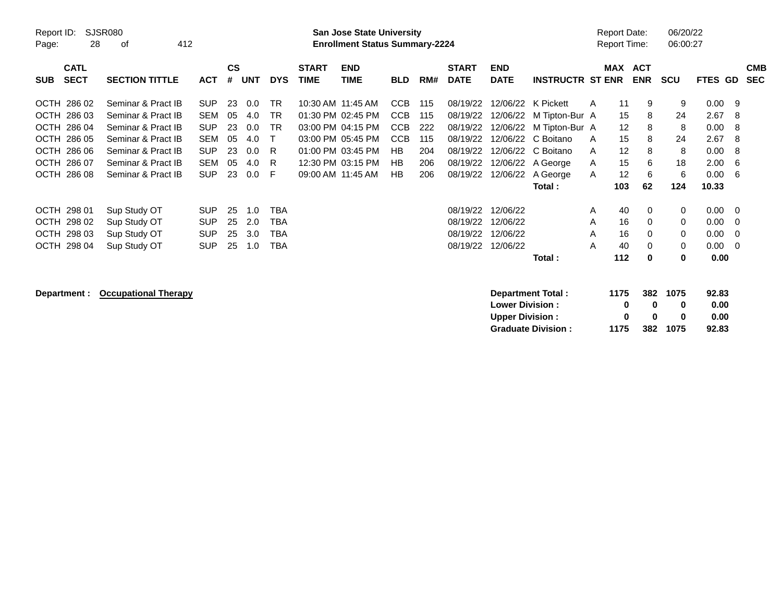| Report ID:<br>Page:   | <b>SJSR080</b><br>412<br>28<br>οf<br><b>CATL</b><br><b>SECT</b><br><b>SECTION TITTLE</b> |            |                    |            |            |                             | <b>San Jose State University</b><br><b>Enrollment Status Summary-2224</b> |            |     |                             |                           |                           |   | Report Date:<br><b>Report Time:</b> |            | 06/20/22<br>06:00:27 |             |           |                          |
|-----------------------|------------------------------------------------------------------------------------------|------------|--------------------|------------|------------|-----------------------------|---------------------------------------------------------------------------|------------|-----|-----------------------------|---------------------------|---------------------------|---|-------------------------------------|------------|----------------------|-------------|-----------|--------------------------|
| <b>SUB</b>            |                                                                                          | <b>ACT</b> | $\mathsf{cs}$<br># | <b>UNT</b> | <b>DYS</b> | <b>START</b><br><b>TIME</b> | <b>END</b><br><b>TIME</b>                                                 | <b>BLD</b> | RM# | <b>START</b><br><b>DATE</b> | <b>END</b><br><b>DATE</b> | <b>INSTRUCTR ST ENR</b>   |   | <b>MAX ACT</b>                      | <b>ENR</b> | <b>SCU</b>           | <b>FTES</b> | <b>GD</b> | <b>CMB</b><br><b>SEC</b> |
| 286 02<br><b>OCTH</b> | Seminar & Pract IB                                                                       | <b>SUP</b> | 23                 | 0.0        | <b>TR</b>  |                             | 10:30 AM 11:45 AM                                                         | <b>CCB</b> | 115 | 08/19/22                    | 12/06/22                  | K Pickett                 | Α | 11                                  | 9          | 9                    | 0.00        | - 9       |                          |
| OCTH 286 03           | Seminar & Pract IB                                                                       | <b>SEM</b> | 05                 | 4.0        | <b>TR</b>  |                             | 01:30 PM 02:45 PM                                                         | <b>CCB</b> | 115 | 08/19/22                    | 12/06/22                  | M Tipton-Bur A            |   | 15                                  | 8          | 24                   | 2.67        | -8        |                          |
| OCTH 286 04           | Seminar & Pract IB                                                                       | <b>SUP</b> | 23                 | 0.0        | <b>TR</b>  |                             | 03:00 PM 04:15 PM                                                         | <b>CCB</b> | 222 | 08/19/22                    | 12/06/22                  | M Tipton-Bur A            |   | 12                                  | 8          | 8                    | 0.00        | -8        |                          |
| OCTH 286 05           | Seminar & Pract IB                                                                       | <b>SEM</b> | 05                 | 4.0        |            |                             | 03:00 PM 05:45 PM                                                         | <b>CCB</b> | 115 | 08/19/22                    | 12/06/22                  | C Boitano                 | A | 15                                  | 8          | 24                   | 2.67        | 8         |                          |
| OCTH 286 06           | Seminar & Pract IB                                                                       | <b>SUP</b> | 23                 | 0.0        | R          |                             | 01:00 PM 03:45 PM                                                         | HB         | 204 | 08/19/22                    | 12/06/22                  | C Boitano                 | A | 12                                  | 8          | 8                    | 0.00        | -8        |                          |
| OCTH 286 07           | Seminar & Pract IB                                                                       | <b>SEM</b> | 05                 | 4.0        | R          |                             | 12:30 PM 03:15 PM                                                         | HB         | 206 | 08/19/22                    | 12/06/22                  | A George                  | A | 15                                  | 6          | 18                   | 2.00        | -6        |                          |
| OCTH 286 08           | Seminar & Pract IB                                                                       | <b>SUP</b> | 23                 | 0.0        | F          |                             | 09:00 AM 11:45 AM                                                         | <b>HB</b>  | 206 | 08/19/22                    | 12/06/22                  | A George                  | A | 12                                  | 6          | 6                    | 0.00        | -6        |                          |
|                       |                                                                                          |            |                    |            |            |                             |                                                                           |            |     |                             |                           | Total:                    |   | 103                                 | 62         | 124                  | 10.33       |           |                          |
| OCTH 298 01           | Sup Study OT                                                                             | <b>SUP</b> | 25                 | 1.0        | <b>TBA</b> |                             |                                                                           |            |     | 08/19/22                    | 12/06/22                  |                           | A | 40                                  | 0          | 0                    | 0.00        | - 0       |                          |
| OCTH 298 02           | Sup Study OT                                                                             | <b>SUP</b> | 25                 | 2.0        | <b>TBA</b> |                             |                                                                           |            |     | 08/19/22                    | 12/06/22                  |                           | A | 16                                  | 0          | 0                    | 0.00        | 0         |                          |
| OCTH 298 03           | Sup Study OT                                                                             | <b>SUP</b> | 25                 | 3.0        | <b>TBA</b> |                             |                                                                           |            |     | 08/19/22                    | 12/06/22                  |                           | A | 16                                  | 0          | 0                    | 0.00        | - 0       |                          |
| OCTH 298 04           | Sup Study OT                                                                             | <b>SUP</b> | 25                 | 1.0        | <b>TBA</b> |                             |                                                                           |            |     | 08/19/22                    | 12/06/22                  |                           | Α | 40                                  | 0          | $\mathbf 0$          | 0.00        | - 0       |                          |
|                       |                                                                                          |            |                    |            |            |                             |                                                                           |            |     |                             |                           | Total:                    |   | 112                                 | $\bf{0}$   | 0                    | 0.00        |           |                          |
| Department :          | <b>Occupational Therapy</b>                                                              |            |                    |            |            |                             |                                                                           |            |     |                             |                           | <b>Department Total:</b>  |   | 1175                                | 382        | 1075                 | 92.83       |           |                          |
|                       |                                                                                          |            |                    |            |            |                             |                                                                           |            |     |                             | <b>Lower Division:</b>    |                           |   | 0                                   | $\bf{0}$   | 0                    | 0.00        |           |                          |
|                       |                                                                                          |            |                    |            |            |                             |                                                                           |            |     |                             | <b>Upper Division:</b>    |                           |   | 0                                   | 0          | 0                    | 0.00        |           |                          |
|                       |                                                                                          |            |                    |            |            |                             |                                                                           |            |     |                             |                           | <b>Graduate Division:</b> |   | 1175                                | 382        | 1075                 | 92.83       |           |                          |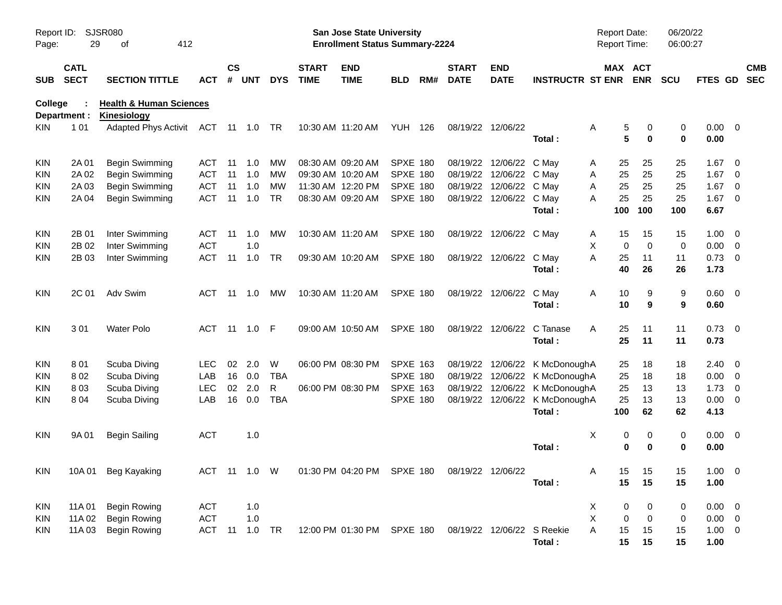| Report ID:<br>Page: | 29                         | <b>SJSR080</b><br>412<br>оf                              |            |                |            |            |                             | <b>San Jose State University</b><br><b>Enrollment Status Summary-2224</b> |                 |     |                             |                            |                                | <b>Report Date:</b><br>Report Time: |               | 06/20/22<br>06:00:27 |                     |                          |                          |
|---------------------|----------------------------|----------------------------------------------------------|------------|----------------|------------|------------|-----------------------------|---------------------------------------------------------------------------|-----------------|-----|-----------------------------|----------------------------|--------------------------------|-------------------------------------|---------------|----------------------|---------------------|--------------------------|--------------------------|
| <b>SUB</b>          | <b>CATL</b><br><b>SECT</b> | <b>SECTION TITTLE</b>                                    | ACT        | <b>CS</b><br># | <b>UNT</b> | <b>DYS</b> | <b>START</b><br><b>TIME</b> | <b>END</b><br><b>TIME</b>                                                 | BLD             | RM# | <b>START</b><br><b>DATE</b> | <b>END</b><br><b>DATE</b>  | <b>INSTRUCTR ST ENR</b>        | MAX ACT                             | <b>ENR</b>    | <b>SCU</b>           | FTES GD             |                          | <b>CMB</b><br><b>SEC</b> |
| College             | Department :               | <b>Health &amp; Human Sciences</b><br><b>Kinesiology</b> |            |                |            |            |                             |                                                                           |                 |     |                             |                            |                                |                                     |               |                      |                     |                          |                          |
| <b>KIN</b>          | 101                        | <b>Adapted Phys Activit</b>                              | ACT        |                | 11 1.0     | TR         |                             | 10:30 AM 11:20 AM                                                         | YUH             | 126 |                             | 08/19/22 12/06/22          | Total:                         | Α<br>5<br>5                         | 0<br>$\bf{0}$ | 0<br>$\mathbf 0$     | $0.00 \t 0$<br>0.00 |                          |                          |
| KIN                 | 2A 01                      | Begin Swimming                                           | ACT        | 11             | 1.0        | MW         |                             | 08:30 AM 09:20 AM                                                         | SPXE 180        |     |                             | 08/19/22 12/06/22          | C May                          | 25<br>A                             | 25            | 25                   | 1.67                | $\overline{\mathbf{0}}$  |                          |
| <b>KIN</b>          | 2A 02                      | Begin Swimming                                           | <b>ACT</b> | 11             | 1.0        | MW         |                             | 09:30 AM 10:20 AM                                                         | SPXE 180        |     |                             | 08/19/22 12/06/22          | C May                          | 25<br>Α                             | 25            | 25                   | 1.67                | $\overline{\mathbf{0}}$  |                          |
| <b>KIN</b>          | 2A 03                      | Begin Swimming                                           | <b>ACT</b> | 11             | 1.0        | MW         |                             | 11:30 AM 12:20 PM                                                         | <b>SPXE 180</b> |     |                             | 08/19/22 12/06/22          | C May                          | 25<br>Α                             | 25            | 25                   | 1.67                | $\overline{\mathbf{0}}$  |                          |
| <b>KIN</b>          | 2A 04                      | Begin Swimming                                           | <b>ACT</b> | 11             | 1.0        | <b>TR</b>  |                             | 08:30 AM 09:20 AM                                                         | <b>SPXE 180</b> |     |                             | 08/19/22 12/06/22          | C May                          | 25<br>А                             | 25            | 25                   | 1.67                | $\overline{\phantom{0}}$ |                          |
|                     |                            |                                                          |            |                |            |            |                             |                                                                           |                 |     |                             |                            | Total:                         | 100                                 | 100           | 100                  | 6.67                |                          |                          |
| KIN                 | 2B 01                      | Inter Swimming                                           | ACT        | 11             | 1.0        | MW         |                             | 10:30 AM 11:20 AM                                                         | SPXE 180        |     |                             | 08/19/22 12/06/22          | C May                          | 15<br>A                             | 15            | 15                   | 1.00                | $\overline{\mathbf{0}}$  |                          |
| KIN                 | 2B 02                      | Inter Swimming                                           | <b>ACT</b> |                | 1.0        |            |                             |                                                                           |                 |     |                             |                            |                                | X<br>$\mathbf 0$                    | $\mathbf 0$   | 0                    | 0.00                | $\overline{\mathbf{0}}$  |                          |
| <b>KIN</b>          | 2B 03                      | Inter Swimming                                           | <b>ACT</b> | 11             | 1.0        | TR         |                             | 09:30 AM 10:20 AM                                                         | <b>SPXE 180</b> |     |                             | 08/19/22 12/06/22          | C May                          | A<br>25                             | 11            | 11                   | 0.73                | $\overline{\mathbf{0}}$  |                          |
|                     |                            |                                                          |            |                |            |            |                             |                                                                           |                 |     |                             |                            | Total:                         | 40                                  | 26            | 26                   | 1.73                |                          |                          |
| <b>KIN</b>          | 2C 01                      | Adv Swim                                                 | ACT        | 11             | 1.0        | МW         |                             | 10:30 AM 11:20 AM                                                         | <b>SPXE 180</b> |     |                             | 08/19/22 12/06/22          | C May                          | A<br>10                             | 9             | 9                    | 0.60 0              |                          |                          |
|                     |                            |                                                          |            |                |            |            |                             |                                                                           |                 |     |                             |                            | Total:                         | 10                                  | 9             | 9                    | 0.60                |                          |                          |
| <b>KIN</b>          | 301                        | <b>Water Polo</b>                                        | <b>ACT</b> | 11             | 1.0        | F          |                             | 09:00 AM 10:50 AM                                                         | <b>SPXE 180</b> |     |                             | 08/19/22 12/06/22          | C Tanase                       | A<br>25                             | 11            | 11                   | 0.73                | $\overline{\phantom{0}}$ |                          |
|                     |                            |                                                          |            |                |            |            |                             |                                                                           |                 |     |                             |                            | Total:                         | 25                                  | 11            | 11                   | 0.73                |                          |                          |
| <b>KIN</b>          | 801                        | Scuba Diving                                             | <b>LEC</b> | 02             | 2.0        | W          |                             | 06:00 PM 08:30 PM                                                         | <b>SPXE 163</b> |     |                             |                            | 08/19/22 12/06/22 K McDonoughA | 25                                  | 18            | 18                   | 2.40                | $\overline{\phantom{0}}$ |                          |
| <b>KIN</b>          | 802                        | Scuba Diving                                             | LAB        | 16             | 0.0        | TBA        |                             |                                                                           | <b>SPXE 180</b> |     |                             |                            | 08/19/22 12/06/22 K McDonoughA | 25                                  | 18            | 18                   | 0.00                | $\overline{\mathbf{0}}$  |                          |
| <b>KIN</b>          | 803                        | Scuba Diving                                             | LEC        | 02             | 2.0        | R          |                             | 06:00 PM 08:30 PM                                                         | <b>SPXE 163</b> |     |                             |                            | 08/19/22 12/06/22 K McDonoughA | 25                                  | 13            | 13                   | 1.73                | $\overline{\mathbf{0}}$  |                          |
| <b>KIN</b>          | 804                        | Scuba Diving                                             | LAB        | 16             | 0.0        | <b>TBA</b> |                             |                                                                           | <b>SPXE 180</b> |     |                             |                            | 08/19/22 12/06/22 K McDonoughA | 25                                  | 13            | 13                   | 0.00                | $\overline{\mathbf{0}}$  |                          |
|                     |                            |                                                          |            |                |            |            |                             |                                                                           |                 |     |                             |                            | Total:                         | 100                                 | 62            | 62                   | 4.13                |                          |                          |
| KIN                 | 9A 01                      | <b>Begin Sailing</b>                                     | <b>ACT</b> |                | 1.0        |            |                             |                                                                           |                 |     |                             |                            |                                | Χ<br>0                              | 0             | 0                    | $0.00 \t 0$         |                          |                          |
|                     |                            |                                                          |            |                |            |            |                             |                                                                           |                 |     |                             |                            | Total:                         | $\bf{0}$                            | $\bf{0}$      | 0                    | 0.00                |                          |                          |
| <b>KIN</b>          |                            | 10A 01 Beg Kayaking                                      |            |                |            |            |                             | ACT 11 1.0 W  01:30 PM 04:20 PM  SPXE 180  08/19/22  12/06/22             |                 |     |                             |                            |                                | 15<br>A                             | 15            | 15                   | $1.00 \t 0$         |                          |                          |
|                     |                            |                                                          |            |                |            |            |                             |                                                                           |                 |     |                             |                            | Total:                         | 15                                  | 15            | 15                   | 1.00                |                          |                          |
| KIN                 | 11A 01                     | <b>Begin Rowing</b>                                      | <b>ACT</b> |                | 1.0        |            |                             |                                                                           |                 |     |                             |                            |                                | X<br>0                              | 0             | 0                    | $0.00 \t 0$         |                          |                          |
| KIN                 | 11A 02                     | <b>Begin Rowing</b>                                      | <b>ACT</b> |                | 1.0        |            |                             |                                                                           |                 |     |                             |                            |                                | X<br>$\mathbf 0$                    | $\mathbf 0$   | 0                    | $0.00 \t 0$         |                          |                          |
| <b>KIN</b>          | 11A03                      | <b>Begin Rowing</b>                                      | <b>ACT</b> | 11             | 1.0        | TR         |                             | 12:00 PM 01:30 PM SPXE 180                                                |                 |     |                             | 08/19/22 12/06/22 S Reekie |                                | A<br>15                             | 15            | 15                   | $1.00 \t 0$         |                          |                          |
|                     |                            |                                                          |            |                |            |            |                             |                                                                           |                 |     |                             |                            | Total:                         | 15                                  | 15            | 15                   | 1.00                |                          |                          |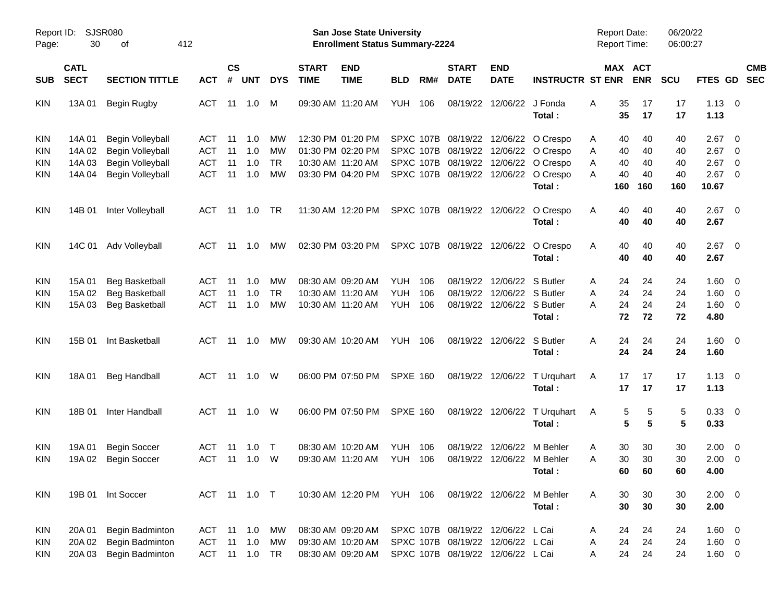| Report ID:<br>Page: | <b>SJSR080</b><br>30       | 412<br>οf             |            |                |               |            |                             | San Jose State University<br><b>Enrollment Status Summary-2224</b> |                 |           |                             |                                   |                              | <b>Report Date:</b><br><b>Report Time:</b> |                       | 06/20/22<br>06:00:27 |               |                         |                          |
|---------------------|----------------------------|-----------------------|------------|----------------|---------------|------------|-----------------------------|--------------------------------------------------------------------|-----------------|-----------|-----------------------------|-----------------------------------|------------------------------|--------------------------------------------|-----------------------|----------------------|---------------|-------------------------|--------------------------|
| <b>SUB</b>          | <b>CATL</b><br><b>SECT</b> | <b>SECTION TITTLE</b> | <b>ACT</b> | <b>CS</b><br># | <b>UNT</b>    | <b>DYS</b> | <b>START</b><br><b>TIME</b> | <b>END</b><br><b>TIME</b>                                          | <b>BLD</b>      | RM#       | <b>START</b><br><b>DATE</b> | <b>END</b><br><b>DATE</b>         | <b>INSTRUCTR ST ENR</b>      |                                            | MAX ACT<br><b>ENR</b> | <b>SCU</b>           | FTES GD       |                         | <b>CMB</b><br><b>SEC</b> |
|                     |                            |                       | <b>ACT</b> |                |               |            |                             | 09:30 AM 11:20 AM                                                  | YUH             | 106       | 08/19/22                    | 12/06/22                          | J Fonda                      | Α<br>35                                    | 17                    | 17                   | 1.13          | $\overline{\mathbf{0}}$ |                          |
| <b>KIN</b>          | 13A 01                     | <b>Begin Rugby</b>    |            | 11             | 1.0           | M          |                             |                                                                    |                 |           |                             |                                   | Total :                      | 35                                         | 17                    | 17                   | 1.13          |                         |                          |
| <b>KIN</b>          | 14A 01                     | Begin Volleyball      | ACT        | 11             | 1.0           | MW         |                             | 12:30 PM 01:20 PM                                                  |                 |           | SPXC 107B 08/19/22          | 12/06/22                          | O Crespo                     | 40<br>Α                                    | 40                    | 40                   | 2.67          | - 0                     |                          |
| <b>KIN</b>          | 14A 02                     | Begin Volleyball      | <b>ACT</b> | 11             | 1.0           | MW         |                             | 01:30 PM 02:20 PM                                                  |                 | SPXC 107B | 08/19/22                    | 12/06/22                          | O Crespo                     | A<br>40                                    | 40                    | 40                   | 2.67          | $\overline{0}$          |                          |
| <b>KIN</b>          | 14A 03                     | Begin Volleyball      | <b>ACT</b> | 11             | 1.0           | <b>TR</b>  |                             | 10:30 AM 11:20 AM                                                  |                 |           |                             | SPXC 107B 08/19/22 12/06/22       | O Crespo                     | 40<br>A                                    | 40                    | 40                   | 2.67          | 0                       |                          |
| <b>KIN</b>          | 14A 04                     | Begin Volleyball      | <b>ACT</b> | 11             | 1.0           | MW         |                             | 03:30 PM 04:20 PM                                                  |                 |           | SPXC 107B 08/19/22          | 12/06/22                          | O Crespo<br>Total:           | Α<br>40<br>160                             | 40<br>160             | 40<br>160            | 2.67<br>10.67 | 0                       |                          |
| <b>KIN</b>          | 14B 01                     | Inter Volleyball      | ACT        | -11            | 1.0           | TR.        |                             | 11:30 AM 12:20 PM                                                  |                 |           | SPXC 107B 08/19/22          | 12/06/22                          | O Crespo<br>Total:           | 40<br>A<br>40                              | 40<br>40              | 40<br>40             | 2.67<br>2.67  | $\overline{0}$          |                          |
| <b>KIN</b>          | 14C 01                     | Adv Volleyball        | ACT        | -11            | 1.0           | МW         |                             | 02:30 PM 03:20 PM                                                  |                 |           | SPXC 107B 08/19/22 12/06/22 |                                   | O Crespo                     | 40<br>A                                    | 40                    | 40                   | 2.67          | $\overline{0}$          |                          |
|                     |                            |                       |            |                |               |            |                             |                                                                    |                 |           |                             |                                   | Total:                       | 40                                         | 40                    | 40                   | 2.67          |                         |                          |
| <b>KIN</b>          | 15A 01                     | <b>Beg Basketball</b> | ACT        | 11             | 1.0           | MW         |                             | 08:30 AM 09:20 AM                                                  | YUH             | 106       | 08/19/22                    | 12/06/22                          | S Butler                     | A<br>24                                    | 24                    | 24                   | 1.60          | $\overline{0}$          |                          |
| <b>KIN</b>          | 15A 02                     | <b>Beg Basketball</b> | <b>ACT</b> | 11             | 1.0           | <b>TR</b>  |                             | 10:30 AM 11:20 AM                                                  | <b>YUH</b>      | 106       | 08/19/22                    | 12/06/22 S Butler                 |                              | 24<br>A                                    | 24                    | 24                   | 1.60          | 0                       |                          |
| KIN                 | 15A 03                     | <b>Beg Basketball</b> | <b>ACT</b> | 11             | 1.0           | <b>MW</b>  |                             | 10:30 AM 11:20 AM                                                  | <b>YUH 106</b>  |           |                             | 08/19/22 12/06/22 S Butler        |                              | 24<br>Α                                    | 24                    | 24                   | 1.60          | $\overline{0}$          |                          |
|                     |                            |                       |            |                |               |            |                             |                                                                    |                 |           |                             |                                   | Total:                       | 72                                         | 72                    | 72                   | 4.80          |                         |                          |
| <b>KIN</b>          | 15B 01                     | Int Basketball        | ACT        |                | 11 1.0        | МW         |                             | 09:30 AM 10:20 AM                                                  | <b>YUH 106</b>  |           |                             | 08/19/22 12/06/22                 | S Butler                     | A<br>24                                    | 24                    | 24                   | 1.60          | $\overline{\mathbf{0}}$ |                          |
|                     |                            |                       |            |                |               |            |                             |                                                                    |                 |           |                             |                                   | Total :                      | 24                                         | 24                    | 24                   | 1.60          |                         |                          |
| <b>KIN</b>          | 18A 01                     | <b>Beg Handball</b>   | ACT        |                | 11  1.0       | W          |                             | 06:00 PM 07:50 PM                                                  | <b>SPXE 160</b> |           |                             |                                   | 08/19/22 12/06/22 T Urquhart | 17<br>A                                    | 17                    | 17                   | 1.13          | $\overline{\mathbf{0}}$ |                          |
|                     |                            |                       |            |                |               |            |                             |                                                                    |                 |           |                             |                                   | Total:                       | 17                                         | 17                    | 17                   | 1.13          |                         |                          |
| <b>KIN</b>          | 18B 01                     | Inter Handball        | ACT        |                | 11  1.0       | W          |                             | 06:00 PM 07:50 PM                                                  | <b>SPXE 160</b> |           |                             |                                   | 08/19/22 12/06/22 T Urquhart | A                                          | 5<br>5                | 5                    | 0.33 0        |                         |                          |
|                     |                            |                       |            |                |               |            |                             |                                                                    |                 |           |                             |                                   | Total:                       |                                            | 5<br>5                | 5                    | 0.33          |                         |                          |
| <b>KIN</b>          | 19A 01                     | <b>Begin Soccer</b>   | <b>ACT</b> | 11             | 1.0           | $\top$     |                             | 08:30 AM 10:20 AM                                                  | YUH             | 106       | 08/19/22                    | 12/06/22                          | M Behler                     | 30<br>A                                    | 30                    | 30                   | 2.00          | $\overline{0}$          |                          |
| KIN                 | 19A 02                     | <b>Begin Soccer</b>   | ACT        | 11             | 1.0           | W          |                             | 09:30 AM 11:20 AM                                                  | <b>YUH 106</b>  |           | 08/19/22                    |                                   | 12/06/22 M Behler            | 30<br>Α                                    | 30                    | 30                   | 2.00          | $\overline{\mathbf{0}}$ |                          |
|                     |                            |                       |            |                |               |            |                             |                                                                    |                 |           |                             |                                   | Total:                       |                                            | 60<br>60              | 60                   | 4.00          |                         |                          |
| <b>KIN</b>          |                            | 19B 01 Int Soccer     |            |                | ACT 11 1.0 T  |            |                             | 10:30 AM 12:20 PM YUH 106                                          |                 |           |                             | 08/19/22 12/06/22 M Behler        |                              | A<br>30                                    | 30                    | 30                   | $2.00 \t 0$   |                         |                          |
|                     |                            |                       |            |                |               |            |                             |                                                                    |                 |           |                             |                                   | Total:                       | 30                                         | 30                    | 30                   | 2.00          |                         |                          |
| <b>KIN</b>          | 20A 01                     | Begin Badminton       | ACT 11 1.0 |                |               | МW         |                             | 08:30 AM 09:20 AM                                                  |                 |           |                             | SPXC 107B 08/19/22 12/06/22 L Cai |                              | A<br>24                                    | 24                    | 24                   | $1.60 \t 0$   |                         |                          |
| <b>KIN</b>          | 20A 02                     | Begin Badminton       | ACT        |                | 11 1.0        | MW         |                             | 09:30 AM 10:20 AM                                                  |                 |           |                             | SPXC 107B 08/19/22 12/06/22 L Cai |                              | 24<br>A                                    | 24                    | 24                   | $1.60 \t 0$   |                         |                          |
| <b>KIN</b>          | 20A 03                     | Begin Badminton       |            |                | ACT 11 1.0 TR |            |                             | 08:30 AM 09:20 AM                                                  |                 |           |                             | SPXC 107B 08/19/22 12/06/22 L Cai |                              | 24<br>A                                    | 24                    | 24                   | $1.60 \t 0$   |                         |                          |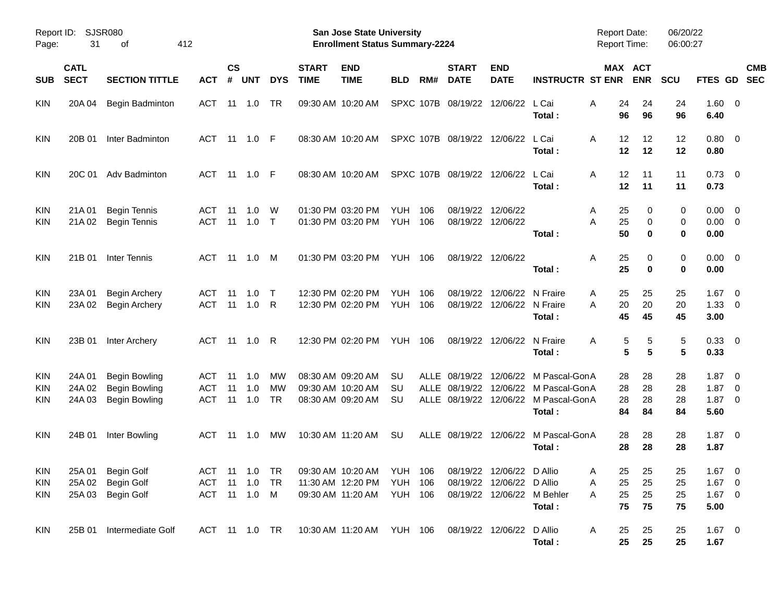| Report ID:<br>Page:      | 31                         | <b>SJSR080</b><br>οf                                                 | 412                             |                |                   |                              |                             | <b>San Jose State University</b><br><b>Enrollment Status Summary-2224</b>                                           |                          |            |                             |                                                         |                                                                                                                  | Report Date:<br><b>Report Time:</b> |                       | 06/20/22<br>06:00:27 |                                          |                                                                                |                          |
|--------------------------|----------------------------|----------------------------------------------------------------------|---------------------------------|----------------|-------------------|------------------------------|-----------------------------|---------------------------------------------------------------------------------------------------------------------|--------------------------|------------|-----------------------------|---------------------------------------------------------|------------------------------------------------------------------------------------------------------------------|-------------------------------------|-----------------------|----------------------|------------------------------------------|--------------------------------------------------------------------------------|--------------------------|
| <b>SUB</b>               | <b>CATL</b><br><b>SECT</b> | <b>SECTION TITTLE</b>                                                | <b>ACT</b>                      | <b>CS</b><br># | <b>UNT</b>        | <b>DYS</b>                   | <b>START</b><br><b>TIME</b> | <b>END</b><br><b>TIME</b>                                                                                           | <b>BLD</b>               | RM#        | <b>START</b><br><b>DATE</b> | <b>END</b><br><b>DATE</b>                               | <b>INSTRUCTR ST ENR</b>                                                                                          |                                     | MAX ACT<br><b>ENR</b> | <b>SCU</b>           | FTES GD                                  |                                                                                | <b>CMB</b><br><b>SEC</b> |
| <b>KIN</b>               | 20A 04                     | Begin Badminton                                                      | ACT                             | 11             | 1.0               | TR                           |                             | 09:30 AM 10:20 AM                                                                                                   |                          | SPXC 107B  | 08/19/22                    | 12/06/22 L Cai                                          | Total:                                                                                                           | Α<br>24<br>96                       | 24<br>96              | 24<br>96             | $1.60 \t 0$<br>6.40                      |                                                                                |                          |
| KIN                      | 20B 01                     | Inter Badminton                                                      | ACT                             | 11             | 1.0               | - F                          |                             | 08:30 AM 10:20 AM                                                                                                   |                          |            |                             | SPXC 107B 08/19/22 12/06/22                             | L Cai<br>Total:                                                                                                  | A<br>12<br>12                       | 12<br>12              | 12<br>12             | $0.80 \ 0$<br>0.80                       |                                                                                |                          |
| KIN                      | 20C 01                     | Adv Badminton                                                        | ACT                             | 11             | 1.0               | - F                          |                             | 08:30 AM 10:20 AM                                                                                                   |                          |            |                             | SPXC 107B 08/19/22 12/06/22 L Cai                       | Total:                                                                                                           | 12<br>A<br>12                       | 11<br>11              | 11<br>11             | $0.73 \quad 0$<br>0.73                   |                                                                                |                          |
| <b>KIN</b><br>KIN        | 21A 01<br>21A 02           | <b>Begin Tennis</b><br><b>Begin Tennis</b>                           | <b>ACT</b><br><b>ACT</b>        | 11<br>11       | 1.0<br>1.0        | W<br>$\top$                  |                             | 01:30 PM 03:20 PM<br>01:30 PM 03:20 PM                                                                              | <b>YUH</b><br><b>YUH</b> | 106<br>106 |                             | 08/19/22 12/06/22<br>08/19/22 12/06/22                  | Total:                                                                                                           | 25<br>A<br>A<br>25<br>50            | 0<br>0<br>$\bf{0}$    | 0<br>0<br>0          | $0.00 \t 0$<br>$0.00 \t 0$<br>0.00       |                                                                                |                          |
| KIN                      | 21B 01                     | Inter Tennis                                                         | ACT                             | 11             | 1.0               | M                            |                             | 01:30 PM 03:20 PM                                                                                                   | <b>YUH 106</b>           |            |                             | 08/19/22 12/06/22                                       | Total:                                                                                                           | Α<br>25<br>25                       | 0<br>$\bf{0}$         | 0<br>$\mathbf 0$     | $0.00 \t 0$<br>0.00                      |                                                                                |                          |
| <b>KIN</b><br>KIN        | 23A 01<br>23A 02           | <b>Begin Archery</b><br><b>Begin Archery</b>                         | ACT<br><b>ACT</b>               | 11<br>11       | 1.0<br>1.0        | $\top$<br>R                  |                             | 12:30 PM 02:20 PM<br>12:30 PM 02:20 PM                                                                              | <b>YUH</b><br><b>YUH</b> | 106<br>106 | 08/19/22<br>08/19/22        | 12/06/22 N Fraire<br>12/06/22 N Fraire                  | Total:                                                                                                           | 25<br>A<br>20<br>A<br>45            | 25<br>20<br>45        | 25<br>20<br>45       | 1.67<br>$1.33 \ 0$<br>3.00               | $\overline{\mathbf{0}}$                                                        |                          |
| KIN                      | 23B 01                     | Inter Archery                                                        | ACT                             | 11             | 1.0               | R                            |                             | 12:30 PM 02:20 PM                                                                                                   | <b>YUH 106</b>           |            |                             | 08/19/22 12/06/22 N Fraire                              | Total:                                                                                                           | Α                                   | 5<br>5<br>5<br>5      | 5<br>5               | 0.33 0<br>0.33                           |                                                                                |                          |
| <b>KIN</b><br>KIN<br>KIN | 24A 01<br>24A 02<br>24A 03 | <b>Begin Bowling</b><br><b>Begin Bowling</b><br><b>Begin Bowling</b> | ACT<br><b>ACT</b><br><b>ACT</b> | 11<br>11<br>11 | 1.0<br>1.0<br>1.0 | МW<br><b>MW</b><br><b>TR</b> |                             | 08:30 AM 09:20 AM<br>09:30 AM 10:20 AM<br>08:30 AM 09:20 AM                                                         | SU<br>SU<br>SU           |            | ALLE 08/19/22               |                                                         | ALLE 08/19/22 12/06/22 M Pascal-GonA<br>12/06/22 M Pascal-GonA<br>ALLE 08/19/22 12/06/22 M Pascal-GonA<br>Total: | 28<br>28<br>28<br>84                | 28<br>28<br>28<br>84  | 28<br>28<br>28<br>84 | 1.87<br>1.87<br>1.87<br>5.60             | $\overline{\mathbf{0}}$<br>$\overline{\mathbf{0}}$<br>$\overline{\phantom{0}}$ |                          |
| KIN                      | 24B 01                     | Inter Bowling                                                        | ACT                             | 11             | 1.0               | МW                           |                             | 10:30 AM 11:20 AM                                                                                                   | SU                       |            |                             | ALLE 08/19/22 12/06/22                                  | M Pascal-GonA<br>Total:                                                                                          | 28<br>28                            | 28<br>28              | 28<br>28             | $1.87 \t 0$<br>1.87                      |                                                                                |                          |
| KIN<br>KIN               | 25A 03                     | KIN 25A 01 Begin Golf<br>25A 02 Begin Golf<br><b>Begin Golf</b>      | ACT<br>ACT                      | 11             | 1.0<br>11  1.0  M | TR                           |                             | ACT 11 1.0 TR  09:30 AM  10:20 AM  YUH  106  08/19/22  12/06/22  D  Allio<br>11:30 AM 12:20 PM<br>09:30 AM 11:20 AM | YUH 106<br>YUH 106       |            |                             | 08/19/22 12/06/22 D Allio<br>08/19/22 12/06/22 M Behler | Total:                                                                                                           | 25<br>A<br>25<br>Α<br>25<br>Α<br>75 | 25<br>25<br>25<br>75  | 25<br>25<br>25<br>75 | $1.67$ 0<br>$1.67$ 0<br>$1.67$ 0<br>5.00 |                                                                                |                          |
| KIN                      |                            | 25B 01 Intermediate Golf                                             |                                 |                | ACT 11 1.0 TR     |                              |                             | 10:30 AM 11:20 AM YUH 106                                                                                           |                          |            |                             | 08/19/22 12/06/22 D Allio                               | Total:                                                                                                           | A<br>25<br>25                       | 25<br>25              | 25<br>25             | $1.67 \t 0$<br>1.67                      |                                                                                |                          |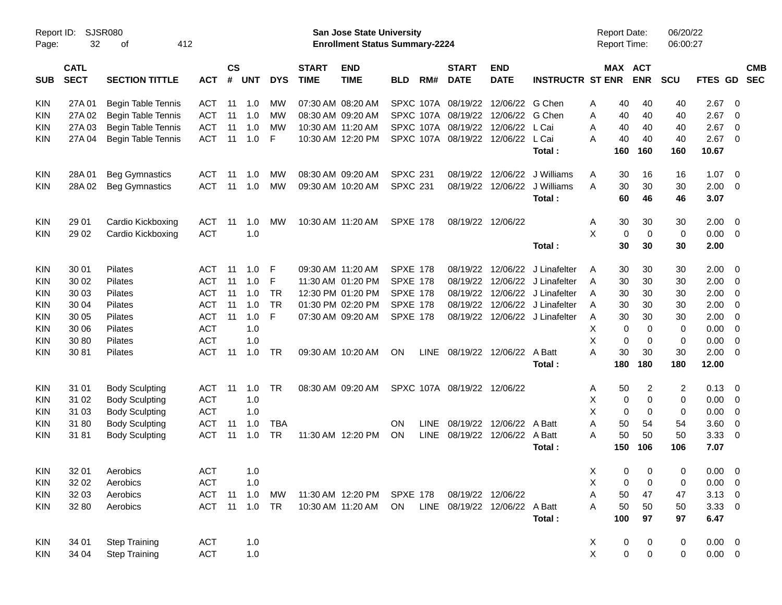| Report ID:<br>Page: | 32          | <b>SJSR080</b><br>412<br>оf |            |               |            |            |                   | <b>San Jose State University</b><br><b>Enrollment Status Summary-2224</b> |                 |             |                             |                               |                                |                | <b>Report Date:</b> | Report Time:            | 06/20/22<br>06:00:27 |                |                         |            |
|---------------------|-------------|-----------------------------|------------|---------------|------------|------------|-------------------|---------------------------------------------------------------------------|-----------------|-------------|-----------------------------|-------------------------------|--------------------------------|----------------|---------------------|-------------------------|----------------------|----------------|-------------------------|------------|
|                     | <b>CATL</b> |                             |            | $\mathsf{cs}$ |            |            | <b>START</b>      | <b>END</b>                                                                |                 |             | <b>START</b>                | <b>END</b>                    |                                |                |                     | MAX ACT                 |                      |                |                         | <b>CMB</b> |
| <b>SUB</b>          | <b>SECT</b> | <b>SECTION TITTLE</b>       | <b>ACT</b> | #             | <b>UNT</b> | <b>DYS</b> | <b>TIME</b>       | <b>TIME</b>                                                               | <b>BLD</b>      | RM#         | <b>DATE</b>                 | <b>DATE</b>                   | <b>INSTRUCTR ST ENR</b>        |                |                     | <b>ENR</b>              | <b>SCU</b>           | <b>FTES GD</b> |                         | <b>SEC</b> |
| KIN                 | 27A 01      | <b>Begin Table Tennis</b>   | ACT        | 11            | 1.0        | MW         |                   | 07:30 AM 08:20 AM                                                         |                 |             | SPXC 107A 08/19/22          | 12/06/22                      | G Chen                         | A              | 40                  | 40                      | 40                   | 2.67           | 0                       |            |
| <b>KIN</b>          | 27A 02      | Begin Table Tennis          | <b>ACT</b> | 11            | 1.0        | MW         |                   | 08:30 AM 09:20 AM                                                         |                 |             | SPXC 107A 08/19/22          | 12/06/22                      | G Chen                         | A              | 40                  | 40                      | 40                   | 2.67           | 0                       |            |
| <b>KIN</b>          | 27A 03      | Begin Table Tennis          | <b>ACT</b> | 11            | 1.0        | МW         | 10:30 AM 11:20 AM |                                                                           |                 |             | SPXC 107A 08/19/22          | 12/06/22                      | L Cai                          | A              | 40                  | 40                      | 40                   | 2.67           | 0                       |            |
| KIN                 | 27A 04      | Begin Table Tennis          | <b>ACT</b> | 11            | 1.0        | F          |                   | 10:30 AM 12:20 PM                                                         |                 |             | SPXC 107A 08/19/22          | 12/06/22 L Cai                |                                | A              | 40                  | 40                      | 40                   | 2.67           | $\mathbf 0$             |            |
|                     |             |                             |            |               |            |            |                   |                                                                           |                 |             |                             |                               | Total:                         |                | 160                 | 160                     | 160                  | 10.67          |                         |            |
| KIN                 | 28A01       | <b>Beg Gymnastics</b>       | <b>ACT</b> | 11            | 1.0        | МW         |                   | 08:30 AM 09:20 AM                                                         | <b>SPXC 231</b> |             | 08/19/22                    | 12/06/22                      | J Williams                     | A              | 30                  | 16                      | 16                   | 1.07           | $\overline{0}$          |            |
| <b>KIN</b>          | 28A 02      | <b>Beg Gymnastics</b>       | <b>ACT</b> | 11            | 1.0        | <b>MW</b>  |                   | 09:30 AM 10:20 AM                                                         | <b>SPXC 231</b> |             | 08/19/22                    | 12/06/22                      | J Williams                     | A              | 30                  | 30                      | 30                   | 2.00           | 0                       |            |
|                     |             |                             |            |               |            |            |                   |                                                                           |                 |             |                             |                               | Total:                         |                | 60                  | 46                      | 46                   | 3.07           |                         |            |
| <b>KIN</b>          | 29 01       | Cardio Kickboxing           | <b>ACT</b> | 11            | 1.0        | MW         | 10:30 AM 11:20 AM |                                                                           | <b>SPXE 178</b> |             | 08/19/22 12/06/22           |                               |                                | Α              | 30                  | 30                      | 30                   | 2.00           | 0                       |            |
| <b>KIN</b>          | 29 02       | Cardio Kickboxing           | <b>ACT</b> |               | 1.0        |            |                   |                                                                           |                 |             |                             |                               |                                | X              | $\mathbf 0$         | $\mathbf 0$             | 0                    | 0.00           | 0                       |            |
|                     |             |                             |            |               |            |            |                   |                                                                           |                 |             |                             |                               | Total:                         |                | 30                  | 30                      | 30                   | 2.00           |                         |            |
| <b>KIN</b>          | 30 01       | Pilates                     | ACT        | 11            | 1.0        | F          | 09:30 AM 11:20 AM |                                                                           | <b>SPXE 178</b> |             | 08/19/22                    | 12/06/22                      | J Linafelter                   | A              | 30                  | 30                      | 30                   | 2.00           | 0                       |            |
| <b>KIN</b>          | 30 02       | Pilates                     | <b>ACT</b> | 11            | 1.0        | F          | 11:30 AM 01:20 PM |                                                                           | <b>SPXE 178</b> |             | 08/19/22                    |                               | 12/06/22 J Linafelter          | A              | 30                  | 30                      | 30                   | 2.00           | 0                       |            |
| KIN                 | 30 03       | Pilates                     | <b>ACT</b> | 11            | 1.0        | <b>TR</b>  |                   | 12:30 PM 01:20 PM                                                         | <b>SPXE 178</b> |             | 08/19/22                    |                               | 12/06/22 J Linafelter          | A              | 30                  | 30                      | 30                   | 2.00           | 0                       |            |
| KIN                 | 30 04       | Pilates                     | <b>ACT</b> | 11            | 1.0        | <b>TR</b>  |                   | 01:30 PM 02:20 PM                                                         | <b>SPXE 178</b> |             | 08/19/22                    |                               | 12/06/22 J Linafelter          | A              | 30                  | 30                      | 30                   | 2.00           | 0                       |            |
| KIN                 | 30 05       | Pilates                     | <b>ACT</b> | 11            | 1.0        | F          |                   | 07:30 AM 09:20 AM                                                         | <b>SPXE 178</b> |             |                             |                               | 08/19/22 12/06/22 J Linafelter | A              | 30                  | 30                      | 30                   | 2.00           | 0                       |            |
| KIN                 | 30 06       | Pilates                     | <b>ACT</b> |               | 1.0        |            |                   |                                                                           |                 |             |                             |                               |                                | Х              | 0                   | 0                       | 0                    | 0.00           | 0                       |            |
| <b>KIN</b>          | 30 80       | Pilates                     | <b>ACT</b> |               | 1.0        |            |                   |                                                                           |                 |             |                             |                               |                                | X              | 0                   | 0                       | 0                    | 0.00           | 0                       |            |
| <b>KIN</b>          | 30 81       | Pilates                     | <b>ACT</b> | 11            | 1.0        | TR         |                   | 09:30 AM 10:20 AM                                                         | ON              |             | LINE 08/19/22               | 12/06/22                      | A Batt                         | А              | 30                  | 30                      | 30                   | 2.00           | $\mathbf 0$             |            |
|                     |             |                             |            |               |            |            |                   |                                                                           |                 |             |                             |                               | Total:                         |                | 180                 | 180                     | 180                  | 12.00          |                         |            |
| <b>KIN</b>          | 31 01       | <b>Body Sculpting</b>       | ACT        | 11            | 1.0        | <b>TR</b>  |                   | 08:30 AM 09:20 AM                                                         |                 |             | SPXC 107A 08/19/22 12/06/22 |                               |                                | A              | 50                  | $\overline{c}$          | 2                    | 0.13           | 0                       |            |
| <b>KIN</b>          | 31 02       | <b>Body Sculpting</b>       | <b>ACT</b> |               | 1.0        |            |                   |                                                                           |                 |             |                             |                               |                                | Х              | 0                   | $\mathbf 0$             | 0                    | 0.00           | 0                       |            |
| <b>KIN</b>          | 31 03       | <b>Body Sculpting</b>       | <b>ACT</b> |               | 1.0        |            |                   |                                                                           |                 |             |                             |                               |                                | X              | 0                   | 0                       | 0                    | 0.00           | 0                       |            |
| KIN                 | 31 80       | <b>Body Sculpting</b>       | <b>ACT</b> | 11            | 1.0        | TBA        |                   |                                                                           | <b>ON</b>       | <b>LINE</b> | 08/19/22                    | 12/06/22 A Batt               |                                | A              | 50                  | 54                      | 54                   | 3.60           | 0                       |            |
| KIN                 | 3181        | <b>Body Sculpting</b>       | <b>ACT</b> | 11            | 1.0        | TR         |                   | 11:30 AM 12:20 PM                                                         | ON              |             | LINE 08/19/22               | 12/06/22 A Batt               |                                | A              | 50                  | 50                      | 50                   | 3.33           | 0                       |            |
|                     |             |                             |            |               |            |            |                   |                                                                           |                 |             |                             |                               | Total:                         |                | 150                 | 106                     | 106                  | 7.07           |                         |            |
| <b>KIN</b>          | 32 01       | Aerobics                    | ACT        |               | 1.0        |            |                   |                                                                           |                 |             |                             |                               |                                | X              | $\mathbf 0$         | $\overline{\mathbf{0}}$ | $\overline{0}$       | $0.00 \t 0$    |                         |            |
| <b>KIN</b>          | 32 02       | Aerobics                    | <b>ACT</b> |               | 1.0        |            |                   |                                                                           |                 |             |                             |                               |                                | X              | 0                   | 0                       | 0                    | 0.00           | - 0                     |            |
| <b>KIN</b>          | 32 03       | Aerobics                    | <b>ACT</b> | 11            | 1.0        | MW         |                   | 11:30 AM 12:20 PM SPXE 178                                                |                 |             | 08/19/22 12/06/22           |                               |                                | Α              | 50                  | 47                      | 47                   | 3.13           | - 0                     |            |
| <b>KIN</b>          | 32 80       | Aerobics                    | ACT        | 11            | 1.0        | TR         |                   | 10:30 AM 11:20 AM                                                         | ON              |             |                             | LINE 08/19/22 12/06/22 A Batt |                                | Α              | 50                  | 50                      | 50                   | 3.33           | $\overline{\mathbf{0}}$ |            |
|                     |             |                             |            |               |            |            |                   |                                                                           |                 |             |                             |                               | Total:                         |                | 100                 | 97                      | 97                   | 6.47           |                         |            |
| KIN                 | 34 01       | <b>Step Training</b>        | <b>ACT</b> |               | 1.0        |            |                   |                                                                           |                 |             |                             |                               |                                | Χ              | 0                   | $\mathbf 0$             | 0                    | 0.00           | $\overline{\mathbf{0}}$ |            |
| KIN.                | 34 04       | <b>Step Training</b>        | <b>ACT</b> |               | 1.0        |            |                   |                                                                           |                 |             |                             |                               |                                | $\pmb{\times}$ | $\mathbf 0$         | $\mathbf 0$             | 0                    | $0.00 \t 0$    |                         |            |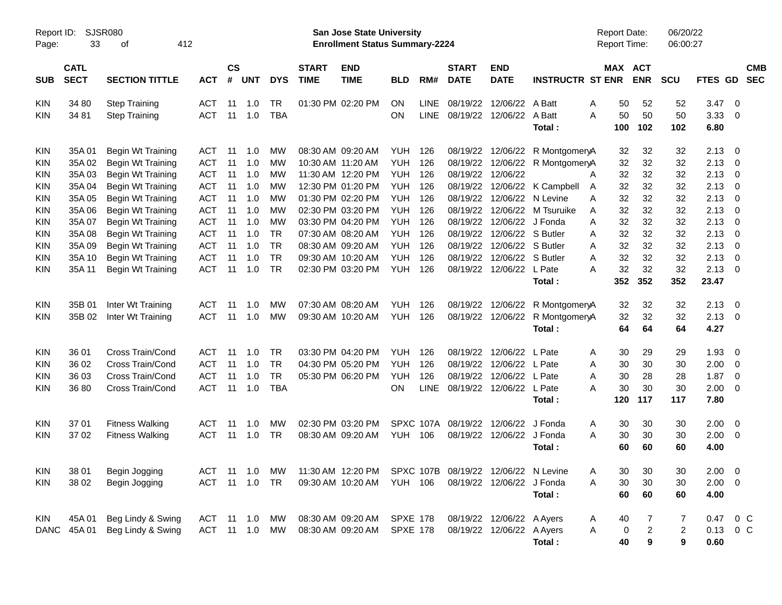| Report ID:<br>Page:                                                                                                                                    | 33                                                                                                      | <b>SJSR080</b><br>412<br>οf                                                                                                                                                                                                         |                                                                                                                                                 |                                                                |                                                                           |                                                                                                          |                             | <b>San Jose State University</b><br><b>Enrollment Status Summary-2224</b>                                                                                                                                                           |                                                                                                                                                        |                                                                           |                                                                                                                                  |                                                                                                                |                                                                                                                               | <b>Report Date:</b><br>Report Time:                                                                                |                                                                       | 06/20/22<br>06:00:27                                                  |                                                                                               |                                                                  |            |
|--------------------------------------------------------------------------------------------------------------------------------------------------------|---------------------------------------------------------------------------------------------------------|-------------------------------------------------------------------------------------------------------------------------------------------------------------------------------------------------------------------------------------|-------------------------------------------------------------------------------------------------------------------------------------------------|----------------------------------------------------------------|---------------------------------------------------------------------------|----------------------------------------------------------------------------------------------------------|-----------------------------|-------------------------------------------------------------------------------------------------------------------------------------------------------------------------------------------------------------------------------------|--------------------------------------------------------------------------------------------------------------------------------------------------------|---------------------------------------------------------------------------|----------------------------------------------------------------------------------------------------------------------------------|----------------------------------------------------------------------------------------------------------------|-------------------------------------------------------------------------------------------------------------------------------|--------------------------------------------------------------------------------------------------------------------|-----------------------------------------------------------------------|-----------------------------------------------------------------------|-----------------------------------------------------------------------------------------------|------------------------------------------------------------------|------------|
| <b>SUB</b>                                                                                                                                             | <b>CATL</b><br><b>SECT</b>                                                                              | <b>SECTION TITTLE</b>                                                                                                                                                                                                               | <b>ACT</b>                                                                                                                                      | <b>CS</b><br>#                                                 | <b>UNT</b>                                                                | <b>DYS</b>                                                                                               | <b>START</b><br><b>TIME</b> | <b>END</b><br><b>TIME</b>                                                                                                                                                                                                           | <b>BLD</b>                                                                                                                                             | RM#                                                                       | <b>START</b><br><b>DATE</b>                                                                                                      | <b>END</b><br><b>DATE</b>                                                                                      | <b>INSTRUCTR ST ENR</b>                                                                                                       | MAX ACT                                                                                                            | <b>ENR</b>                                                            | <b>SCU</b>                                                            | FTES GD SEC                                                                                   |                                                                  | <b>CMB</b> |
| <b>KIN</b><br><b>KIN</b>                                                                                                                               | 34 80<br>34 81                                                                                          | <b>Step Training</b><br><b>Step Training</b>                                                                                                                                                                                        | <b>ACT</b><br><b>ACT</b>                                                                                                                        | 11<br>11                                                       | 1.0<br>1.0                                                                | <b>TR</b><br><b>TBA</b>                                                                                  |                             | 01:30 PM 02:20 PM                                                                                                                                                                                                                   | ON<br>ON                                                                                                                                               | <b>LINE</b><br><b>LINE</b>                                                | 08/19/22<br>08/19/22                                                                                                             | 12/06/22 A Batt<br>12/06/22 A Batt                                                                             | Total:                                                                                                                        | 50<br>Α<br>A<br>50<br>100                                                                                          | 52<br>50<br>102                                                       | 52<br>50<br>102                                                       | 3.47<br>3.33<br>6.80                                                                          | $\overline{0}$<br>0                                              |            |
| <b>KIN</b><br><b>KIN</b><br><b>KIN</b><br><b>KIN</b><br><b>KIN</b><br><b>KIN</b><br><b>KIN</b><br><b>KIN</b><br><b>KIN</b><br><b>KIN</b><br><b>KIN</b> | 35A01<br>35A 02<br>35A03<br>35A 04<br>35A 05<br>35A 06<br>35A 07<br>35A 08<br>35A09<br>35A 10<br>35A 11 | Begin Wt Training<br>Begin Wt Training<br>Begin Wt Training<br>Begin Wt Training<br>Begin Wt Training<br>Begin Wt Training<br>Begin Wt Training<br>Begin Wt Training<br>Begin Wt Training<br>Begin Wt Training<br>Begin Wt Training | ACT<br><b>ACT</b><br><b>ACT</b><br><b>ACT</b><br><b>ACT</b><br><b>ACT</b><br><b>ACT</b><br><b>ACT</b><br><b>ACT</b><br><b>ACT</b><br><b>ACT</b> | 11<br>11<br>11<br>11<br>11<br>11<br>11<br>11<br>11<br>11<br>11 | 1.0<br>1.0<br>1.0<br>1.0<br>1.0<br>1.0<br>1.0<br>1.0<br>1.0<br>1.0<br>1.0 | МW<br>МW<br>MW<br><b>MW</b><br>МW<br>МW<br><b>MW</b><br><b>TR</b><br><b>TR</b><br><b>TR</b><br><b>TR</b> |                             | 08:30 AM 09:20 AM<br>10:30 AM 11:20 AM<br>11:30 AM 12:20 PM<br>12:30 PM 01:20 PM<br>01:30 PM 02:20 PM<br>02:30 PM 03:20 PM<br>03:30 PM 04:20 PM<br>07:30 AM 08:20 AM<br>08:30 AM 09:20 AM<br>09:30 AM 10:20 AM<br>02:30 PM 03:20 PM | <b>YUH</b><br><b>YUH</b><br><b>YUH</b><br><b>YUH</b><br><b>YUH</b><br><b>YUH</b><br><b>YUH</b><br><b>YUH</b><br><b>YUH</b><br><b>YUH</b><br><b>YUH</b> | 126<br>126<br>126<br>126<br>126<br>126<br>126<br>126<br>126<br>126<br>126 | 08/19/22<br>08/19/22<br>08/19/22<br>08/19/22<br>08/19/22<br>08/19/22<br>08/19/22<br>08/19/22<br>08/19/22<br>08/19/22<br>08/19/22 | 12/06/22<br>12/06/22 J Fonda<br>12/06/22 S Butler<br>12/06/22 S Butler<br>12/06/22 S Butler<br>12/06/22 L Pate | 12/06/22 R MontgomeryA<br>12/06/22 R MontgomeryA<br>12/06/22 K Campbell<br>12/06/22 N Levine<br>12/06/22 M Tsuruike<br>Total: | 32<br>32<br>32<br>A<br>32<br>A<br>32<br>A<br>32<br>A<br>32<br>Α<br>32<br>Α<br>32<br>A<br>32<br>A<br>32<br>Α<br>352 | 32<br>32<br>32<br>32<br>32<br>32<br>32<br>32<br>32<br>32<br>32<br>352 | 32<br>32<br>32<br>32<br>32<br>32<br>32<br>32<br>32<br>32<br>32<br>352 | 2.13<br>2.13<br>2.13<br>2.13<br>2.13<br>2.13<br>2.13<br>2.13<br>2.13<br>2.13<br>2.13<br>23.47 | 0<br>0<br>0<br>0<br>0<br>0<br>0<br>0<br>0<br>0<br>$\overline{0}$ |            |
| <b>KIN</b><br><b>KIN</b>                                                                                                                               | 35B 01<br>35B 02                                                                                        | Inter Wt Training<br>Inter Wt Training                                                                                                                                                                                              | <b>ACT</b><br><b>ACT</b>                                                                                                                        | 11<br>11                                                       | 1.0<br>1.0                                                                | МW<br><b>MW</b>                                                                                          |                             | 07:30 AM 08:20 AM<br>09:30 AM 10:20 AM                                                                                                                                                                                              | <b>YUH</b><br>YUH                                                                                                                                      | 126<br>126                                                                | 08/19/22<br>08/19/22                                                                                                             | 12/06/22<br>12/06/22                                                                                           | R MontgomeryA<br>R MontgomeryA<br>Total:                                                                                      | 32<br>32<br>64                                                                                                     | 32<br>32<br>64                                                        | 32<br>32<br>64                                                        | 2.13<br>2.13<br>4.27                                                                          | 0<br>0                                                           |            |
| <b>KIN</b><br><b>KIN</b><br><b>KIN</b><br><b>KIN</b>                                                                                                   | 36 01<br>36 02<br>36 03<br>36 80                                                                        | Cross Train/Cond<br>Cross Train/Cond<br>Cross Train/Cond<br>Cross Train/Cond                                                                                                                                                        | <b>ACT</b><br><b>ACT</b><br><b>ACT</b><br><b>ACT</b>                                                                                            | 11<br>11<br>11<br>11                                           | 1.0<br>1.0<br>1.0<br>1.0                                                  | <b>TR</b><br><b>TR</b><br><b>TR</b><br><b>TBA</b>                                                        |                             | 03:30 PM 04:20 PM<br>04:30 PM 05:20 PM<br>05:30 PM 06:20 PM                                                                                                                                                                         | <b>YUH</b><br>YUH<br><b>YUH</b><br>ON                                                                                                                  | 126<br>126<br>126<br><b>LINE</b>                                          | 08/19/22<br>08/19/22<br>08/19/22<br>08/19/22                                                                                     | 12/06/22<br>12/06/22<br>12/06/22<br>12/06/22 L Pate                                                            | L Pate<br>L Pate<br>L Pate<br>Total:                                                                                          | 30<br>Α<br>30<br>Α<br>30<br>A<br>30<br>Α<br>120                                                                    | 29<br>30<br>28<br>30<br>117                                           | 29<br>30<br>28<br>30<br>117                                           | 1.93<br>2.00<br>1.87<br>2.00<br>7.80                                                          | 0<br>0<br>0<br>0                                                 |            |
| <b>KIN</b><br><b>KIN</b>                                                                                                                               | 37 01<br>37 02                                                                                          | <b>Fitness Walking</b><br><b>Fitness Walking</b>                                                                                                                                                                                    | ACT<br><b>ACT</b>                                                                                                                               | 11<br>11                                                       | 1.0<br>1.0                                                                | МW<br>TR                                                                                                 |                             | 02:30 PM 03:20 PM<br>08:30 AM 09:20 AM                                                                                                                                                                                              | <b>YUH 106</b>                                                                                                                                         | SPXC 107A                                                                 | 08/19/22<br>08/19/22                                                                                                             | 12/06/22<br>12/06/22 J Fonda                                                                                   | J Fonda<br>Total:                                                                                                             | 30<br>A<br>30<br>A<br>60                                                                                           | 30<br>30<br>60                                                        | 30<br>30<br>60                                                        | 2.00<br>2.00<br>4.00                                                                          | 0<br>0                                                           |            |
| <b>KIN</b><br>KIN                                                                                                                                      | 38 02                                                                                                   | 38 01 Begin Jogging<br>Begin Jogging                                                                                                                                                                                                | <b>ACT</b>                                                                                                                                      |                                                                | 11  1.0  TR                                                               |                                                                                                          |                             | ACT 11 1.0 MW 11:30 AM 12:20 PM SPXC 107B 08/19/22 12/06/22 N Levine<br>09:30 AM 10:20 AM                                                                                                                                           | <b>YUH 106</b>                                                                                                                                         |                                                                           |                                                                                                                                  | 08/19/22 12/06/22 J Fonda                                                                                      | Total:                                                                                                                        | 30<br>Α<br>30<br>A<br>60                                                                                           | 30<br>30<br>60                                                        | 30<br>30<br>60                                                        | $2.00 \t 0$<br>2.00<br>4.00                                                                   | $\overline{\phantom{0}}$                                         |            |
| <b>KIN</b><br><b>DANC</b>                                                                                                                              | 45A 01<br>45A 01                                                                                        | Beg Lindy & Swing<br>Beg Lindy & Swing                                                                                                                                                                                              | ACT<br>ACT                                                                                                                                      |                                                                | 11 1.0<br>$11 \quad 1.0$                                                  | МW<br>МW                                                                                                 |                             | 08:30 AM 09:20 AM<br>08:30 AM 09:20 AM                                                                                                                                                                                              | <b>SPXE 178</b><br><b>SPXE 178</b>                                                                                                                     |                                                                           |                                                                                                                                  | 08/19/22 12/06/22 A Ayers<br>08/19/22 12/06/22 A Ayers                                                         | Total:                                                                                                                        | 40<br>A<br>Α<br>$\bf{0}$<br>40                                                                                     | $\overline{\mathbf{c}}$<br>$\bf{9}$                                   | 7<br>$\overline{2}$<br>$\boldsymbol{9}$                               | 0.47<br>0.13<br>0.60                                                                          | $0\,C$<br>$0\,C$                                                 |            |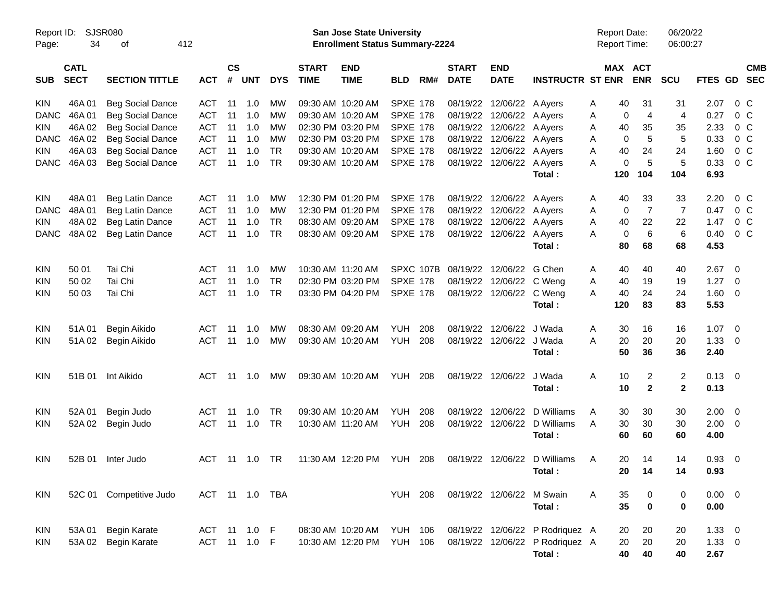| Page:       | Report ID: SJSR080<br>34   | 412<br>οf               |                |                    |                |            |                             | San Jose State University<br><b>Enrollment Status Summary-2224</b> |                 |     |                             |                           |                                 | <b>Report Date:</b><br><b>Report Time:</b> |                | 06/20/22<br>06:00:27 |                |                          |  |
|-------------|----------------------------|-------------------------|----------------|--------------------|----------------|------------|-----------------------------|--------------------------------------------------------------------|-----------------|-----|-----------------------------|---------------------------|---------------------------------|--------------------------------------------|----------------|----------------------|----------------|--------------------------|--|
| <b>SUB</b>  | <b>CATL</b><br><b>SECT</b> | <b>SECTION TITTLE</b>   | <b>ACT</b>     | $\mathsf{cs}$<br># | <b>UNT</b>     | <b>DYS</b> | <b>START</b><br><b>TIME</b> | <b>END</b><br><b>TIME</b>                                          | <b>BLD</b>      | RM# | <b>START</b><br><b>DATE</b> | <b>END</b><br><b>DATE</b> | <b>INSTRUCTR ST ENR</b>         | MAX ACT                                    | <b>ENR</b>     | <b>SCU</b>           | FTES GD SEC    | <b>CMB</b>               |  |
| <b>KIN</b>  | 46A01                      | <b>Beg Social Dance</b> | ACT            | 11                 | 1.0            | <b>MW</b>  |                             | 09:30 AM 10:20 AM                                                  | <b>SPXE 178</b> |     |                             | 08/19/22 12/06/22 A Ayers |                                 | 40<br>Α                                    | 31             | 31                   | 2.07           | $0\,C$                   |  |
| <b>DANC</b> | 46A01                      | <b>Beg Social Dance</b> | ACT            | 11                 | 1.0            | MW         |                             | 09:30 AM 10:20 AM                                                  | <b>SPXE 178</b> |     |                             | 08/19/22 12/06/22 A Ayers |                                 | 0<br>Α                                     | 4              | 4                    | 0.27           | $0\,C$                   |  |
| <b>KIN</b>  | 46A 02                     | <b>Beg Social Dance</b> | <b>ACT</b>     | 11                 | 1.0            | MW         |                             | 02:30 PM 03:20 PM                                                  | <b>SPXE 178</b> |     |                             | 08/19/22 12/06/22 A Ayers |                                 | 40<br>Α                                    | 35             | 35                   | 2.33           | $0\,C$                   |  |
| <b>DANC</b> | 46A 02                     | <b>Beg Social Dance</b> | <b>ACT</b>     | 11                 | 1.0            | MW         |                             | 02:30 PM 03:20 PM                                                  | <b>SPXE 178</b> |     |                             | 08/19/22 12/06/22 A Ayers |                                 | 0<br>Α                                     | 5              | 5                    | 0.33           | $0\,C$                   |  |
| <b>KIN</b>  | 46A03                      | <b>Beg Social Dance</b> | <b>ACT</b>     | 11                 | 1.0            | <b>TR</b>  |                             | 09:30 AM 10:20 AM                                                  | <b>SPXE 178</b> |     |                             | 08/19/22 12/06/22 A Ayers |                                 | 40<br>Α                                    | 24             | 24                   | 1.60           | 0 <sup>o</sup>           |  |
| <b>DANC</b> | 46A03                      | <b>Beg Social Dance</b> | <b>ACT</b>     | 11                 | 1.0            | <b>TR</b>  |                             | 09:30 AM 10:20 AM                                                  | <b>SPXE 178</b> |     |                             | 08/19/22 12/06/22 A Ayers |                                 | 0<br>Α                                     | 5              | 5                    | 0.33           | 0 <sup>o</sup>           |  |
|             |                            |                         |                |                    |                |            |                             |                                                                    |                 |     |                             |                           | Total:                          | 120                                        | 104            | 104                  | 6.93           |                          |  |
| <b>KIN</b>  | 48A 01                     | Beg Latin Dance         | ACT            | 11                 | 1.0            | MW         |                             | 12:30 PM 01:20 PM                                                  | SPXE 178        |     |                             | 08/19/22 12/06/22 A Ayers |                                 | 40<br>A                                    | 33             | 33                   | 2.20           | $0\,$ C                  |  |
| <b>DANC</b> | 48A 01                     | Beg Latin Dance         | ACT            | 11                 | 1.0            | MW         |                             | 12:30 PM 01:20 PM                                                  | <b>SPXE 178</b> |     |                             | 08/19/22 12/06/22 A Ayers |                                 | 0<br>Α                                     | $\overline{7}$ | $\overline{7}$       | 0.47           | $0\,C$                   |  |
| <b>KIN</b>  | 48A 02                     | Beg Latin Dance         | <b>ACT</b>     | 11                 | 1.0            | <b>TR</b>  |                             | 08:30 AM 09:20 AM                                                  | <b>SPXE 178</b> |     |                             | 08/19/22 12/06/22 A Ayers |                                 | 40<br>Α                                    | 22             | 22                   | 1.47           | $0\,C$                   |  |
| <b>DANC</b> | 48A 02                     | Beg Latin Dance         | <b>ACT</b>     | 11                 | 1.0            | <b>TR</b>  |                             | 08:30 AM 09:20 AM                                                  | <b>SPXE 178</b> |     |                             | 08/19/22 12/06/22 A Ayers |                                 | 0<br>Α                                     | 6              | 6                    | 0.40           | 0 <sup>o</sup>           |  |
|             |                            |                         |                |                    |                |            |                             |                                                                    |                 |     |                             |                           | Total:                          | 80                                         | 68             | 68                   | 4.53           |                          |  |
| KIN         | 50 01                      | Tai Chi                 | <b>ACT</b>     | 11                 | 1.0            | MW         |                             | 10:30 AM 11:20 AM                                                  | SPXC 107B       |     |                             | 08/19/22 12/06/22 G Chen  |                                 | 40<br>Α                                    | 40             | 40                   | 2.67           | $\overline{\mathbf{0}}$  |  |
| KIN         | 50 02                      | Tai Chi                 | <b>ACT</b>     | 11                 | 1.0            | <b>TR</b>  |                             | 02:30 PM 03:20 PM                                                  | <b>SPXE 178</b> |     | 08/19/22                    | 12/06/22 C Weng           |                                 | 40<br>Α                                    | 19             | 19                   | 1.27           | $\overline{\mathbf{0}}$  |  |
| <b>KIN</b>  | 50 03                      | Tai Chi                 | <b>ACT</b>     | 11                 | 1.0            | <b>TR</b>  |                             | 03:30 PM 04:20 PM                                                  | <b>SPXE 178</b> |     |                             | 08/19/22 12/06/22 C Weng  |                                 | 40<br>A                                    | 24             | 24                   | 1.60           | $\overline{\mathbf{0}}$  |  |
|             |                            |                         |                |                    |                |            |                             |                                                                    |                 |     |                             |                           | Total:                          | 120                                        | 83             | 83                   | 5.53           |                          |  |
| <b>KIN</b>  | 51A 01                     | Begin Aikido            | <b>ACT</b>     | 11                 | 1.0            | MW         |                             | 08:30 AM 09:20 AM                                                  | <b>YUH</b>      | 208 | 08/19/22                    | 12/06/22                  | J Wada                          | Α<br>30                                    | 16             | 16                   | 1.07           | $\overline{\phantom{0}}$ |  |
| KIN         |                            | 51A 02 Begin Aikido     | ACT            |                    | $11 \quad 1.0$ | MW         |                             | 09:30 AM 10:20 AM                                                  | YUH             | 208 |                             | 08/19/22 12/06/22 J Wada  |                                 | 20<br>Α                                    | 20             | 20                   | 1.33           | $\overline{\mathbf{0}}$  |  |
|             |                            |                         |                |                    |                |            |                             |                                                                    |                 |     |                             |                           | Total:                          | 50                                         | 36             | 36                   | 2.40           |                          |  |
| <b>KIN</b>  | 51B 01                     | Int Aikido              | ACT            |                    | 11 1.0         | МW         |                             | 09:30 AM 10:20 AM                                                  | <b>YUH 208</b>  |     |                             | 08/19/22 12/06/22 J Wada  |                                 | 10<br>A                                    | 2              | $\overline{2}$       | $0.13 \quad 0$ |                          |  |
|             |                            |                         |                |                    |                |            |                             |                                                                    |                 |     |                             |                           | Total:                          | 10                                         | $\mathbf{2}$   | $\mathbf{2}$         | 0.13           |                          |  |
| <b>KIN</b>  | 52A 01                     | Begin Judo              | <b>ACT</b>     | 11                 | 1.0            | <b>TR</b>  |                             | 09:30 AM 10:20 AM                                                  | <b>YUH</b>      | 208 | 08/19/22                    | 12/06/22                  | D Williams                      | A<br>30                                    | 30             | 30                   | 2.00           | $\overline{\phantom{0}}$ |  |
| KIN         | 52A 02                     | Begin Judo              | ACT            |                    | $11 \quad 1.0$ | TR         |                             | 10:30 AM 11:20 AM                                                  | YUH             | 208 |                             |                           | 08/19/22 12/06/22 D Williams    | 30<br>A                                    | 30             | 30                   | 2.00           | $\overline{\mathbf{0}}$  |  |
|             |                            |                         |                |                    |                |            |                             |                                                                    |                 |     |                             |                           | Total:                          | 60                                         | 60             | 60                   | 4.00           |                          |  |
| KIN         | 52B 01                     | Inter Judo              | ACT            |                    | 11 1.0         | TR         |                             | 11:30 AM 12:20 PM                                                  | <b>YUH 208</b>  |     |                             |                           | 08/19/22 12/06/22 D Williams    | 20<br>A                                    | 14             | 14                   | 0.93           | $\overline{\mathbf{0}}$  |  |
|             |                            |                         |                |                    |                |            |                             |                                                                    |                 |     |                             |                           | Total:                          |                                            | 20 14          | 14                   | 0.93           |                          |  |
|             |                            |                         |                |                    |                |            |                             |                                                                    |                 |     |                             |                           |                                 |                                            |                |                      |                |                          |  |
| <b>KIN</b>  |                            | 52C 01 Competitive Judo | ACT 11 1.0 TBA |                    |                |            |                             |                                                                    | <b>YUH 208</b>  |     |                             | 08/19/22 12/06/22 M Swain |                                 | 35<br>A                                    | 0              | 0                    | $0.00 \t 0$    |                          |  |
|             |                            |                         |                |                    |                |            |                             |                                                                    |                 |     |                             |                           | Total:                          | 35                                         | $\bf{0}$       | 0                    | 0.00           |                          |  |
| KIN         |                            | 53A 01 Begin Karate     | ACT 11 1.0 F   |                    |                |            |                             | 08:30 AM 10:20 AM                                                  | YUH 106         |     |                             |                           | 08/19/22 12/06/22 P Rodriquez A | 20                                         | 20             | 20                   | $1.33 \t 0$    |                          |  |
| <b>KIN</b>  |                            | 53A 02 Begin Karate     | ACT 11 1.0 F   |                    |                |            |                             | 10:30 AM 12:20 PM                                                  | <b>YUH 106</b>  |     |                             |                           | 08/19/22 12/06/22 P Rodriquez A | 20                                         | 20             | 20                   | $1.33 \t 0$    |                          |  |
|             |                            |                         |                |                    |                |            |                             |                                                                    |                 |     |                             |                           | Total:                          | 40                                         | 40             | 40                   | 2.67           |                          |  |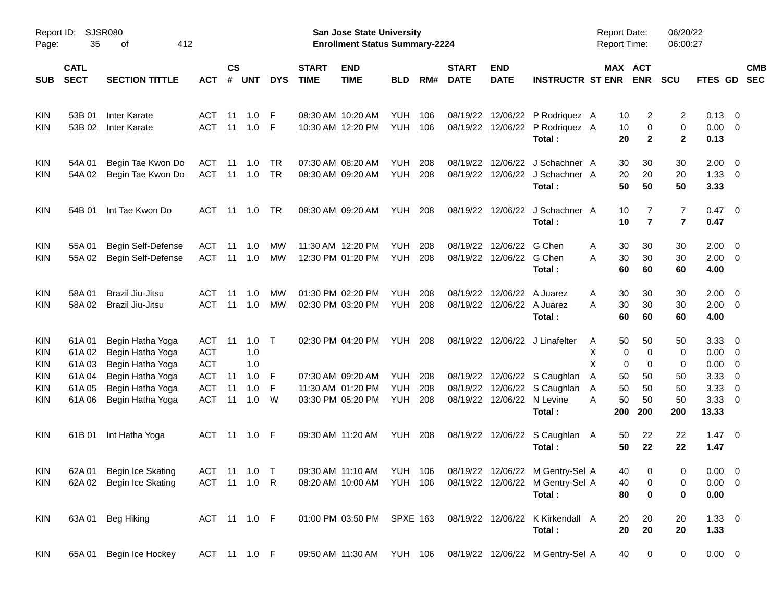| Report ID:<br>Page:      | 35                         | SJSR080<br>412<br>οf                 |                          |                    |            |            |                             | San Jose State University<br><b>Enrollment Status Summary-2224</b> |                   |            |                             |                           |                                                                                | <b>Report Date:</b><br><b>Report Time:</b> |                               | 06/20/22<br>06:00:27             |                    |                          |
|--------------------------|----------------------------|--------------------------------------|--------------------------|--------------------|------------|------------|-----------------------------|--------------------------------------------------------------------|-------------------|------------|-----------------------------|---------------------------|--------------------------------------------------------------------------------|--------------------------------------------|-------------------------------|----------------------------------|--------------------|--------------------------|
| <b>SUB</b>               | <b>CATL</b><br><b>SECT</b> | <b>SECTION TITTLE</b>                | <b>ACT</b>               | $\mathsf{cs}$<br># | <b>UNT</b> | <b>DYS</b> | <b>START</b><br><b>TIME</b> | <b>END</b><br><b>TIME</b>                                          | <b>BLD</b>        | RM#        | <b>START</b><br><b>DATE</b> | <b>END</b><br><b>DATE</b> | <b>INSTRUCTR ST ENR</b>                                                        |                                            | MAX ACT<br><b>ENR</b>         | <b>SCU</b>                       | <b>FTES GD</b>     | <b>CMB</b><br><b>SEC</b> |
| <b>KIN</b>               | 53B 01                     | Inter Karate                         | ACT                      | 11                 | 1.0        | F          |                             | 08:30 AM 10:20 AM                                                  | YUH               | 106        | 08/19/22                    | 12/06/22                  | P Rodriquez A                                                                  | 10                                         | 2                             | 2                                | 0.13               | $\overline{0}$           |
| <b>KIN</b>               | 53B 02                     | <b>Inter Karate</b>                  | <b>ACT</b>               | 11                 | 1.0        | -F         |                             | 10:30 AM 12:20 PM                                                  | <b>YUH</b>        | 106        | 08/19/22                    | 12/06/22                  | P Rodriquez A<br>Total:                                                        | 10<br>20                                   | $\mathbf 0$<br>$\overline{2}$ | 0<br>$\mathbf{2}$                | 0.00<br>0.13       | $\overline{0}$           |
| <b>KIN</b>               | 54A 01                     | Begin Tae Kwon Do                    | ACT                      | 11                 | 1.0        | TR         |                             | 07:30 AM 08:20 AM                                                  | <b>YUH</b>        | 208        | 08/19/22                    | 12/06/22                  | J Schachner A                                                                  | 30                                         | 30                            | 30                               | 2.00               | $\overline{0}$           |
| <b>KIN</b>               | 54A 02                     | Begin Tae Kwon Do                    | <b>ACT</b>               | 11                 | 1.0        | <b>TR</b>  |                             | 08:30 AM 09:20 AM                                                  | <b>YUH</b>        | 208        | 08/19/22                    |                           | 12/06/22 J Schachner A<br>Total:                                               | 20<br>50                                   | 20<br>50                      | 20<br>50                         | 1.33<br>3.33       | 0                        |
| <b>KIN</b>               | 54B 01                     | Int Tae Kwon Do                      | ACT                      | 11                 | 1.0        | TR         |                             | 08:30 AM 09:20 AM                                                  | YUH               | 208        | 08/19/22                    | 12/06/22                  | J Schachner A<br>Total:                                                        | 10<br>10                                   | 7<br>$\overline{7}$           | $\overline{7}$<br>$\overline{7}$ | 0.47<br>0.47       | $\overline{\mathbf{0}}$  |
| <b>KIN</b>               | 55A01                      | Begin Self-Defense                   | ACT                      | 11                 | 1.0        | MW         |                             | 11:30 AM 12:20 PM                                                  | <b>YUH</b>        | 208        | 08/19/22                    | 12/06/22                  | G Chen                                                                         | Α<br>30                                    | 30                            | 30                               | 2.00               | $\overline{0}$           |
| <b>KIN</b>               | 55A 02                     | Begin Self-Defense                   | <b>ACT</b>               | 11                 | 1.0        | <b>MW</b>  |                             | 12:30 PM 01:20 PM                                                  | YUH               | 208        | 08/19/22                    | 12/06/22 G Chen           | Total:                                                                         | 30<br>Α<br>60                              | 30<br>60                      | 30<br>60                         | 2.00<br>4.00       | $\overline{0}$           |
| <b>KIN</b>               | 58A01                      | Brazil Jiu-Jitsu                     | <b>ACT</b>               | 11                 | 1.0        | MW         |                             | 01:30 PM 02:20 PM                                                  | <b>YUH</b>        | 208        | 08/19/22                    | 12/06/22                  | A Juarez                                                                       | A<br>30                                    | 30                            | 30                               | 2.00               | $\overline{0}$           |
| <b>KIN</b>               | 58A02                      | <b>Brazil Jiu-Jitsu</b>              | <b>ACT</b>               | 11                 | 1.0        | <b>MW</b>  |                             | 02:30 PM 03:20 PM                                                  | YUH               | 208        | 08/19/22                    |                           | 12/06/22 A Juarez<br>Total:                                                    | 30<br>A<br>60                              | 30<br>60                      | 30<br>60                         | 2.00<br>4.00       | $\overline{\mathbf{0}}$  |
| <b>KIN</b>               | 61A01                      | Begin Hatha Yoga                     | ACT                      | 11                 | 1.0        | $\top$     |                             | 02:30 PM 04:20 PM                                                  | YUH               | 208        |                             |                           | 08/19/22 12/06/22 J Linafelter                                                 | 50<br>A                                    | 50                            | 50                               | 3.33               | 0                        |
| <b>KIN</b>               | 61A02                      | Begin Hatha Yoga                     | <b>ACT</b>               |                    | 1.0        |            |                             |                                                                    |                   |            |                             |                           |                                                                                | X                                          | $\mathbf 0$<br>0              | 0                                | 0.00               | 0                        |
| <b>KIN</b>               | 61A03                      | Begin Hatha Yoga                     | <b>ACT</b>               |                    | 1.0        |            |                             |                                                                    |                   |            |                             |                           |                                                                                | X                                          | 0<br>0                        | 0                                | 0.00               | 0                        |
| <b>KIN</b>               | 61A04                      | Begin Hatha Yoga<br>Begin Hatha Yoga | <b>ACT</b><br><b>ACT</b> | 11<br>11           | 1.0<br>1.0 | -F<br>F    |                             | 07:30 AM 09:20 AM<br>11:30 AM 01:20 PM                             | YUH<br><b>YUH</b> | 208<br>208 | 08/19/22                    | 12/06/22                  | 08/19/22 12/06/22 S Caughlan<br>S Caughlan                                     | 50<br>A<br>50                              | 50<br>50                      | 50                               | 3.33<br>3.33       | 0<br>0                   |
| <b>KIN</b><br><b>KIN</b> | 61A05<br>61A06             | Begin Hatha Yoga                     | <b>ACT</b>               | 11                 | 1.0        | W          |                             | 03:30 PM 05:20 PM                                                  | YUH               | 208        | 08/19/22                    |                           | 12/06/22 N Levine                                                              | A<br>50<br>A                               | 50                            | 50<br>50                         | 3.33               | 0                        |
|                          |                            |                                      |                          |                    |            |            |                             |                                                                    |                   |            |                             |                           | Total:                                                                         | 200                                        | 200                           | 200                              | 13.33              |                          |
| <b>KIN</b>               | 61B 01                     | Int Hatha Yoga                       | ACT                      | - 11               | 1.0        | - F        |                             | 09:30 AM 11:20 AM                                                  | <b>YUH 208</b>    |            | 08/19/22                    | 12/06/22                  | S Caughlan A                                                                   | 50                                         | 22                            | 22                               | 1.47               | $\overline{\mathbf{0}}$  |
|                          |                            |                                      |                          |                    |            |            |                             |                                                                    |                   |            |                             |                           | Total:                                                                         | 50                                         | 22                            | 22                               | 1.47               |                          |
|                          |                            | KIN 62A 01 Begin Ice Skating         |                          |                    |            |            |                             |                                                                    |                   |            |                             |                           | ACT 11 1.0 T  09:30 AM 11:10 AM  YUH  106  08/19/22  12/06/22  M  Gentry-Sel A | 40                                         | $\mathbf 0$                   | 0                                | $0.00 \t 0$        |                          |
| <b>KIN</b>               | 62A 02                     | Begin Ice Skating                    | ACT 11 1.0 R             |                    |            |            |                             | 08:20 AM 10:00 AM                                                  | YUH 106           |            |                             |                           | 08/19/22 12/06/22 M Gentry-Sel A                                               | 40                                         | 0                             | 0                                | $0.00 \quad 0$     |                          |
|                          |                            |                                      |                          |                    |            |            |                             |                                                                    |                   |            |                             |                           | Total:                                                                         | 80                                         | $\mathbf 0$                   | 0                                | 0.00               |                          |
| <b>KIN</b>               | 63A 01                     | Beg Hiking                           | ACT 11 1.0 F             |                    |            |            |                             | 01:00 PM 03:50 PM SPXE 163                                         |                   |            |                             |                           | 08/19/22 12/06/22 K Kirkendall A<br>Total:                                     | 20<br>20                                   | 20<br>20                      | 20<br>20                         | $1.33 \ 0$<br>1.33 |                          |
| <b>KIN</b>               | 65A 01                     | Begin Ice Hockey                     | ACT 11 1.0 F             |                    |            |            |                             | 09:50 AM 11:30 AM YUH 106                                          |                   |            |                             |                           | 08/19/22 12/06/22 M Gentry-Sel A                                               | 40                                         | 0                             | 0                                | $0.00 \t 0$        |                          |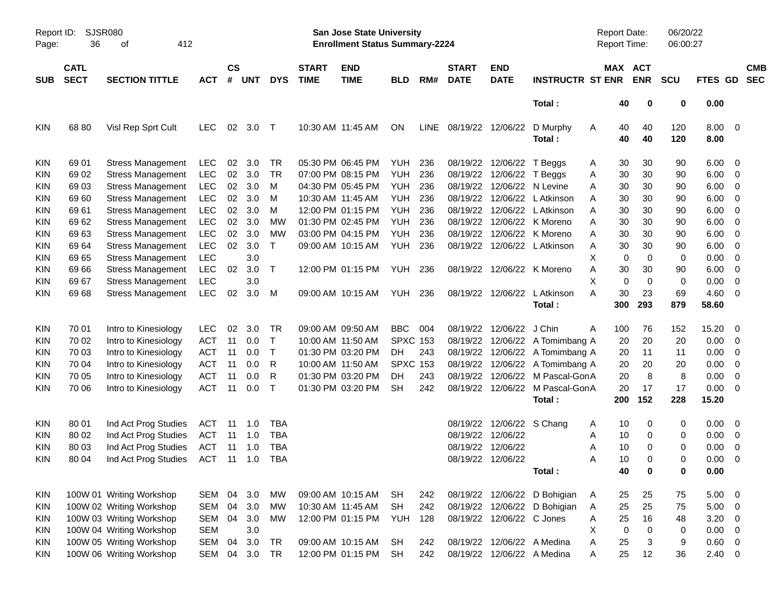| Page:      | Report ID:<br>SJSR080<br>412<br>36<br>оf |                          |            |                    |            |              |                             | San Jose State University<br><b>Enrollment Status Summary-2224</b> |                 |      |                             |                           |                              | <b>Report Date:</b><br>Report Time: |                          | 06/20/22<br>06:00:27 |              |                          |                          |
|------------|------------------------------------------|--------------------------|------------|--------------------|------------|--------------|-----------------------------|--------------------------------------------------------------------|-----------------|------|-----------------------------|---------------------------|------------------------------|-------------------------------------|--------------------------|----------------------|--------------|--------------------------|--------------------------|
| SUB        | <b>CATL</b><br><b>SECT</b>               | <b>SECTION TITTLE</b>    | <b>ACT</b> | $\mathsf{cs}$<br># | <b>UNT</b> | <b>DYS</b>   | <b>START</b><br><b>TIME</b> | <b>END</b><br><b>TIME</b>                                          | <b>BLD</b>      | RM#  | <b>START</b><br><b>DATE</b> | <b>END</b><br><b>DATE</b> | <b>INSTRUCTR ST ENR</b>      | MAX                                 | <b>ACT</b><br><b>ENR</b> | <b>SCU</b>           | FTES GD      |                          | <b>CMB</b><br><b>SEC</b> |
|            |                                          |                          |            |                    |            |              |                             |                                                                    |                 |      |                             |                           | Total:                       | 40                                  | 0                        | 0                    | 0.00         |                          |                          |
| <b>KIN</b> | 68 80                                    | Visl Rep Sprt Cult       | LEC.       | 02                 | 3.0        | Т            |                             | 10:30 AM 11:45 AM                                                  | ON              | LINE | 08/19/22 12/06/22           |                           | D Murphy<br>Total:           | 40<br>A<br>40                       | 40<br>40                 | 120<br>120           | 8.00<br>8.00 | $\overline{\mathbf{0}}$  |                          |
| <b>KIN</b> | 69 01                                    | <b>Stress Management</b> | <b>LEC</b> | 02                 | 3.0        | TR           |                             | 05:30 PM 06:45 PM                                                  | <b>YUH</b>      | 236  | 08/19/22                    | 12/06/22                  | T Beggs                      | 30<br>A                             | 30                       | 90                   | 6.00         | $\overline{\mathbf{0}}$  |                          |
| <b>KIN</b> | 69 02                                    | <b>Stress Management</b> | <b>LEC</b> | 02                 | 3.0        | TR           |                             | 07:00 PM 08:15 PM                                                  | <b>YUH</b>      | 236  | 08/19/22                    | 12/06/22                  | T Beggs                      | 30<br>A                             | 30                       | 90                   | 6.00         | $\overline{\mathbf{0}}$  |                          |
| <b>KIN</b> | 69 03                                    | <b>Stress Management</b> | <b>LEC</b> | 02                 | 3.0        | M            |                             | 04:30 PM 05:45 PM                                                  | <b>YUH</b>      | 236  | 08/19/22                    | 12/06/22                  | N Levine                     | 30<br>Α                             | 30                       | 90                   | 6.00         | $\overline{0}$           |                          |
| <b>KIN</b> | 69 60                                    | <b>Stress Management</b> | <b>LEC</b> | 02                 | 3.0        | M            |                             | 10:30 AM 11:45 AM                                                  | <b>YUH</b>      | 236  | 08/19/22                    | 12/06/22                  | L Atkinson                   | 30<br>Α                             | 30                       | 90                   | 6.00         | $\overline{0}$           |                          |
| <b>KIN</b> | 6961                                     | <b>Stress Management</b> | <b>LEC</b> | 02                 | 3.0        | M            |                             | 12:00 PM 01:15 PM                                                  | YUH             | 236  | 08/19/22                    | 12/06/22                  | L Atkinson                   | 30<br>Α                             | 30                       | 90                   | 6.00         | 0                        |                          |
| <b>KIN</b> | 69 62                                    | <b>Stress Management</b> | <b>LEC</b> | 02                 | 3.0        | MW           |                             | 01:30 PM 02:45 PM                                                  | <b>YUH</b>      | 236  | 08/19/22                    | 12/06/22                  | K Moreno                     | Α<br>30                             | 30                       | 90                   | 6.00         | 0                        |                          |
| <b>KIN</b> | 6963                                     | <b>Stress Management</b> | LEC        | 02                 | 3.0        | <b>MW</b>    |                             | 03:00 PM 04:15 PM                                                  | <b>YUH</b>      | 236  | 08/19/22                    | 12/06/22                  | K Moreno                     | Α<br>30                             | 30                       | 90                   | 6.00         | 0                        |                          |
| <b>KIN</b> | 69 64                                    | <b>Stress Management</b> | <b>LEC</b> | 02                 | 3.0        | $\mathsf{T}$ |                             | 09:00 AM 10:15 AM                                                  | <b>YUH</b>      | 236  | 08/19/22                    |                           | 12/06/22 L Atkinson          | Α<br>30                             | 30                       | 90                   | 6.00         | 0                        |                          |
| <b>KIN</b> | 69 65                                    | <b>Stress Management</b> | <b>LEC</b> |                    | 3.0        |              |                             |                                                                    |                 |      |                             |                           |                              | X<br>$\mathbf 0$                    | 0                        | 0                    | 0.00         | 0                        |                          |
| <b>KIN</b> | 69 66                                    | <b>Stress Management</b> | <b>LEC</b> | 02                 | 3.0        | T            |                             | 12:00 PM 01:15 PM                                                  | YUH             | 236  | 08/19/22                    |                           | 12/06/22 K Moreno            | Α<br>30                             | 30                       | 90                   | 6.00         | 0                        |                          |
| <b>KIN</b> | 69 67                                    | <b>Stress Management</b> | <b>LEC</b> |                    | 3.0        |              |                             |                                                                    |                 |      |                             |                           |                              | 0<br>X                              | 0                        | 0                    | 0.00         | 0                        |                          |
| <b>KIN</b> | 69 68                                    | <b>Stress Management</b> | <b>LEC</b> | 02                 | 3.0        | М            |                             | 09:00 AM 10:15 AM                                                  | YUH             | 236  | 08/19/22                    | 12/06/22                  | L Atkinson                   | A<br>30                             | 23                       | 69                   | 4.60         | 0                        |                          |
|            |                                          |                          |            |                    |            |              |                             |                                                                    |                 |      |                             |                           | Total:                       | 300                                 | 293                      | 879                  | 58.60        |                          |                          |
| <b>KIN</b> | 70 01                                    | Intro to Kinesiology     | <b>LEC</b> | 02                 | 3.0        | TR           |                             | 09:00 AM 09:50 AM                                                  | <b>BBC</b>      | 004  | 08/19/22                    | 12/06/22                  | J Chin                       | 100<br>A                            | 76                       | 152                  | 15.20        | $\overline{\phantom{0}}$ |                          |
| <b>KIN</b> | 70 02                                    | Intro to Kinesiology     | <b>ACT</b> | 11                 | 0.0        | $\top$       |                             | 10:00 AM 11:50 AM                                                  | <b>SPXC 153</b> |      | 08/19/22                    |                           | 12/06/22 A Tomimbang A       | 20                                  | 20                       | 20                   | 0.00         | $\overline{\mathbf{0}}$  |                          |
| <b>KIN</b> | 70 03                                    | Intro to Kinesiology     | <b>ACT</b> | 11                 | 0.0        | $\top$       |                             | 01:30 PM 03:20 PM                                                  | DH              | 243  | 08/19/22                    |                           | 12/06/22 A Tomimbang A       | 20                                  | 11                       | 11                   | 0.00         | 0                        |                          |
| <b>KIN</b> | 70 04                                    | Intro to Kinesiology     | <b>ACT</b> | 11                 | 0.0        | R            |                             | 10:00 AM 11:50 AM                                                  | <b>SPXC 153</b> |      | 08/19/22                    |                           | 12/06/22 A Tomimbang A       | 20                                  | 20                       | 20                   | 0.00         | 0                        |                          |
| <b>KIN</b> | 70 05                                    | Intro to Kinesiology     | <b>ACT</b> | 11                 | 0.0        | R            |                             | 01:30 PM 03:20 PM                                                  | DH              | 243  | 08/19/22                    | 12/06/22                  | M Pascal-GonA                | 20                                  | 8                        | 8                    | 0.00         | 0                        |                          |
| <b>KIN</b> | 70 06                                    | Intro to Kinesiology     | <b>ACT</b> | 11                 | 0.0        | T            |                             | 01:30 PM 03:20 PM                                                  | <b>SH</b>       | 242  | 08/19/22                    | 12/06/22                  | M Pascal-GonA                | 20                                  | 17                       | 17                   | 0.00         | 0                        |                          |
|            |                                          |                          |            |                    |            |              |                             |                                                                    |                 |      |                             |                           | Total:                       | 200                                 | 152                      | 228                  | 15.20        |                          |                          |
| <b>KIN</b> | 80 01                                    | Ind Act Prog Studies     | ACT        | 11                 | 1.0        | TBA          |                             |                                                                    |                 |      | 08/19/22                    | 12/06/22 S Chang          |                              | 10<br>A                             | 0                        | 0                    | 0.00         | $\overline{\phantom{0}}$ |                          |
| <b>KIN</b> | 80 02                                    | Ind Act Prog Studies     | <b>ACT</b> | 11                 | 1.0        | <b>TBA</b>   |                             |                                                                    |                 |      | 08/19/22                    | 12/06/22                  |                              | 10<br>A                             | 0                        | 0                    | 0.00         | $\overline{\mathbf{0}}$  |                          |
| <b>KIN</b> | 80 03                                    | Ind Act Prog Studies     | <b>ACT</b> | 11                 | 1.0        | <b>TBA</b>   |                             |                                                                    |                 |      | 08/19/22                    | 12/06/22                  |                              | 10<br>A                             | 0                        | 0                    | 0.00         | 0                        |                          |
| <b>KIN</b> | 80 04                                    | Ind Act Prog Studies     | <b>ACT</b> | 11                 | 1.0        | TBA          |                             |                                                                    |                 |      |                             | 08/19/22 12/06/22         |                              | 10<br>Α                             | $\Omega$                 | 0                    | 0.00         | 0                        |                          |
|            |                                          |                          |            |                    |            |              |                             |                                                                    |                 |      |                             |                           | Total:                       | 40                                  | 0                        | 0                    | $0.00\,$     |                          |                          |
| <b>KIN</b> |                                          | 100W 01 Writing Workshop | SEM        | 04                 | 3.0        | МW           |                             | 09:00 AM 10:15 AM                                                  | SH              | 242  |                             |                           | 08/19/22 12/06/22 D Bohigian | 25<br>A                             | 25                       | 75                   | $5.00 \t 0$  |                          |                          |
| <b>KIN</b> |                                          | 100W 02 Writing Workshop | <b>SEM</b> | 04                 | 3.0        | MW           |                             | 10:30 AM 11:45 AM                                                  | <b>SH</b>       | 242  | 08/19/22                    |                           | 12/06/22 D Bohigian          | 25<br>Α                             | 25                       | 75                   | $5.00 \t 0$  |                          |                          |
| <b>KIN</b> |                                          | 100W 03 Writing Workshop | SEM        |                    | 04 3.0     | MW           |                             | 12:00 PM 01:15 PM                                                  | <b>YUH</b>      | 128  |                             | 08/19/22 12/06/22 C Jones |                              | 25<br>A                             | 16                       | 48                   | 3.20         | $\overline{0}$           |                          |
| <b>KIN</b> |                                          | 100W 04 Writing Workshop | <b>SEM</b> |                    | $3.0\,$    |              |                             |                                                                    |                 |      |                             |                           |                              | X<br>$\pmb{0}$                      | $\mathbf 0$              | $\pmb{0}$            | 0.00         | $\overline{0}$           |                          |
| <b>KIN</b> |                                          | 100W 05 Writing Workshop | SEM        | 04                 | 3.0        | TR           |                             | 09:00 AM 10:15 AM                                                  | <b>SH</b>       | 242  | 08/19/22                    |                           | 12/06/22 A Medina            | Α<br>25                             | 3                        | 9                    | $0.60 \t 0$  |                          |                          |
| KIN        |                                          | 100W 06 Writing Workshop | SEM        | 04                 | 3.0        | <b>TR</b>    |                             | 12:00 PM 01:15 PM                                                  | <b>SH</b>       | 242  | 08/19/22                    |                           | 12/06/22 A Medina            | 25<br>Α                             | 12                       | 36                   | $2.40 \t 0$  |                          |                          |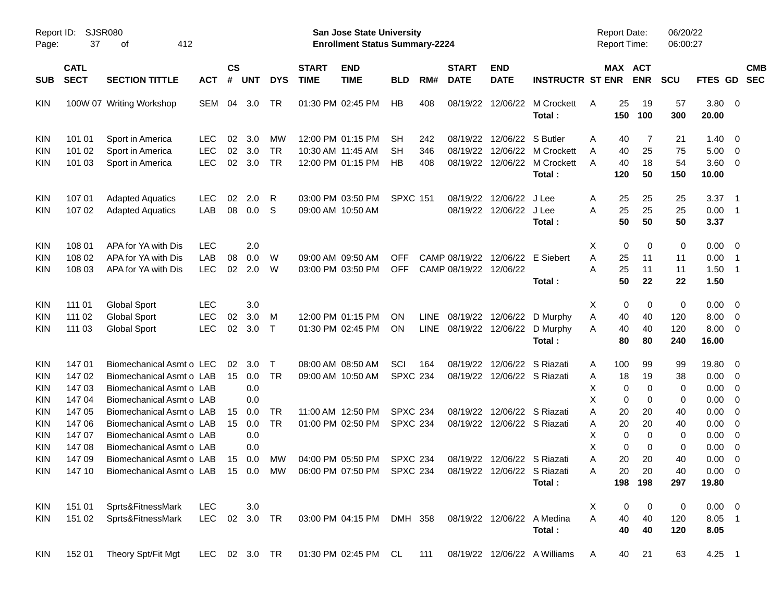| Report ID:<br>Page: | SJSR080<br>37              |                                                                                                  |            |                    |            |               | San Jose State University<br><b>Enrollment Status Summary-2224</b> |                                                                    |                 |             |                             |                             | Report Date:<br><b>Report Time:</b> |                | 06/20/22<br>06:00:27  |            |                |                            |                          |
|---------------------|----------------------------|--------------------------------------------------------------------------------------------------|------------|--------------------|------------|---------------|--------------------------------------------------------------------|--------------------------------------------------------------------|-----------------|-------------|-----------------------------|-----------------------------|-------------------------------------|----------------|-----------------------|------------|----------------|----------------------------|--------------------------|
| <b>SUB</b>          | <b>CATL</b><br><b>SECT</b> | <b>SECTION TITTLE</b>                                                                            | <b>ACT</b> | $\mathsf{cs}$<br># | <b>UNT</b> | <b>DYS</b>    | <b>START</b><br><b>TIME</b>                                        | <b>END</b><br><b>TIME</b>                                          | <b>BLD</b>      | RM#         | <b>START</b><br><b>DATE</b> | <b>END</b><br><b>DATE</b>   | <b>INSTRUCTR ST ENR</b>             |                | MAX ACT<br><b>ENR</b> | <b>SCU</b> | <b>FTES GD</b> |                            | <b>CMB</b><br><b>SEC</b> |
| <b>KIN</b>          |                            | 100W 07 Writing Workshop                                                                         | SEM        | 04                 | 3.0        | TR            |                                                                    | 01:30 PM 02:45 PM                                                  | HB              | 408         | 08/19/22                    | 12/06/22                    | M Crockett<br>Total:                | 25<br>A<br>150 | 19<br>100             | 57<br>300  | 3.80<br>20.00  | $\overline{0}$             |                          |
| <b>KIN</b>          | 101 01                     | Sport in America                                                                                 | <b>LEC</b> | 02                 | 3.0        | MW            |                                                                    | 12:00 PM 01:15 PM                                                  | <b>SH</b>       | 242         | 08/19/22                    | 12/06/22                    | S Butler                            | Α              | 40<br>7               | 21         | 1.40           | - 0                        |                          |
| <b>KIN</b>          | 101 02                     | Sport in America                                                                                 | <b>LEC</b> | 02                 | 3.0        | <b>TR</b>     |                                                                    | 10:30 AM 11:45 AM                                                  | <b>SH</b>       | 346         | 08/19/22                    |                             | 12/06/22 M Crockett                 | 40<br>A        | 25                    | 75         | 5.00           | $\overline{\mathbf{0}}$    |                          |
| <b>KIN</b>          | 101 03                     | Sport in America                                                                                 | <b>LEC</b> | 02                 | 3.0        | <b>TR</b>     |                                                                    | 12:00 PM 01:15 PM                                                  | HB              | 408         | 08/19/22                    |                             | 12/06/22 M Crockett<br>Total:       | 40<br>A<br>120 | 18<br>50              | 54<br>150  | 3.60<br>10.00  | $\overline{0}$             |                          |
| <b>KIN</b>          | 107 01                     | <b>Adapted Aquatics</b>                                                                          | <b>LEC</b> | 02                 | 2.0        | R             |                                                                    | 03:00 PM 03:50 PM                                                  | <b>SPXC 151</b> |             | 08/19/22                    | 12/06/22                    | J Lee                               | 25<br>A        | 25                    | 25         | 3.37           | $\overline{\phantom{0}}$ 1 |                          |
| <b>KIN</b>          | 107 02                     | <b>Adapted Aquatics</b>                                                                          | LAB        | 08                 | 0.0        | S             |                                                                    | 09:00 AM 10:50 AM                                                  |                 |             | 08/19/22                    | 12/06/22 J Lee              | Total:                              | 25<br>A<br>50  | 25<br>50              | 25<br>50   | 0.00<br>3.37   | $\overline{\phantom{0}}$ 1 |                          |
| <b>KIN</b>          | 108 01                     | APA for YA with Dis                                                                              | <b>LEC</b> |                    | 2.0        |               |                                                                    |                                                                    |                 |             |                             |                             |                                     | X              | 0<br>$\Omega$         | 0          | 0.00           | $\overline{\mathbf{0}}$    |                          |
| <b>KIN</b>          | 108 02                     | APA for YA with Dis                                                                              | LAB        | 08                 | 0.0        | W             |                                                                    | 09:00 AM 09:50 AM                                                  | OFF             |             | CAMP 08/19/22               |                             | 12/06/22 E Siebert                  | 25<br>A        | 11                    | 11         | 0.00           | $\overline{\phantom{1}}$   |                          |
| <b>KIN</b>          | 108 03                     | APA for YA with Dis                                                                              | <b>LEC</b> | 02                 | 2.0        | W             |                                                                    | 03:00 PM 03:50 PM                                                  | <b>OFF</b>      |             | CAMP 08/19/22 12/06/22      |                             |                                     | 25<br>A        | 11                    | 11         | 1.50           | $\overline{\phantom{0}}$ 1 |                          |
|                     |                            |                                                                                                  |            |                    |            |               |                                                                    |                                                                    |                 |             |                             |                             | Total:                              | 50             | 22                    | 22         | 1.50           |                            |                          |
| <b>KIN</b>          | 111 01                     | <b>Global Sport</b>                                                                              | <b>LEC</b> |                    | 3.0        |               |                                                                    |                                                                    |                 |             |                             |                             |                                     | X              | 0<br>0                | 0          | 0.00           | $\overline{\mathbf{0}}$    |                          |
| <b>KIN</b>          | 111 02                     | <b>Global Sport</b>                                                                              | <b>LEC</b> | 02                 | 3.0        | M             |                                                                    | 12:00 PM 01:15 PM                                                  | <b>ON</b>       | <b>LINE</b> | 08/19/22                    | 12/06/22                    | D Murphy                            | Α<br>40        | 40                    | 120        | 8.00           | $\overline{0}$             |                          |
| <b>KIN</b>          | 111 03                     | <b>Global Sport</b>                                                                              | <b>LEC</b> | 02                 | 3.0        | $\mathsf{T}$  |                                                                    | 01:30 PM 02:45 PM                                                  | <b>ON</b>       | LINE        |                             | 08/19/22 12/06/22           | D Murphy                            | 40<br>A        | 40                    | 120        | 8.00           | $\overline{0}$             |                          |
|                     |                            |                                                                                                  |            |                    |            |               |                                                                    |                                                                    |                 |             |                             |                             | Total:                              | 80             | 80                    | 240        | 16.00          |                            |                          |
| <b>KIN</b>          | 14701                      | Biomechanical Asmt o LEC                                                                         |            | 02                 | 3.0        | $\mathsf{T}$  |                                                                    | 08:00 AM 08:50 AM                                                  | SCI             | 164         | 08/19/22                    | 12/06/22                    | S Riazati                           | 100<br>A       | 99                    | 99         | 19.80          | $\overline{0}$             |                          |
| <b>KIN</b>          | 14702                      | Biomechanical Asmt o LAB                                                                         |            | 15                 | 0.0        | <b>TR</b>     |                                                                    | 09:00 AM 10:50 AM                                                  | <b>SPXC 234</b> |             |                             | 08/19/22 12/06/22 S Riazati |                                     | 18<br>Α        | 19                    | 38         | 0.00           | $\overline{0}$             |                          |
| <b>KIN</b>          | 147 03                     | Biomechanical Asmt o LAB                                                                         |            |                    | 0.0        |               |                                                                    |                                                                    |                 |             |                             |                             |                                     | х              | $\mathbf 0$<br>0      | 0          | 0.00           | $\overline{0}$             |                          |
| <b>KIN</b>          | 147 04                     | Biomechanical Asmt o LAB                                                                         |            |                    | 0.0        |               |                                                                    |                                                                    |                 |             |                             |                             |                                     | X              | 0<br>0                | 0          | 0.00           | $\overline{0}$             |                          |
| <b>KIN</b>          | 14705                      | Biomechanical Asmt o LAB                                                                         |            | 15                 | 0.0        | <b>TR</b>     |                                                                    | 11:00 AM 12:50 PM                                                  | <b>SPXC 234</b> |             | 08/19/22                    |                             | 12/06/22 S Riazati                  | A<br>20        | 20                    | 40         | 0.00           | 0                          |                          |
| <b>KIN</b>          | 147 06                     | Biomechanical Asmt o LAB                                                                         |            | 15                 | 0.0        | <b>TR</b>     |                                                                    | 01:00 PM 02:50 PM                                                  | <b>SPXC 234</b> |             |                             | 08/19/22 12/06/22 S Riazati |                                     | 20<br>Α        | 20                    | 40         | 0.00           | 0                          |                          |
| <b>KIN</b>          | 147 07                     | Biomechanical Asmt o LAB                                                                         |            |                    | 0.0        |               |                                                                    |                                                                    |                 |             |                             |                             |                                     | х              | 0<br>$\mathbf 0$      | 0          | 0.00           | 0                          |                          |
| <b>KIN</b>          | 14708                      | Biomechanical Asmt o LAB                                                                         |            |                    | 0.0        |               |                                                                    |                                                                    |                 |             |                             |                             |                                     | X              | 0<br>0                | 0          | 0.00           | $\overline{0}$             |                          |
| <b>KIN</b>          | 147 09                     | Biomechanical Asmt o LAB                                                                         |            | 15                 | 0.0        | <b>MW</b>     |                                                                    | 04:00 PM 05:50 PM                                                  | <b>SPXC 234</b> |             |                             | 08/19/22 12/06/22 S Riazati |                                     | 20<br>Α        | 20                    | 40         | 0.00           | $\overline{0}$             |                          |
| KIN                 |                            | 147 10 Biomechanical Asmt o LAB 15 0.0 MW 06:00 PM 07:50 PM SPXC 234 08/19/22 12/06/22 S Riazati |            |                    |            |               |                                                                    |                                                                    |                 |             |                             |                             |                                     | Α              | 20<br>20              | 40         | $0.00 \t 0$    |                            |                          |
|                     |                            |                                                                                                  |            |                    |            |               |                                                                    |                                                                    |                 |             |                             |                             | Total :                             |                | 198 198               | 297        | 19.80          |                            |                          |
| <b>KIN</b>          | 151 01                     | Sprts&FitnessMark                                                                                | <b>LEC</b> |                    | 3.0        |               |                                                                    |                                                                    |                 |             |                             |                             |                                     | X              | 0<br>0                | 0          | $0.00 \t 0$    |                            |                          |
| <b>KIN</b>          |                            | 151 02 Sprts&FitnessMark                                                                         |            |                    |            |               |                                                                    | LEC 02 3.0 TR 03:00 PM 04:15 PM DMH 358 08/19/22 12/06/22 A Medina |                 |             |                             |                             |                                     | A<br>40        | 40                    | 120        | 8.05 1         |                            |                          |
|                     |                            |                                                                                                  |            |                    |            |               |                                                                    |                                                                    |                 |             |                             |                             | Total:                              | 40             | 40                    | 120        | 8.05           |                            |                          |
| KIN                 |                            | 152 01 Theory Spt/Fit Mgt                                                                        |            |                    |            | LEC 02 3.0 TR |                                                                    | 01:30 PM 02:45 PM CL 111                                           |                 |             |                             |                             | 08/19/22 12/06/22 A Williams        | A              | 21<br>40              | 63         | $4.25$ 1       |                            |                          |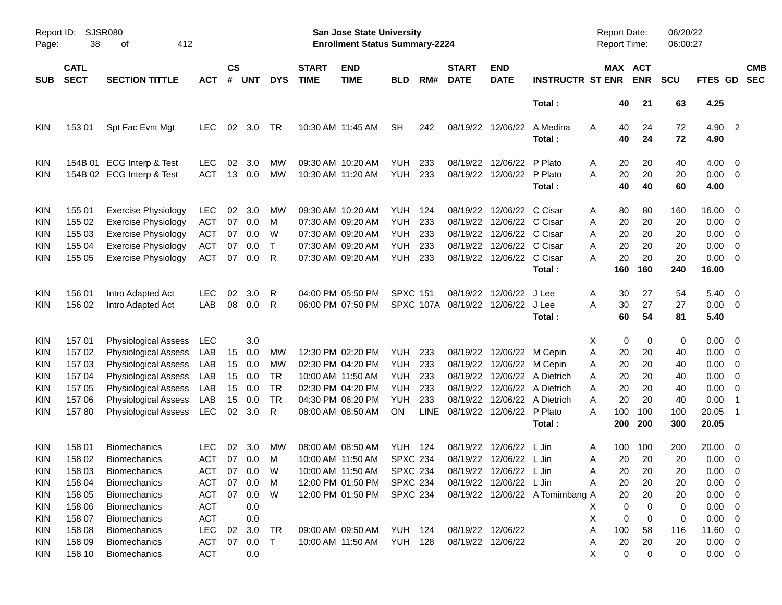| Page:                                                              | SJSR080<br>Report ID:<br>412<br>38<br>оf                           |                                                                                                                                                                             |                                                                           |                                  |                                                     |                                                      |                             | San Jose State University<br><b>Enrollment Status Summary-2224</b>                                                         |                                                                                            |                                                |                                                                      |                                                                                                  |                                                                    | <b>Report Date:</b><br><b>Report Time:</b>                                       |                                               | 06/20/22<br>06:00:27                          |                                                                |                                                                                                                                 |  |
|--------------------------------------------------------------------|--------------------------------------------------------------------|-----------------------------------------------------------------------------------------------------------------------------------------------------------------------------|---------------------------------------------------------------------------|----------------------------------|-----------------------------------------------------|------------------------------------------------------|-----------------------------|----------------------------------------------------------------------------------------------------------------------------|--------------------------------------------------------------------------------------------|------------------------------------------------|----------------------------------------------------------------------|--------------------------------------------------------------------------------------------------|--------------------------------------------------------------------|----------------------------------------------------------------------------------|-----------------------------------------------|-----------------------------------------------|----------------------------------------------------------------|---------------------------------------------------------------------------------------------------------------------------------|--|
| <b>SUB</b>                                                         | <b>CATL</b><br><b>SECT</b>                                         | <b>SECTION TITTLE</b>                                                                                                                                                       | <b>ACT</b>                                                                | $\mathsf{cs}$<br>#               | <b>UNT</b>                                          | <b>DYS</b>                                           | <b>START</b><br><b>TIME</b> | <b>END</b><br><b>TIME</b>                                                                                                  | <b>BLD</b>                                                                                 | RM#                                            | <b>START</b><br><b>DATE</b>                                          | <b>END</b><br><b>DATE</b>                                                                        | <b>INSTRUCTR ST ENR</b>                                            |                                                                                  | MAX ACT<br><b>ENR</b>                         | <b>SCU</b>                                    | FTES GD                                                        | <b>CMB</b><br><b>SEC</b>                                                                                                        |  |
|                                                                    |                                                                    |                                                                                                                                                                             |                                                                           |                                  |                                                     |                                                      |                             |                                                                                                                            |                                                                                            |                                                |                                                                      |                                                                                                  | Total:                                                             | 40                                                                               | 21                                            | 63                                            | 4.25                                                           |                                                                                                                                 |  |
| <b>KIN</b>                                                         | 153 01                                                             | Spt Fac Evnt Mgt                                                                                                                                                            | <b>LEC</b>                                                                | 02                               | 3.0                                                 | TR                                                   |                             | 10:30 AM 11:45 AM                                                                                                          | <b>SH</b>                                                                                  | 242                                            | 08/19/22                                                             | 12/06/22                                                                                         | A Medina<br>Total:                                                 | A<br>40<br>40                                                                    | 24<br>24                                      | 72<br>72                                      | 4.90<br>4.90                                                   | $\overline{\phantom{0}}$                                                                                                        |  |
| <b>KIN</b><br><b>KIN</b>                                           |                                                                    | 154B 01 ECG Interp & Test<br>154B 02 ECG Interp & Test                                                                                                                      | <b>LEC</b><br><b>ACT</b>                                                  | 02<br>13                         | 3.0<br>0.0                                          | MW<br><b>MW</b>                                      |                             | 09:30 AM 10:20 AM<br>10:30 AM 11:20 AM                                                                                     | <b>YUH</b><br>YUH                                                                          | 233<br>233                                     | 08/19/22<br>08/19/22                                                 | 12/06/22<br>12/06/22                                                                             | P Plato<br>P Plato<br>Total:                                       | 20<br>A<br>A<br>20<br>40                                                         | 20<br>20<br>40                                | 40<br>20<br>60                                | 4.00<br>0.00<br>4.00                                           | $\overline{0}$<br>$\overline{0}$                                                                                                |  |
| <b>KIN</b><br><b>KIN</b><br><b>KIN</b><br><b>KIN</b><br><b>KIN</b> | 155 01<br>155 02<br>155 03<br>155 04<br>155 05                     | <b>Exercise Physiology</b><br><b>Exercise Physiology</b><br><b>Exercise Physiology</b><br><b>Exercise Physiology</b><br><b>Exercise Physiology</b>                          | <b>LEC</b><br><b>ACT</b><br><b>ACT</b><br><b>ACT</b><br><b>ACT</b>        | 02<br>07<br>07<br>07<br>07       | 3.0<br>0.0<br>0.0<br>0.0<br>0.0                     | МW<br>M<br>W<br>$\mathsf{T}$<br>R                    |                             | 09:30 AM 10:20 AM<br>07:30 AM 09:20 AM<br>07:30 AM 09:20 AM<br>07:30 AM 09:20 AM<br>07:30 AM 09:20 AM                      | <b>YUH 124</b><br>YUH<br>YUH<br>YUH<br>YUH                                                 | 233<br>233<br>233<br>233                       | 08/19/22<br>08/19/22<br>08/19/22<br>08/19/22<br>08/19/22             | 12/06/22 C Cisar<br>12/06/22 C Cisar<br>12/06/22 C Cisar<br>12/06/22 C Cisar<br>12/06/22 C Cisar | Total:                                                             | A<br>80<br>20<br>Α<br>20<br>Α<br>Α<br>20<br>20<br>Α<br>160                       | 80<br>20<br>20<br>20<br>20<br>160             | 160<br>20<br>20<br>20<br>20<br>240            | 16.00<br>0.00<br>0.00<br>0.00<br>0.00<br>16.00                 | $\overline{0}$<br>0<br>0<br>0<br>0                                                                                              |  |
| <b>KIN</b><br><b>KIN</b>                                           | 156 01<br>156 02                                                   | Intro Adapted Act<br>Intro Adapted Act                                                                                                                                      | <b>LEC</b><br>LAB                                                         | 02<br>08                         | 3.0<br>0.0                                          | R<br>R                                               |                             | 04:00 PM 05:50 PM<br>06:00 PM 07:50 PM                                                                                     | <b>SPXC 151</b>                                                                            |                                                | 08/19/22<br>SPXC 107A 08/19/22                                       | 12/06/22<br>12/06/22                                                                             | J Lee<br>J Lee<br>Total:                                           | 30<br>Α<br>30<br>Α<br>60                                                         | 27<br>27<br>54                                | 54<br>27<br>81                                | 5.40<br>0.00<br>5.40                                           | $\overline{0}$<br>$\overline{0}$                                                                                                |  |
| <b>KIN</b><br>KIN<br>KIN<br>KIN<br><b>KIN</b><br>KIN<br><b>KIN</b> | 157 01<br>157 02<br>157 03<br>157 04<br>157 05<br>157 06<br>15780  | Physiological Assess<br>Physiological Assess<br>Physiological Assess<br>Physiological Assess<br>Physiological Assess<br>Physiological Assess<br><b>Physiological Assess</b> | LEC<br>LAB<br>LAB<br>LAB<br>LAB<br>LAB<br>LEC                             | 15<br>15<br>15<br>15<br>15<br>02 | 3.0<br>0.0<br>0.0<br>0.0<br>0.0<br>0.0<br>3.0       | MW<br>MW<br><b>TR</b><br><b>TR</b><br><b>TR</b><br>R |                             | 12:30 PM 02:20 PM<br>02:30 PM 04:20 PM<br>10:00 AM 11:50 AM<br>02:30 PM 04:20 PM<br>04:30 PM 06:20 PM<br>08:00 AM 08:50 AM | YUH<br>YUH<br>YUH<br>YUH<br><b>YUH</b><br><b>ON</b>                                        | 233<br>233<br>233<br>233<br>233<br><b>LINE</b> | 08/19/22<br>08/19/22<br>08/19/22<br>08/19/22<br>08/19/22<br>08/19/22 | 12/06/22 M Cepin<br>12/06/22 M Cepin<br>12/06/22<br>12/06/22 P Plato                             | 12/06/22 A Dietrich<br>12/06/22 A Dietrich<br>A Dietrich<br>Total: | 0<br>X<br>Α<br>20<br>Α<br>20<br>20<br>Α<br>20<br>Α<br>20<br>Α<br>A<br>100<br>200 | 0<br>20<br>20<br>20<br>20<br>20<br>100<br>200 | 0<br>40<br>40<br>40<br>40<br>40<br>100<br>300 | 0.00<br>0.00<br>0.00<br>0.00<br>0.00<br>0.00<br>20.05<br>20.05 | $\overline{0}$<br>0<br>0<br>0<br>0<br>$\overline{1}$<br>$\overline{1}$                                                          |  |
| <b>KIN</b><br>KIN<br>KIN<br><b>KIN</b><br><b>KIN</b><br>KIN<br>KIN | 158 01<br>158 02<br>158 03<br>158 04<br>158 05<br>158 06<br>158 07 | <b>Biomechanics</b><br><b>Biomechanics</b><br>Biomechanics<br>Biomechanics<br><b>Biomechanics</b><br><b>Biomechanics</b><br><b>Biomechanics</b>                             | LEC<br><b>ACT</b><br>ACT<br><b>ACT</b><br><b>ACT</b><br><b>ACT</b><br>ACT | 02<br>07<br>07                   | 3.0<br>07 0.0<br>07 0.0<br>0.0<br>0.0<br>0.0<br>0.0 | МW<br>M<br>W<br>M<br>W                               |                             | 08:00 AM 08:50 AM<br>10:00 AM 11:50 AM<br>10:00 AM 11:50 AM<br>12:00 PM 01:50 PM<br>12:00 PM 01:50 PM                      | <b>YUH 124</b><br><b>SPXC 234</b><br><b>SPXC 234</b><br><b>SPXC 234</b><br><b>SPXC 234</b> |                                                | 08/19/22                                                             | 12/06/22<br>08/19/22 12/06/22 L Jin<br>08/19/22 12/06/22 L Jin<br>08/19/22 12/06/22 L Jin        | L Jin<br>08/19/22 12/06/22 A Tomimbang A                           | 100<br>A<br>20<br>A<br>A<br>20<br>Α<br>20<br>0<br>X<br>X<br>0                    | 100<br>20<br>20 20<br>20<br>20<br>0<br>0      | 200<br>20<br>20<br>20<br>20<br>0<br>0         | 20.00<br>0.00<br>0.00<br>0.00<br>0.00<br>0.00<br>0.00          | $\overline{0}$<br>0<br>$\overline{\mathbf{0}}$<br>$\overline{0}$<br>$\overline{0}$<br>$\overline{\mathbf{0}}$<br>$\overline{0}$ |  |
| KIN<br>KIN<br><b>KIN</b>                                           | 158 08<br>158 09<br>158 10                                         | <b>Biomechanics</b><br><b>Biomechanics</b><br>Biomechanics                                                                                                                  | <b>LEC</b><br>ACT<br>ACT                                                  | 02<br>07                         | 3.0<br>0.0<br>0.0                                   | TR.<br>$\top$                                        |                             | 09:00 AM 09:50 AM<br>10:00 AM 11:50 AM                                                                                     | YUH 124<br><b>YUH 128</b>                                                                  |                                                | 08/19/22 12/06/22                                                    | 08/19/22 12/06/22                                                                                |                                                                    | Α<br>100<br>20<br>A<br>X.<br>0                                                   | 58<br>20<br>0                                 | 116<br>20<br>0                                | 11.60<br>$0.00 \t 0$<br>$0.00 \t 0$                            | $\overline{0}$                                                                                                                  |  |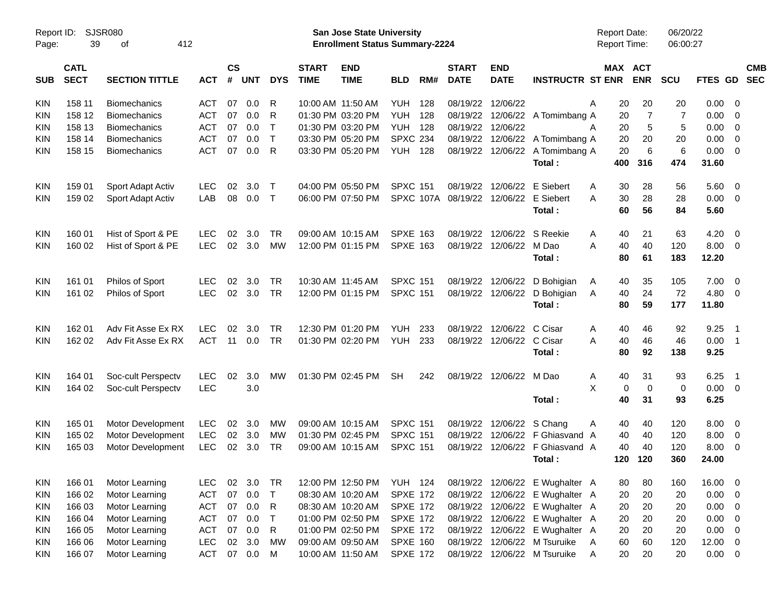| Page:      | SJSR080<br>Report ID:<br>39<br>412<br>οf |                       |            |                    |            |              |                             | San Jose State University<br><b>Enrollment Status Summary-2224</b> |                 |     |                             |                           |                                 | <b>Report Date:</b><br><b>Report Time:</b> |                | 06/20/22<br>06:00:27 |                |                            |                          |
|------------|------------------------------------------|-----------------------|------------|--------------------|------------|--------------|-----------------------------|--------------------------------------------------------------------|-----------------|-----|-----------------------------|---------------------------|---------------------------------|--------------------------------------------|----------------|----------------------|----------------|----------------------------|--------------------------|
| <b>SUB</b> | <b>CATL</b><br><b>SECT</b>               | <b>SECTION TITTLE</b> | <b>ACT</b> | $\mathsf{cs}$<br># | <b>UNT</b> | <b>DYS</b>   | <b>START</b><br><b>TIME</b> | <b>END</b><br><b>TIME</b>                                          | <b>BLD</b>      | RM# | <b>START</b><br><b>DATE</b> | <b>END</b><br><b>DATE</b> | <b>INSTRUCTR ST ENR</b>         | MAX ACT                                    | <b>ENR</b>     | SCU                  | <b>FTES GD</b> |                            | <b>CMB</b><br><b>SEC</b> |
| <b>KIN</b> | 158 11                                   | <b>Biomechanics</b>   | <b>ACT</b> | 07                 | 0.0        | R            |                             | 10:00 AM 11:50 AM                                                  | YUH             | 128 | 08/19/22                    | 12/06/22                  |                                 | A<br>20                                    | 20             | 20                   | 0.00           | - 0                        |                          |
| KIN        | 158 12                                   | <b>Biomechanics</b>   | <b>ACT</b> | 07                 | 0.0        | R            |                             | 01:30 PM 03:20 PM                                                  | YUH             | 128 |                             | 08/19/22 12/06/22         | A Tomimbang A                   | 20                                         | $\overline{7}$ | $\overline{7}$       | 0.00           | $\overline{0}$             |                          |
| KIN        | 158 13                                   | <b>Biomechanics</b>   | <b>ACT</b> | 07                 | 0.0        | Τ            |                             | 01:30 PM 03:20 PM                                                  | <b>YUH 128</b>  |     | 08/19/22                    | 12/06/22                  |                                 | 20<br>A                                    | 5              | 5                    | 0.00           | $\overline{0}$             |                          |
| KIN        | 158 14                                   | <b>Biomechanics</b>   | <b>ACT</b> | 07                 | 0.0        | $\mathsf{T}$ |                             | 03:30 PM 05:20 PM                                                  | <b>SPXC 234</b> |     | 08/19/22                    | 12/06/22                  | A Tomimbang A                   | 20                                         | 20             | 20                   | 0.00           | $\overline{0}$             |                          |
| <b>KIN</b> | 158 15                                   | <b>Biomechanics</b>   | <b>ACT</b> | 07                 | 0.0        | R            |                             | 03:30 PM 05:20 PM                                                  | <b>YUH 128</b>  |     | 08/19/22                    | 12/06/22                  | A Tomimbang A                   | 20                                         | 6              | 6                    | 0.00           | $\overline{\mathbf{0}}$    |                          |
|            |                                          |                       |            |                    |            |              |                             |                                                                    |                 |     |                             |                           | Total:                          | 400                                        | 316            | 474                  | 31.60          |                            |                          |
| <b>KIN</b> | 159 01                                   | Sport Adapt Activ     | <b>LEC</b> | 02                 | 3.0        | Т            |                             | 04:00 PM 05:50 PM                                                  | <b>SPXC 151</b> |     | 08/19/22                    | 12/06/22                  | E Siebert                       | A<br>30                                    | 28             | 56                   | 5.60           | $\overline{0}$             |                          |
| KIN.       | 159 02                                   | Sport Adapt Activ     | LAB        | 08                 | 0.0        | $\top$       |                             | 06:00 PM 07:50 PM                                                  |                 |     | SPXC 107A 08/19/22 12/06/22 |                           | E Siebert                       | 30<br>Α                                    | 28             | 28                   | 0.00           | $\overline{\mathbf{0}}$    |                          |
|            |                                          |                       |            |                    |            |              |                             |                                                                    |                 |     |                             |                           | Total:                          | 60                                         | 56             | 84                   | 5.60           |                            |                          |
| <b>KIN</b> | 160 01                                   | Hist of Sport & PE    | <b>LEC</b> | 02                 | 3.0        | <b>TR</b>    |                             | 09:00 AM 10:15 AM                                                  | <b>SPXE 163</b> |     | 08/19/22                    | 12/06/22                  | S Reekie                        | A<br>40                                    | 21             | 63                   | 4.20           | - 0                        |                          |
| <b>KIN</b> | 160 02                                   | Hist of Sport & PE    | <b>LEC</b> | 02                 | 3.0        | <b>MW</b>    |                             | 12:00 PM 01:15 PM                                                  | <b>SPXE 163</b> |     |                             | 08/19/22 12/06/22         | M Dao                           | A<br>40                                    | 40             | 120                  | 8.00           | $\overline{\mathbf{0}}$    |                          |
|            |                                          |                       |            |                    |            |              |                             |                                                                    |                 |     |                             |                           | Total:                          | 80                                         | 61             | 183                  | 12.20          |                            |                          |
| <b>KIN</b> | 161 01                                   | Philos of Sport       | <b>LEC</b> | 02                 | 3.0        | <b>TR</b>    | 10:30 AM 11:45 AM           |                                                                    | <b>SPXC 151</b> |     | 08/19/22                    | 12/06/22                  | D Bohigian                      | 40<br>A                                    | 35             | 105                  | 7.00           | $\overline{0}$             |                          |
| <b>KIN</b> | 161 02                                   | Philos of Sport       | <b>LEC</b> | 02                 | 3.0        | <b>TR</b>    |                             | 12:00 PM 01:15 PM                                                  | <b>SPXC 151</b> |     |                             | 08/19/22 12/06/22         | D Bohigian                      | 40<br>A                                    | 24             | 72                   | 4.80           | $\overline{\mathbf{0}}$    |                          |
|            |                                          |                       |            |                    |            |              |                             |                                                                    |                 |     |                             |                           | Total:                          | 80                                         | 59             | 177                  | 11.80          |                            |                          |
| <b>KIN</b> | 162 01                                   | Adv Fit Asse Ex RX    | <b>LEC</b> | 02                 | 3.0        | <b>TR</b>    |                             | 12:30 PM 01:20 PM                                                  | <b>YUH</b>      | 233 | 08/19/22                    | 12/06/22                  | C Cisar                         | A<br>40                                    | 46             | 92                   | 9.25           | $\overline{\phantom{0}}$ 1 |                          |
| KIN.       | 162 02                                   | Adv Fit Asse Ex RX    | <b>ACT</b> | 11                 | 0.0        | <b>TR</b>    |                             | 01:30 PM 02:20 PM                                                  | YUH             | 233 |                             | 08/19/22 12/06/22         | C Cisar                         | A<br>40                                    | 46             | 46                   | 0.00           | $\overline{\phantom{1}}$   |                          |
|            |                                          |                       |            |                    |            |              |                             |                                                                    |                 |     |                             |                           | Total:                          | 80                                         | 92             | 138                  | 9.25           |                            |                          |
| <b>KIN</b> | 164 01                                   | Soc-cult Perspectv    | <b>LEC</b> | 02                 | 3.0        | <b>MW</b>    |                             | 01:30 PM 02:45 PM                                                  | <b>SH</b>       | 242 |                             | 08/19/22 12/06/22         | M Dao                           | 40<br>Α                                    | 31             | 93                   | 6.25           | $\overline{\phantom{0}}$ 1 |                          |
| KIN.       | 164 02                                   | Soc-cult Perspectv    | <b>LEC</b> |                    | 3.0        |              |                             |                                                                    |                 |     |                             |                           |                                 | X<br>0                                     | $\mathbf 0$    | 0                    | 0.00           | $\overline{\mathbf{0}}$    |                          |
|            |                                          |                       |            |                    |            |              |                             |                                                                    |                 |     |                             |                           | Total:                          | 40                                         | 31             | 93                   | 6.25           |                            |                          |
| <b>KIN</b> | 165 01                                   | Motor Development     | <b>LEC</b> | 02                 | 3.0        | MW           |                             | 09:00 AM 10:15 AM                                                  | <b>SPXC 151</b> |     |                             | 08/19/22 12/06/22 S Chang |                                 | 40<br>A                                    | 40             | 120                  | 8.00           | $\overline{\mathbf{0}}$    |                          |
| <b>KIN</b> | 165 02                                   | Motor Development     | <b>LEC</b> | 02                 | 3.0        | MW           |                             | 01:30 PM 02:45 PM                                                  | <b>SPXC 151</b> |     | 08/19/22                    | 12/06/22                  | F Ghiasvand A                   | 40                                         | 40             | 120                  | 8.00           | $\overline{0}$             |                          |
| KIN        | 165 03                                   | Motor Development     | <b>LEC</b> | 02                 | 3.0        | TR.          |                             | 09:00 AM 10:15 AM                                                  | <b>SPXC 151</b> |     |                             | 08/19/22 12/06/22         | F Ghiasvand A                   | 40                                         | 40             | 120                  | 8.00           | $\overline{\mathbf{0}}$    |                          |
|            |                                          |                       |            |                    |            |              |                             |                                                                    |                 |     |                             |                           | Total:                          | 120                                        | 120            | 360                  | 24.00          |                            |                          |
| <b>KIN</b> | 166 01                                   | Motor Learning        | LEC.       | 02                 | 3.0        | TR           |                             | 12:00 PM 12:50 PM YUH 124                                          |                 |     |                             |                           | 08/19/22 12/06/22 E Wughalter A | 80                                         | 80             | 160                  | 16.00 0        |                            |                          |
| <b>KIN</b> | 166 02                                   | Motor Learning        | <b>ACT</b> | 07                 | 0.0        | T            |                             | 08:30 AM 10:20 AM                                                  | <b>SPXE 172</b> |     |                             |                           | 08/19/22 12/06/22 E Wughalter A | 20                                         | 20             | 20                   | 0.00           | $\overline{\phantom{0}}$   |                          |
| <b>KIN</b> | 166 03                                   | Motor Learning        | <b>ACT</b> | 07                 | 0.0        | R            |                             | 08:30 AM 10:20 AM                                                  | <b>SPXE 172</b> |     |                             |                           | 08/19/22 12/06/22 E Wughalter A | 20                                         | 20             | 20                   | 0.00           | $\overline{\phantom{0}}$   |                          |
| <b>KIN</b> | 166 04                                   | Motor Learning        | <b>ACT</b> | 07                 | 0.0        | Τ            |                             | 01:00 PM 02:50 PM                                                  | <b>SPXE 172</b> |     |                             |                           | 08/19/22 12/06/22 E Wughalter A | 20                                         | 20             | 20                   | 0.00           | $\overline{\mathbf{0}}$    |                          |
| <b>KIN</b> | 166 05                                   | Motor Learning        | <b>ACT</b> | 07                 | 0.0        | $\mathsf R$  |                             | 01:00 PM 02:50 PM                                                  | <b>SPXE 172</b> |     |                             |                           | 08/19/22 12/06/22 E Wughalter A | 20                                         | 20             | 20                   | 0.00           | $\overline{\mathbf{0}}$    |                          |
| <b>KIN</b> | 166 06                                   | Motor Learning        | <b>LEC</b> | 02                 | 3.0        | MW           |                             | 09:00 AM 09:50 AM                                                  | <b>SPXE 160</b> |     |                             |                           | 08/19/22 12/06/22 M Tsuruike    | 60<br>A                                    | 60             | 120                  | $12.00 \t 0$   |                            |                          |
| <b>KIN</b> | 166 07                                   | Motor Learning        | <b>ACT</b> |                    | 07 0.0     | M            |                             | 10:00 AM 11:50 AM                                                  | <b>SPXE 172</b> |     |                             |                           | 08/19/22 12/06/22 M Tsuruike    | 20<br>A                                    | 20             | 20                   | $0.00 \t 0$    |                            |                          |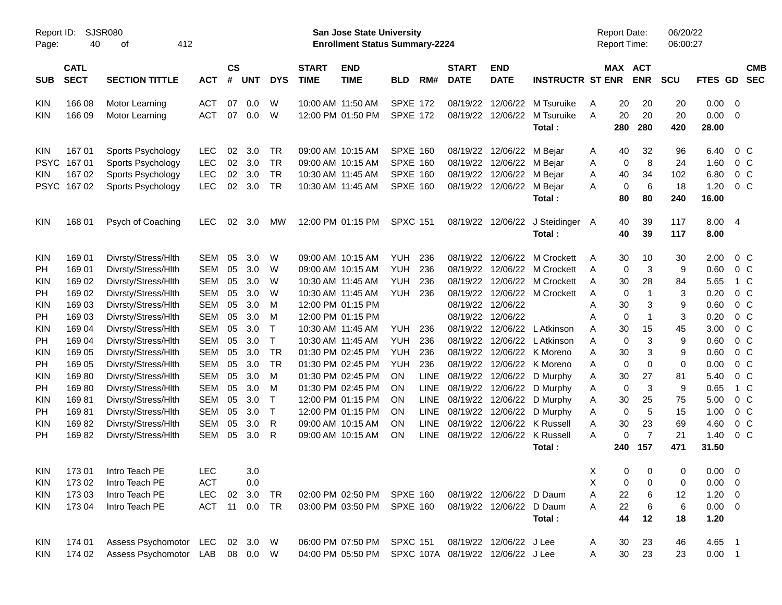| Report ID:<br><b>SJSR080</b><br>40<br>412<br>οf<br>Page: |             |                        |            |               |            |              |              | San Jose State University<br><b>Enrollment Status Summary-2224</b> |                 |             |              |                           |                              | <b>Report Date:</b><br><b>Report Time:</b> |                               | 06/20/22<br>06:00:27 |             |                         |  |
|----------------------------------------------------------|-------------|------------------------|------------|---------------|------------|--------------|--------------|--------------------------------------------------------------------|-----------------|-------------|--------------|---------------------------|------------------------------|--------------------------------------------|-------------------------------|----------------------|-------------|-------------------------|--|
|                                                          | <b>CATL</b> |                        |            | $\mathsf{cs}$ |            |              | <b>START</b> | <b>END</b>                                                         |                 |             | <b>START</b> | <b>END</b>                |                              |                                            | MAX ACT                       |                      |             | <b>CMB</b>              |  |
| <b>SUB</b>                                               | <b>SECT</b> | <b>SECTION TITTLE</b>  | <b>ACT</b> | #             | <b>UNT</b> | <b>DYS</b>   | <b>TIME</b>  | <b>TIME</b>                                                        | <b>BLD</b>      | RM#         | <b>DATE</b>  | <b>DATE</b>               | <b>INSTRUCTR ST ENR</b>      |                                            | <b>ENR</b>                    | <b>SCU</b>           | FTES GD     | <b>SEC</b>              |  |
| <b>KIN</b>                                               | 166 08      | Motor Learning         | <b>ACT</b> | 07            | 0.0        | W            |              | 10:00 AM 11:50 AM                                                  | <b>SPXE 172</b> |             |              | 08/19/22 12/06/22         | M Tsuruike                   | 20<br>A                                    | 20                            | 20                   | 0.00        | $\overline{0}$          |  |
| <b>KIN</b>                                               | 166 09      | Motor Learning         | <b>ACT</b> | 07            | 0.0        | W            |              | 12:00 PM 01:50 PM                                                  | <b>SPXE 172</b> |             |              | 08/19/22 12/06/22         | M Tsuruike                   | 20<br>A                                    | 20                            | 20                   | 0.00        | $\overline{\mathbf{0}}$ |  |
|                                                          |             |                        |            |               |            |              |              |                                                                    |                 |             |              |                           | Total:                       | 280                                        | 280                           | 420                  | 28.00       |                         |  |
| <b>KIN</b>                                               | 167 01      | Sports Psychology      | <b>LEC</b> | 02            | 3.0        | <b>TR</b>    |              | 09:00 AM 10:15 AM                                                  | <b>SPXE 160</b> |             |              | 08/19/22 12/06/22 M Beiar |                              | 40<br>A                                    | 32                            | 96                   | 6.40        | $0\,C$                  |  |
| <b>PSYC</b>                                              | 16701       | Sports Psychology      | <b>LEC</b> | 02            | 3.0        | <b>TR</b>    |              | 09:00 AM 10:15 AM                                                  | <b>SPXE 160</b> |             |              | 08/19/22 12/06/22         | M Bejar                      | Α                                          | 8<br>0                        | 24                   | 1.60        | 0 <sup>C</sup>          |  |
| <b>KIN</b>                                               | 167 02      | Sports Psychology      | <b>LEC</b> | 02            | 3.0        | <b>TR</b>    |              | 10:30 AM 11:45 AM                                                  | <b>SPXE 160</b> |             |              | 08/19/22 12/06/22 M Bejar |                              | 40<br>Α                                    | 34                            | 102                  | 6.80        | $0\,C$                  |  |
| <b>PSYC</b>                                              | 16702       | Sports Psychology      | <b>LEC</b> | 02            | 3.0        | <b>TR</b>    |              | 10:30 AM 11:45 AM                                                  | <b>SPXE 160</b> |             |              | 08/19/22 12/06/22 M Bejar |                              | A                                          | $6\phantom{1}6$<br>0          | 18                   | 1.20        | $0\,C$                  |  |
|                                                          |             |                        |            |               |            |              |              |                                                                    |                 |             |              |                           | Total:                       | 80                                         | 80                            | 240                  | 16.00       |                         |  |
| <b>KIN</b>                                               | 168 01      | Psych of Coaching      | <b>LEC</b> | 02            | 3.0        | MW           |              | 12:00 PM 01:15 PM                                                  | <b>SPXC 151</b> |             |              | 08/19/22 12/06/22         | J Steidinger A               | 40                                         | 39                            | 117                  | 8.00 4      |                         |  |
|                                                          |             |                        |            |               |            |              |              |                                                                    |                 |             |              |                           | Total:                       | 40                                         | 39                            | 117                  | 8.00        |                         |  |
| <b>KIN</b>                                               | 169 01      | Divrsty/Stress/Hlth    | SEM        | 05            | 3.0        | W            |              | 09:00 AM 10:15 AM                                                  | <b>YUH</b>      | 236         | 08/19/22     | 12/06/22                  | M Crockett                   | 30<br>A                                    | 10                            | 30                   | 2.00        | $0\,C$                  |  |
| <b>PH</b>                                                | 169 01      | Divrsty/Stress/Hlth    | SEM        | 05            | 3.0        | W            |              | 09:00 AM 10:15 AM                                                  | <b>YUH</b>      | 236         |              |                           | 08/19/22 12/06/22 M Crockett | A                                          | $\mathbf{3}$<br>0             | 9                    | 0.60        | $0\,C$                  |  |
| <b>KIN</b>                                               | 169 02      | Divrsty/Stress/Hlth    | SEM        | 05            | 3.0        | W            |              | 10:30 AM 11:45 AM                                                  | <b>YUH</b>      | 236         |              |                           | 08/19/22 12/06/22 M Crockett | 30<br>A                                    | 28                            | 84                   | 5.65        | 1 C                     |  |
| PH                                                       | 169 02      | Divrsty/Stress/Hlth    | SEM        | 05            | 3.0        | W            |              | 10:30 AM 11:45 AM                                                  | <b>YUH</b>      | 236         |              |                           | 08/19/22 12/06/22 M Crockett | A                                          | $\mathbf{1}$<br>$\pmb{0}$     | 3                    | 0.20        | $0\,C$                  |  |
| <b>KIN</b>                                               | 169 03      | Divrsty/Stress/Hlth    | SEM        | 05            | 3.0        | M            |              | 12:00 PM 01:15 PM                                                  |                 |             |              | 08/19/22 12/06/22         |                              | 30<br>Α                                    | 3                             | 9                    | 0.60        | $0\,C$                  |  |
| PH                                                       | 169 03      | Divrsty/Stress/Hlth    | SEM        | 05            | 3.0        | M            |              | 12:00 PM 01:15 PM                                                  |                 |             |              | 08/19/22 12/06/22         |                              | Α                                          | $\mathbf{1}$<br>0             | 3                    | 0.20        | $0\,C$                  |  |
| <b>KIN</b>                                               | 169 04      | Divrsty/Stress/Hlth    | SEM        | 05            | 3.0        | $\top$       |              | 10:30 AM 11:45 AM                                                  | YUH             | 236         |              | 08/19/22 12/06/22         | L Atkinson                   | 30<br>Α                                    | 15                            | 45                   | 3.00        | $0\,C$                  |  |
| PH                                                       | 169 04      | Divrsty/Stress/Hlth    | SEM        | 05            | 3.0        | $\mathsf{T}$ |              | 10:30 AM 11:45 AM                                                  | <b>YUH</b>      | 236         |              |                           | 08/19/22 12/06/22 L Atkinson | Α                                          | 3<br>$\pmb{0}$                | 9                    | 0.60        | $0\,C$                  |  |
| <b>KIN</b>                                               | 169 05      | Divrsty/Stress/Hlth    | SEM        | 05            | 3.0        | <b>TR</b>    |              | 01:30 PM 02:45 PM                                                  | YUH             | 236         |              |                           | 08/19/22 12/06/22 K Moreno   | 30<br>Α                                    | 3                             | 9                    | 0.60        | $0\,C$                  |  |
| PH                                                       | 169 05      | Divrsty/Stress/Hlth    | SEM        | 05            | 3.0        | <b>TR</b>    |              | 01:30 PM 02:45 PM                                                  | <b>YUH</b>      | 236         |              |                           | 08/19/22 12/06/22 K Moreno   | Α                                          | 0<br>0                        | $\mathbf 0$          | 0.00        | $0\,C$                  |  |
| <b>KIN</b>                                               | 16980       | Divrsty/Stress/Hlth    | SEM        | 05            | 3.0        | M            |              | 01:30 PM 02:45 PM                                                  | <b>ON</b>       | <b>LINE</b> |              | 08/19/22 12/06/22         | D Murphy                     | 30<br>Α                                    | 27                            | 81                   | 5.40        | $0\,C$                  |  |
| PH                                                       | 16980       | Divrsty/Stress/Hlth    | SEM        | 05            | 3.0        | M            |              | 01:30 PM 02:45 PM                                                  | <b>ON</b>       | <b>LINE</b> |              |                           | 08/19/22 12/06/22 D Murphy   | Α                                          | $\mathbf{3}$<br>$\pmb{0}$     | 9                    | 0.65        | 1 C                     |  |
| <b>KIN</b>                                               | 16981       | Divrsty/Stress/Hlth    | SEM        | 05            | 3.0        | $\mathsf{T}$ |              | 12:00 PM 01:15 PM                                                  | <b>ON</b>       | LINE        |              |                           | 08/19/22 12/06/22 D Murphy   | 30<br>Α                                    | 25                            | 75                   | 5.00        | $0\,C$                  |  |
| PH                                                       | 16981       | Divrsty/Stress/Hlth    | SEM        | 05            | 3.0        | $\top$       |              | 12:00 PM 01:15 PM                                                  | <b>ON</b>       | LINE        |              | 08/19/22 12/06/22         | D Murphy                     | Α                                          | $\sqrt{5}$<br>$\pmb{0}$       | 15                   | 1.00        | 0 <sup>C</sup>          |  |
| <b>KIN</b>                                               | 16982       | Divrsty/Stress/Hlth    | <b>SEM</b> | 05            | 3.0        | R            |              | 09:00 AM 10:15 AM                                                  | ON              | <b>LINE</b> |              |                           | 08/19/22 12/06/22 K Russell  | 30<br>A                                    | 23<br>$\overline{7}$          | 69                   | 4.60        | 0 <sup>C</sup>          |  |
| PH                                                       | 16982       | Divrsty/Stress/Hlth    | SEM        | 05            | 3.0        | R            |              | 09:00 AM 10:15 AM                                                  | ON              | LINE        |              |                           | 08/19/22 12/06/22 K Russell  | A                                          | 0<br>157                      | 21                   | 1.40        | 0 <sup>C</sup>          |  |
|                                                          |             |                        |            |               |            |              |              |                                                                    |                 |             |              |                           | Total:                       | 240                                        |                               | 471                  | 31.50       |                         |  |
| <b>KIN</b>                                               | 17301       | Intro Teach PE         | LEC        |               | 3.0        |              |              |                                                                    |                 |             |              |                           |                              | X                                          | $\overline{0}$<br>$\mathbf 0$ | 0                    | $0.00 \t 0$ |                         |  |
| <b>KIN</b>                                               | 17302       | Intro Teach PE         | <b>ACT</b> |               | 0.0        |              |              |                                                                    |                 |             |              |                           |                              | Χ                                          | 0<br>0                        | 0                    | $0.00 \t 0$ |                         |  |
| KIN                                                      | 173 03      | Intro Teach PE         | <b>LEC</b> | 02            | 3.0        | TR           |              | 02:00 PM 02:50 PM SPXE 160                                         |                 |             |              | 08/19/22 12/06/22 D Daum  |                              | 22<br>Α                                    | 6                             | 12                   | $1.20 \t 0$ |                         |  |
| <b>KIN</b>                                               | 173 04      | Intro Teach PE         | <b>ACT</b> | 11            | 0.0        | TR           |              | 03:00 PM 03:50 PM SPXE 160                                         |                 |             |              | 08/19/22 12/06/22 D Daum  |                              | 22<br>Α                                    | 6                             | 6                    | $0.00 \t 0$ |                         |  |
|                                                          |             |                        |            |               |            |              |              |                                                                    |                 |             |              |                           | Total:                       | 44                                         | 12                            | 18                   | 1.20        |                         |  |
| KIN                                                      | 174 01      | Assess Psychomotor LEC |            |               | 02 3.0 W   |              |              | 06:00 PM 07:50 PM SPXC 151                                         |                 |             |              | 08/19/22 12/06/22 J Lee   |                              | 30<br>A                                    | 23                            | 46                   | 4.65 1      |                         |  |
| KIN                                                      | 174 02      | Assess Psychomotor LAB |            |               | 08  0.0  W |              |              | 04:00 PM 05:50 PM SPXC 107A 08/19/22 12/06/22 J Lee                |                 |             |              |                           |                              | 30<br>Α                                    | 23                            | 23                   | $0.00$ 1    |                         |  |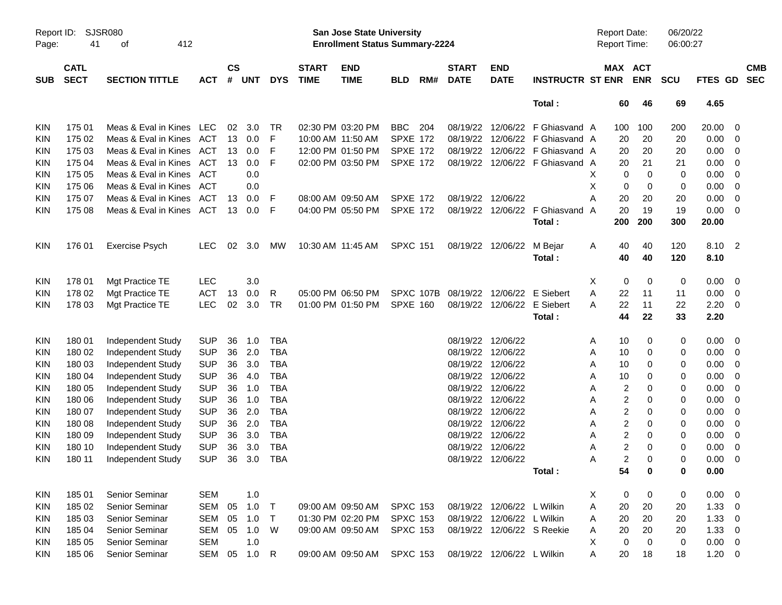|            | SJSR080<br>Report ID:<br>412<br>41<br>Page:<br>оf |                          |            |               |            |              |                   | <b>San Jose State University</b><br><b>Enrollment Status Summary-2224</b> |                 |     |              |                            |                         | <b>Report Date:</b><br>Report Time: |                  | 06/20/22<br>06:00:27 |            |                            |            |
|------------|---------------------------------------------------|--------------------------|------------|---------------|------------|--------------|-------------------|---------------------------------------------------------------------------|-----------------|-----|--------------|----------------------------|-------------------------|-------------------------------------|------------------|----------------------|------------|----------------------------|------------|
|            | <b>CATL</b>                                       |                          |            | $\mathsf{cs}$ |            |              | <b>START</b>      | <b>END</b>                                                                |                 |     | <b>START</b> | <b>END</b>                 |                         |                                     | MAX ACT          |                      |            |                            | <b>CMB</b> |
| <b>SUB</b> | <b>SECT</b>                                       | <b>SECTION TITTLE</b>    | <b>ACT</b> | #             | <b>UNT</b> | <b>DYS</b>   | <b>TIME</b>       | <b>TIME</b>                                                               | <b>BLD</b>      | RM# | <b>DATE</b>  | <b>DATE</b>                | <b>INSTRUCTR ST ENR</b> |                                     | <b>ENR</b>       | <b>SCU</b>           | FTES GD    |                            | <b>SEC</b> |
|            |                                                   |                          |            |               |            |              |                   |                                                                           |                 |     |              |                            | Total:                  |                                     | 60<br>46         | 69                   | 4.65       |                            |            |
| KIN        | 175 01                                            | Meas & Eval in Kines LEC |            | 02            | 3.0        | TR           |                   | 02:30 PM 03:20 PM                                                         | <b>BBC</b>      | 204 | 08/19/22     |                            | 12/06/22 F Ghiasvand A  | 100                                 | 100              | 200                  | 20.00      | - 0                        |            |
| <b>KIN</b> | 175 02                                            | Meas & Eval in Kines     | ACT        |               | 13 0.0     | F            | 10:00 AM 11:50 AM |                                                                           | <b>SPXE 172</b> |     | 08/19/22     |                            | 12/06/22 F Ghiasvand A  | 20                                  | 20               | 20                   | 0.00       | 0                          |            |
| <b>KIN</b> | 175 03                                            | Meas & Eval in Kines     | ACT        | 13            | 0.0        | F            |                   | 12:00 PM 01:50 PM                                                         | <b>SPXE 172</b> |     | 08/19/22     |                            | 12/06/22 F Ghiasvand A  | 20                                  | 20               | 20                   | 0.00       | 0                          |            |
| <b>KIN</b> | 175 04                                            | Meas & Eval in Kines     | ACT        | 13            | 0.0        | F            |                   | 02:00 PM 03:50 PM                                                         | <b>SPXE 172</b> |     | 08/19/22     |                            | 12/06/22 F Ghiasvand A  | 20                                  | 21               | 21                   | 0.00       | 0                          |            |
| <b>KIN</b> | 175 05                                            | Meas & Eval in Kines     | ACT        |               | 0.0        |              |                   |                                                                           |                 |     |              |                            |                         | X                                   | $\mathbf 0$<br>0 | 0                    | 0.00       | - 0                        |            |
| <b>KIN</b> | 175 06                                            | Meas & Eval in Kines     | ACT        |               | 0.0        |              |                   |                                                                           |                 |     |              |                            |                         | X                                   | 0<br>0           | 0                    | 0.00       | - 0                        |            |
| <b>KIN</b> | 175 07                                            | Meas & Eval in Kines     | ACT        | 13            | 0.0        | F            | 08:00 AM 09:50 AM |                                                                           | <b>SPXE 172</b> |     | 08/19/22     | 12/06/22                   |                         | A<br>20                             | 20               | 20                   | 0.00       | 0                          |            |
| KIN        | 175 08                                            | Meas & Eval in Kines ACT |            | 13            | 0.0        | F            |                   | 04:00 PM 05:50 PM                                                         | <b>SPXE 172</b> |     | 08/19/22     | 12/06/22                   | F Ghiasvand A           | 20                                  | 19               | 19                   | 0.00       | - 0                        |            |
|            |                                                   |                          |            |               |            |              |                   |                                                                           |                 |     |              |                            | Total:                  | 200                                 | 200              | 300                  | 20.00      |                            |            |
| <b>KIN</b> | 176 01                                            | <b>Exercise Psych</b>    | <b>LEC</b> | 02            | 3.0        | MW           | 10:30 AM 11:45 AM |                                                                           | <b>SPXC 151</b> |     | 08/19/22     | 12/06/22                   | M Bejar                 | 40<br>A                             | 40               | 120                  | 8.10       | $\overline{\phantom{0}}^2$ |            |
|            |                                                   |                          |            |               |            |              |                   |                                                                           |                 |     |              |                            | Total:                  | 40                                  | 40               | 120                  | 8.10       |                            |            |
| KIN        | 178 01                                            | Mgt Practice TE          | <b>LEC</b> |               | 3.0        |              |                   |                                                                           |                 |     |              |                            |                         | Х                                   | 0<br>0           | 0                    | 0.00       | - 0                        |            |
| <b>KIN</b> | 178 02                                            | Mgt Practice TE          | <b>ACT</b> | 13            | 0.0        | R            |                   | 05:00 PM 06:50 PM                                                         | SPXC 107B       |     | 08/19/22     | 12/06/22                   | E Siebert               | A<br>22                             | 11               | 11                   | 0.00       | 0                          |            |
| KIN        | 178 03                                            | Mgt Practice TE          | <b>LEC</b> | 02            | 3.0        | TR           |                   | 01:00 PM 01:50 PM                                                         | <b>SPXE 160</b> |     | 08/19/22     | 12/06/22                   | E Siebert               | 22<br>A                             | 11               | 22                   | 2.20       | - 0                        |            |
|            |                                                   |                          |            |               |            |              |                   |                                                                           |                 |     |              |                            | Total:                  | 44                                  | 22               | 33                   | 2.20       |                            |            |
| KIN        | 18001                                             | Independent Study        | <b>SUP</b> | 36            | 1.0        | <b>TBA</b>   |                   |                                                                           |                 |     | 08/19/22     | 12/06/22                   |                         | 10<br>A                             | 0                | 0                    | 0.00       | - 0                        |            |
| <b>KIN</b> | 180 02                                            | Independent Study        | <b>SUP</b> | 36            | 2.0        | <b>TBA</b>   |                   |                                                                           |                 |     | 08/19/22     | 12/06/22                   |                         | Α<br>10                             | 0                | 0                    | 0.00       | 0                          |            |
| <b>KIN</b> | 180 03                                            | Independent Study        | <b>SUP</b> | 36            | 3.0        | <b>TBA</b>   |                   |                                                                           |                 |     | 08/19/22     | 12/06/22                   |                         | Α<br>10                             | 0                | 0                    | 0.00       | 0                          |            |
| <b>KIN</b> | 180 04                                            | Independent Study        | <b>SUP</b> | 36            | 4.0        | <b>TBA</b>   |                   |                                                                           |                 |     | 08/19/22     | 12/06/22                   |                         | 10<br>A                             | 0                | 0                    | 0.00       | 0                          |            |
| <b>KIN</b> | 180 05                                            | Independent Study        | <b>SUP</b> | 36            | 1.0        | <b>TBA</b>   |                   |                                                                           |                 |     | 08/19/22     | 12/06/22                   |                         | A                                   | 2<br>0           | 0                    | 0.00       | 0                          |            |
| <b>KIN</b> | 180 06                                            | Independent Study        | <b>SUP</b> | 36            | 1.0        | <b>TBA</b>   |                   |                                                                           |                 |     | 08/19/22     | 12/06/22                   |                         | A                                   | 2<br>0           | 0                    | 0.00       | 0                          |            |
| <b>KIN</b> | 180 07                                            | Independent Study        | <b>SUP</b> | 36            | 2.0        | <b>TBA</b>   |                   |                                                                           |                 |     | 08/19/22     | 12/06/22                   |                         | A                                   | 2<br>0           | 0                    | 0.00       | 0                          |            |
| <b>KIN</b> | 180 08                                            | Independent Study        | <b>SUP</b> | 36            | 2.0        | <b>TBA</b>   |                   |                                                                           |                 |     | 08/19/22     | 12/06/22                   |                         | Α                                   | 2<br>0           | 0                    | 0.00       | 0                          |            |
| <b>KIN</b> | 180 09                                            | Independent Study        | <b>SUP</b> | 36            | 3.0        | <b>TBA</b>   |                   |                                                                           |                 |     | 08/19/22     | 12/06/22                   |                         | Α                                   | 2<br>0           | 0                    | 0.00       | 0                          |            |
| KIN        | 180 10                                            | Independent Study        | <b>SUP</b> | 36            | 3.0        | <b>TBA</b>   |                   |                                                                           |                 |     | 08/19/22     | 12/06/22                   |                         | A                                   | 2<br>$\mathbf 0$ | 0                    | 0.00       | 0                          |            |
| <b>KIN</b> | 180 11                                            | Independent Study        | <b>SUP</b> | 36            | 3.0        | <b>TBA</b>   |                   |                                                                           |                 |     | 08/19/22     | 12/06/22                   |                         | A                                   | 2<br>$\mathbf 0$ | 0                    | 0.00       | - 0                        |            |
|            |                                                   |                          |            |               |            |              |                   |                                                                           |                 |     |              |                            | Total:                  | 54                                  | $\mathbf 0$      | 0                    | 0.00       |                            |            |
| KIN        | 18501                                             | Senior Seminar           | <b>SEM</b> |               | 1.0        |              |                   |                                                                           |                 |     |              |                            |                         | X                                   | 0<br>$\mathbf 0$ | 0                    | 0.00       | $\overline{0}$             |            |
| KIN        | 185 02                                            | Senior Seminar           | SEM        | 05            | 1.0        | $\top$       |                   | 09:00 AM 09:50 AM                                                         | <b>SPXC 153</b> |     |              | 08/19/22 12/06/22 L Wilkin |                         | Α<br>20                             | 20               | 20                   | 1.33       | 0                          |            |
| KIN        | 185 03                                            | Senior Seminar           | SEM        | 05            | 1.0        | T            |                   | 01:30 PM 02:20 PM                                                         | <b>SPXC 153</b> |     | 08/19/22     | 12/06/22 L Wilkin          |                         | Α<br>20                             | 20               | 20                   | 1.33       | 0                          |            |
| <b>KIN</b> | 185 04                                            | Senior Seminar           | SEM        | 05            | 1.0        | W            |                   | 09:00 AM 09:50 AM                                                         | <b>SPXC 153</b> |     | 08/19/22     |                            | 12/06/22 S Reekie       | Α<br>20                             | 20               | 20                   | 1.33       | 0                          |            |
| KIN        | 185 05                                            | Senior Seminar           | <b>SEM</b> |               | 1.0        |              |                   |                                                                           |                 |     |              |                            |                         | X                                   | $\mathbf 0$<br>0 | 0                    | 0.00       | 0                          |            |
| KIN        | 185 06                                            | Senior Seminar           | SEM        | 05            | 1.0        | $\mathsf{R}$ |                   | 09:00 AM 09:50 AM                                                         | <b>SPXC 153</b> |     | 08/19/22     | 12/06/22 L Wilkin          |                         | Α                                   | 20<br>18         | 18                   | $1.20 \ 0$ |                            |            |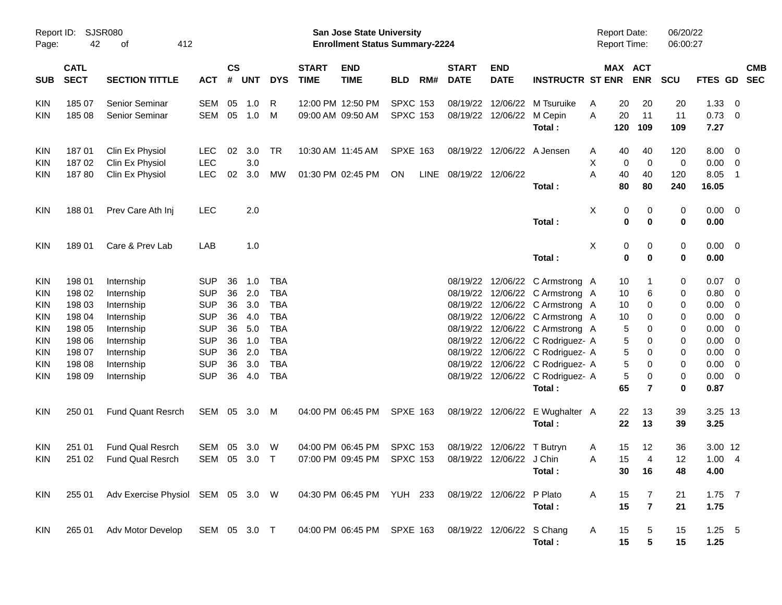| Report ID:<br>Page:      | 42                         | <b>SJSR080</b><br>412<br>оf        |                          |                |            |            |                             | <b>San Jose State University</b><br><b>Enrollment Status Summary-2224</b> |                                    |     |                             |                           |                                            | <b>Report Date:</b><br><b>Report Time:</b> |          |                       | 06/20/22<br>06:00:27 |                 |                                                     |            |
|--------------------------|----------------------------|------------------------------------|--------------------------|----------------|------------|------------|-----------------------------|---------------------------------------------------------------------------|------------------------------------|-----|-----------------------------|---------------------------|--------------------------------------------|--------------------------------------------|----------|-----------------------|----------------------|-----------------|-----------------------------------------------------|------------|
| <b>SUB</b>               | <b>CATL</b><br><b>SECT</b> | <b>SECTION TITTLE</b>              | <b>ACT</b>               | <b>CS</b><br># | <b>UNT</b> | <b>DYS</b> | <b>START</b><br><b>TIME</b> | <b>END</b><br><b>TIME</b>                                                 | <b>BLD</b>                         | RM# | <b>START</b><br><b>DATE</b> | <b>END</b><br><b>DATE</b> | <b>INSTRUCTR ST ENR</b>                    |                                            |          | MAX ACT<br><b>ENR</b> | <b>SCU</b>           | FTES GD SEC     |                                                     | <b>CMB</b> |
| <b>KIN</b><br><b>KIN</b> | 185 07<br>185 08           | Senior Seminar<br>Senior Seminar   | <b>SEM</b><br><b>SEM</b> | 05<br>05       | 1.0<br>1.0 | R<br>M     |                             | 12:00 PM 12:50 PM<br>09:00 AM 09:50 AM                                    | <b>SPXC 153</b><br><b>SPXC 153</b> |     | 08/19/22<br>08/19/22        | 12/06/22<br>12/06/22      | M Tsuruike<br>M Cepin                      | A<br>A                                     | 20<br>20 | 20<br>11              | 20<br>11             | 1.33<br>0.73    | $\overline{\mathbf{0}}$<br>$\overline{\phantom{0}}$ |            |
|                          |                            |                                    |                          |                |            |            |                             |                                                                           |                                    |     |                             |                           | Total:                                     |                                            | 120      | 109                   | 109                  | 7.27            |                                                     |            |
| KIN                      | 18701                      | Clin Ex Physiol                    | LEC                      | 02             | 3.0        | TR         |                             | 10:30 AM 11:45 AM                                                         | <b>SPXE 163</b>                    |     | 08/19/22                    |                           | 12/06/22 A Jensen                          | A                                          | 40       | 40                    | 120                  | 8.00            | $\overline{\mathbf{0}}$                             |            |
| KIN<br>KIN               | 18702<br>18780             | Clin Ex Physiol<br>Clin Ex Physiol | LEC<br>LEC               | 02             | 3.0<br>3.0 | MW         |                             | 01:30 PM 02:45 PM                                                         | ON                                 |     | LINE 08/19/22 12/06/22      |                           |                                            | Χ<br>A                                     | 0<br>40  | $\mathbf 0$<br>40     | 0<br>120             | 0.00<br>8.05    | $\overline{\mathbf{0}}$<br>-1                       |            |
|                          |                            |                                    |                          |                |            |            |                             |                                                                           |                                    |     |                             |                           | Total:                                     |                                            | 80       | 80                    | 240                  | 16.05           |                                                     |            |
| <b>KIN</b>               | 18801                      | Prev Care Ath Inj                  | <b>LEC</b>               |                | 2.0        |            |                             |                                                                           |                                    |     |                             |                           |                                            | X                                          | 0        | 0                     | 0                    | $0.00 \t 0$     |                                                     |            |
|                          |                            |                                    |                          |                |            |            |                             |                                                                           |                                    |     |                             |                           | Total:                                     |                                            | 0        | 0                     | 0                    | 0.00            |                                                     |            |
| <b>KIN</b>               | 18901                      | Care & Prev Lab                    | LAB                      |                | 1.0        |            |                             |                                                                           |                                    |     |                             |                           |                                            | Χ                                          | 0        | 0                     | 0                    | $0.00 \t 0$     |                                                     |            |
|                          |                            |                                    |                          |                |            |            |                             |                                                                           |                                    |     |                             |                           | Total:                                     |                                            | 0        | $\mathbf 0$           | 0                    | 0.00            |                                                     |            |
| <b>KIN</b>               | 198 01                     | Internship                         | <b>SUP</b>               | 36             | 1.0        | <b>TBA</b> |                             |                                                                           |                                    |     |                             |                           | 08/19/22 12/06/22 C Armstrong A            |                                            | 10       |                       | 0                    | 0.07            | $\overline{\mathbf{0}}$                             |            |
| KIN                      | 198 02                     | Internship                         | <b>SUP</b>               | 36             | 2.0        | <b>TBA</b> |                             |                                                                           |                                    |     |                             |                           | 08/19/22 12/06/22 C Armstrong A            |                                            | 10       | 6                     | 0                    | 0.80            | 0                                                   |            |
| KIN                      | 198 03                     | Internship                         | <b>SUP</b>               | 36             | 3.0        | <b>TBA</b> |                             |                                                                           |                                    |     |                             |                           | 08/19/22 12/06/22 C Armstrong A            |                                            | 10       | 0                     | 0                    | 0.00            | 0                                                   |            |
| KIN                      | 198 04                     | Internship                         | <b>SUP</b>               | 36             | 4.0        | <b>TBA</b> |                             |                                                                           |                                    |     | 08/19/22                    |                           | 12/06/22 C Armstrong A                     |                                            | 10       | 0                     | 0                    | 0.00            | 0                                                   |            |
| KIN                      | 198 05                     | Internship                         | <b>SUP</b>               | 36             | 5.0        | <b>TBA</b> |                             |                                                                           |                                    |     |                             |                           | 08/19/22 12/06/22 C Armstrong A            |                                            | 5        | 0                     | 0                    | 0.00            | 0                                                   |            |
| KIN                      | 198 06                     | Internship                         | <b>SUP</b>               | 36             | 1.0        | <b>TBA</b> |                             |                                                                           |                                    |     |                             |                           | 08/19/22 12/06/22 C Rodriguez- A           |                                            | 5        | 0                     | 0                    | 0.00            | 0                                                   |            |
| KIN                      | 198 07                     | Internship                         | <b>SUP</b>               | 36             | 2.0        | <b>TBA</b> |                             |                                                                           |                                    |     | 08/19/22                    |                           | 12/06/22 C Rodriguez- A                    |                                            | 5        | 0                     | 0                    | 0.00            | 0                                                   |            |
| KIN                      | 198 08                     | Internship                         | <b>SUP</b>               | 36             | 3.0        | <b>TBA</b> |                             |                                                                           |                                    |     | 08/19/22                    |                           | 12/06/22 C Rodriguez- A                    |                                            | 5        | 0                     | 0                    | 0.00            | $\mathbf 0$                                         |            |
| <b>KIN</b>               | 198 09                     | Internship                         | <b>SUP</b>               | 36             | 4.0        | <b>TBA</b> |                             |                                                                           |                                    |     |                             |                           | 08/19/22 12/06/22 C Rodriguez- A<br>Total: |                                            | 5<br>65  | 0<br>$\overline{7}$   | 0<br>0               | 0.00<br>0.87    | $\overline{\mathbf{0}}$                             |            |
|                          |                            |                                    |                          |                |            |            |                             |                                                                           |                                    |     |                             |                           |                                            |                                            |          |                       |                      |                 |                                                     |            |
| <b>KIN</b>               | 250 01                     | <b>Fund Quant Resrch</b>           | SEM                      |                | 05 3.0     | M          |                             | 04:00 PM 06:45 PM                                                         | <b>SPXE 163</b>                    |     |                             | 08/19/22 12/06/22         | E Wughalter A<br>Total:                    |                                            | 22<br>22 | 13<br>13              | 39<br>39             | 3.25 13<br>3.25 |                                                     |            |
|                          |                            |                                    |                          |                |            |            |                             |                                                                           |                                    |     |                             |                           |                                            |                                            |          |                       |                      |                 |                                                     |            |
| KIN                      | 251 01                     | <b>Fund Qual Resrch</b>            | <b>SEM</b>               | 05             | 3.0        | W          |                             | 04:00 PM 06:45 PM                                                         | <b>SPXC 153</b>                    |     | 08/19/22                    | 12/06/22                  | T Butryn                                   | A                                          | 15       | 12                    | 36                   | 3.00 12         |                                                     |            |
| <b>KIN</b>               | 251 02                     | <b>Fund Qual Resrch</b>            | SEM                      | 05             | 3.0        | $\top$     |                             | 07:00 PM 09:45 PM                                                         | <b>SPXC 153</b>                    |     |                             | 08/19/22 12/06/22 J Chin  |                                            | Α                                          | 15       | $\overline{4}$        | 12                   | 1.00            | -4                                                  |            |
|                          |                            |                                    |                          |                |            |            |                             |                                                                           |                                    |     |                             |                           | Total:                                     |                                            |          | 30 16                 | 48                   | 4.00            |                                                     |            |
| <b>KIN</b>               | 255 01                     | Adv Exercise Physiol SEM 05 3.0 W  |                          |                |            |            |                             | 04:30 PM 06:45 PM YUH 233                                                 |                                    |     |                             | 08/19/22 12/06/22 P Plato |                                            | A                                          | 15       | 7                     | 21                   | $1.75$ 7        |                                                     |            |
|                          |                            |                                    |                          |                |            |            |                             |                                                                           |                                    |     |                             |                           | Total:                                     |                                            | 15       | $\overline{7}$        | 21                   | 1.75            |                                                     |            |
| KIN                      | 265 01                     | Adv Motor Develop                  | SEM 05 3.0 T             |                |            |            |                             | 04:00 PM 06:45 PM SPXE 163                                                |                                    |     |                             | 08/19/22 12/06/22 S Chang |                                            | A                                          | 15       | 5                     | 15                   | $1.25 - 5$      |                                                     |            |
|                          |                            |                                    |                          |                |            |            |                             |                                                                           |                                    |     |                             |                           | Total:                                     |                                            | 15       | 5                     | 15                   | 1.25            |                                                     |            |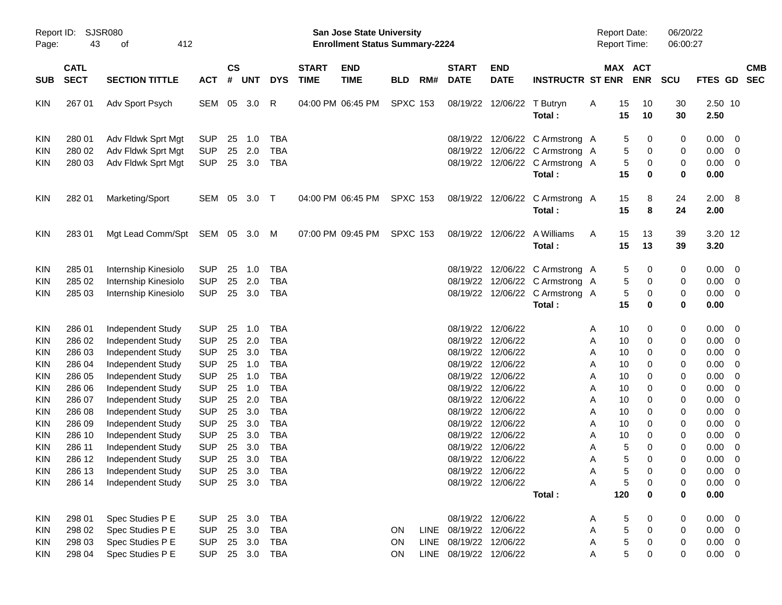| Page:                   | <b>SJSR080</b><br>Report ID:<br>43<br>412<br>οf |                          |            |                    |            |            |                             | San Jose State University<br><b>Enrollment Status Summary-2224</b> |                 |     |                             |                           |                                 | Report Date:<br><b>Report Time:</b> |          |                       | 06/20/22<br>06:00:27 |                 |                         |                          |
|-------------------------|-------------------------------------------------|--------------------------|------------|--------------------|------------|------------|-----------------------------|--------------------------------------------------------------------|-----------------|-----|-----------------------------|---------------------------|---------------------------------|-------------------------------------|----------|-----------------------|----------------------|-----------------|-------------------------|--------------------------|
| SUB                     | <b>CATL</b><br><b>SECT</b>                      | <b>SECTION TITTLE</b>    | <b>ACT</b> | $\mathsf{cs}$<br># | <b>UNT</b> | <b>DYS</b> | <b>START</b><br><b>TIME</b> | <b>END</b><br><b>TIME</b>                                          | <b>BLD</b>      | RM# | <b>START</b><br><b>DATE</b> | <b>END</b><br><b>DATE</b> | <b>INSTRUCTR ST ENR</b>         |                                     |          | MAX ACT<br><b>ENR</b> | <b>SCU</b>           | <b>FTES GD</b>  |                         | <b>CMB</b><br><b>SEC</b> |
| <b>KIN</b>              | 267 01                                          | Adv Sport Psych          | SEM        | 05                 | 3.0        | R          |                             | 04:00 PM 06:45 PM                                                  | <b>SPXC 153</b> |     |                             | 08/19/22 12/06/22         | T Butryn<br>Total:              | A                                   | 15<br>15 | 10<br>10              | 30<br>30             | 2.50 10<br>2.50 |                         |                          |
| <b>KIN</b>              | 280 01                                          | Adv Fldwk Sprt Mgt       | <b>SUP</b> | 25                 | 1.0        | <b>TBA</b> |                             |                                                                    |                 |     |                             |                           | 08/19/22 12/06/22 C Armstrong A |                                     | 5        | 0                     | 0                    | 0.00            | $\overline{0}$          |                          |
| <b>KIN</b>              | 280 02                                          | Adv Fldwk Sprt Mgt       | <b>SUP</b> | 25                 | 2.0        | <b>TBA</b> |                             |                                                                    |                 |     |                             |                           | 08/19/22 12/06/22 C Armstrong A |                                     | 5        | 0                     | 0                    | 0.00            | $\overline{0}$          |                          |
| <b>KIN</b>              | 280 03                                          | Adv Fldwk Sprt Mgt       | <b>SUP</b> |                    | 25 3.0     | <b>TBA</b> |                             |                                                                    |                 |     |                             |                           | 08/19/22 12/06/22 C Armstrong A |                                     | 5        | 0                     | 0                    | 0.00            | $\overline{0}$          |                          |
|                         |                                                 |                          |            |                    |            |            |                             |                                                                    |                 |     |                             |                           | Total:                          |                                     | 15       | $\bf{0}$              | $\bf{0}$             | 0.00            |                         |                          |
| <b>KIN</b>              | 282 01                                          | Marketing/Sport          | SEM        | 05                 | 3.0        | $\top$     |                             | 04:00 PM 06:45 PM                                                  | <b>SPXC 153</b> |     |                             | 08/19/22 12/06/22         | C Armstrong A<br>Total:         |                                     | 15<br>15 | 8<br>8                | 24<br>24             | 2.00<br>2.00    | $_{\rm 8}$              |                          |
| <b>KIN</b>              | 28301                                           | Mgt Lead Comm/Spt        | SEM 05 3.0 |                    |            | M          |                             | 07:00 PM 09:45 PM                                                  | <b>SPXC 153</b> |     |                             | 08/19/22 12/06/22         | A Williams<br>Total:            | A                                   | 15<br>15 | 13<br>13              | 39<br>39             | 3.20 12<br>3.20 |                         |                          |
| <b>KIN</b>              | 285 01                                          | Internship Kinesiolo     | <b>SUP</b> | 25                 | 1.0        | <b>TBA</b> |                             |                                                                    |                 |     |                             |                           | 08/19/22 12/06/22 C Armstrong A |                                     | 5        | 0                     | 0                    | 0.00            | $\overline{0}$          |                          |
| <b>KIN</b>              | 285 02                                          | Internship Kinesiolo     | <b>SUP</b> | 25                 | 2.0        | <b>TBA</b> |                             |                                                                    |                 |     |                             |                           | 08/19/22 12/06/22 C Armstrong A |                                     | 5        | 0                     | 0                    | 0.00            | $\overline{0}$          |                          |
| <b>KIN</b>              | 285 03                                          | Internship Kinesiolo     | <b>SUP</b> |                    | 25 3.0     | <b>TBA</b> |                             |                                                                    |                 |     |                             |                           | 08/19/22 12/06/22 C Armstrong A |                                     | 5        | 0                     | 0                    | 0.00            | $\overline{\mathbf{0}}$ |                          |
|                         |                                                 |                          |            |                    |            |            |                             |                                                                    |                 |     |                             |                           | Total:                          |                                     | 15       | $\bf{0}$              | $\bf{0}$             | 0.00            |                         |                          |
| <b>KIN</b>              | 286 01                                          | Independent Study        | <b>SUP</b> | 25                 | 1.0        | <b>TBA</b> |                             |                                                                    |                 |     |                             | 08/19/22 12/06/22         |                                 | Α                                   | 10       | 0                     | 0                    | 0.00            | $\overline{0}$          |                          |
| <b>KIN</b>              | 286 02                                          | Independent Study        | <b>SUP</b> | 25                 | 2.0        | <b>TBA</b> |                             |                                                                    |                 |     |                             | 08/19/22 12/06/22         |                                 | Α                                   | 10       | 0                     | 0                    | 0.00            | $\overline{0}$          |                          |
| <b>KIN</b>              | 286 03                                          | <b>Independent Study</b> | <b>SUP</b> | 25                 | 3.0        | <b>TBA</b> |                             |                                                                    |                 |     |                             | 08/19/22 12/06/22         |                                 | Α                                   | 10       | 0                     | 0                    | 0.00            | $\overline{0}$          |                          |
| KIN                     | 286 04                                          | Independent Study        | <b>SUP</b> | 25                 | 1.0        | <b>TBA</b> |                             |                                                                    |                 |     |                             | 08/19/22 12/06/22         |                                 | Α                                   | 10       | 0                     | 0                    | 0.00            | $\overline{0}$          |                          |
| KIN                     | 286 05                                          | Independent Study        | <b>SUP</b> | 25                 | 1.0        | <b>TBA</b> |                             |                                                                    |                 |     |                             | 08/19/22 12/06/22         |                                 | Α                                   | 10       | 0                     | 0                    | 0.00            | $\overline{0}$          |                          |
| KIN                     | 286 06                                          | Independent Study        | <b>SUP</b> | 25                 | 1.0        | <b>TBA</b> |                             |                                                                    |                 |     |                             | 08/19/22 12/06/22         |                                 | Α                                   | 10       | 0                     | 0                    | 0.00            | $\overline{0}$          |                          |
| <b>KIN</b>              | 286 07                                          | Independent Study        | <b>SUP</b> | 25                 | 2.0        | <b>TBA</b> |                             |                                                                    |                 |     |                             | 08/19/22 12/06/22         |                                 | Α                                   | 10       | 0                     | 0                    | 0.00            | $\overline{0}$          |                          |
| KIN                     | 286 08                                          | Independent Study        | <b>SUP</b> | 25                 | 3.0        | <b>TBA</b> |                             |                                                                    |                 |     |                             | 08/19/22 12/06/22         |                                 | Α                                   | 10       | 0                     | 0                    | 0.00            | $\overline{0}$          |                          |
| KIN                     | 286 09                                          | Independent Study        | SUP        | 25                 | 3.0        | <b>TBA</b> |                             |                                                                    |                 |     |                             | 08/19/22 12/06/22         |                                 | A                                   | 10       | 0                     | 0                    | 0.00            | $\overline{0}$          |                          |
| <b>KIN</b>              | 286 10                                          | Independent Study        | <b>SUP</b> | 25                 | 3.0        | <b>TBA</b> |                             |                                                                    |                 |     |                             | 08/19/22 12/06/22         |                                 | A                                   | 10       | 0                     | 0                    | 0.00            | $\overline{0}$          |                          |
| <b>KIN</b>              | 286 11                                          | Independent Study        | <b>SUP</b> | 25                 | 3.0        | <b>TBA</b> |                             |                                                                    |                 |     |                             | 08/19/22 12/06/22         |                                 | Α                                   | 5        | 0                     | 0                    | 0.00            | $\overline{0}$          |                          |
| KIN                     | 286 12                                          | <b>Independent Study</b> | <b>SUP</b> |                    | 25 3.0     | <b>TBA</b> |                             |                                                                    |                 |     |                             | 08/19/22 12/06/22         |                                 | A                                   | 5        | 0                     | 0                    | 0.00            | $\mathbf 0$             |                          |
| $\textsf{K}\textsf{IN}$ | 286 13                                          | Independent Study        | <b>SUP</b> |                    |            | 25 3.0 TBA |                             |                                                                    |                 |     |                             | 08/19/22 12/06/22         |                                 | Α                                   | 5        | $\mathbf 0$           | 0                    | 0.00            | $\overline{\mathbf{0}}$ |                          |
| <b>KIN</b>              | 286 14                                          | Independent Study        | <b>SUP</b> |                    |            | 25 3.0 TBA |                             |                                                                    |                 |     |                             | 08/19/22 12/06/22         |                                 | Α                                   | 5        | 0                     | 0                    | $0.00 \quad 0$  |                         |                          |
|                         |                                                 |                          |            |                    |            |            |                             |                                                                    |                 |     |                             |                           | Total:                          |                                     | 120      | $\pmb{0}$             | 0                    | 0.00            |                         |                          |
| KIN                     | 298 01                                          | Spec Studies P E         | <b>SUP</b> |                    | 25 3.0     | <b>TBA</b> |                             |                                                                    |                 |     |                             | 08/19/22 12/06/22         |                                 | Α                                   | 5        | 0                     | 0                    | $0.00 \t 0$     |                         |                          |
| KIN                     | 298 02                                          | Spec Studies P E         | <b>SUP</b> |                    | 25 3.0     | <b>TBA</b> |                             |                                                                    | <b>ON</b>       |     | LINE 08/19/22 12/06/22      |                           |                                 | Α                                   | 5        | $\,0\,$               | 0                    | $0.00 \t 0$     |                         |                          |
| KIN                     | 298 03                                          | Spec Studies P E         | <b>SUP</b> |                    | 25 3.0     | <b>TBA</b> |                             |                                                                    | <b>ON</b>       |     | LINE 08/19/22 12/06/22      |                           |                                 | Α                                   | 5        | $\pmb{0}$             | 0                    | $0.00 \t 0$     |                         |                          |
| <b>KIN</b>              | 298 04                                          | Spec Studies P E         | <b>SUP</b> |                    |            | 25 3.0 TBA |                             |                                                                    | ON              |     | LINE 08/19/22 12/06/22      |                           |                                 | Α                                   | 5        | 0                     | 0                    | $0.00 \t 0$     |                         |                          |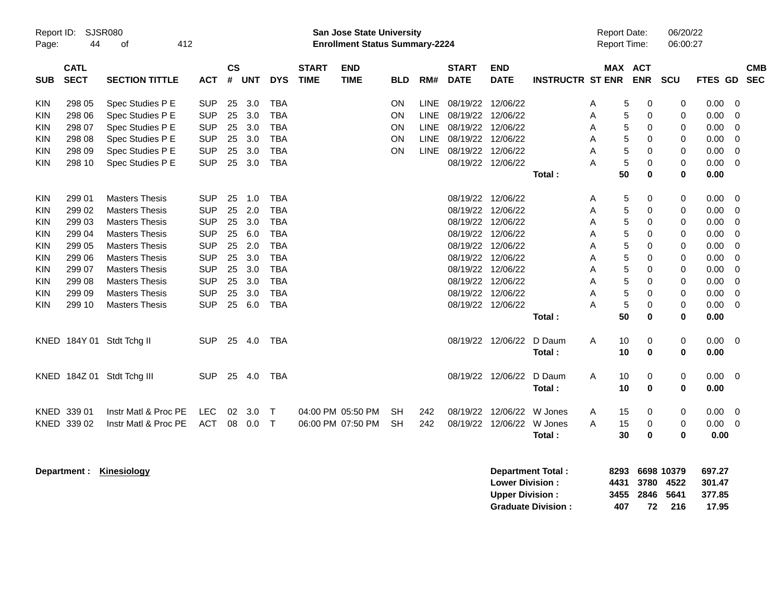| Report ID:<br>Page: | 44                         | <b>SJSR080</b><br>412<br>of |            |                |       |            |                             | <b>San Jose State University</b><br><b>Enrollment Status Summary-2224</b> |            |             |                             |                                                  |                                                |   | <b>Report Date:</b><br>Report Time: |                    | 06/20/22<br>06:00:27              |                                     |             |                          |
|---------------------|----------------------------|-----------------------------|------------|----------------|-------|------------|-----------------------------|---------------------------------------------------------------------------|------------|-------------|-----------------------------|--------------------------------------------------|------------------------------------------------|---|-------------------------------------|--------------------|-----------------------------------|-------------------------------------|-------------|--------------------------|
| <b>SUB</b>          | <b>CATL</b><br><b>SECT</b> | <b>SECTION TITTLE</b>       | АСТ        | <b>CS</b><br># | UNT   | <b>DYS</b> | <b>START</b><br><b>TIME</b> | <b>END</b><br><b>TIME</b>                                                 | <b>BLD</b> | RM#         | <b>START</b><br><b>DATE</b> | <b>END</b><br><b>DATE</b>                        | <b>INSTRUCTR ST ENR</b>                        |   | MAX ACT                             | <b>ENR</b>         | <b>SCU</b>                        | <b>FTES GD</b>                      |             | <b>CMB</b><br><b>SEC</b> |
| KIN                 | 298 05                     | Spec Studies P E            | <b>SUP</b> | 25             | 3.0   | TBA        |                             |                                                                           | OΝ         | <b>LINE</b> | 08/19/22 12/06/22           |                                                  |                                                | Α | 5                                   | 0                  | 0                                 | 0.00                                | $\mathbf 0$ |                          |
| KIN                 | 298 06                     | Spec Studies P E            | <b>SUP</b> | 25             | 3.0   | <b>TBA</b> |                             |                                                                           | ON         | <b>LINE</b> | 08/19/22                    | 12/06/22                                         |                                                | A | 5                                   | $\mathbf 0$        | 0                                 | 0.00                                | $\Omega$    |                          |
| KIN                 | 298 07                     | Spec Studies P E            | <b>SUP</b> | 25             | 3.0   | <b>TBA</b> |                             |                                                                           | ΟN         | <b>LINE</b> | 08/19/22 12/06/22           |                                                  |                                                | A | 5                                   | 0                  | 0                                 | 0.00                                | $\mathbf 0$ |                          |
| KIN                 | 298 08                     | Spec Studies P E            | <b>SUP</b> | 25             | 3.0   | <b>TBA</b> |                             |                                                                           | ΟN         | <b>LINE</b> | 08/19/22 12/06/22           |                                                  |                                                | A | 5                                   | $\mathbf 0$        | 0                                 | 0.00                                | $\mathbf 0$ |                          |
| <b>KIN</b>          | 298 09                     | Spec Studies P E            | <b>SUP</b> | 25             | 3.0   | <b>TBA</b> |                             |                                                                           | OΝ         | <b>LINE</b> | 08/19/22 12/06/22           |                                                  |                                                | A | 5                                   | 0                  | 0                                 | 0.00                                | 0           |                          |
| <b>KIN</b>          | 298 10                     | Spec Studies P E            | <b>SUP</b> | 25             | 3.0   | TBA        |                             |                                                                           |            |             |                             | 08/19/22 12/06/22                                |                                                | А | 5                                   | $\mathbf 0$        | 0                                 | 0.00                                | $\mathbf 0$ |                          |
|                     |                            |                             |            |                |       |            |                             |                                                                           |            |             |                             |                                                  | Total:                                         |   | 50                                  | $\bf{0}$           | $\bf{0}$                          | 0.00                                |             |                          |
| <b>KIN</b>          | 299 01                     | <b>Masters Thesis</b>       | <b>SUP</b> | 25             | 1.0   | TBA        |                             |                                                                           |            |             |                             | 08/19/22 12/06/22                                |                                                | A | 5                                   | 0                  | 0                                 | 0.00                                | $\mathbf 0$ |                          |
| <b>KIN</b>          | 299 02                     | <b>Masters Thesis</b>       | <b>SUP</b> | 25             | 2.0   | TBA        |                             |                                                                           |            |             | 08/19/22                    | 12/06/22                                         |                                                | A | 5                                   | $\mathbf 0$        | 0                                 | 0.00                                | $\mathbf 0$ |                          |
| <b>KIN</b>          | 299 03                     | <b>Masters Thesis</b>       | <b>SUP</b> | 25             | 3.0   | <b>TBA</b> |                             |                                                                           |            |             |                             | 08/19/22 12/06/22                                |                                                | Α | 5                                   | 0                  | 0                                 | 0.00                                | $\mathbf 0$ |                          |
| <b>KIN</b>          | 299 04                     | <b>Masters Thesis</b>       | SUP        | 25             | 6.0   | TBA        |                             |                                                                           |            |             |                             | 08/19/22 12/06/22                                |                                                | Α | 5                                   | $\mathbf 0$        | 0                                 | 0.00                                | 0           |                          |
| <b>KIN</b>          | 299 05                     | <b>Masters Thesis</b>       | <b>SUP</b> | 25             | 2.0   | TBA        |                             |                                                                           |            |             |                             | 08/19/22 12/06/22                                |                                                | A | 5                                   | $\mathbf 0$        | 0                                 | 0.00                                | $\mathbf 0$ |                          |
| KIN                 | 299 06                     | <b>Masters Thesis</b>       | <b>SUP</b> | 25             | 3.0   | TBA        |                             |                                                                           |            |             |                             | 08/19/22 12/06/22                                |                                                | A | 5                                   | 0                  | 0                                 | 0.00                                | $\mathbf 0$ |                          |
| <b>KIN</b>          | 299 07                     | <b>Masters Thesis</b>       | <b>SUP</b> | 25             | 3.0   | TBA        |                             |                                                                           |            |             |                             | 08/19/22 12/06/22                                |                                                | Α | 5                                   | 0                  | 0                                 | 0.00                                | $\mathbf 0$ |                          |
| <b>KIN</b>          | 299 08                     | <b>Masters Thesis</b>       | <b>SUP</b> | 25             | 3.0   | TBA        |                             |                                                                           |            |             | 08/19/22 12/06/22           |                                                  |                                                | Α | 5                                   | 0                  | 0                                 | 0.00                                | $\mathbf 0$ |                          |
| KIN                 | 299 09                     | <b>Masters Thesis</b>       | <b>SUP</b> | 25             | 3.0   | <b>TBA</b> |                             |                                                                           |            |             |                             | 08/19/22 12/06/22                                |                                                | A | 5                                   | 0                  | 0                                 | 0.00                                | $\mathbf 0$ |                          |
| <b>KIN</b>          | 299 10                     | <b>Masters Thesis</b>       | SUP        | 25             | 6.0   | <b>TBA</b> |                             |                                                                           |            |             |                             | 08/19/22 12/06/22                                |                                                | А | $\sqrt{5}$                          | 0                  | 0                                 | 0.00                                | $\mathbf 0$ |                          |
|                     |                            |                             |            |                |       |            |                             |                                                                           |            |             |                             |                                                  | Total:                                         |   | 50                                  | 0                  | 0                                 | 0.00                                |             |                          |
|                     |                            | KNED 184Y 01 Stdt Tchg II   | <b>SUP</b> | 25             | - 4.0 | TBA        |                             |                                                                           |            |             |                             | 08/19/22 12/06/22                                | D Daum<br>Total:                               | A | 10<br>10                            | 0<br>0             | 0<br>0                            | 0.00<br>0.00                        | 0           |                          |
|                     |                            |                             |            |                |       |            |                             |                                                                           |            |             |                             |                                                  |                                                |   |                                     |                    |                                   |                                     |             |                          |
|                     |                            | KNED 184Z 01 Stdt Tchg III  | <b>SUP</b> | 25             | 4.0   | TBA        |                             |                                                                           |            |             |                             | 08/19/22 12/06/22                                | D Daum                                         | Α | 10                                  | 0                  | 0                                 | 0.00                                | 0           |                          |
|                     |                            |                             |            |                |       |            |                             |                                                                           |            |             |                             |                                                  | Total:                                         |   | 10                                  | $\mathbf 0$        | 0                                 | 0.00                                |             |                          |
|                     | KNED 339 01                | Instr Matl & Proc PE        | <b>LEC</b> | 02             | 3.0   | $\top$     | 04:00 PM 05:50 PM           |                                                                           | SН         | 242         | 08/19/22                    | 12/06/22                                         | W Jones                                        | A | 15                                  | 0                  | 0                                 | 0.00                                | $\mathbf 0$ |                          |
|                     | KNED 339 02                | Instr Matl & Proc PE        | <b>ACT</b> | 08             | 0.0   | $\top$     | 06:00 PM 07:50 PM           |                                                                           | <b>SH</b>  | 242         | 08/19/22                    | 12/06/22                                         | W Jones                                        | Α | 15                                  | 0                  | 0                                 | 0.00                                | $\mathbf 0$ |                          |
|                     |                            |                             |            |                |       |            |                             |                                                                           |            |             |                             |                                                  | Total :                                        |   | 30                                  | 0                  | 0                                 | 0.00                                |             |                          |
|                     | Department :               | Kinesiology                 |            |                |       |            |                             |                                                                           |            |             |                             | <b>Lower Division:</b><br><b>Upper Division:</b> | Department Total:<br><b>Graduate Division:</b> |   | 8293<br>4431<br>3455<br>407         | 3780<br>2846<br>72 | 6698 10379<br>4522<br>5641<br>216 | 697.27<br>301.47<br>377.85<br>17.95 |             |                          |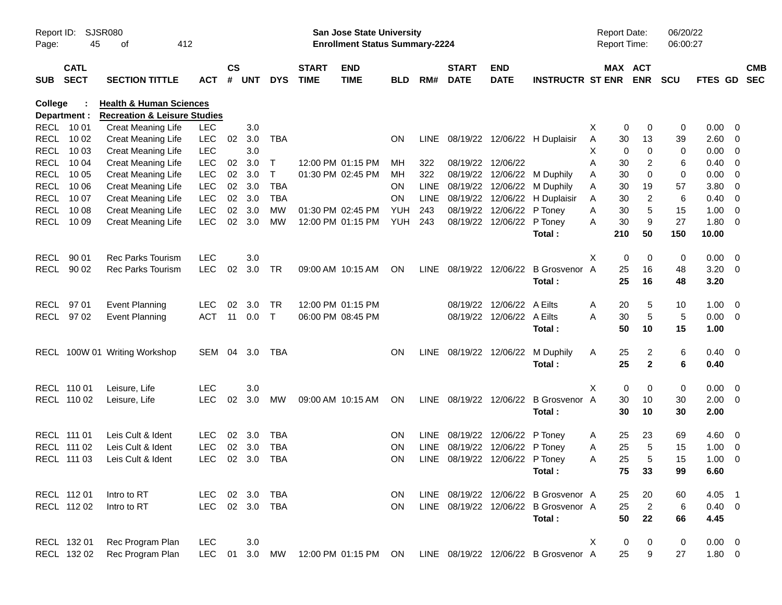| Page:      | <b>SJSR080</b><br>Report ID:<br>45<br>412<br>οf |                                                                               |            |                    |            |              |                             | San Jose State University<br><b>Enrollment Status Summary-2224</b> |            |             |                                |                           |                                      | Report Date: | <b>Report Time:</b>   | 06/20/22<br>06:00:27 |                |                          |
|------------|-------------------------------------------------|-------------------------------------------------------------------------------|------------|--------------------|------------|--------------|-----------------------------|--------------------------------------------------------------------|------------|-------------|--------------------------------|---------------------------|--------------------------------------|--------------|-----------------------|----------------------|----------------|--------------------------|
| <b>SUB</b> | <b>CATL</b><br><b>SECT</b>                      | <b>SECTION TITTLE</b>                                                         | <b>ACT</b> | $\mathsf{cs}$<br># | <b>UNT</b> | <b>DYS</b>   | <b>START</b><br><b>TIME</b> | <b>END</b><br><b>TIME</b>                                          | <b>BLD</b> | RM#         | <b>START</b><br><b>DATE</b>    | <b>END</b><br><b>DATE</b> | <b>INSTRUCTR ST ENR</b>              |              | MAX ACT<br><b>ENR</b> | <b>SCU</b>           | <b>FTES GD</b> | <b>CMB</b><br><b>SEC</b> |
| College    | Department :                                    | <b>Health &amp; Human Sciences</b><br><b>Recreation &amp; Leisure Studies</b> |            |                    |            |              |                             |                                                                    |            |             |                                |                           |                                      |              |                       |                      |                |                          |
|            | RECL 1001                                       | <b>Creat Meaning Life</b>                                                     | <b>LEC</b> |                    | 3.0        |              |                             |                                                                    |            |             |                                |                           |                                      | X            | 0<br>0                | 0                    | $0.00 \t 0$    |                          |
|            | RECL 10 02                                      | <b>Creat Meaning Life</b>                                                     | <b>LEC</b> | 02                 | 3.0        | TBA          |                             |                                                                    | <b>ON</b>  |             |                                |                           | LINE 08/19/22 12/06/22 H Duplaisir   | A            | 30<br>13              | 39                   | 2.60 0         |                          |
|            | RECL 10 03                                      | <b>Creat Meaning Life</b>                                                     | <b>LEC</b> |                    | 3.0        |              |                             |                                                                    |            |             |                                |                           |                                      | х            | 0<br>0                | 0                    | $0.00 \t 0$    |                          |
| RECL       | 10 04                                           | <b>Creat Meaning Life</b>                                                     | <b>LEC</b> | 02                 | 3.0        | Τ            |                             | 12:00 PM 01:15 PM                                                  | MН         | 322         | 08/19/22 12/06/22              |                           |                                      | Α            | 2<br>30               | 6                    | $0.40 \ 0$     |                          |
|            | RECL 10 05                                      | <b>Creat Meaning Life</b>                                                     | LEC        | 02 <sub>o</sub>    | 3.0        | $\mathsf{T}$ |                             | 01:30 PM 02:45 PM                                                  | MН         | 322         |                                |                           | 08/19/22 12/06/22 M Duphily          | Α            | 0<br>30               | 0                    | $0.00 \t 0$    |                          |
| RECL       | 10 06                                           | <b>Creat Meaning Life</b>                                                     | <b>LEC</b> | 02                 | 3.0        | <b>TBA</b>   |                             |                                                                    | ON         | <b>LINE</b> |                                |                           | 08/19/22 12/06/22 M Duphily          | Α            | 30<br>19              | 57                   | 3.80 0         |                          |
| RECL       | 10 07                                           | <b>Creat Meaning Life</b>                                                     | <b>LEC</b> | 02                 | 3.0        | TBA          |                             |                                                                    | ON         | LINE        |                                |                           | 08/19/22 12/06/22 H Duplaisir        | Α            | 2<br>30               | 6                    | $0.40 \ 0$     |                          |
|            | RECL 1008                                       | <b>Creat Meaning Life</b>                                                     | <b>LEC</b> | 02                 | 3.0        | MW           |                             | 01:30 PM 02:45 PM                                                  | YUH        | 243         |                                | 08/19/22 12/06/22 P Toney |                                      | Α            | 5<br>30               | 15                   | $1.00 \t 0$    |                          |
|            | RECL 10 09                                      | Creat Meaning Life                                                            | <b>LEC</b> | 02                 | 3.0        | <b>MW</b>    |                             | 12:00 PM 01:15 PM                                                  | YUH        | 243         |                                | 08/19/22 12/06/22 P Toney |                                      | Α            | 9<br>30               | 27                   | 1.80 0         |                          |
|            |                                                 |                                                                               |            |                    |            |              |                             |                                                                    |            |             |                                |                           | Total:                               | 210          | 50                    | 150                  | 10.00          |                          |
|            |                                                 |                                                                               |            |                    |            |              |                             |                                                                    |            |             |                                |                           |                                      |              |                       |                      |                |                          |
| RECL       | 90 01                                           | <b>Rec Parks Tourism</b>                                                      | <b>LEC</b> |                    | 3.0        |              |                             |                                                                    |            |             |                                |                           |                                      | Χ            | 0<br>0                | 0                    | $0.00 \t 0$    |                          |
|            | RECL 90 02                                      | <b>Rec Parks Tourism</b>                                                      | <b>LEC</b> | 02                 | 3.0        | TR           |                             | 09:00 AM 10:15 AM                                                  | ON         |             |                                |                           | LINE 08/19/22 12/06/22 B Grosvenor   | A            | 25<br>16              | 48                   | $3.20 \ 0$     |                          |
|            |                                                 |                                                                               |            |                    |            |              |                             |                                                                    |            |             |                                |                           | Total:                               |              | 25<br>16              | 48                   | 3.20           |                          |
|            |                                                 |                                                                               |            |                    |            |              |                             |                                                                    |            |             |                                |                           |                                      |              |                       |                      |                |                          |
| RECL       | 97 01                                           | <b>Event Planning</b>                                                         | <b>LEC</b> | 02                 | 3.0        | <b>TR</b>    | 12:00 PM 01:15 PM           |                                                                    |            |             |                                | 08/19/22 12/06/22 A Eilts |                                      | Α            | 20<br>5               | 10                   | $1.00 \t 0$    |                          |
|            | RECL 97 02                                      | <b>Event Planning</b>                                                         | <b>ACT</b> | 11                 | 0.0        | $\mathsf{T}$ |                             | 06:00 PM 08:45 PM                                                  |            |             |                                | 08/19/22 12/06/22 A Eilts |                                      | Α            | 5<br>30               | 5                    | $0.00 \t 0$    |                          |
|            |                                                 |                                                                               |            |                    |            |              |                             |                                                                    |            |             |                                |                           | Total:                               |              | 50<br>10              | 15                   | 1.00           |                          |
|            |                                                 | RECL 100W 01 Writing Workshop                                                 | SEM 04 3.0 |                    |            | TBA          |                             |                                                                    | <b>ON</b>  |             |                                |                           | LINE 08/19/22 12/06/22 M Duphily     | A            | 25<br>2               | 6                    | $0.40 \quad 0$ |                          |
|            |                                                 |                                                                               |            |                    |            |              |                             |                                                                    |            |             |                                |                           | Total:                               |              | 25<br>$\mathbf{2}$    | 6                    | 0.40           |                          |
|            |                                                 |                                                                               |            |                    |            |              |                             |                                                                    |            |             |                                |                           |                                      |              |                       |                      |                |                          |
|            | RECL 110 01                                     | Leisure, Life                                                                 | <b>LEC</b> |                    | 3.0        |              |                             |                                                                    |            |             |                                |                           |                                      | Χ            | 0<br>0                | 0                    | $0.00 \t 0$    |                          |
|            | RECL 110 02                                     | Leisure, Life                                                                 | <b>LEC</b> | 02                 | 3.0        | MW           |                             | 09:00 AM 10:15 AM                                                  | ON         |             |                                |                           | LINE 08/19/22 12/06/22 B Grosvenor A |              | 30<br>10              | 30                   | $2.00 \t 0$    |                          |
|            |                                                 |                                                                               |            |                    |            |              |                             |                                                                    |            |             |                                |                           | Total:                               |              | 30<br>10              | 30                   | 2.00           |                          |
|            | RECL 111 01                                     | Leis Cult & Ident                                                             | <b>LEC</b> | 02                 | 3.0        | TBA          |                             |                                                                    | <b>ON</b>  | LINE        | 08/19/22 12/06/22 P Toney      |                           |                                      | A            | 25<br>23              | 69                   | $4.60 \ 0$     |                          |
|            | RECL 111 02                                     | Leis Cult & Ident                                                             | <b>LEC</b> | 02                 | 3.0        | <b>TBA</b>   |                             |                                                                    | <b>ON</b>  | <b>LINE</b> |                                | 08/19/22 12/06/22 P Toney |                                      | Α            | 25<br>5               | 15                   | $1.00 \t 0$    |                          |
|            | RECL 111 03                                     | Leis Cult & Ident                                                             | <b>LEC</b> |                    | 02 3.0     | <b>TBA</b>   |                             |                                                                    | <b>ON</b>  |             | LINE 08/19/22 12/06/22 P Toney |                           |                                      | A            | 25<br>5               | 15                   | $1.00 \t 0$    |                          |
|            |                                                 |                                                                               |            |                    |            |              |                             |                                                                    |            |             |                                |                           | Total:                               |              | 75<br>33              | 99                   | 6.60           |                          |
|            | RECL 112 01                                     | Intro to RT                                                                   | LEC.       | 02 3.0             |            | TBA          |                             |                                                                    | <b>ON</b>  |             |                                |                           | LINE 08/19/22 12/06/22 B Grosvenor A |              | 25<br>20              | 60                   | $4.05$ 1       |                          |
|            | RECL 112 02                                     | Intro to RT                                                                   | LEC.       |                    | 02 3.0     | TBA          |                             |                                                                    | <b>ON</b>  |             |                                |                           | LINE 08/19/22 12/06/22 B Grosvenor A |              | $\overline{2}$<br>25  | $\,6$                | $0.40 \ 0$     |                          |
|            |                                                 |                                                                               |            |                    |            |              |                             |                                                                    |            |             |                                |                           | Total:                               |              | 50<br>22              | 66                   | 4.45           |                          |
|            |                                                 |                                                                               |            |                    |            |              |                             |                                                                    |            |             |                                |                           |                                      |              |                       |                      |                |                          |
|            | RECL 132 01                                     | Rec Program Plan                                                              | <b>LEC</b> |                    | 3.0        |              |                             |                                                                    |            |             |                                |                           |                                      | X            | 0<br>0                | 0                    | $0.00 \t 0$    |                          |
|            | RECL 132 02                                     | Rec Program Plan                                                              | <b>LEC</b> | 01                 | 3.0        | MW           |                             | 12:00 PM 01:15 PM                                                  | ON         |             |                                |                           | LINE 08/19/22 12/06/22 B Grosvenor A |              | 25<br>9               | 27                   | 1.80 0         |                          |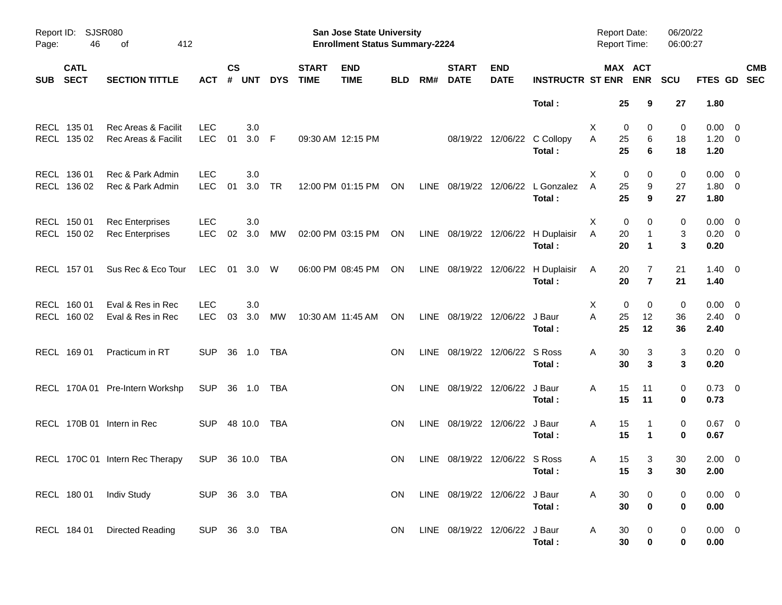| Page:      | SJSR080<br>Report ID:<br>46<br>412<br>οf |                                                  |                          |                    |                |            |                             | San Jose State University<br><b>Enrollment Status Summary-2224</b> |            |      |                               |                           |                         | <b>Report Date:</b><br><b>Report Time:</b> |                                | 06/20/22<br>06:00:27 |                                    |                          |
|------------|------------------------------------------|--------------------------------------------------|--------------------------|--------------------|----------------|------------|-----------------------------|--------------------------------------------------------------------|------------|------|-------------------------------|---------------------------|-------------------------|--------------------------------------------|--------------------------------|----------------------|------------------------------------|--------------------------|
| <b>SUB</b> | <b>CATL</b><br><b>SECT</b>               | <b>SECTION TITTLE</b>                            | <b>ACT</b>               | $\mathsf{cs}$<br># | <b>UNT</b>     | <b>DYS</b> | <b>START</b><br><b>TIME</b> | <b>END</b><br><b>TIME</b>                                          | <b>BLD</b> | RM#  | <b>START</b><br><b>DATE</b>   | <b>END</b><br><b>DATE</b> | <b>INSTRUCTR ST ENR</b> |                                            | MAX ACT<br><b>ENR</b>          | <b>SCU</b>           | FTES GD                            | <b>CMB</b><br><b>SEC</b> |
|            |                                          |                                                  |                          |                    |                |            |                             |                                                                    |            |      |                               |                           | Total:                  |                                            | 25<br>9                        | 27                   | 1.80                               |                          |
|            | RECL 135 01<br>RECL 135 02               | Rec Areas & Facilit<br>Rec Areas & Facilit       | <b>LEC</b><br><b>LEC</b> | 01                 | 3.0<br>$3.0$ F |            |                             | 09:30 AM 12:15 PM                                                  |            |      |                               | 08/19/22 12/06/22         | C Collopy<br>Total:     | X<br>A<br>25<br>25                         | 0<br>0<br>6<br>$6\phantom{1}6$ | 0<br>18<br>18        | $0.00 \t 0$<br>$1.20 \t 0$<br>1.20 |                          |
|            | RECL 136 01<br>RECL 136 02               | Rec & Park Admin<br>Rec & Park Admin             | <b>LEC</b><br><b>LEC</b> | 01                 | 3.0<br>3.0     | TR         |                             | 12:00 PM 01:15 PM                                                  | ON         | LINE | 08/19/22                      | 12/06/22                  | L Gonzalez<br>Total:    | Х<br>A<br>25<br>25                         | 0<br>0<br>9<br>9               | 0<br>27<br>27        | $0.00 \t 0$<br>$1.80 \ 0$<br>1.80  |                          |
|            | RECL 150 01<br>RECL 150 02               | <b>Rec Enterprises</b><br><b>Rec Enterprises</b> | <b>LEC</b><br><b>LEC</b> | 02                 | 3.0<br>3.0     | МW         |                             | 02:00 PM 03:15 PM                                                  | ON         |      | LINE 08/19/22 12/06/22        |                           | H Duplaisir<br>Total:   | X<br>Α<br>20<br>20                         | 0<br>0<br>$\mathbf{1}$<br>1    | 0<br>3<br>3          | $0.00 \t 0$<br>$0.20 \ 0$<br>0.20  |                          |
|            | RECL 157 01                              | Sus Rec & Eco Tour                               | LEC                      | 01                 | 3.0 W          |            |                             | 06:00 PM 08:45 PM                                                  | ON         |      | LINE 08/19/22 12/06/22        |                           | H Duplaisir<br>Total:   | 20<br>A                                    | 7<br>$\overline{7}$<br>20      | 21<br>21             | $1.40 \ 0$<br>1.40                 |                          |
|            | RECL 160 01<br>RECL 160 02               | Eval & Res in Rec<br>Eval & Res in Rec           | <b>LEC</b><br><b>LEC</b> | 03                 | 3.0<br>3.0     | MW         |                             | 10:30 AM 11:45 AM                                                  | ON         |      | LINE 08/19/22 12/06/22        |                           | J Baur<br>Total:        | Х<br>A<br>25<br>25                         | 0<br>0<br>12<br>12             | 0<br>36<br>36        | $0.00 \t 0$<br>$2.40 \ 0$<br>2.40  |                          |
|            | RECL 169 01                              | Practicum in RT                                  | <b>SUP</b>               | -36                | 1.0            | TBA        |                             |                                                                    | <b>ON</b>  |      | LINE 08/19/22 12/06/22 S Ross |                           | Total:                  | 30<br>A<br>30                              | 3<br>3                         | 3<br>3               | $0.20 \ 0$<br>0.20                 |                          |
|            |                                          | RECL 170A 01 Pre-Intern Workshp                  | <b>SUP</b>               | -36                | 1.0            | TBA        |                             |                                                                    | ON         |      | LINE 08/19/22 12/06/22        |                           | J Baur<br>Total:        | Α<br>15<br>15                              | 11<br>11                       | 0<br>0               | $0.73 \ 0$<br>0.73                 |                          |
|            |                                          | RECL 170B 01 Intern in Rec                       | <b>SUP</b>               |                    | 48 10.0        | TBA        |                             |                                                                    | <b>ON</b>  |      | LINE 08/19/22 12/06/22        |                           | J Baur<br>Total:        | Α<br>15<br>15                              | $\mathbf{1}$<br>$\mathbf 1$    | 0<br>0               | $0.67$ 0<br>0.67                   |                          |
|            |                                          | RECL 170C 01 Intern Rec Therapy                  | <b>SUP</b>               |                    | 36 10.0        | TBA        |                             |                                                                    | ON         |      | LINE 08/19/22 12/06/22 S Ross |                           | Total:                  | A                                          | 15<br>3<br>15<br>$\mathbf{3}$  | 30<br>30             | $2.00 \t 0$<br>2.00                |                          |
|            |                                          | RECL 180 01 Indiv Study                          | SUP 36 3.0 TBA           |                    |                |            |                             |                                                                    | <b>ON</b>  |      | LINE 08/19/22 12/06/22 J Baur |                           | Total:                  | A                                          | 30<br>0<br>$\pmb{0}$<br>30     | 0<br>0               | $0.00 \t 0$<br>0.00                |                          |
|            | RECL 184 01                              | Directed Reading                                 | SUP 36 3.0 TBA           |                    |                |            |                             |                                                                    | <b>ON</b>  |      | LINE 08/19/22 12/06/22 J Baur |                           | Total:                  | A<br>30                                    | $\mathbf 0$<br>$\pmb{0}$<br>30 | 0<br>0               | $0.00 \t 0$<br>0.00                |                          |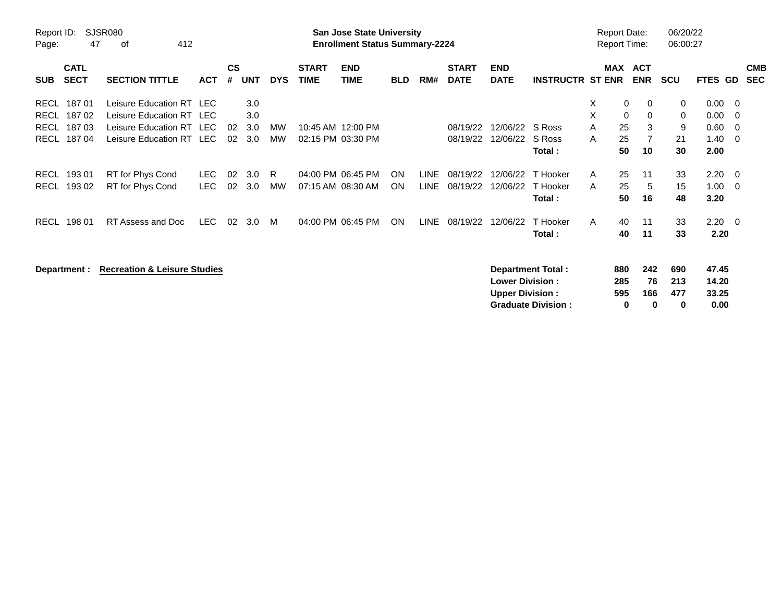| Report ID:<br>Page:       | <b>SJSR080</b><br>47<br>412<br>οf       |            |               |            |            |              | <b>San Jose State University</b><br><b>Enrollment Status Summary-2224</b> |            |             |              |                        |                           |   | <b>Report Date:</b><br><b>Report Time:</b> |                | 06/20/22<br>06:00:27 |         |                          |
|---------------------------|-----------------------------------------|------------|---------------|------------|------------|--------------|---------------------------------------------------------------------------|------------|-------------|--------------|------------------------|---------------------------|---|--------------------------------------------|----------------|----------------------|---------|--------------------------|
| <b>CATL</b>               |                                         |            | $\mathsf{cs}$ |            |            | <b>START</b> | <b>END</b>                                                                |            |             | <b>START</b> | <b>END</b>             |                           |   | MAX ACT                                    |                |                      |         | <b>CMB</b>               |
| <b>SECT</b><br><b>SUB</b> | <b>SECTION TITTLE</b>                   | <b>ACT</b> | #             | <b>UNT</b> | <b>DYS</b> | <b>TIME</b>  | <b>TIME</b>                                                               | <b>BLD</b> | RM#         | <b>DATE</b>  | <b>DATE</b>            | <b>INSTRUCTR ST ENR</b>   |   |                                            | <b>ENR</b>     | <b>SCU</b>           | FTES GD | <b>SEC</b>               |
| 18701<br><b>RECL</b>      | Leisure Education RT LEC                |            |               | 3.0        |            |              |                                                                           |            |             |              |                        |                           | X | 0                                          | 0              | 0                    | 0.00    | 0                        |
| 18702<br><b>RECL</b>      | Leisure Education RT LEC                |            |               | 3.0        |            |              |                                                                           |            |             |              |                        |                           | X | 0                                          | 0              | 0                    | 0.00    | 0                        |
| 18703<br><b>RECL</b>      | Leisure Education RT LEC                |            | 02            | 3.0        | <b>MW</b>  |              | 10:45 AM 12:00 PM                                                         |            |             | 08/19/22     | 12/06/22               | S Ross                    | A | 25                                         | 3              | 9                    | 0.60    | 0                        |
| <b>RECL</b><br>18704      | Leisure Education RT LEC                |            | 02            | 3.0        | <b>MW</b>  |              | 02:15 PM 03:30 PM                                                         |            |             | 08/19/22     | 12/06/22               | S Ross                    | A | 25                                         | $\overline{7}$ | 21                   | 1.40    | 0                        |
|                           |                                         |            |               |            |            |              |                                                                           |            |             |              |                        | Total:                    |   | 50                                         | 10             | 30                   | 2.00    |                          |
| 193 01<br><b>RECL</b>     | RT for Phys Cond                        | LEC.       | 02            | 3.0        | R          |              | 04:00 PM 06:45 PM                                                         | <b>ON</b>  | <b>LINE</b> | 08/19/22     | 12/06/22               | T Hooker                  | A | 25                                         | 11             | 33                   | 2.20    | - 0                      |
| <b>RECL</b><br>193 02     | RT for Phys Cond                        | <b>LEC</b> | 02            | 3.0        | <b>MW</b>  |              | 07:15 AM 08:30 AM                                                         | <b>ON</b>  | <b>LINE</b> | 08/19/22     | 12/06/22               | T Hooker                  | A | 25                                         | 5              | 15                   | 1.00    | 0                        |
|                           |                                         |            |               |            |            |              |                                                                           |            |             |              |                        | Total:                    |   | 50                                         | 16             | 48                   | 3.20    |                          |
| <b>RECL</b><br>198 01     | RT Assess and Doc                       | <b>LEC</b> | 02            | 3.0        | M          |              | 04:00 PM 06:45 PM                                                         | ON         | LINE        | 08/19/22     | 12/06/22               | T Hooker                  | A | 40                                         | 11             | 33                   | 2.20    | $\overline{\phantom{0}}$ |
|                           |                                         |            |               |            |            |              |                                                                           |            |             |              |                        | Total:                    |   | 40                                         | 11             | 33                   | 2.20    |                          |
|                           |                                         |            |               |            |            |              |                                                                           |            |             |              |                        |                           |   |                                            |                |                      |         |                          |
| Department :              | <b>Recreation &amp; Leisure Studies</b> |            |               |            |            |              |                                                                           |            |             |              |                        | <b>Department Total:</b>  |   | 880                                        | 242            | 690                  | 47.45   |                          |
|                           |                                         |            |               |            |            |              |                                                                           |            |             |              | <b>Lower Division:</b> |                           |   | 285                                        | 76             | 213                  | 14.20   |                          |
|                           |                                         |            |               |            |            |              |                                                                           |            |             |              | <b>Upper Division:</b> |                           |   | 595                                        | 166            | 477                  | 33.25   |                          |
|                           |                                         |            |               |            |            |              |                                                                           |            |             |              |                        | <b>Graduate Division:</b> |   | 0                                          | 0              | 0                    | 0.00    |                          |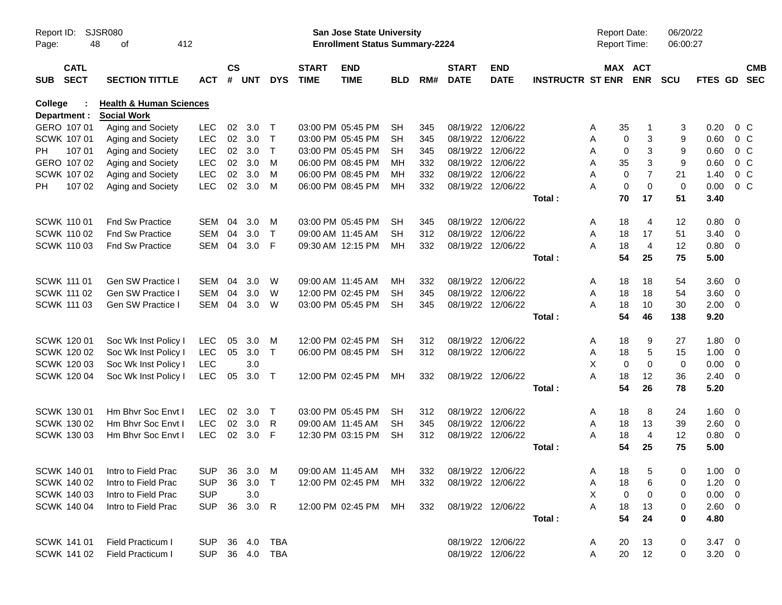| Page:      | <b>SJSR080</b><br>Report ID:<br>48<br>412<br>οf |                                        |                          |                |            |              |                             | San Jose State University<br><b>Enrollment Status Summary-2224</b> |            |            |                             |                                        |                         | Report Date:<br>Report Time: |                                    | 06/20/22<br>06:00:27 |              |                          |            |
|------------|-------------------------------------------------|----------------------------------------|--------------------------|----------------|------------|--------------|-----------------------------|--------------------------------------------------------------------|------------|------------|-----------------------------|----------------------------------------|-------------------------|------------------------------|------------------------------------|----------------------|--------------|--------------------------|------------|
| <b>SUB</b> | <b>CATL</b><br><b>SECT</b>                      | <b>SECTION TITTLE</b>                  | <b>ACT</b>               | <b>CS</b><br># | <b>UNT</b> | <b>DYS</b>   | <b>START</b><br><b>TIME</b> | <b>END</b><br><b>TIME</b>                                          | <b>BLD</b> | RM#        | <b>START</b><br><b>DATE</b> | <b>END</b><br><b>DATE</b>              | <b>INSTRUCTR ST ENR</b> |                              | MAX ACT<br><b>ENR</b>              | <b>SCU</b>           | FTES GD SEC  |                          | <b>CMB</b> |
| College    |                                                 | <b>Health &amp; Human Sciences</b>     |                          |                |            |              |                             |                                                                    |            |            |                             |                                        |                         |                              |                                    |                      |              |                          |            |
|            | Department :                                    | <b>Social Work</b>                     |                          |                |            |              |                             |                                                                    |            |            |                             |                                        |                         |                              |                                    |                      |              |                          |            |
|            | GERO 107 01                                     | Aging and Society                      | <b>LEC</b>               | 02             | 3.0        | $\top$       |                             | 03:00 PM 05:45 PM                                                  | <b>SH</b>  | 345        |                             | 08/19/22 12/06/22                      |                         | 35<br>A                      |                                    | 3                    | 0.20         | $0\,C$                   |            |
|            | SCWK 107 01                                     | Aging and Society                      | <b>LEC</b>               | $02\,$         | 3.0        | $\mathsf{T}$ |                             | 03:00 PM 05:45 PM                                                  | SH         | 345        |                             | 08/19/22 12/06/22                      |                         | Α                            | 3<br>0                             | 9                    | 0.60         | $0\,C$                   |            |
| PH         | 107 01<br>GERO 107 02                           | Aging and Society                      | <b>LEC</b><br><b>LEC</b> | 02<br>02       | 3.0        | $\top$<br>м  |                             | 03:00 PM 05:45 PM                                                  | <b>SH</b>  | 345        |                             | 08/19/22 12/06/22<br>08/19/22 12/06/22 |                         | Α<br>35                      | 3<br>0                             | 9                    | 0.60         | $0\,C$<br>0 <sup>o</sup> |            |
|            | SCWK 107 02                                     | Aging and Society<br>Aging and Society | <b>LEC</b>               | 02             | 3.0<br>3.0 | M            |                             | 06:00 PM 08:45 PM<br>06:00 PM 08:45 PM                             | MН<br>MН   | 332<br>332 |                             | 08/19/22 12/06/22                      |                         | Α<br>A                       | 3<br>$\overline{7}$<br>$\mathbf 0$ | 9<br>21              | 0.60<br>1.40 | 0 <sup>o</sup>           |            |
| PH.        | 107 02                                          | Aging and Society                      | <b>LEC</b>               | 02             | 3.0        | M            |                             | 06:00 PM 08:45 PM                                                  | MН         | 332        |                             | 08/19/22 12/06/22                      |                         | A                            | $\mathbf 0$<br>$\mathbf 0$         | $\mathbf 0$          | 0.00         | $0\,C$                   |            |
|            |                                                 |                                        |                          |                |            |              |                             |                                                                    |            |            |                             |                                        | Total:                  | 70                           | 17                                 | 51                   | 3.40         |                          |            |
|            |                                                 |                                        |                          |                |            |              |                             |                                                                    |            |            |                             |                                        |                         |                              |                                    |                      |              |                          |            |
|            | <b>SCWK 11001</b>                               | Fnd Sw Practice                        | <b>SEM</b>               | 04             | 3.0        | M            |                             | 03:00 PM 05:45 PM                                                  | <b>SH</b>  | 345        |                             | 08/19/22 12/06/22                      |                         | 18<br>A                      | 4                                  | 12                   | 0.80         | $\overline{0}$           |            |
|            | <b>SCWK 110 02</b>                              | <b>Fnd Sw Practice</b>                 | <b>SEM</b>               | 04             | 3.0        | $\top$       |                             | 09:00 AM 11:45 AM                                                  | SН         | 312        |                             | 08/19/22 12/06/22                      |                         | 18<br>A                      | 17                                 | 51                   | 3.40         | $\overline{\mathbf{0}}$  |            |
|            | <b>SCWK 11003</b>                               | Fnd Sw Practice                        | <b>SEM</b>               | 04             | 3.0        | E            |                             | 09:30 AM 12:15 PM                                                  | MН         | 332        |                             | 08/19/22 12/06/22                      |                         | 18<br>А                      | $\overline{4}$                     | 12                   | 0.80         | $\overline{\phantom{0}}$ |            |
|            |                                                 |                                        |                          |                |            |              |                             |                                                                    |            |            |                             |                                        | Total:                  | 54                           | 25                                 | 75                   | 5.00         |                          |            |
|            |                                                 |                                        |                          |                |            |              |                             |                                                                    |            |            |                             |                                        |                         |                              |                                    |                      |              |                          |            |
|            | <b>SCWK 111 01</b>                              | Gen SW Practice I                      | <b>SEM</b>               | 04             | 3.0        | W            |                             | 09:00 AM 11:45 AM                                                  | МH         | 332        |                             | 08/19/22 12/06/22                      |                         | 18<br>A                      | 18                                 | 54                   | 3.60         | $\overline{\phantom{0}}$ |            |
|            | <b>SCWK 111 02</b>                              | <b>Gen SW Practice I</b>               | <b>SEM</b>               | 04             | 3.0        | W            |                             | 12:00 PM 02:45 PM                                                  | SН         | 345        |                             | 08/19/22 12/06/22                      |                         | 18<br>A                      | 18                                 | 54                   | 3.60         | $\overline{\mathbf{0}}$  |            |
|            | <b>SCWK 111 03</b>                              | Gen SW Practice I                      | <b>SEM</b>               | 04             | 3.0        | W            |                             | 03:00 PM 05:45 PM                                                  | <b>SH</b>  | 345        | 08/19/22 12/06/22           |                                        |                         | 18<br>А                      | 10                                 | 30                   | 2.00         | $\overline{\phantom{0}}$ |            |
|            |                                                 |                                        |                          |                |            |              |                             |                                                                    |            |            |                             |                                        | Total:                  | 54                           | 46                                 | 138                  | 9.20         |                          |            |
|            |                                                 |                                        |                          |                |            |              |                             |                                                                    |            |            |                             |                                        |                         |                              |                                    |                      |              |                          |            |
|            | SCWK 120 01                                     | Soc Wk Inst Policy I                   | <b>LEC</b>               | 05             | 3.0        | M            |                             | 12:00 PM 02:45 PM                                                  | SН         | 312        |                             | 08/19/22 12/06/22                      |                         | 18<br>A                      | 9                                  | 27                   | 1.80         | $\overline{0}$           |            |
|            | SCWK 120 02                                     | Soc Wk Inst Policy I                   | <b>LEC</b>               | 05             | 3.0        | $\top$       |                             | 06:00 PM 08:45 PM                                                  | <b>SH</b>  | 312        |                             | 08/19/22 12/06/22                      |                         | 18<br>Α                      | 5                                  | 15                   | 1.00         | $\overline{\mathbf{0}}$  |            |
|            | <b>SCWK 12003</b>                               | Soc Wk Inst Policy I                   | <b>LEC</b>               |                | 3.0        |              |                             |                                                                    |            |            |                             |                                        |                         | X                            | $\mathbf 0$<br>$\mathbf 0$         | 0                    | 0.00         | $\overline{\mathbf{0}}$  |            |
|            | SCWK 120 04                                     | Soc Wk Inst Policy I                   | <b>LEC</b>               | 05             | 3.0        | $\top$       |                             | 12:00 PM 02:45 PM                                                  | MН         | 332        |                             | 08/19/22 12/06/22                      |                         | A<br>18                      | 12                                 | 36                   | 2.40         | $\overline{0}$           |            |
|            |                                                 |                                        |                          |                |            |              |                             |                                                                    |            |            |                             |                                        | Total:                  | 54                           | 26                                 | 78                   | 5.20         |                          |            |
|            | SCWK 130 01                                     | Hm Bhvr Soc Envt I                     | <b>LEC</b>               | 02             | 3.0        | $\top$       |                             | 03:00 PM 05:45 PM                                                  | <b>SH</b>  | 312        |                             | 08/19/22 12/06/22                      |                         | 18<br>A                      | 8                                  | 24                   | 1.60         | $\overline{\mathbf{0}}$  |            |
|            | SCWK 130 02                                     | Hm Bhvr Soc Envt I                     | <b>LEC</b>               | 02             | 3.0        | R            |                             | 09:00 AM 11:45 AM                                                  | SН         | 345        |                             | 08/19/22 12/06/22                      |                         | 18<br>A                      | 13                                 | 39                   | 2.60         | $\overline{\mathbf{0}}$  |            |
|            | SCWK 130 03                                     | Hm Bhvr Soc Envt I                     | <b>LEC</b>               |                | 02 3.0     | -F           |                             | 12:30 PM 03:15 PM                                                  | <b>SH</b>  | 312        |                             | 08/19/22 12/06/22                      |                         | 18<br>Α                      | $\overline{4}$                     | 12                   | 0.80         | $\overline{\phantom{0}}$ |            |
|            |                                                 |                                        |                          |                |            |              |                             |                                                                    |            |            |                             |                                        | Total:                  | 54                           | 25                                 | 75                   | 5.00         |                          |            |
|            |                                                 |                                        |                          |                |            |              |                             |                                                                    |            |            |                             |                                        |                         |                              |                                    |                      |              |                          |            |
|            |                                                 | SCWK 140 01 Intro to Field Prac        |                          |                |            |              |                             | SUP 36 3.0 M 09:00 AM 11:45 AM MH                                  |            | 332        | 08/19/22 12/06/22           |                                        |                         | 18<br>A                      | -5                                 | $\mathbf 0$          | $1.00 \t 0$  |                          |            |
|            | SCWK 140 02                                     | Intro to Field Prac                    | <b>SUP</b>               |                | 36 3.0     | $\top$       |                             | 12:00 PM 02:45 PM                                                  | МH         | 332        | 08/19/22 12/06/22           |                                        |                         | A<br>18                      | 6                                  | 0                    | $1.20 \t 0$  |                          |            |
|            | SCWK 140 03                                     | Intro to Field Prac                    | <b>SUP</b>               |                | 3.0        |              |                             |                                                                    |            |            |                             |                                        |                         | X                            | 0<br>0                             | 0                    | $0.00 \t 0$  |                          |            |
|            | SCWK 140 04                                     | Intro to Field Prac                    | <b>SUP</b>               |                | 36 3.0 R   |              |                             | 12:00 PM 02:45 PM                                                  | MH         | 332        |                             | 08/19/22 12/06/22                      |                         | A<br>18                      | 13                                 | 0                    | $2.60 \t 0$  |                          |            |
|            |                                                 |                                        |                          |                |            |              |                             |                                                                    |            |            |                             |                                        | Total:                  | 54                           | 24                                 | 0                    | 4.80         |                          |            |
|            |                                                 |                                        |                          |                |            |              |                             |                                                                    |            |            |                             |                                        |                         |                              |                                    |                      |              |                          |            |
|            | SCWK 141 01                                     | Field Practicum I                      | <b>SUP</b>               |                | 36 4.0     | TBA          |                             |                                                                    |            |            |                             | 08/19/22 12/06/22                      |                         | 20<br>A                      | 13                                 | 0                    | $3.47 \ 0$   |                          |            |
|            | <b>SCWK 141 02</b>                              | Field Practicum I                      | <b>SUP</b>               |                |            | 36  4.0  TBA |                             |                                                                    |            |            | 08/19/22 12/06/22           |                                        |                         | 20<br>Α                      | 12                                 | 0                    | $3.20 \ 0$   |                          |            |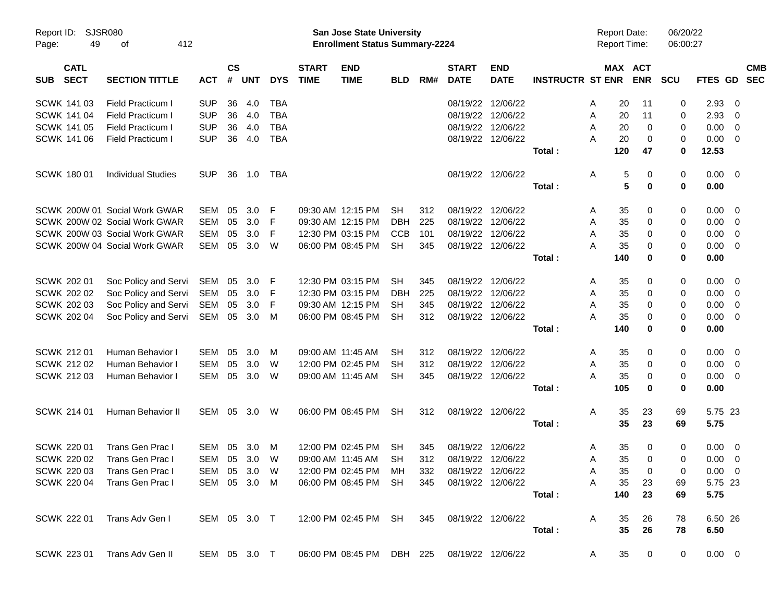| Report ID:<br>Page: | 49                         | SJSR080<br>412<br>of          |              |           |              |            |                             | <b>San Jose State University</b><br><b>Enrollment Status Summary-2224</b> |            |     |                             |                           |                         |   | <b>Report Date:</b><br>Report Time: |            | 06/20/22<br>06:00:27 |                |                          |  |
|---------------------|----------------------------|-------------------------------|--------------|-----------|--------------|------------|-----------------------------|---------------------------------------------------------------------------|------------|-----|-----------------------------|---------------------------|-------------------------|---|-------------------------------------|------------|----------------------|----------------|--------------------------|--|
| <b>SUB</b>          | <b>CATL</b><br><b>SECT</b> | <b>SECTION TITTLE</b>         | <b>ACT</b>   | <b>CS</b> | # UNT        | <b>DYS</b> | <b>START</b><br><b>TIME</b> | <b>END</b><br><b>TIME</b>                                                 | <b>BLD</b> | RM# | <b>START</b><br><b>DATE</b> | <b>END</b><br><b>DATE</b> | <b>INSTRUCTR ST ENR</b> |   | MAX ACT                             | <b>ENR</b> | <b>SCU</b>           | <b>FTES GD</b> | <b>CMB</b><br><b>SEC</b> |  |
|                     | SCWK 141 03                | <b>Field Practicum I</b>      | <b>SUP</b>   | 36        | 4.0          | <b>TBA</b> |                             |                                                                           |            |     | 08/19/22                    | 12/06/22                  |                         | A | 20                                  | 11         | 0                    | 2.93           | 0                        |  |
|                     | <b>SCWK 141 04</b>         | <b>Field Practicum I</b>      | <b>SUP</b>   | 36        | 4.0          | <b>TBA</b> |                             |                                                                           |            |     | 08/19/22                    | 12/06/22                  |                         | A | 20                                  | 11         | 0                    | 2.93           | 0                        |  |
|                     | <b>SCWK 141 05</b>         | <b>Field Practicum I</b>      | <b>SUP</b>   | 36        | 4.0          | <b>TBA</b> |                             |                                                                           |            |     | 08/19/22                    | 12/06/22                  |                         | A | 20                                  | 0          | 0                    | 0.00           | $\overline{0}$           |  |
|                     | SCWK 141 06                | <b>Field Practicum I</b>      | <b>SUP</b>   | 36        | 4.0          | <b>TBA</b> |                             |                                                                           |            |     |                             | 08/19/22 12/06/22         |                         | А | 20                                  | $\Omega$   | 0                    | 0.00           | $\overline{0}$           |  |
|                     |                            |                               |              |           |              |            |                             |                                                                           |            |     |                             |                           | Total:                  |   | 120                                 | 47         | $\mathbf 0$          | 12.53          |                          |  |
|                     | <b>SCWK 18001</b>          | <b>Individual Studies</b>     | <b>SUP</b>   | 36        | 1.0          | TBA        |                             |                                                                           |            |     |                             | 08/19/22 12/06/22         |                         | Α | 5                                   | 0          | 0                    | 0.00           | - 0                      |  |
|                     |                            |                               |              |           |              |            |                             |                                                                           |            |     |                             |                           | Total:                  |   | 5                                   | 0          | $\mathbf 0$          | 0.00           |                          |  |
|                     |                            | SCWK 200W 01 Social Work GWAR | SEM          | 05        | 3.0          | F          |                             | 09:30 AM 12:15 PM                                                         | <b>SH</b>  | 312 |                             | 08/19/22 12/06/22         |                         | A | 35                                  | 0          | 0                    | 0.00           | $\mathbf 0$              |  |
|                     |                            | SCWK 200W 02 Social Work GWAR | SEM          | 05        | 3.0          | F          |                             | 09:30 AM 12:15 PM                                                         | <b>DBH</b> | 225 | 08/19/22                    | 12/06/22                  |                         | A | 35                                  | 0          | 0                    | 0.00           | 0                        |  |
|                     |                            | SCWK 200W 03 Social Work GWAR | SEM          | 05        | 3.0          | F          |                             | 12:30 PM 03:15 PM                                                         | <b>CCB</b> | 101 | 08/19/22                    | 12/06/22                  |                         | A | 35                                  | 0          | 0                    | 0.00           | 0                        |  |
|                     |                            | SCWK 200W 04 Social Work GWAR | SEM          | 05        | 3.0          | W          |                             | 06:00 PM 08:45 PM                                                         | <b>SH</b>  | 345 |                             | 08/19/22 12/06/22         |                         | А | 35                                  | 0          | 0                    | 0.00           | $\overline{0}$           |  |
|                     |                            |                               |              |           |              |            |                             |                                                                           |            |     |                             |                           | Total:                  |   | 140                                 | 0          | $\bf{0}$             | 0.00           |                          |  |
|                     | <b>SCWK 202 01</b>         | Soc Policy and Servi          | SEM          | 05        | 3.0          | F          |                             | 12:30 PM 03:15 PM                                                         | <b>SH</b>  | 345 |                             | 08/19/22 12/06/22         |                         | A | 35                                  | 0          | 0                    | 0.00           | $\overline{0}$           |  |
|                     | <b>SCWK 202 02</b>         | Soc Policy and Servi          | SEM          | 05        | 3.0          | F          |                             | 12:30 PM 03:15 PM                                                         | DBH        | 225 | 08/19/22                    | 12/06/22                  |                         | A | 35                                  | 0          | 0                    | 0.00           | $\overline{0}$           |  |
|                     | <b>SCWK 202 03</b>         | Soc Policy and Servi          | SEM          | 05        | 3.0          | F          |                             | 09:30 AM 12:15 PM                                                         | SН         | 345 |                             | 08/19/22 12/06/22         |                         | A | 35                                  | 0          | 0                    | 0.00           | 0                        |  |
|                     | SCWK 202 04                | Soc Policy and Servi          | SEM 05       |           | 3.0          | M          |                             | 06:00 PM 08:45 PM                                                         | <b>SH</b>  | 312 |                             | 08/19/22 12/06/22         |                         | А | 35                                  | 0          | 0                    | 0.00           | 0                        |  |
|                     |                            |                               |              |           |              |            |                             |                                                                           |            |     |                             |                           | Total:                  |   | 140                                 | 0          | 0                    | 0.00           |                          |  |
|                     | <b>SCWK 21201</b>          | Human Behavior I              | SEM          | 05        | 3.0          | м          |                             | 09:00 AM 11:45 AM                                                         | <b>SH</b>  | 312 |                             | 08/19/22 12/06/22         |                         | A | 35                                  | 0          | 0                    | 0.00           | $\overline{0}$           |  |
|                     | SCWK 212 02                | Human Behavior I              | SEM          | 05        | 3.0          | W          |                             | 12:00 PM 02:45 PM                                                         | <b>SH</b>  | 312 | 08/19/22                    | 12/06/22                  |                         | Α | 35                                  | 0          | 0                    | 0.00           | $\overline{0}$           |  |
|                     | SCWK 212 03                | Human Behavior I              | SEM          | 05        | 3.0          | W          |                             | 09:00 AM 11:45 AM                                                         | <b>SH</b>  | 345 |                             | 08/19/22 12/06/22         |                         | А | 35                                  | 0          | 0                    | 0.00           | 0                        |  |
|                     |                            |                               |              |           |              |            |                             |                                                                           |            |     |                             |                           | Total:                  |   | 105                                 | 0          | $\bf{0}$             | 0.00           |                          |  |
|                     | <b>SCWK 214 01</b>         | Human Behavior II             | SEM 05       |           | 3.0          | W          |                             | 06:00 PM 08:45 PM                                                         | <b>SH</b>  | 312 |                             | 08/19/22 12/06/22         |                         | Α | 35                                  | 23         | 69                   | 5.75 23        |                          |  |
|                     |                            |                               |              |           |              |            |                             |                                                                           |            |     |                             |                           | Total:                  |   | 35                                  | 23         | 69                   | 5.75           |                          |  |
|                     | <b>SCWK 220 01</b>         | Trans Gen Prac I              | SEM          | 05        | 3.0          | м          |                             | 12:00 PM 02:45 PM                                                         | <b>SH</b>  | 345 | 08/19/22                    | 12/06/22                  |                         | A | 35                                  | 0          | 0                    | 0.00           | 0                        |  |
|                     | SCWK 220 02                | Trans Gen Prac I              | SEM          | 05        | 3.0          | W          |                             | 09:00 AM 11:45 AM                                                         | <b>SH</b>  | 312 |                             | 08/19/22 12/06/22         |                         | A | 35                                  | 0          | 0                    | 0.00           | 0                        |  |
|                     | SCWK 220 03                | Trans Gen Prac I              |              |           | SEM 05 3.0 W |            |                             | 12:00 PM 02:45 PM MH                                                      |            | 332 | 08/19/22 12/06/22           |                           |                         | A | 35                                  | 0          | 0                    | $0.00 \t 0$    |                          |  |
|                     | <b>SCWK 220 04</b>         | Trans Gen Prac I              |              |           | SEM 05 3.0 M |            |                             | 06:00 PM 08:45 PM SH                                                      |            | 345 |                             | 08/19/22 12/06/22         |                         | Α | 35                                  | 23         | 69                   | 5.75 23        |                          |  |
|                     |                            |                               |              |           |              |            |                             |                                                                           |            |     |                             |                           | Total:                  |   | 140                                 | 23         | 69                   | 5.75           |                          |  |
|                     | SCWK 222 01                | Trans Adv Gen I               |              |           | SEM 05 3.0 T |            |                             | 12:00 PM 02:45 PM SH                                                      |            | 345 |                             | 08/19/22 12/06/22         |                         | A | 35                                  | 26         | 78                   | 6.50 26        |                          |  |
|                     |                            |                               |              |           |              |            |                             |                                                                           |            |     |                             |                           | Total:                  |   | 35                                  | 26         | 78                   | 6.50           |                          |  |
|                     | SCWK 223 01                | Trans Adv Gen II              | SEM 05 3.0 T |           |              |            |                             | 06:00 PM 08:45 PM DBH 225                                                 |            |     | 08/19/22 12/06/22           |                           |                         | A | 35                                  | 0          | 0                    | $0.00 \t 0$    |                          |  |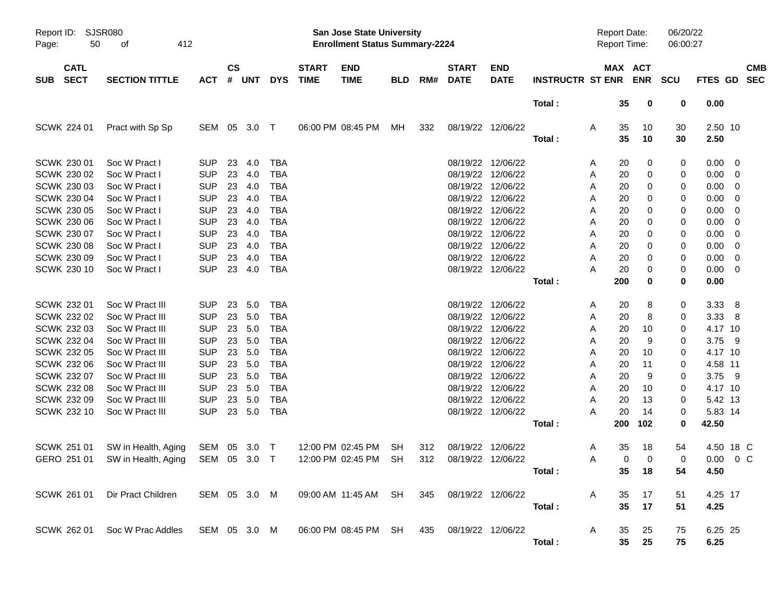| Report ID:<br>Page:                      | SJSR080<br>50<br>412<br>оf                 |                          |                    |               |                          |                             | <b>San Jose State University</b><br><b>Enrollment Status Summary-2224</b> |                 |            |                             |                                        |                         |        | <b>Report Date:</b><br><b>Report Time:</b> |            | 06/20/22<br>06:00:27 |                    |                                           |            |
|------------------------------------------|--------------------------------------------|--------------------------|--------------------|---------------|--------------------------|-----------------------------|---------------------------------------------------------------------------|-----------------|------------|-----------------------------|----------------------------------------|-------------------------|--------|--------------------------------------------|------------|----------------------|--------------------|-------------------------------------------|------------|
| <b>CATL</b><br><b>SECT</b><br><b>SUB</b> | <b>SECTION TITTLE</b>                      | <b>ACT</b>               | $\mathsf{cs}$<br># | <b>UNT</b>    | <b>DYS</b>               | <b>START</b><br><b>TIME</b> | <b>END</b><br><b>TIME</b>                                                 | <b>BLD</b>      | RM#        | <b>START</b><br><b>DATE</b> | <b>END</b><br><b>DATE</b>              | <b>INSTRUCTR ST ENR</b> |        | MAX ACT                                    | <b>ENR</b> | SCU                  | FTES GD SEC        |                                           | <b>CMB</b> |
|                                          |                                            |                          |                    |               |                          |                             |                                                                           |                 |            |                             |                                        | Total:                  |        | 35                                         | 0          | 0                    | 0.00               |                                           |            |
| SCWK 224 01                              | Pract with Sp Sp                           | SEM 05 3.0               |                    |               | $\top$                   |                             | 06:00 PM 08:45 PM                                                         | МH              | 332        |                             | 08/19/22 12/06/22                      | Total:                  | A      | 35<br>35                                   | 10<br>10   | 30<br>30             | 2.50 10<br>2.50    |                                           |            |
| SCWK 230 01<br>SCWK 230 02               | Soc W Pract I<br>Soc W Pract I             | <b>SUP</b><br><b>SUP</b> | 23<br>23           | 4.0<br>4.0    | <b>TBA</b><br><b>TBA</b> |                             |                                                                           |                 |            |                             | 08/19/22 12/06/22<br>08/19/22 12/06/22 |                         | A<br>A | 20<br>20                                   | 0<br>0     | 0<br>0               | 0.00<br>0.00       | $\overline{\phantom{0}}$<br>- 0           |            |
| SCWK 230 03<br>SCWK 230 04               | Soc W Pract I<br>Soc W Pract I             | <b>SUP</b><br><b>SUP</b> | 23<br>23           | 4.0<br>4.0    | <b>TBA</b><br><b>TBA</b> |                             |                                                                           |                 |            |                             | 08/19/22 12/06/22<br>08/19/22 12/06/22 |                         | A<br>A | 20<br>20                                   | 0<br>0     | 0<br>0               | 0.00<br>0.00       | $\overline{\mathbf{0}}$<br>- 0            |            |
| SCWK 230 05<br>SCWK 230 06               | Soc W Pract I<br>Soc W Pract I             | <b>SUP</b><br><b>SUP</b> | 23<br>23           | 4.0<br>4.0    | <b>TBA</b><br><b>TBA</b> |                             |                                                                           |                 |            |                             | 08/19/22 12/06/22<br>08/19/22 12/06/22 |                         | A<br>A | 20<br>20                                   | 0<br>0     | 0<br>0               | 0.00<br>0.00       | - 0<br>- 0                                |            |
| SCWK 230 07<br><b>SCWK 230 08</b>        | Soc W Pract I<br>Soc W Pract I             | <b>SUP</b><br><b>SUP</b> | 23<br>23           | 4.0<br>4.0    | <b>TBA</b><br><b>TBA</b> |                             |                                                                           |                 |            |                             | 08/19/22 12/06/22<br>08/19/22 12/06/22 |                         | A<br>A | 20<br>20                                   | 0<br>0     | 0<br>0               | 0.00<br>0.00       | 0<br>- 0                                  |            |
| SCWK 230 09<br>SCWK 230 10               | Soc W Pract I<br>Soc W Pract I             | <b>SUP</b><br><b>SUP</b> | 23<br>23           | 4.0<br>4.0    | <b>TBA</b><br><b>TBA</b> |                             |                                                                           |                 |            |                             | 08/19/22 12/06/22<br>08/19/22 12/06/22 |                         | Α<br>Α | 20<br>20                                   | 0<br>0     | 0<br>0               | 0.00<br>0.00       | $\overline{0}$<br>$\overline{\mathbf{0}}$ |            |
|                                          |                                            |                          |                    |               |                          |                             |                                                                           |                 |            |                             |                                        | Total:                  |        | 200                                        | 0          | 0                    | 0.00               |                                           |            |
| SCWK 232 01<br>SCWK 232 02               | Soc W Pract III<br>Soc W Pract III         | <b>SUP</b><br><b>SUP</b> | 23<br>23           | 5.0<br>5.0    | <b>TBA</b><br><b>TBA</b> |                             |                                                                           |                 |            |                             | 08/19/22 12/06/22<br>08/19/22 12/06/22 |                         | A<br>A | 20<br>20                                   | 8<br>8     | 0<br>0               | 3.33<br>3.33       | - 8<br>- 8                                |            |
| SCWK 232 03<br>SCWK 232 04               | Soc W Pract III<br>Soc W Pract III         | <b>SUP</b><br><b>SUP</b> | 23<br>23           | 5.0<br>5.0    | <b>TBA</b><br><b>TBA</b> |                             |                                                                           |                 |            |                             | 08/19/22 12/06/22<br>08/19/22 12/06/22 |                         | A<br>A | 20<br>20                                   | 10<br>9    | 0<br>0               | 4.17 10<br>3.75 9  |                                           |            |
| SCWK 232 05<br>SCWK 232 06               | Soc W Pract III<br>Soc W Pract III         | <b>SUP</b><br><b>SUP</b> | 23<br>23           | 5.0<br>5.0    | <b>TBA</b><br><b>TBA</b> |                             |                                                                           |                 |            |                             | 08/19/22 12/06/22<br>08/19/22 12/06/22 |                         | A<br>A | 20<br>20                                   | 10<br>11   | 0<br>0               | 4.17 10<br>4.58 11 |                                           |            |
| SCWK 232 07<br><b>SCWK 232 08</b>        | Soc W Pract III<br>Soc W Pract III         | <b>SUP</b><br><b>SUP</b> | 23<br>23           | 5.0<br>5.0    | <b>TBA</b><br><b>TBA</b> |                             |                                                                           |                 |            |                             | 08/19/22 12/06/22<br>08/19/22 12/06/22 |                         | A<br>A | 20<br>20                                   | 9<br>10    | 0<br>0               | 3.75 9<br>4.17 10  |                                           |            |
| SCWK 232 09<br>SCWK 232 10               | Soc W Pract III<br>Soc W Pract III         | <b>SUP</b><br><b>SUP</b> | 23<br>23           | 5.0<br>5.0    | <b>TBA</b><br><b>TBA</b> |                             |                                                                           |                 |            |                             | 08/19/22 12/06/22<br>08/19/22 12/06/22 |                         | A<br>Α | 20<br>20                                   | 13<br>14   | 0<br>0               | 5.42 13<br>5.83 14 |                                           |            |
|                                          |                                            |                          |                    |               |                          |                             |                                                                           |                 |            |                             |                                        | Total:                  |        | 200                                        | 102        | 0                    | 42.50              |                                           |            |
| SCWK 251 01<br>GERO 251 01               | SW in Health, Aging<br>SW in Health, Aging | SEM<br>SEM               | 05                 | 3.0<br>05 3.0 | $\top$<br>$\top$         |                             | 12:00 PM 02:45 PM<br>12:00 PM 02:45 PM                                    | SH<br><b>SH</b> | 312<br>312 |                             | 08/19/22 12/06/22<br>08/19/22 12/06/22 |                         | A<br>Α | 35<br>0                                    | 18<br>0    | 54<br>0              | 4.50 18 C<br>0.00  | $0\,C$                                    |            |
|                                          |                                            |                          |                    |               |                          |                             |                                                                           |                 |            |                             |                                        | Total:                  |        |                                            | 35 18      | 54                   | 4.50               |                                           |            |
|                                          | SCWK 261 01 Dir Pract Children             | SEM 05 3.0 M             |                    |               |                          |                             | 09:00 AM 11:45 AM SH                                                      |                 | 345        | 08/19/22 12/06/22           |                                        | Total:                  | A      | 35<br>35                                   | 17<br>17   | 51<br>51             | 4.25 17<br>4.25    |                                           |            |
|                                          | SCWK 262 01 Soc W Prac Addles              | SEM 05 3.0 M             |                    |               |                          |                             | 06:00 PM 08:45 PM SH                                                      |                 | 435        | 08/19/22 12/06/22           |                                        |                         | A      | 35                                         | 25         | 75                   | 6.25 25            |                                           |            |
|                                          |                                            |                          |                    |               |                          |                             |                                                                           |                 |            |                             |                                        | Total:                  |        | 35                                         | 25         | 75                   | 6.25               |                                           |            |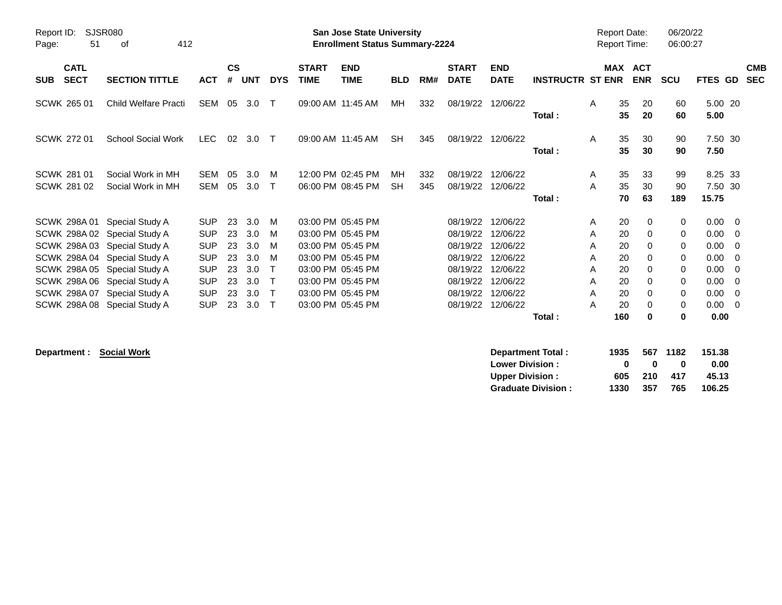| Report ID:<br>51<br>Page:                | <b>SJSR080</b><br>412<br>οf                                                                                                                                                                                                                     |                                                                                                              |                                              |                                                      |                                                      |                             | San Jose State University<br><b>Enrollment Status Summary-2224</b>                                                                                                   |                 |            |                                                                                              |                                                                                              |                         |                                      | <b>Report Date:</b><br><b>Report Time:</b>          |                                                                                 | 06/20/22<br>06:00:27                      |                                                                             |                                                    |                          |
|------------------------------------------|-------------------------------------------------------------------------------------------------------------------------------------------------------------------------------------------------------------------------------------------------|--------------------------------------------------------------------------------------------------------------|----------------------------------------------|------------------------------------------------------|------------------------------------------------------|-----------------------------|----------------------------------------------------------------------------------------------------------------------------------------------------------------------|-----------------|------------|----------------------------------------------------------------------------------------------|----------------------------------------------------------------------------------------------|-------------------------|--------------------------------------|-----------------------------------------------------|---------------------------------------------------------------------------------|-------------------------------------------|-----------------------------------------------------------------------------|----------------------------------------------------|--------------------------|
| <b>CATL</b><br><b>SECT</b><br><b>SUB</b> | <b>SECTION TITTLE</b>                                                                                                                                                                                                                           | <b>ACT</b>                                                                                                   | $\mathsf{cs}$<br>#                           | <b>UNT</b>                                           | <b>DYS</b>                                           | <b>START</b><br><b>TIME</b> | <b>END</b><br><b>TIME</b>                                                                                                                                            | <b>BLD</b>      | RM#        | <b>START</b><br><b>DATE</b>                                                                  | <b>END</b><br><b>DATE</b>                                                                    | <b>INSTRUCTR ST ENR</b> |                                      | MAX                                                 | <b>ACT</b><br><b>ENR</b>                                                        | <b>SCU</b>                                | FTES GD                                                                     |                                                    | <b>CMB</b><br><b>SEC</b> |
| SCWK 265 01                              | Child Welfare Practi                                                                                                                                                                                                                            | <b>SEM</b>                                                                                                   | 05                                           | 3.0                                                  | $\top$                                               |                             | 09:00 AM 11:45 AM                                                                                                                                                    | MН              | 332        | 08/19/22                                                                                     | 12/06/22                                                                                     | Total:                  | A                                    | 35<br>35                                            | 20<br>20                                                                        | 60<br>60                                  | 5.00 20<br>5.00                                                             |                                                    |                          |
| <b>SCWK 272 01</b>                       | <b>School Social Work</b>                                                                                                                                                                                                                       | <b>LEC</b>                                                                                                   | 02                                           | 3.0                                                  | $\top$                                               |                             | 09:00 AM 11:45 AM                                                                                                                                                    | <b>SH</b>       | 345        | 08/19/22                                                                                     | 12/06/22                                                                                     | Total:                  | A                                    | 35<br>35                                            | 30<br>30                                                                        | 90<br>90                                  | 7.50 30<br>7.50                                                             |                                                    |                          |
| <b>SCWK 281 01</b><br><b>SCWK 281 02</b> | Social Work in MH<br>Social Work in MH                                                                                                                                                                                                          | <b>SEM</b><br><b>SEM</b>                                                                                     | 05<br>05                                     | 3.0<br>3.0                                           | м<br>$\mathsf{T}$                                    |                             | 12:00 PM 02:45 PM<br>06:00 PM 08:45 PM                                                                                                                               | MН<br><b>SH</b> | 332<br>345 | 08/19/22<br>08/19/22                                                                         | 12/06/22<br>12/06/22                                                                         | Total:                  | A<br>A                               | 35<br>35<br>70                                      | 33<br>30<br>63                                                                  | 99<br>90<br>189                           | 8.25 33<br>7.50 30<br>15.75                                                 |                                                    |                          |
| SCWK 298A01                              | Special Study A<br>SCWK 298A 02 Special Study A<br>SCWK 298A 03 Special Study A<br>SCWK 298A 04 Special Study A<br>SCWK 298A 05 Special Study A<br>SCWK 298A 06 Special Study A<br>SCWK 298A 07 Special Study A<br>SCWK 298A 08 Special Study A | <b>SUP</b><br><b>SUP</b><br><b>SUP</b><br><b>SUP</b><br><b>SUP</b><br><b>SUP</b><br><b>SUP</b><br><b>SUP</b> | 23<br>23<br>23<br>23<br>23<br>23<br>23<br>23 | 3.0<br>3.0<br>3.0<br>3.0<br>3.0<br>3.0<br>3.0<br>3.0 | M<br>м<br>м<br>м<br>т<br>т<br>$\mathsf{T}$<br>$\top$ |                             | 03:00 PM 05:45 PM<br>03:00 PM 05:45 PM<br>03:00 PM 05:45 PM<br>03:00 PM 05:45 PM<br>03:00 PM 05:45 PM<br>03:00 PM 05:45 PM<br>03:00 PM 05:45 PM<br>03:00 PM 05:45 PM |                 |            | 08/19/22<br>08/19/22<br>08/19/22<br>08/19/22<br>08/19/22<br>08/19/22<br>08/19/22<br>08/19/22 | 12/06/22<br>12/06/22<br>12/06/22<br>12/06/22<br>12/06/22<br>12/06/22<br>12/06/22<br>12/06/22 | Total:                  | A<br>A<br>A<br>A<br>A<br>A<br>A<br>A | 20<br>20<br>20<br>20<br>20<br>20<br>20<br>20<br>160 | 0<br>$\mathbf 0$<br>0<br>0<br>$\Omega$<br>$\Omega$<br>$\Omega$<br>0<br>$\bf{0}$ | 0<br>0<br>0<br>0<br>0<br>0<br>0<br>0<br>0 | $0.00 \t 0$<br>0.00<br>0.00<br>0.00<br>0.00<br>0.00<br>0.00<br>0.00<br>0.00 | - 0<br>- 0<br>$\Omega$<br>- 0<br>- 0<br>- 0<br>- 0 |                          |

 $\text{Department:} \quad \text{Social Work}$ 

| Department Total:         | 1935         |     | 567 1182 | 151.38 |
|---------------------------|--------------|-----|----------|--------|
| <b>Lower Division:</b>    | $\mathbf{u}$ | n   | o        | 0.00   |
| <b>Upper Division:</b>    | 605          | 210 | 417      | 45.13  |
| <b>Graduate Division:</b> | 1330         | 357 | 765      | 106.25 |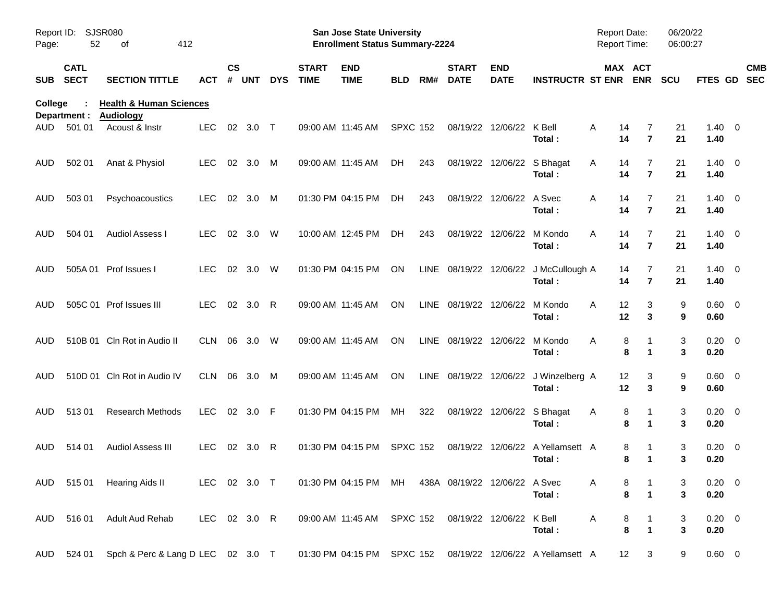| Page:          | Report ID:<br>SJSR080<br>52<br>412<br>of |                                                        |              |                    |            |            |                             | San Jose State University<br><b>Enrollment Status Summary-2224</b> |                 |             |                             |                           |                                  | Report Date:<br>Report Time: |                                  | 06/20/22<br>06:00:27 |                        |                          |
|----------------|------------------------------------------|--------------------------------------------------------|--------------|--------------------|------------|------------|-----------------------------|--------------------------------------------------------------------|-----------------|-------------|-----------------------------|---------------------------|----------------------------------|------------------------------|----------------------------------|----------------------|------------------------|--------------------------|
| <b>SUB</b>     | <b>CATL</b><br><b>SECT</b>               | <b>SECTION TITTLE</b>                                  | ACT          | $\mathsf{cs}$<br># | <b>UNT</b> | <b>DYS</b> | <b>START</b><br><b>TIME</b> | <b>END</b><br><b>TIME</b>                                          | <b>BLD</b>      | RM#         | <b>START</b><br><b>DATE</b> | <b>END</b><br><b>DATE</b> | <b>INSTRUCTR ST ENR</b>          |                              | MAX ACT<br><b>ENR</b>            | <b>SCU</b>           | FTES GD                | <b>CMB</b><br><b>SEC</b> |
| <b>College</b> | Department :                             | <b>Health &amp; Human Sciences</b><br><b>Audiology</b> |              |                    |            |            |                             |                                                                    |                 |             |                             |                           |                                  |                              |                                  |                      |                        |                          |
| AUD            | 501 01                                   | Acoust & Instr                                         | <b>LEC</b>   | 02                 | 3.0        | $\top$     |                             | 09:00 AM 11:45 AM                                                  | <b>SPXC 152</b> |             | 08/19/22                    | 12/06/22                  | K Bell<br>Total:                 | Α<br>14<br>14                | 7<br>$\overline{7}$              | 21<br>21             | $1.40 \ 0$<br>1.40     |                          |
| AUD            | 502 01                                   | Anat & Physiol                                         | <b>LEC</b>   | 02                 | 3.0        | M          |                             | 09:00 AM 11:45 AM                                                  | <b>DH</b>       | 243         | 08/19/22                    | 12/06/22                  | S Bhagat<br>Total:               | Α<br>14<br>14                | $\overline{7}$<br>$\overline{7}$ | 21<br>21             | $1.40 \ 0$<br>1.40     |                          |
| AUD            | 503 01                                   | Psychoacoustics                                        | <b>LEC</b>   | 02                 | 3.0        | M          |                             | 01:30 PM 04:15 PM                                                  | DH.             | 243         | 08/19/22                    | 12/06/22                  | A Svec<br>Total:                 | Α<br>14<br>14                | $\overline{7}$<br>$\overline{7}$ | 21<br>21             | $1.40 \ 0$<br>1.40     |                          |
| AUD            | 504 01                                   | <b>Audiol Assess I</b>                                 | <b>LEC</b>   | 02                 | 3.0        | W          |                             | 10:00 AM 12:45 PM                                                  | DH              | 243         | 08/19/22                    | 12/06/22                  | M Kondo<br>Total:                | Α<br>14<br>14                | $\overline{7}$<br>$\overline{7}$ | 21<br>21             | $1.40 \ 0$<br>1.40     |                          |
| AUD            | 505A 01                                  | Prof Issues I                                          | <b>LEC</b>   | 02                 | 3.0        | W          |                             | 01:30 PM 04:15 PM                                                  | ΟN              | <b>LINE</b> | 08/19/22                    | 12/06/22                  | J McCullough A<br>Total:         | 14<br>14                     | 7<br>$\overline{7}$              | 21<br>21             | $1.40 \ 0$<br>1.40     |                          |
| AUD            |                                          | 505C 01 Prof Issues III                                | <b>LEC</b>   | 02                 | 3.0        | R          |                             | 09:00 AM 11:45 AM                                                  | ΟN              | <b>LINE</b> | 08/19/22                    | 12/06/22                  | M Kondo<br>Total:                | 12<br>A<br>12                | 3<br>3                           | 9<br>9               | $0.60 \quad 0$<br>0.60 |                          |
| AUD            |                                          | 510B 01 Cln Rot in Audio II                            | <b>CLN</b>   | 06                 | 3.0        | W          |                             | 09:00 AM 11:45 AM                                                  | ΟN              | <b>LINE</b> | 08/19/22                    | 12/06/22                  | M Kondo<br>Total:                | Α<br>8<br>8                  | 1                                | 3<br>3               | 0.20<br>0.20           | $\overline{\phantom{0}}$ |
| AUD            |                                          | 510D 01 Cln Rot in Audio IV                            | <b>CLN</b>   | 06                 | 3.0        | M          |                             | 09:00 AM 11:45 AM                                                  | ΟN              | <b>LINE</b> | 08/19/22                    | 12/06/22                  | J Winzelberg A<br>Total:         | 12<br>12                     | 3<br>3                           | 9<br>9               | $0.60 \quad 0$<br>0.60 |                          |
| AUD            | 51301                                    | <b>Research Methods</b>                                | <b>LEC</b>   | 02                 | 3.0        | F          |                             | 01:30 PM 04:15 PM                                                  | MН              | 322         | 08/19/22                    | 12/06/22                  | S Bhagat<br>Total:               | 8<br>A<br>8                  | 1                                | 3<br>3               | 0.20<br>0.20           | $\overline{\phantom{0}}$ |
| AUD            | 514 01                                   | <b>Audiol Assess III</b>                               | <b>LEC</b>   | 02                 | 3.0        | R          |                             | 01:30 PM 04:15 PM                                                  | <b>SPXC 152</b> |             | 08/19/22                    | 12/06/22                  | A Yellamsett A<br>Total:         | 8<br>8                       | 1                                | 3<br>3               | 0.20<br>0.20           | $\overline{\phantom{0}}$ |
|                | AUD 515 01                               | Hearing Aids II                                        | LEC 02 3.0 T |                    |            |            |                             | 01:30 PM 04:15 PM MH 438A 08/19/22 12/06/22 A Svec                 |                 |             |                             |                           | Total:                           | A<br>8<br>8                  | $\blacktriangleleft$             | 3<br>3               | $0.20 \ 0$<br>0.20     |                          |
|                | AUD 516 01                               | Adult Aud Rehab                                        | LEC 02 3.0 R |                    |            |            |                             | 09:00 AM 11:45 AM SPXC 152                                         |                 |             |                             | 08/19/22 12/06/22 K Bell  | Total:                           | A<br>8<br>8                  | 1<br>$\mathbf{1}$                | 3<br>3               | $0.20 \ 0$<br>0.20     |                          |
| AUD            | 524 01                                   | Spch & Perc & Lang D LEC 02 3.0 T                      |              |                    |            |            |                             | 01:30 PM 04:15 PM SPXC 152                                         |                 |             |                             |                           | 08/19/22 12/06/22 A Yellamsett A | 12                           | 3                                | 9                    | $0.60 \t 0$            |                          |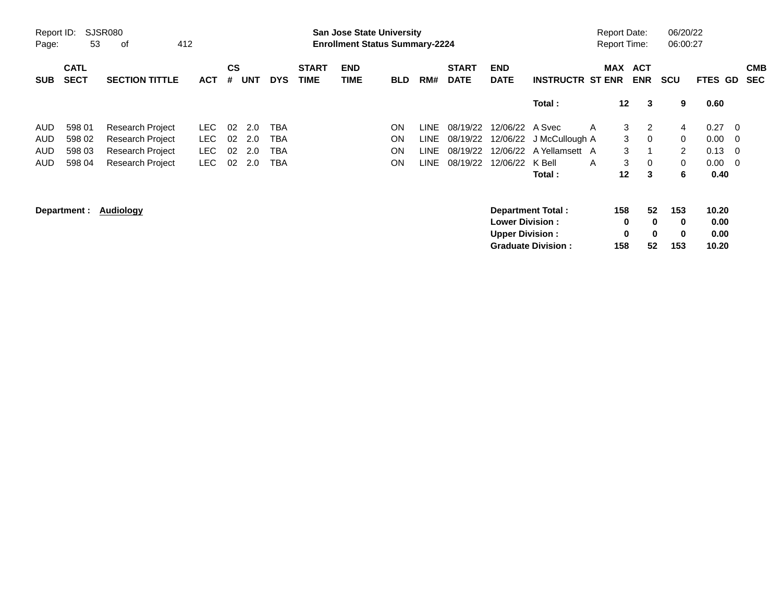| Report ID:<br>Page: | <b>SJSR080</b><br>53       | 412                     |            |                    |            |            | San Jose State University<br><b>Enrollment Status Summary-2224</b> |                           |            |                        |                             |                           |                          | <b>Report Date:</b><br><b>Report Time:</b> |                 | 06/20/22<br>06:00:27 |                |                |                          |                          |
|---------------------|----------------------------|-------------------------|------------|--------------------|------------|------------|--------------------------------------------------------------------|---------------------------|------------|------------------------|-----------------------------|---------------------------|--------------------------|--------------------------------------------|-----------------|----------------------|----------------|----------------|--------------------------|--------------------------|
| <b>SUB</b>          | <b>CATL</b><br><b>SECT</b> | <b>SECTION TITTLE</b>   | <b>ACT</b> | $\mathsf{cs}$<br># | <b>UNT</b> | <b>DYS</b> | <b>START</b><br><b>TIME</b>                                        | <b>END</b><br><b>TIME</b> | <b>BLD</b> | RM#                    | <b>START</b><br><b>DATE</b> | <b>END</b><br><b>DATE</b> | <b>INSTRUCTR ST ENR</b>  |                                            | MAX ACT         | <b>ENR</b>           | <b>SCU</b>     | <b>FTES GD</b> |                          | <b>CMB</b><br><b>SEC</b> |
|                     |                            |                         |            |                    |            |            |                                                                    |                           |            |                        |                             |                           | Total:                   |                                            | 12 <sub>2</sub> | 3                    | 9              | 0.60           |                          |                          |
| AUD.                | 598 01                     | Research Project        | LEC.       | 02                 | 2.0        | <b>TBA</b> |                                                                    |                           | ON         | <b>LINE</b>            | 08/19/22                    | 12/06/22 A Svec           |                          | A                                          | 3               | 2                    | 4              | 0.27           | - 0                      |                          |
| AUD.                | 598 02                     | <b>Research Project</b> | LEC.       | 02                 | 2.0        | TBA        |                                                                    |                           | <b>ON</b>  | <b>LINE</b>            | 08/19/22                    |                           | 12/06/22 J McCullough A  |                                            | 3               | $\mathbf 0$          | 0              | 0.00           | $\overline{\phantom{0}}$ |                          |
| AUD.                | 598 03                     | <b>Research Project</b> | <b>LEC</b> | 02                 | 2.0        | TBA        |                                                                    |                           | ON         | LINE.                  | 08/19/22                    |                           | 12/06/22 A Yellamsett A  |                                            | 3               |                      | $\overline{2}$ | 0.13           | - 0                      |                          |
| AUD.                | 598 04                     | Research Project        | LEC.       | 02                 | 2.0        | TBA        |                                                                    |                           | ON         | LINE                   | 08/19/22                    | 12/06/22                  | K Bell                   | A                                          | 3               | $\mathbf 0$          | 0              | $0.00 \quad 0$ |                          |                          |
|                     |                            |                         |            |                    |            |            |                                                                    |                           |            |                        |                             |                           | Total:                   |                                            | $12 \,$         | 3                    | 6              | 0.40           |                          |                          |
|                     | Audiology<br>Department :  |                         |            |                    |            |            |                                                                    |                           |            |                        |                             | <b>Lower Division:</b>    | <b>Department Total:</b> |                                            | 158<br>0        | 52<br>$\bf{0}$       | 153<br>0       | 10.20<br>0.00  |                          |                          |
|                     |                            |                         |            |                    |            |            |                                                                    |                           |            | <b>Upper Division:</b> | <b>Graduate Division:</b>   |                           | 0<br>158                 | $\bf{0}$<br>52                             | 0<br>153        | 0.00<br>10.20        |                |                |                          |                          |